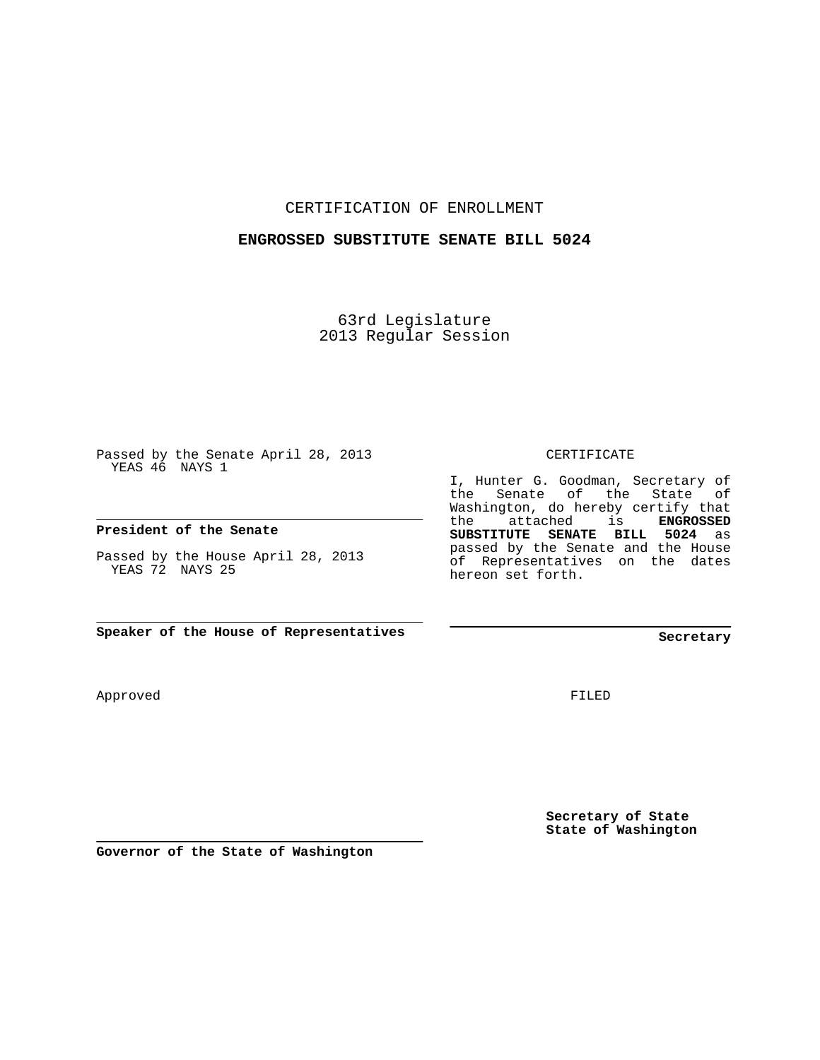CERTIFICATION OF ENROLLMENT

#### **ENGROSSED SUBSTITUTE SENATE BILL 5024**

63rd Legislature 2013 Regular Session

Passed by the Senate April 28, 2013 YEAS 46 NAYS 1

**President of the Senate**

Passed by the House April 28, 2013 YEAS 72 NAYS 25

**Speaker of the House of Representatives**

Approved

FILED

**Secretary of State State of Washington**

**Governor of the State of Washington**

CERTIFICATE

I, Hunter G. Goodman, Secretary of the Senate of the State of Washington, do hereby certify that the attached is **ENGROSSED SUBSTITUTE SENATE BILL 5024** as passed by the Senate and the House of Representatives on the dates hereon set forth.

# **Secretary**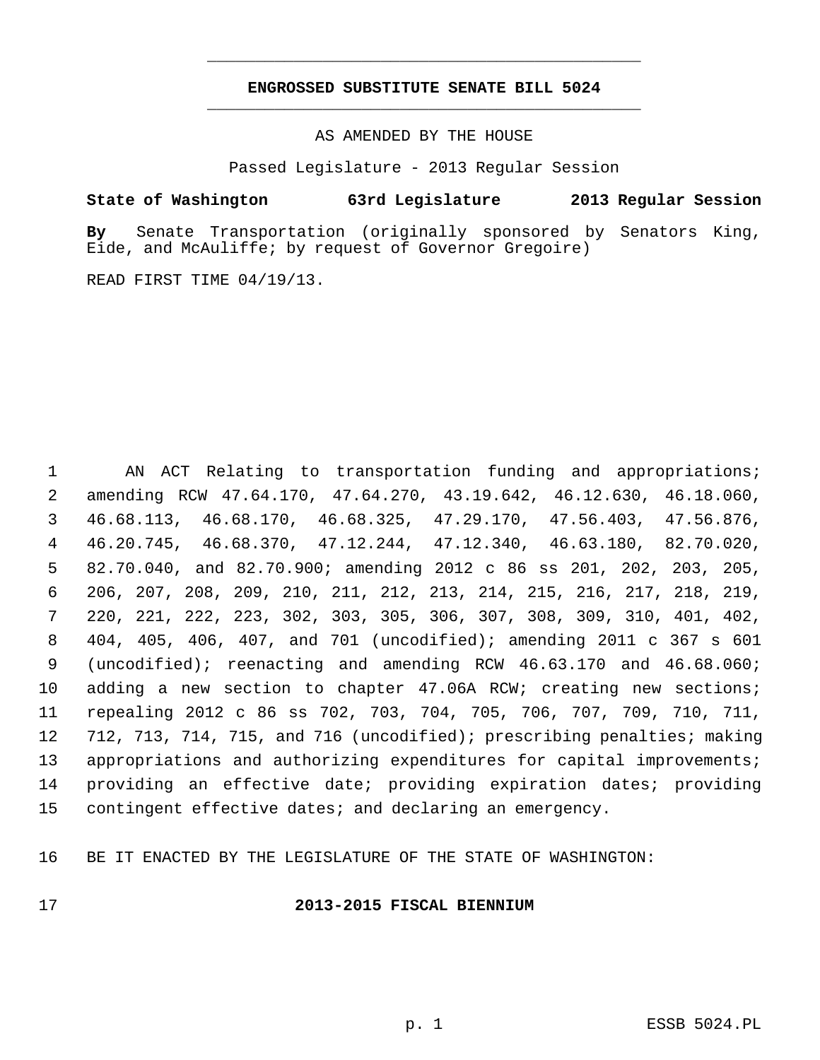### **ENGROSSED SUBSTITUTE SENATE BILL 5024** \_\_\_\_\_\_\_\_\_\_\_\_\_\_\_\_\_\_\_\_\_\_\_\_\_\_\_\_\_\_\_\_\_\_\_\_\_\_\_\_\_\_\_\_\_

\_\_\_\_\_\_\_\_\_\_\_\_\_\_\_\_\_\_\_\_\_\_\_\_\_\_\_\_\_\_\_\_\_\_\_\_\_\_\_\_\_\_\_\_\_

AS AMENDED BY THE HOUSE

Passed Legislature - 2013 Regular Session

#### **State of Washington 63rd Legislature 2013 Regular Session**

**By** Senate Transportation (originally sponsored by Senators King, Eide, and McAuliffe; by request of Governor Gregoire)

READ FIRST TIME 04/19/13.

 1 AN ACT Relating to transportation funding and appropriations; 2 amending RCW 47.64.170, 47.64.270, 43.19.642, 46.12.630, 46.18.060, 3 46.68.113, 46.68.170, 46.68.325, 47.29.170, 47.56.403, 47.56.876, 4 46.20.745, 46.68.370, 47.12.244, 47.12.340, 46.63.180, 82.70.020, 5 82.70.040, and 82.70.900; amending 2012 c 86 ss 201, 202, 203, 205, 6 206, 207, 208, 209, 210, 211, 212, 213, 214, 215, 216, 217, 218, 219, 7 220, 221, 222, 223, 302, 303, 305, 306, 307, 308, 309, 310, 401, 402, 8 404, 405, 406, 407, and 701 (uncodified); amending 2011 c 367 s 601 9 (uncodified); reenacting and amending RCW 46.63.170 and 46.68.060; 10 adding a new section to chapter 47.06A RCW; creating new sections; 11 repealing 2012 c 86 ss 702, 703, 704, 705, 706, 707, 709, 710, 711, 12 712, 713, 714, 715, and 716 (uncodified); prescribing penalties; making 13 appropriations and authorizing expenditures for capital improvements; 14 providing an effective date; providing expiration dates; providing 15 contingent effective dates; and declaring an emergency.

16 BE IT ENACTED BY THE LEGISLATURE OF THE STATE OF WASHINGTON:

#### 17 **2013-2015 FISCAL BIENNIUM**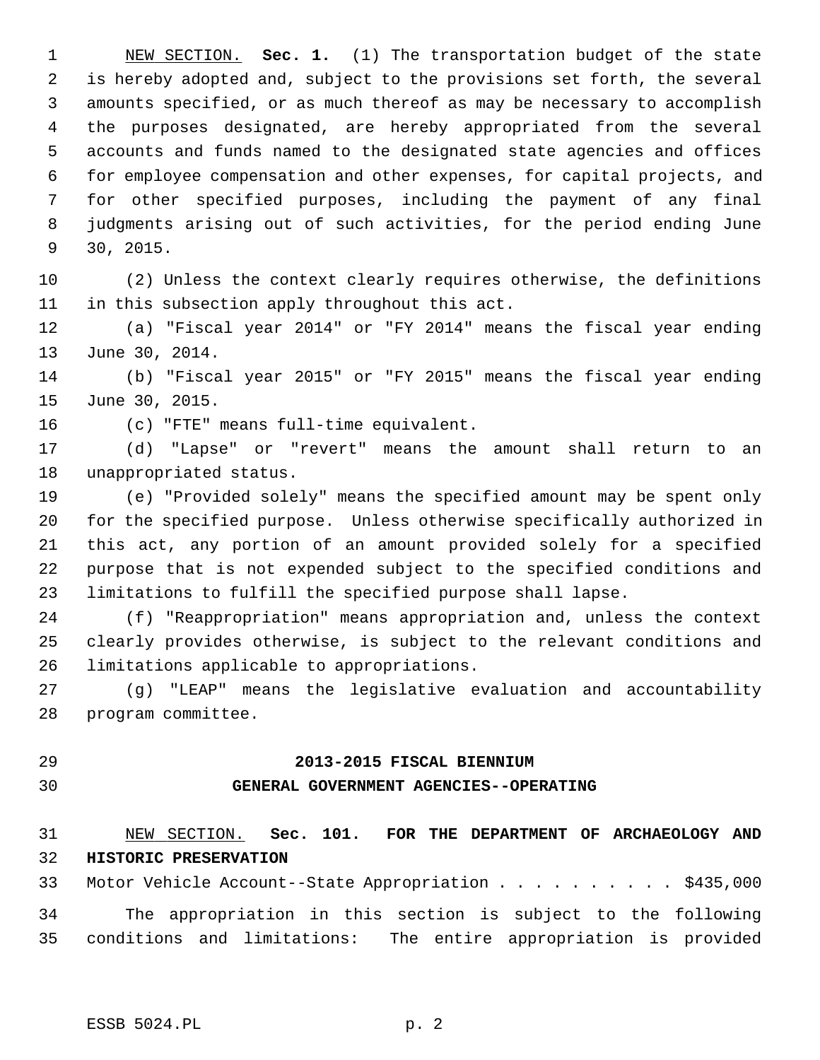1 NEW SECTION. **Sec. 1.** (1) The transportation budget of the state 2 is hereby adopted and, subject to the provisions set forth, the several 3 amounts specified, or as much thereof as may be necessary to accomplish 4 the purposes designated, are hereby appropriated from the several 5 accounts and funds named to the designated state agencies and offices 6 for employee compensation and other expenses, for capital projects, and 7 for other specified purposes, including the payment of any final 8 judgments arising out of such activities, for the period ending June 9 30, 2015.

10 (2) Unless the context clearly requires otherwise, the definitions 11 in this subsection apply throughout this act.

12 (a) "Fiscal year 2014" or "FY 2014" means the fiscal year ending 13 June 30, 2014.

14 (b) "Fiscal year 2015" or "FY 2015" means the fiscal year ending 15 June 30, 2015.

16 (c) "FTE" means full-time equivalent.

17 (d) "Lapse" or "revert" means the amount shall return to an 18 unappropriated status.

19 (e) "Provided solely" means the specified amount may be spent only 20 for the specified purpose. Unless otherwise specifically authorized in 21 this act, any portion of an amount provided solely for a specified 22 purpose that is not expended subject to the specified conditions and 23 limitations to fulfill the specified purpose shall lapse.

24 (f) "Reappropriation" means appropriation and, unless the context 25 clearly provides otherwise, is subject to the relevant conditions and 26 limitations applicable to appropriations.

27 (g) "LEAP" means the legislative evaluation and accountability 28 program committee.

#### 29 **2013-2015 FISCAL BIENNIUM**

#### 30 **GENERAL GOVERNMENT AGENCIES--OPERATING**

31 NEW SECTION. **Sec. 101. FOR THE DEPARTMENT OF ARCHAEOLOGY AND** 32 **HISTORIC PRESERVATION**

33 Motor Vehicle Account--State Appropriation . . . . . . . . . \$435,000 34 The appropriation in this section is subject to the following 35 conditions and limitations: The entire appropriation is provided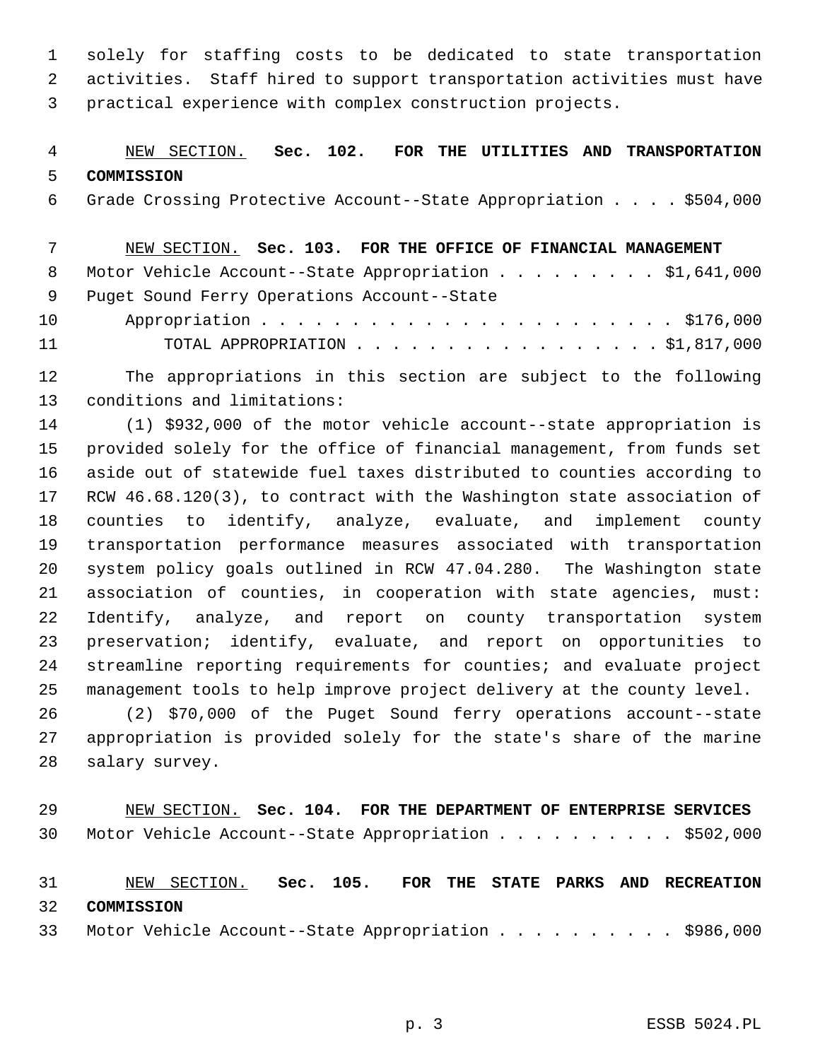1 solely for staffing costs to be dedicated to state transportation 2 activities. Staff hired to support transportation activities must have 3 practical experience with complex construction projects.

# 4 NEW SECTION. **Sec. 102. FOR THE UTILITIES AND TRANSPORTATION** 5 **COMMISSION**

6 Grade Crossing Protective Account--State Appropriation . . . . \$504,000

 7 NEW SECTION. **Sec. 103. FOR THE OFFICE OF FINANCIAL MANAGEMENT** 8 Motor Vehicle Account--State Appropriation . . . . . . . . \$1,641,000 9 Puget Sound Ferry Operations Account--State 10 Appropriation . . . . . . . . . . . . . . . . . . . . . . . \$176,000 11 TOTAL APPROPRIATION . . . . . . . . . . . . . . . . . \$1,817,000

12 The appropriations in this section are subject to the following 13 conditions and limitations:

14 (1) \$932,000 of the motor vehicle account--state appropriation is 15 provided solely for the office of financial management, from funds set 16 aside out of statewide fuel taxes distributed to counties according to 17 RCW 46.68.120(3), to contract with the Washington state association of 18 counties to identify, analyze, evaluate, and implement county 19 transportation performance measures associated with transportation 20 system policy goals outlined in RCW 47.04.280. The Washington state 21 association of counties, in cooperation with state agencies, must: 22 Identify, analyze, and report on county transportation system 23 preservation; identify, evaluate, and report on opportunities to 24 streamline reporting requirements for counties; and evaluate project 25 management tools to help improve project delivery at the county level.

26 (2) \$70,000 of the Puget Sound ferry operations account--state 27 appropriation is provided solely for the state's share of the marine 28 salary survey.

29 NEW SECTION. **Sec. 104. FOR THE DEPARTMENT OF ENTERPRISE SERVICES** 30 Motor Vehicle Account--State Appropriation . . . . . . . . . . \$502,000

31 NEW SECTION. **Sec. 105. FOR THE STATE PARKS AND RECREATION** 32 **COMMISSION**

33 Motor Vehicle Account--State Appropriation . . . . . . . . . . \$986,000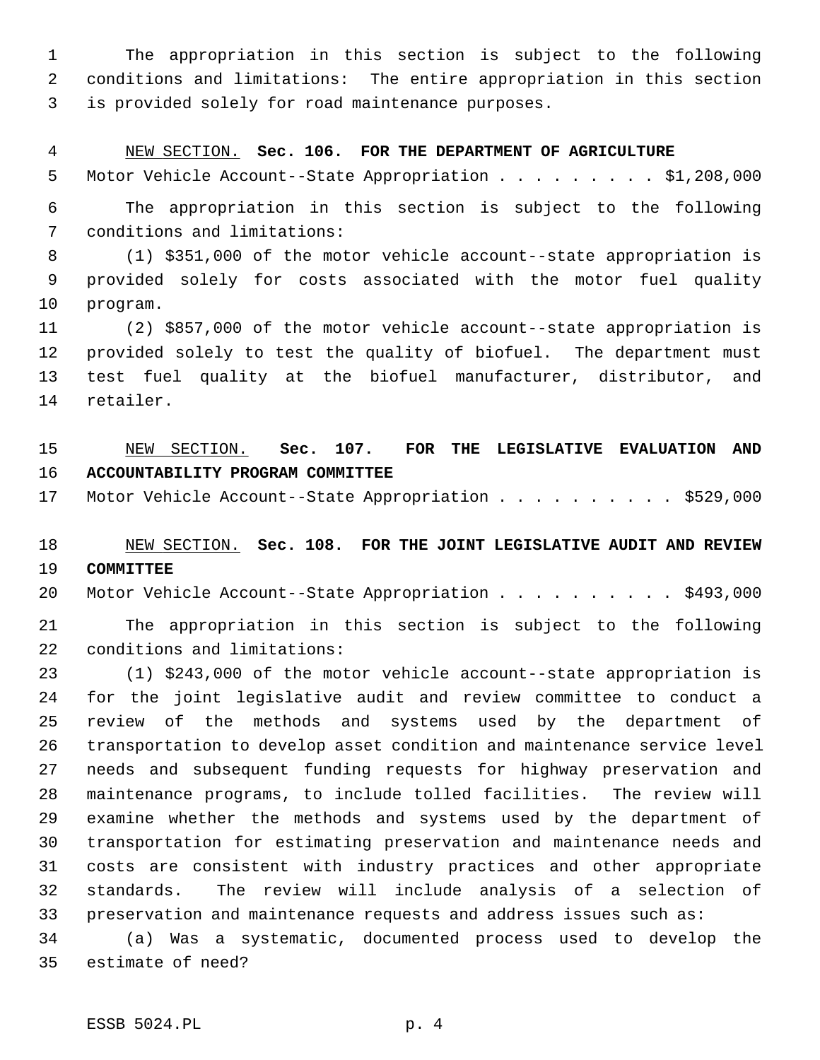1 The appropriation in this section is subject to the following 2 conditions and limitations: The entire appropriation in this section 3 is provided solely for road maintenance purposes.

#### 4 NEW SECTION. **Sec. 106. FOR THE DEPARTMENT OF AGRICULTURE**

5 Motor Vehicle Account--State Appropriation . . . . . . . . . \$1,208,000

 6 The appropriation in this section is subject to the following 7 conditions and limitations:

 8 (1) \$351,000 of the motor vehicle account--state appropriation is 9 provided solely for costs associated with the motor fuel quality 10 program.

11 (2) \$857,000 of the motor vehicle account--state appropriation is 12 provided solely to test the quality of biofuel. The department must 13 test fuel quality at the biofuel manufacturer, distributor, and 14 retailer.

# 15 NEW SECTION. **Sec. 107. FOR THE LEGISLATIVE EVALUATION AND** 16 **ACCOUNTABILITY PROGRAM COMMITTEE**

17 Motor Vehicle Account--State Appropriation . . . . . . . . . \$529,000

### 18 NEW SECTION. **Sec. 108. FOR THE JOINT LEGISLATIVE AUDIT AND REVIEW** 19 **COMMITTEE**

20 Motor Vehicle Account--State Appropriation . . . . . . . . . \$493,000

21 The appropriation in this section is subject to the following 22 conditions and limitations:

23 (1) \$243,000 of the motor vehicle account--state appropriation is 24 for the joint legislative audit and review committee to conduct a 25 review of the methods and systems used by the department of 26 transportation to develop asset condition and maintenance service level 27 needs and subsequent funding requests for highway preservation and 28 maintenance programs, to include tolled facilities. The review will 29 examine whether the methods and systems used by the department of 30 transportation for estimating preservation and maintenance needs and 31 costs are consistent with industry practices and other appropriate 32 standards. The review will include analysis of a selection of 33 preservation and maintenance requests and address issues such as:

34 (a) Was a systematic, documented process used to develop the 35 estimate of need?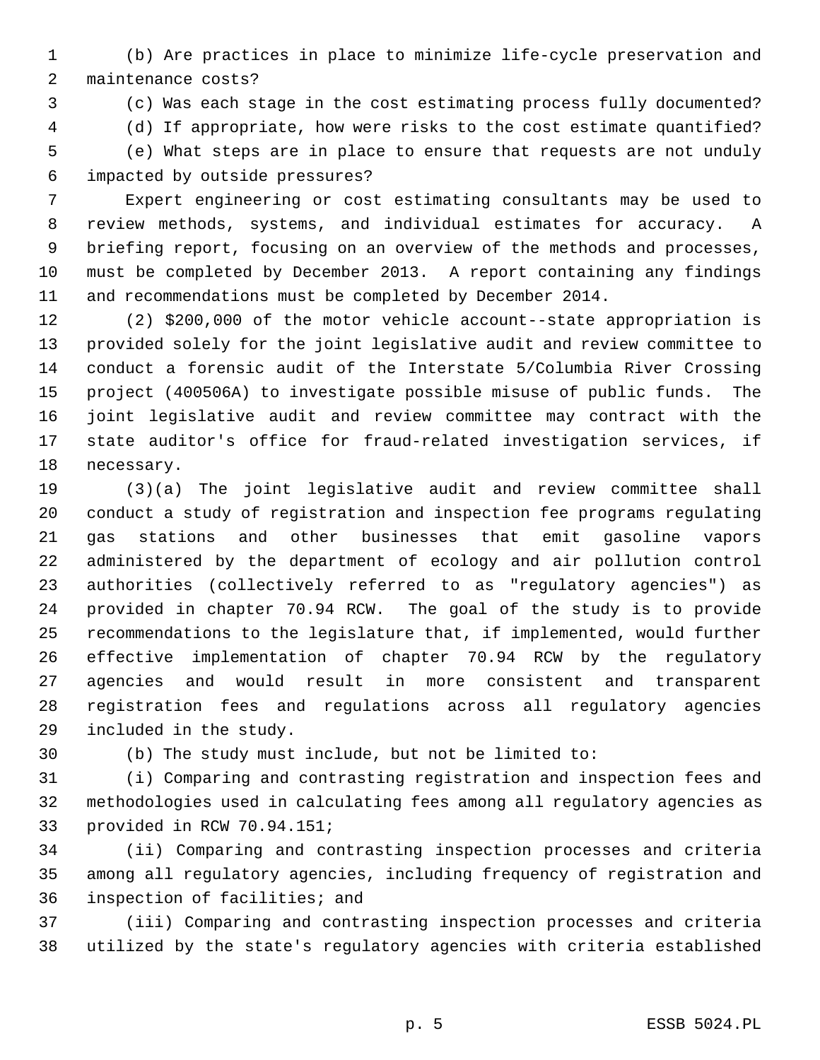1 (b) Are practices in place to minimize life-cycle preservation and 2 maintenance costs?

3 (c) Was each stage in the cost estimating process fully documented?

4 (d) If appropriate, how were risks to the cost estimate quantified?

 5 (e) What steps are in place to ensure that requests are not unduly 6 impacted by outside pressures?

 7 Expert engineering or cost estimating consultants may be used to 8 review methods, systems, and individual estimates for accuracy. A 9 briefing report, focusing on an overview of the methods and processes, 10 must be completed by December 2013. A report containing any findings 11 and recommendations must be completed by December 2014.

12 (2) \$200,000 of the motor vehicle account--state appropriation is 13 provided solely for the joint legislative audit and review committee to 14 conduct a forensic audit of the Interstate 5/Columbia River Crossing 15 project (400506A) to investigate possible misuse of public funds. The 16 joint legislative audit and review committee may contract with the 17 state auditor's office for fraud-related investigation services, if 18 necessary.

19 (3)(a) The joint legislative audit and review committee shall 20 conduct a study of registration and inspection fee programs regulating 21 gas stations and other businesses that emit gasoline vapors 22 administered by the department of ecology and air pollution control 23 authorities (collectively referred to as "regulatory agencies") as 24 provided in chapter 70.94 RCW. The goal of the study is to provide 25 recommendations to the legislature that, if implemented, would further 26 effective implementation of chapter 70.94 RCW by the regulatory 27 agencies and would result in more consistent and transparent 28 registration fees and regulations across all regulatory agencies 29 included in the study.

30 (b) The study must include, but not be limited to:

31 (i) Comparing and contrasting registration and inspection fees and 32 methodologies used in calculating fees among all regulatory agencies as 33 provided in RCW 70.94.151;

34 (ii) Comparing and contrasting inspection processes and criteria 35 among all regulatory agencies, including frequency of registration and 36 inspection of facilities; and

37 (iii) Comparing and contrasting inspection processes and criteria 38 utilized by the state's regulatory agencies with criteria established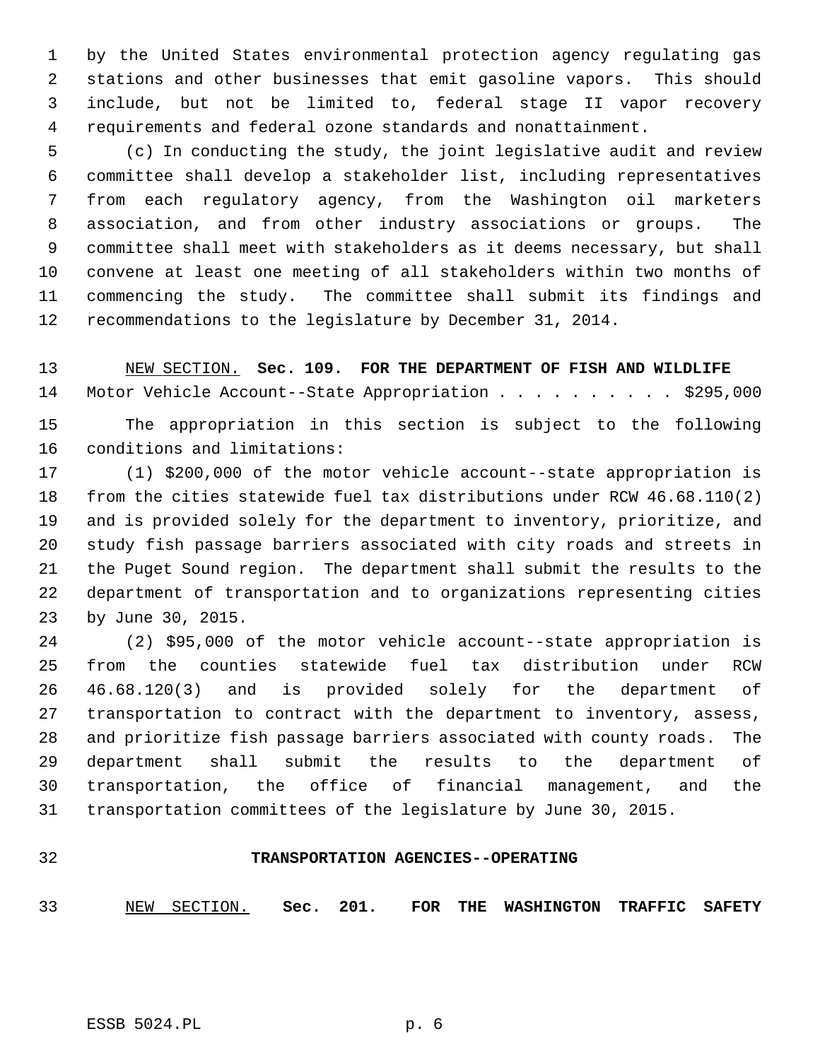1 by the United States environmental protection agency regulating gas 2 stations and other businesses that emit gasoline vapors. This should 3 include, but not be limited to, federal stage II vapor recovery 4 requirements and federal ozone standards and nonattainment.

 5 (c) In conducting the study, the joint legislative audit and review 6 committee shall develop a stakeholder list, including representatives 7 from each regulatory agency, from the Washington oil marketers 8 association, and from other industry associations or groups. The 9 committee shall meet with stakeholders as it deems necessary, but shall 10 convene at least one meeting of all stakeholders within two months of 11 commencing the study. The committee shall submit its findings and 12 recommendations to the legislature by December 31, 2014.

# 13 NEW SECTION. **Sec. 109. FOR THE DEPARTMENT OF FISH AND WILDLIFE** 14 Motor Vehicle Account--State Appropriation . . . . . . . . . \$295,000

15 The appropriation in this section is subject to the following 16 conditions and limitations:

17 (1) \$200,000 of the motor vehicle account--state appropriation is 18 from the cities statewide fuel tax distributions under RCW 46.68.110(2) 19 and is provided solely for the department to inventory, prioritize, and 20 study fish passage barriers associated with city roads and streets in 21 the Puget Sound region. The department shall submit the results to the 22 department of transportation and to organizations representing cities 23 by June 30, 2015.

24 (2) \$95,000 of the motor vehicle account--state appropriation is 25 from the counties statewide fuel tax distribution under RCW 26 46.68.120(3) and is provided solely for the department of 27 transportation to contract with the department to inventory, assess, 28 and prioritize fish passage barriers associated with county roads. The 29 department shall submit the results to the department of 30 transportation, the office of financial management, and the 31 transportation committees of the legislature by June 30, 2015.

#### 32 **TRANSPORTATION AGENCIES--OPERATING**

33 NEW SECTION. **Sec. 201. FOR THE WASHINGTON TRAFFIC SAFETY**

ESSB 5024.PL p. 6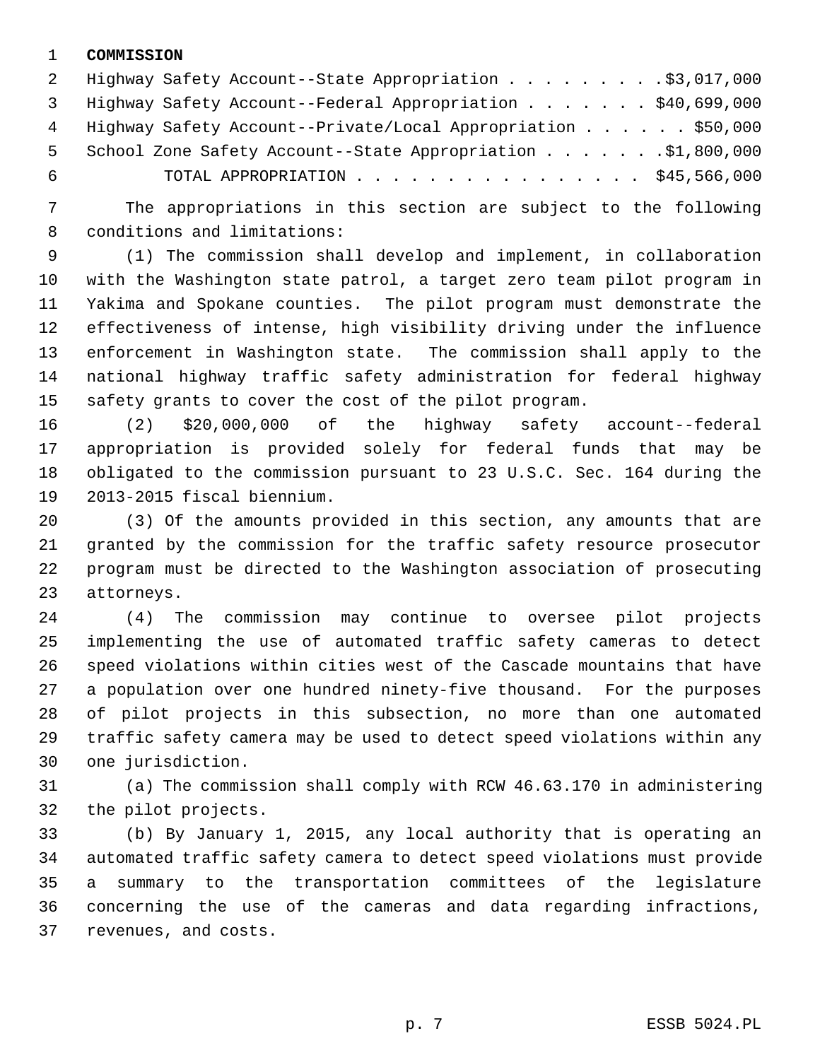#### 1 **COMMISSION**

|     | 2 Highway Safety Account--State Appropriation \$3,017,000      |  |
|-----|----------------------------------------------------------------|--|
|     | 3 Highway Safety Account--Federal Appropriation \$40,699,000   |  |
|     | 4 Highway Safety Account--Private/Local Appropriation \$50,000 |  |
| 5   | School Zone Safety Account--State Appropriation \$1,800,000    |  |
| - 6 | TOTAL APPROPRIATION \$45,566,000                               |  |

 7 The appropriations in this section are subject to the following 8 conditions and limitations:

 9 (1) The commission shall develop and implement, in collaboration 10 with the Washington state patrol, a target zero team pilot program in 11 Yakima and Spokane counties. The pilot program must demonstrate the 12 effectiveness of intense, high visibility driving under the influence 13 enforcement in Washington state. The commission shall apply to the 14 national highway traffic safety administration for federal highway 15 safety grants to cover the cost of the pilot program.

16 (2) \$20,000,000 of the highway safety account--federal 17 appropriation is provided solely for federal funds that may be 18 obligated to the commission pursuant to 23 U.S.C. Sec. 164 during the 19 2013-2015 fiscal biennium.

20 (3) Of the amounts provided in this section, any amounts that are 21 granted by the commission for the traffic safety resource prosecutor 22 program must be directed to the Washington association of prosecuting 23 attorneys.

24 (4) The commission may continue to oversee pilot projects 25 implementing the use of automated traffic safety cameras to detect 26 speed violations within cities west of the Cascade mountains that have 27 a population over one hundred ninety-five thousand. For the purposes 28 of pilot projects in this subsection, no more than one automated 29 traffic safety camera may be used to detect speed violations within any 30 one jurisdiction.

31 (a) The commission shall comply with RCW 46.63.170 in administering 32 the pilot projects.

33 (b) By January 1, 2015, any local authority that is operating an 34 automated traffic safety camera to detect speed violations must provide 35 a summary to the transportation committees of the legislature 36 concerning the use of the cameras and data regarding infractions, 37 revenues, and costs.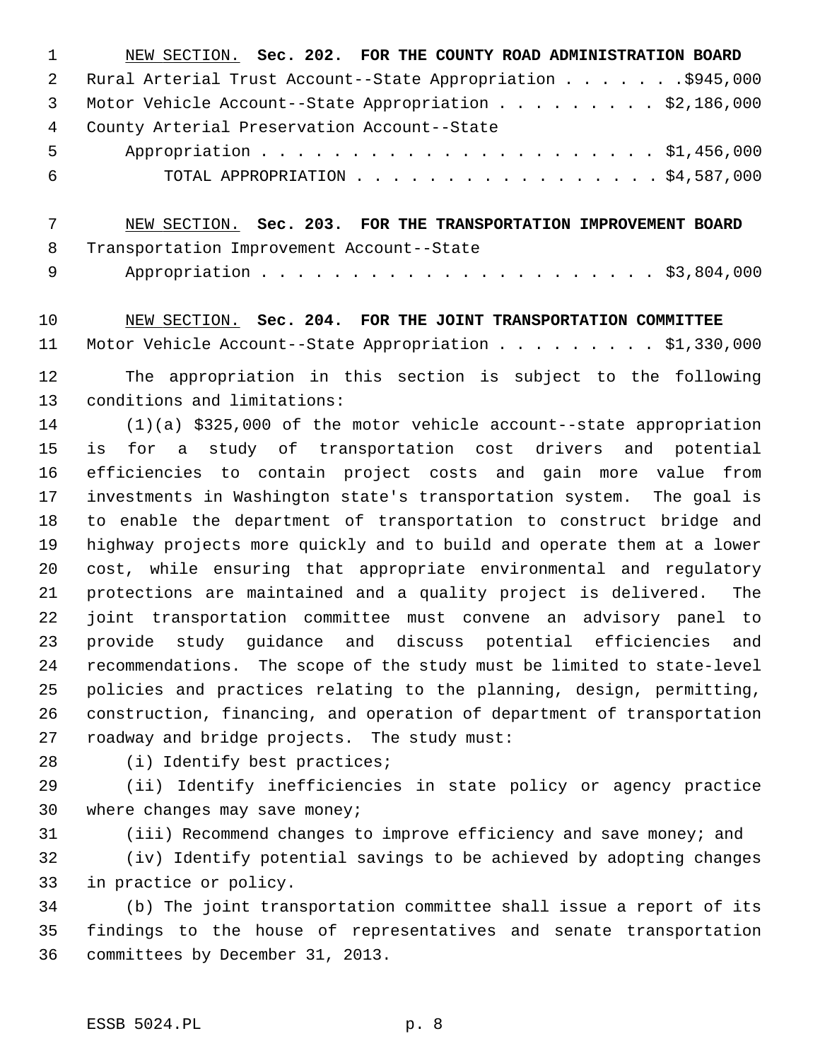| $\mathbf{1}$ | NEW SECTION. Sec. 202. FOR THE COUNTY ROAD ADMINISTRATION BOARD |
|--------------|-----------------------------------------------------------------|
| 2            | Rural Arterial Trust Account--State Appropriation \$945,000     |
| 3            | Motor Vehicle Account--State Appropriation \$2,186,000          |
| 4            | County Arterial Preservation Account--State                     |
| $5 -$        |                                                                 |
| - 6          | TOTAL APPROPRIATION $\ldots$ , \$4,587,000                      |
|              |                                                                 |

 7 NEW SECTION. **Sec. 203. FOR THE TRANSPORTATION IMPROVEMENT BOARD** 8 Transportation Improvement Account--State

9 Appropriation . . . . . . . . . . . . . . . . . . . . . . \$3,804,000

10 NEW SECTION. **Sec. 204. FOR THE JOINT TRANSPORTATION COMMITTEE** 11 Motor Vehicle Account--State Appropriation . . . . . . . . \$1,330,000

12 The appropriation in this section is subject to the following 13 conditions and limitations:

14 (1)(a) \$325,000 of the motor vehicle account--state appropriation 15 is for a study of transportation cost drivers and potential 16 efficiencies to contain project costs and gain more value from 17 investments in Washington state's transportation system. The goal is 18 to enable the department of transportation to construct bridge and 19 highway projects more quickly and to build and operate them at a lower 20 cost, while ensuring that appropriate environmental and regulatory 21 protections are maintained and a quality project is delivered. The 22 joint transportation committee must convene an advisory panel to 23 provide study guidance and discuss potential efficiencies and 24 recommendations. The scope of the study must be limited to state-level 25 policies and practices relating to the planning, design, permitting, 26 construction, financing, and operation of department of transportation 27 roadway and bridge projects. The study must:

28 (i) Identify best practices;

29 (ii) Identify inefficiencies in state policy or agency practice 30 where changes may save money;

31 (iii) Recommend changes to improve efficiency and save money; and

32 (iv) Identify potential savings to be achieved by adopting changes 33 in practice or policy.

34 (b) The joint transportation committee shall issue a report of its 35 findings to the house of representatives and senate transportation 36 committees by December 31, 2013.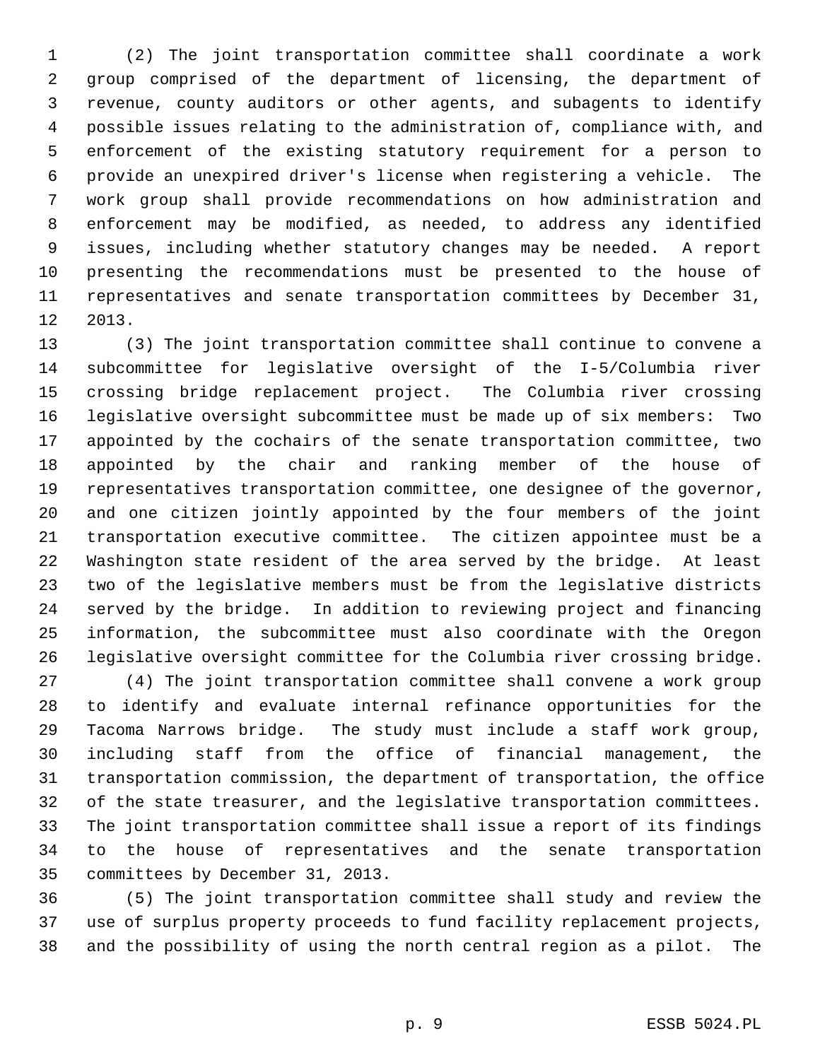1 (2) The joint transportation committee shall coordinate a work 2 group comprised of the department of licensing, the department of 3 revenue, county auditors or other agents, and subagents to identify 4 possible issues relating to the administration of, compliance with, and 5 enforcement of the existing statutory requirement for a person to 6 provide an unexpired driver's license when registering a vehicle. The 7 work group shall provide recommendations on how administration and 8 enforcement may be modified, as needed, to address any identified 9 issues, including whether statutory changes may be needed. A report 10 presenting the recommendations must be presented to the house of 11 representatives and senate transportation committees by December 31, 12 2013.

13 (3) The joint transportation committee shall continue to convene a 14 subcommittee for legislative oversight of the I-5/Columbia river 15 crossing bridge replacement project. The Columbia river crossing 16 legislative oversight subcommittee must be made up of six members: Two 17 appointed by the cochairs of the senate transportation committee, two 18 appointed by the chair and ranking member of the house of 19 representatives transportation committee, one designee of the governor, 20 and one citizen jointly appointed by the four members of the joint 21 transportation executive committee. The citizen appointee must be a 22 Washington state resident of the area served by the bridge. At least 23 two of the legislative members must be from the legislative districts 24 served by the bridge. In addition to reviewing project and financing 25 information, the subcommittee must also coordinate with the Oregon 26 legislative oversight committee for the Columbia river crossing bridge.

27 (4) The joint transportation committee shall convene a work group 28 to identify and evaluate internal refinance opportunities for the 29 Tacoma Narrows bridge. The study must include a staff work group, 30 including staff from the office of financial management, the 31 transportation commission, the department of transportation, the office 32 of the state treasurer, and the legislative transportation committees. 33 The joint transportation committee shall issue a report of its findings 34 to the house of representatives and the senate transportation 35 committees by December 31, 2013.

36 (5) The joint transportation committee shall study and review the 37 use of surplus property proceeds to fund facility replacement projects, 38 and the possibility of using the north central region as a pilot. The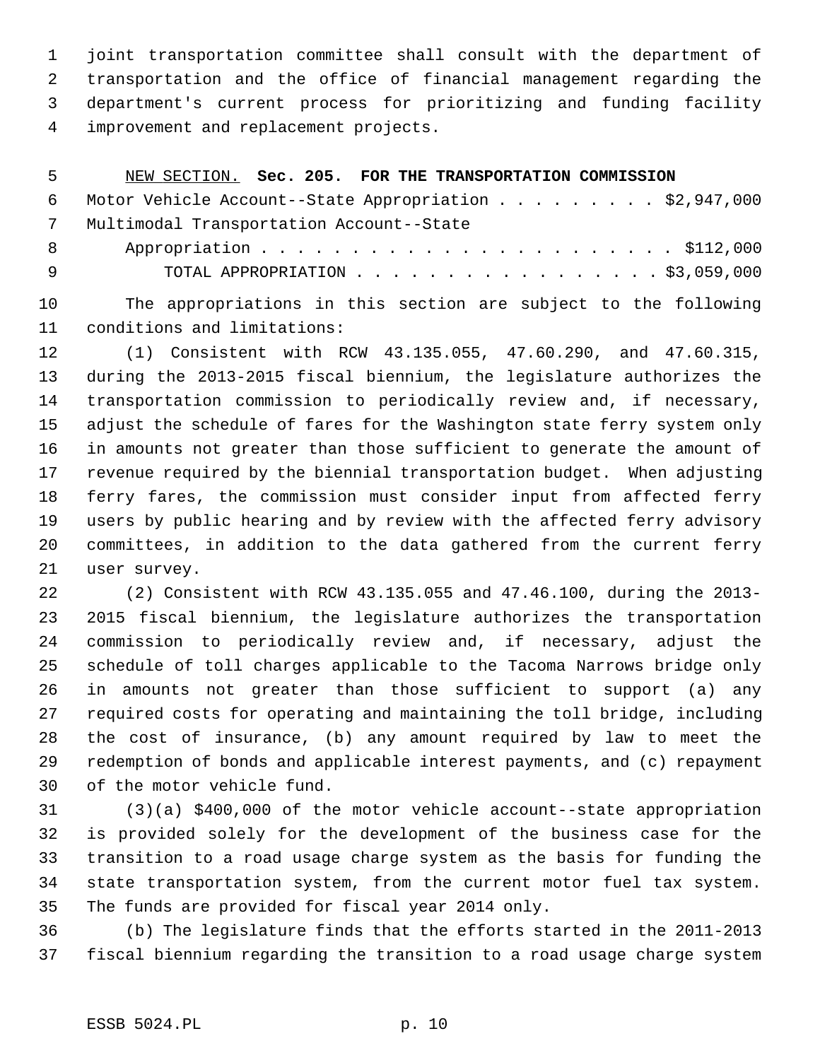1 joint transportation committee shall consult with the department of 2 transportation and the office of financial management regarding the 3 department's current process for prioritizing and funding facility 4 improvement and replacement projects.

| 5          | NEW SECTION. Sec. 205. FOR THE TRANSPORTATION COMMISSION |
|------------|----------------------------------------------------------|
| 6          | Motor Vehicle Account--State Appropriation \$2,947,000   |
| $7\degree$ | Multimodal Transportation Account--State                 |
| 8          |                                                          |
| - 9        | TOTAL APPROPRIATION $\ldots$ , \$3,059,000               |

10 The appropriations in this section are subject to the following 11 conditions and limitations:

12 (1) Consistent with RCW 43.135.055, 47.60.290, and 47.60.315, 13 during the 2013-2015 fiscal biennium, the legislature authorizes the 14 transportation commission to periodically review and, if necessary, 15 adjust the schedule of fares for the Washington state ferry system only 16 in amounts not greater than those sufficient to generate the amount of 17 revenue required by the biennial transportation budget. When adjusting 18 ferry fares, the commission must consider input from affected ferry 19 users by public hearing and by review with the affected ferry advisory 20 committees, in addition to the data gathered from the current ferry 21 user survey.

22 (2) Consistent with RCW 43.135.055 and 47.46.100, during the 2013- 23 2015 fiscal biennium, the legislature authorizes the transportation 24 commission to periodically review and, if necessary, adjust the 25 schedule of toll charges applicable to the Tacoma Narrows bridge only 26 in amounts not greater than those sufficient to support (a) any 27 required costs for operating and maintaining the toll bridge, including 28 the cost of insurance, (b) any amount required by law to meet the 29 redemption of bonds and applicable interest payments, and (c) repayment 30 of the motor vehicle fund.

31 (3)(a) \$400,000 of the motor vehicle account--state appropriation 32 is provided solely for the development of the business case for the 33 transition to a road usage charge system as the basis for funding the 34 state transportation system, from the current motor fuel tax system. 35 The funds are provided for fiscal year 2014 only.

36 (b) The legislature finds that the efforts started in the 2011-2013 37 fiscal biennium regarding the transition to a road usage charge system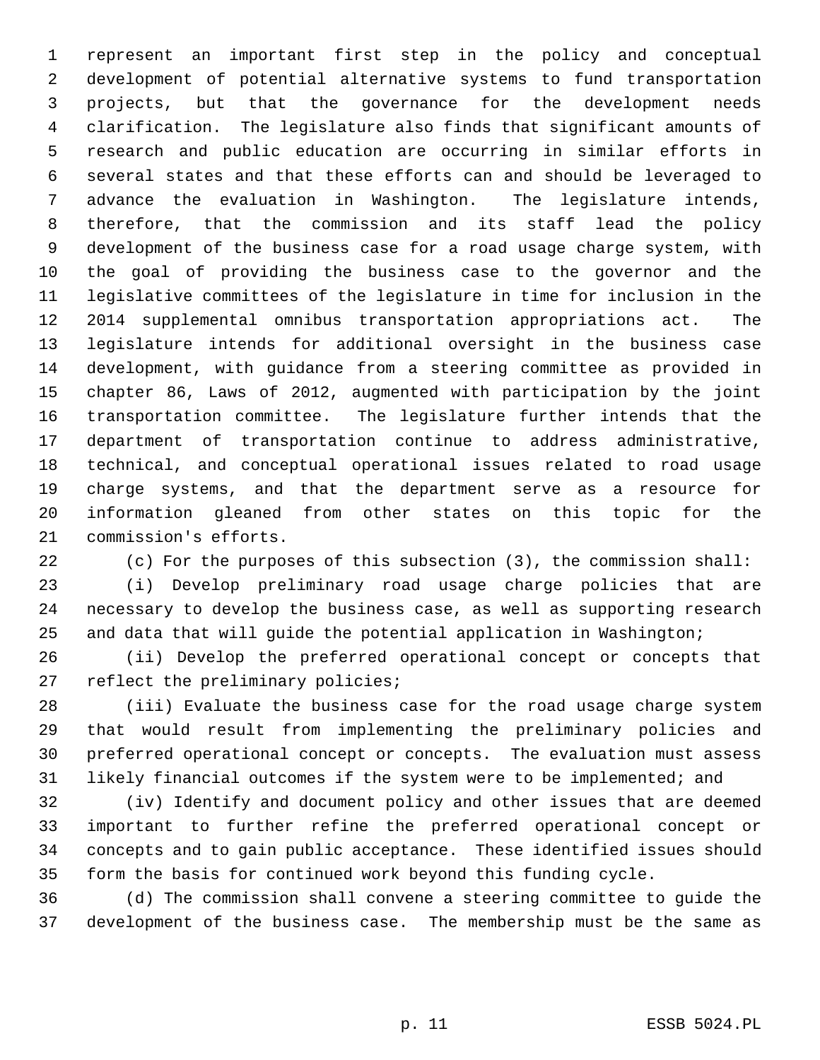1 represent an important first step in the policy and conceptual 2 development of potential alternative systems to fund transportation 3 projects, but that the governance for the development needs 4 clarification. The legislature also finds that significant amounts of 5 research and public education are occurring in similar efforts in 6 several states and that these efforts can and should be leveraged to 7 advance the evaluation in Washington. The legislature intends, 8 therefore, that the commission and its staff lead the policy 9 development of the business case for a road usage charge system, with 10 the goal of providing the business case to the governor and the 11 legislative committees of the legislature in time for inclusion in the 12 2014 supplemental omnibus transportation appropriations act. The 13 legislature intends for additional oversight in the business case 14 development, with guidance from a steering committee as provided in 15 chapter 86, Laws of 2012, augmented with participation by the joint 16 transportation committee. The legislature further intends that the 17 department of transportation continue to address administrative, 18 technical, and conceptual operational issues related to road usage 19 charge systems, and that the department serve as a resource for 20 information gleaned from other states on this topic for the 21 commission's efforts.

22 (c) For the purposes of this subsection (3), the commission shall:

23 (i) Develop preliminary road usage charge policies that are 24 necessary to develop the business case, as well as supporting research 25 and data that will guide the potential application in Washington;

26 (ii) Develop the preferred operational concept or concepts that 27 reflect the preliminary policies;

28 (iii) Evaluate the business case for the road usage charge system 29 that would result from implementing the preliminary policies and 30 preferred operational concept or concepts. The evaluation must assess 31 likely financial outcomes if the system were to be implemented; and

32 (iv) Identify and document policy and other issues that are deemed 33 important to further refine the preferred operational concept or 34 concepts and to gain public acceptance. These identified issues should 35 form the basis for continued work beyond this funding cycle.

36 (d) The commission shall convene a steering committee to guide the 37 development of the business case. The membership must be the same as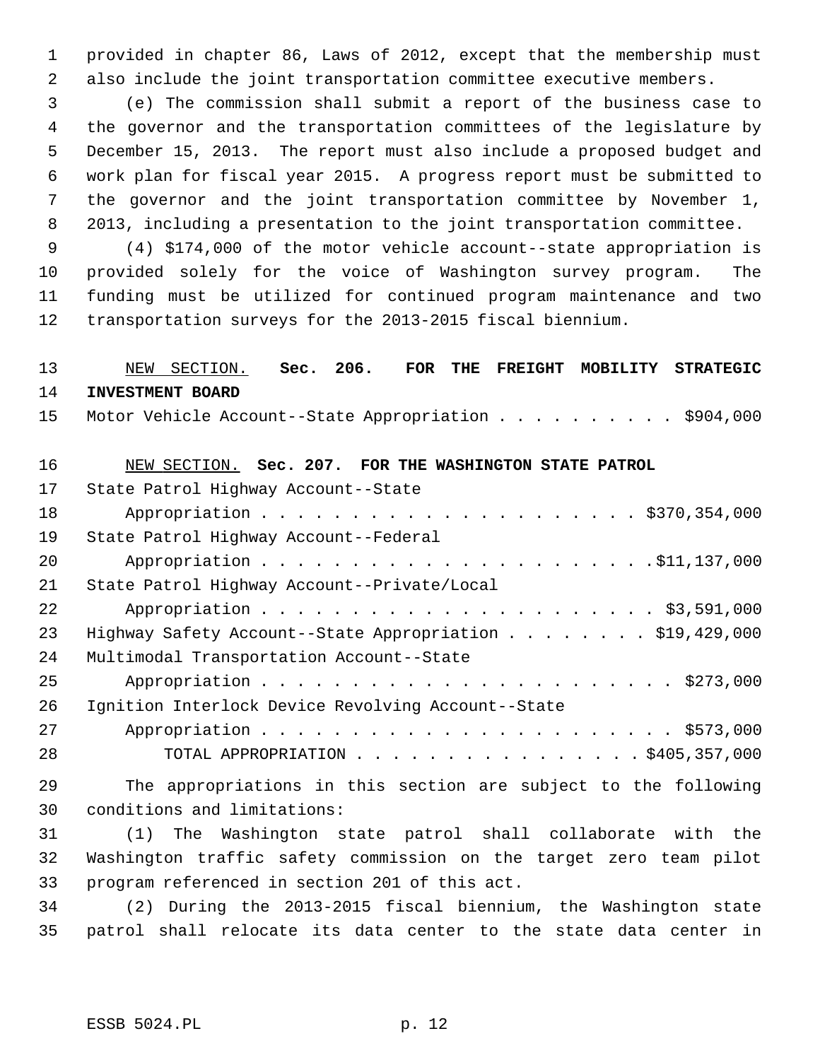1 provided in chapter 86, Laws of 2012, except that the membership must 2 also include the joint transportation committee executive members.

 3 (e) The commission shall submit a report of the business case to 4 the governor and the transportation committees of the legislature by 5 December 15, 2013. The report must also include a proposed budget and 6 work plan for fiscal year 2015. A progress report must be submitted to 7 the governor and the joint transportation committee by November 1, 8 2013, including a presentation to the joint transportation committee.

 9 (4) \$174,000 of the motor vehicle account--state appropriation is 10 provided solely for the voice of Washington survey program. The 11 funding must be utilized for continued program maintenance and two 12 transportation surveys for the 2013-2015 fiscal biennium.

# 13 NEW SECTION. **Sec. 206. FOR THE FREIGHT MOBILITY STRATEGIC** 14 **INVESTMENT BOARD** 15 Motor Vehicle Account--State Appropriation . . . . . . . . . . \$904,000 16 NEW SECTION. **Sec. 207. FOR THE WASHINGTON STATE PATROL** 17 State Patrol Highway Account--State 18 Appropriation . . . . . . . . . . . . . . . . . . . . . \$370,354,000 19 State Patrol Highway Account--Federal 20 Appropriation . . . . . . . . . . . . . . . . . . . . . .\$11,137,000 21 State Patrol Highway Account--Private/Local 22 Appropriation . . . . . . . . . . . . . . . . . . . . . . \$3,591,000 23 Highway Safety Account--State Appropriation . . . . . . . \$19,429,000 24 Multimodal Transportation Account--State 25 Appropriation . . . . . . . . . . . . . . . . . . . . . . . \$273,000 26 Ignition Interlock Device Revolving Account--State 27 Appropriation . . . . . . . . . . . . . . . . . . . . . . . \$573,000 28 TOTAL APPROPRIATION . . . . . . . . . . . . . . . . \$405,357,000 29 The appropriations in this section are subject to the following 30 conditions and limitations:

31 (1) The Washington state patrol shall collaborate with the 32 Washington traffic safety commission on the target zero team pilot 33 program referenced in section 201 of this act.

34 (2) During the 2013-2015 fiscal biennium, the Washington state 35 patrol shall relocate its data center to the state data center in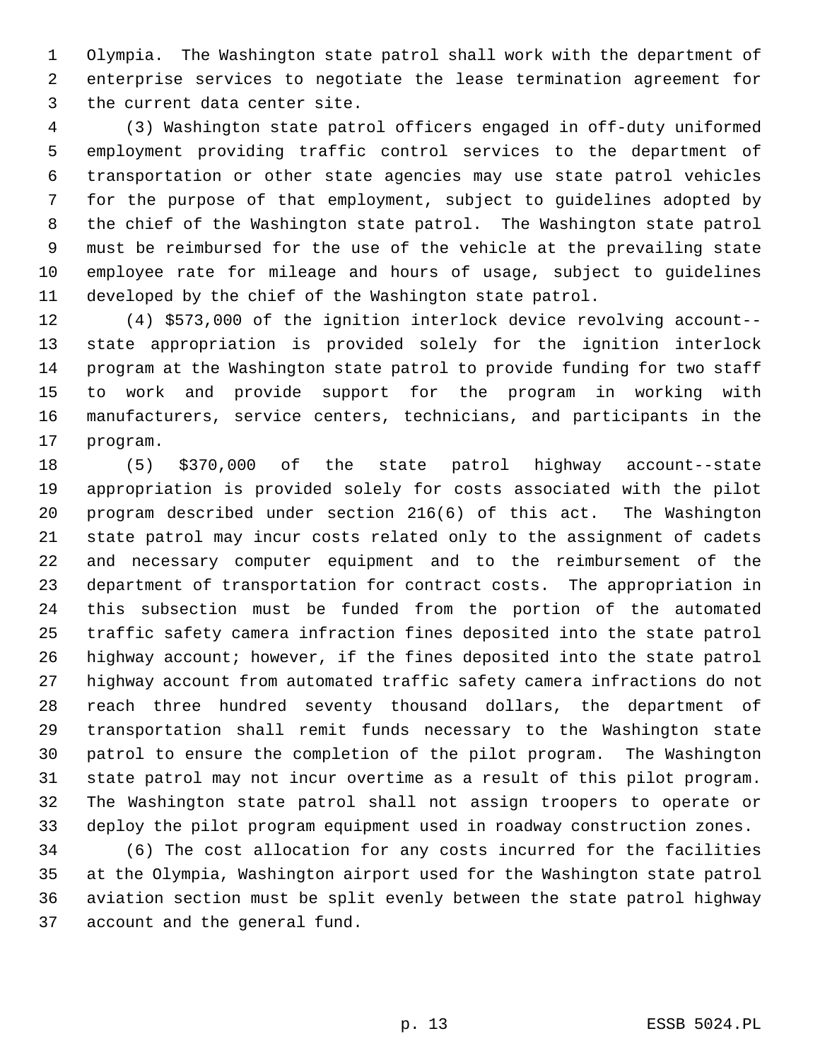1 Olympia. The Washington state patrol shall work with the department of 2 enterprise services to negotiate the lease termination agreement for 3 the current data center site.

 4 (3) Washington state patrol officers engaged in off-duty uniformed 5 employment providing traffic control services to the department of 6 transportation or other state agencies may use state patrol vehicles 7 for the purpose of that employment, subject to guidelines adopted by 8 the chief of the Washington state patrol. The Washington state patrol 9 must be reimbursed for the use of the vehicle at the prevailing state 10 employee rate for mileage and hours of usage, subject to guidelines 11 developed by the chief of the Washington state patrol.

12 (4) \$573,000 of the ignition interlock device revolving account-- 13 state appropriation is provided solely for the ignition interlock 14 program at the Washington state patrol to provide funding for two staff 15 to work and provide support for the program in working with 16 manufacturers, service centers, technicians, and participants in the 17 program.

18 (5) \$370,000 of the state patrol highway account--state 19 appropriation is provided solely for costs associated with the pilot 20 program described under section 216(6) of this act. The Washington 21 state patrol may incur costs related only to the assignment of cadets 22 and necessary computer equipment and to the reimbursement of the 23 department of transportation for contract costs. The appropriation in 24 this subsection must be funded from the portion of the automated 25 traffic safety camera infraction fines deposited into the state patrol 26 highway account; however, if the fines deposited into the state patrol 27 highway account from automated traffic safety camera infractions do not 28 reach three hundred seventy thousand dollars, the department of 29 transportation shall remit funds necessary to the Washington state 30 patrol to ensure the completion of the pilot program. The Washington 31 state patrol may not incur overtime as a result of this pilot program. 32 The Washington state patrol shall not assign troopers to operate or 33 deploy the pilot program equipment used in roadway construction zones.

34 (6) The cost allocation for any costs incurred for the facilities 35 at the Olympia, Washington airport used for the Washington state patrol 36 aviation section must be split evenly between the state patrol highway 37 account and the general fund.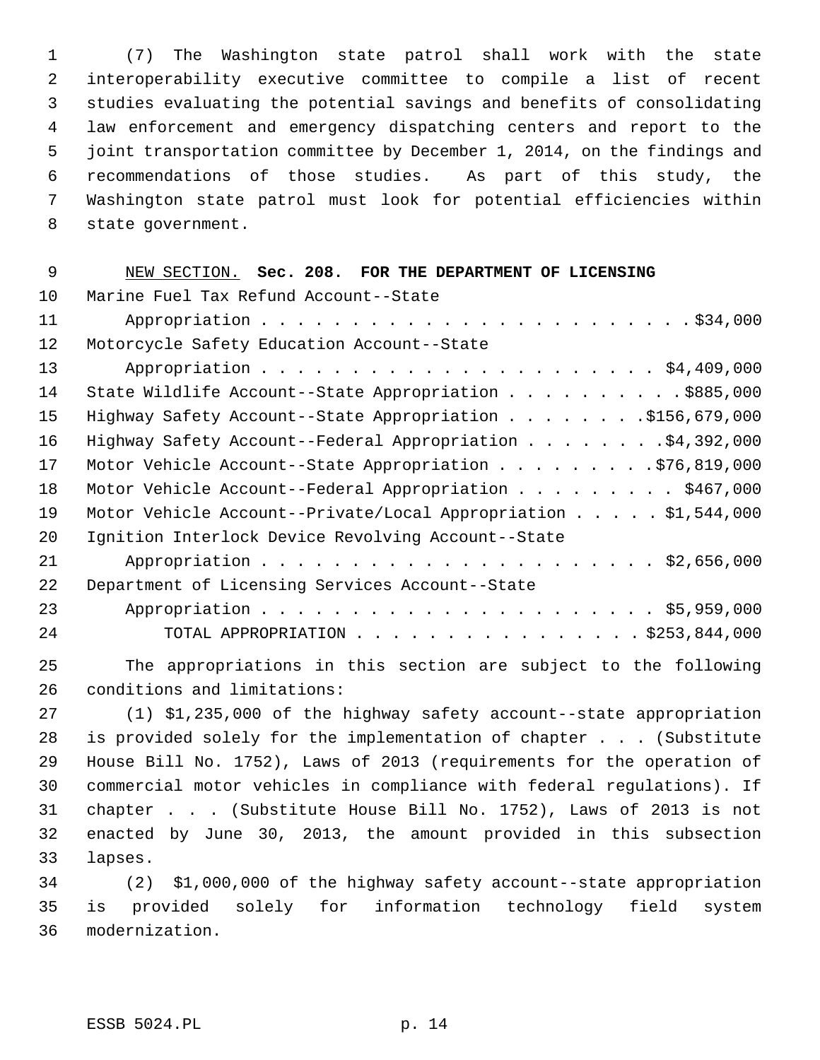1 (7) The Washington state patrol shall work with the state 2 interoperability executive committee to compile a list of recent 3 studies evaluating the potential savings and benefits of consolidating 4 law enforcement and emergency dispatching centers and report to the 5 joint transportation committee by December 1, 2014, on the findings and 6 recommendations of those studies. As part of this study, the 7 Washington state patrol must look for potential efficiencies within 8 state government.

| 9  | NEW SECTION. Sec. 208. FOR THE DEPARTMENT OF LICENSING                  |
|----|-------------------------------------------------------------------------|
| 10 | Marine Fuel Tax Refund Account--State                                   |
| 11 |                                                                         |
| 12 | Motorcycle Safety Education Account--State                              |
| 13 |                                                                         |
| 14 | State Wildlife Account--State Appropriation \$885,000                   |
| 15 | Highway Safety Account--State Appropriation \$156,679,000               |
| 16 | Highway Safety Account--Federal Appropriation \$4,392,000               |
| 17 | Motor Vehicle Account--State Appropriation \$76,819,000                 |
| 18 | Motor Vehicle Account--Federal Appropriation \$467,000                  |
| 19 | Motor Vehicle Account--Private/Local Appropriation $\ldots$ \$1,544,000 |
| 20 | Ignition Interlock Device Revolving Account--State                      |
| 21 |                                                                         |
| 22 | Department of Licensing Services Account--State                         |
| 23 |                                                                         |
| 24 | TOTAL APPROPRIATION \$253,844,000                                       |
| 25 | The appropriations in this section are subject to the following         |
| 26 | conditions and limitations:                                             |

27 (1) \$1,235,000 of the highway safety account--state appropriation 28 is provided solely for the implementation of chapter . . . (Substitute 29 House Bill No. 1752), Laws of 2013 (requirements for the operation of 30 commercial motor vehicles in compliance with federal regulations). If 31 chapter . . . (Substitute House Bill No. 1752), Laws of 2013 is not 32 enacted by June 30, 2013, the amount provided in this subsection 33 lapses.

34 (2) \$1,000,000 of the highway safety account--state appropriation 35 is provided solely for information technology field system 36 modernization.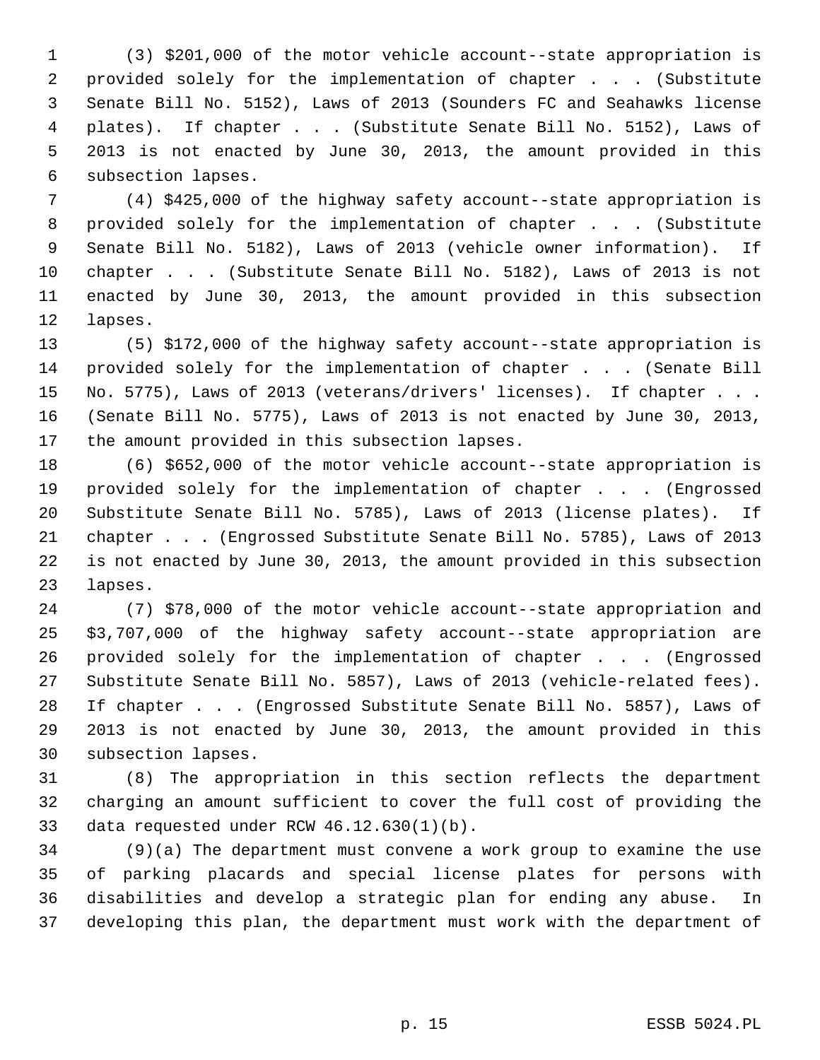1 (3) \$201,000 of the motor vehicle account--state appropriation is 2 provided solely for the implementation of chapter . . . (Substitute 3 Senate Bill No. 5152), Laws of 2013 (Sounders FC and Seahawks license 4 plates). If chapter . . . (Substitute Senate Bill No. 5152), Laws of 5 2013 is not enacted by June 30, 2013, the amount provided in this 6 subsection lapses.

 7 (4) \$425,000 of the highway safety account--state appropriation is 8 provided solely for the implementation of chapter . . . (Substitute 9 Senate Bill No. 5182), Laws of 2013 (vehicle owner information). If 10 chapter . . . (Substitute Senate Bill No. 5182), Laws of 2013 is not 11 enacted by June 30, 2013, the amount provided in this subsection 12 lapses.

13 (5) \$172,000 of the highway safety account--state appropriation is 14 provided solely for the implementation of chapter . . . (Senate Bill 15 No. 5775), Laws of 2013 (veterans/drivers' licenses). If chapter . . . 16 (Senate Bill No. 5775), Laws of 2013 is not enacted by June 30, 2013, 17 the amount provided in this subsection lapses.

18 (6) \$652,000 of the motor vehicle account--state appropriation is 19 provided solely for the implementation of chapter . . . (Engrossed 20 Substitute Senate Bill No. 5785), Laws of 2013 (license plates). If 21 chapter . . . (Engrossed Substitute Senate Bill No. 5785), Laws of 2013 22 is not enacted by June 30, 2013, the amount provided in this subsection 23 lapses.

24 (7) \$78,000 of the motor vehicle account--state appropriation and 25 \$3,707,000 of the highway safety account--state appropriation are 26 provided solely for the implementation of chapter . . . (Engrossed 27 Substitute Senate Bill No. 5857), Laws of 2013 (vehicle-related fees). 28 If chapter . . . (Engrossed Substitute Senate Bill No. 5857), Laws of 29 2013 is not enacted by June 30, 2013, the amount provided in this 30 subsection lapses.

31 (8) The appropriation in this section reflects the department 32 charging an amount sufficient to cover the full cost of providing the 33 data requested under RCW 46.12.630(1)(b).

34 (9)(a) The department must convene a work group to examine the use 35 of parking placards and special license plates for persons with 36 disabilities and develop a strategic plan for ending any abuse. In 37 developing this plan, the department must work with the department of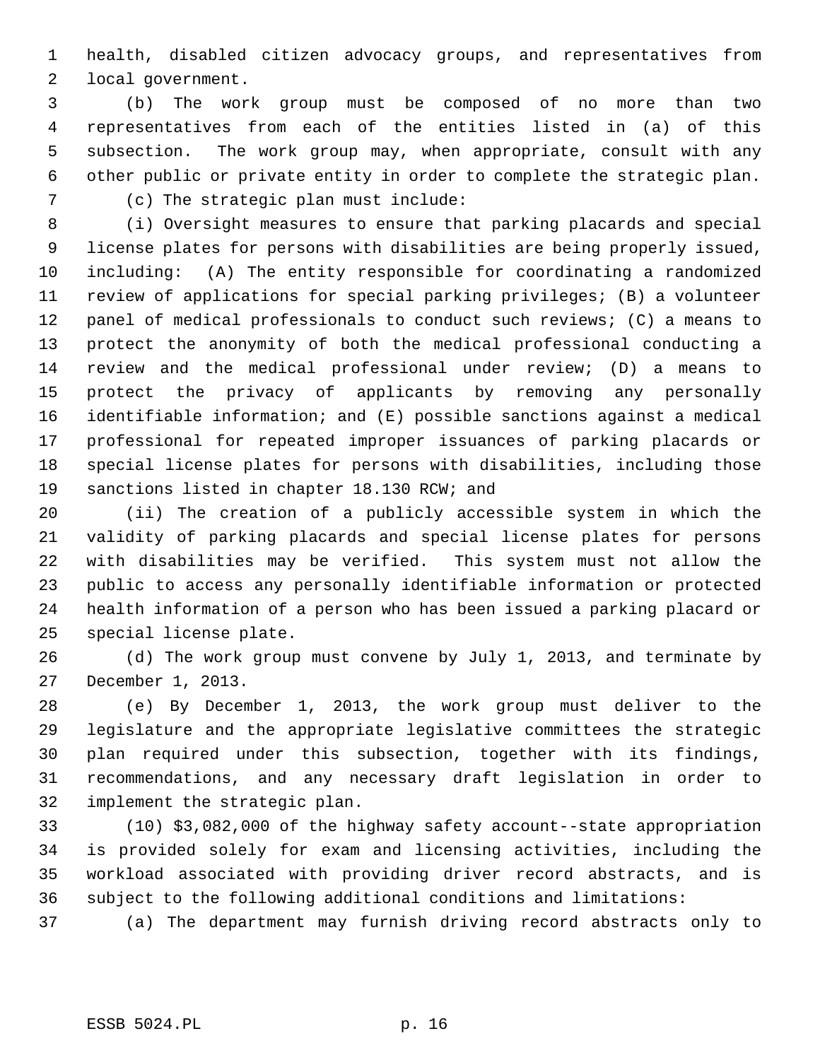1 health, disabled citizen advocacy groups, and representatives from 2 local government.

 3 (b) The work group must be composed of no more than two 4 representatives from each of the entities listed in (a) of this 5 subsection. The work group may, when appropriate, consult with any 6 other public or private entity in order to complete the strategic plan.

7 (c) The strategic plan must include:

 8 (i) Oversight measures to ensure that parking placards and special 9 license plates for persons with disabilities are being properly issued, 10 including: (A) The entity responsible for coordinating a randomized 11 review of applications for special parking privileges; (B) a volunteer 12 panel of medical professionals to conduct such reviews; (C) a means to 13 protect the anonymity of both the medical professional conducting a 14 review and the medical professional under review; (D) a means to 15 protect the privacy of applicants by removing any personally 16 identifiable information; and (E) possible sanctions against a medical 17 professional for repeated improper issuances of parking placards or 18 special license plates for persons with disabilities, including those 19 sanctions listed in chapter 18.130 RCW; and

20 (ii) The creation of a publicly accessible system in which the 21 validity of parking placards and special license plates for persons 22 with disabilities may be verified. This system must not allow the 23 public to access any personally identifiable information or protected 24 health information of a person who has been issued a parking placard or 25 special license plate.

26 (d) The work group must convene by July 1, 2013, and terminate by 27 December 1, 2013.

28 (e) By December 1, 2013, the work group must deliver to the 29 legislature and the appropriate legislative committees the strategic 30 plan required under this subsection, together with its findings, 31 recommendations, and any necessary draft legislation in order to 32 implement the strategic plan.

33 (10) \$3,082,000 of the highway safety account--state appropriation 34 is provided solely for exam and licensing activities, including the 35 workload associated with providing driver record abstracts, and is 36 subject to the following additional conditions and limitations:

37 (a) The department may furnish driving record abstracts only to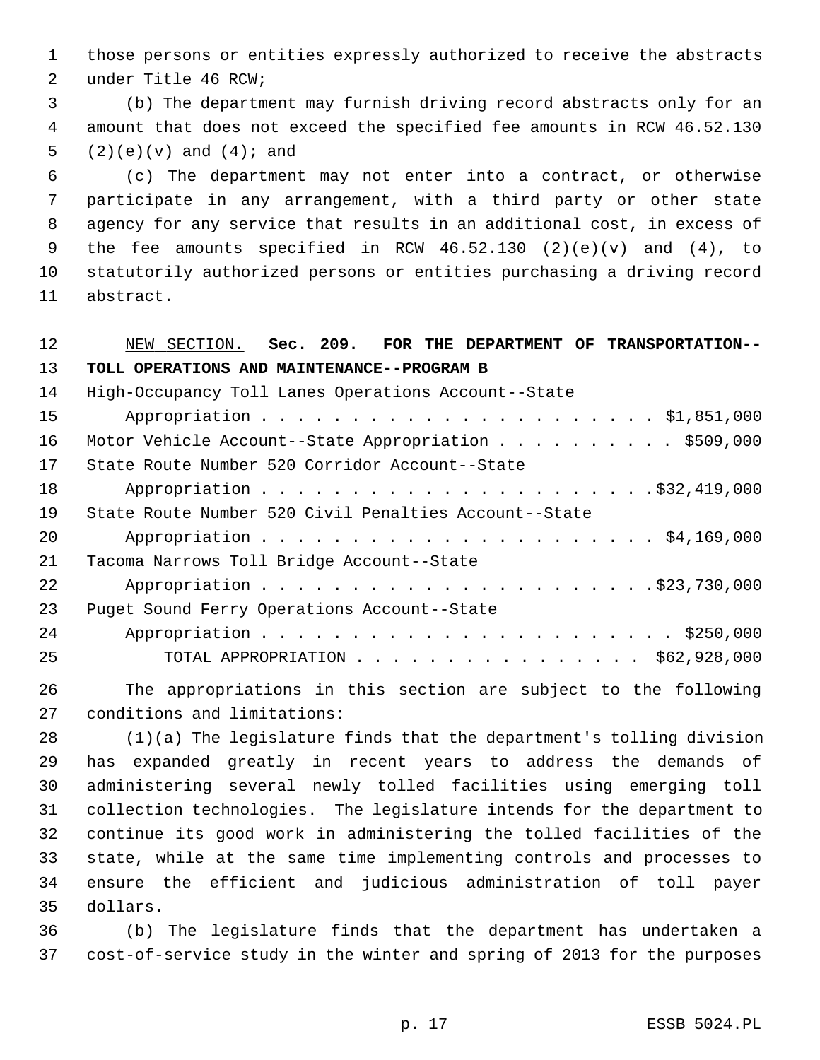1 those persons or entities expressly authorized to receive the abstracts 2 under Title 46 RCW;

 3 (b) The department may furnish driving record abstracts only for an 4 amount that does not exceed the specified fee amounts in RCW 46.52.130 5  $(2)(e)(v)$  and  $(4)$ ; and

 6 (c) The department may not enter into a contract, or otherwise 7 participate in any arrangement, with a third party or other state 8 agency for any service that results in an additional cost, in excess of 9 the fee amounts specified in RCW 46.52.130 (2)(e)(v) and (4), to 10 statutorily authorized persons or entities purchasing a driving record 11 abstract.

12 NEW SECTION. **Sec. 209. FOR THE DEPARTMENT OF TRANSPORTATION--** 13 **TOLL OPERATIONS AND MAINTENANCE--PROGRAM B**

| 14 | High-Occupancy Toll Lanes Operations Account--State   |
|----|-------------------------------------------------------|
| 15 |                                                       |
| 16 | Motor Vehicle Account--State Appropriation \$509,000  |
| 17 | State Route Number 520 Corridor Account--State        |
| 18 |                                                       |
| 19 | State Route Number 520 Civil Penalties Account--State |
| 20 |                                                       |
| 21 | Tacoma Narrows Toll Bridge Account--State             |
| 22 |                                                       |
| 23 | Puget Sound Ferry Operations Account--State           |
| 24 |                                                       |
| 25 | TOTAL APPROPRIATION \$62,928,000                      |

26 The appropriations in this section are subject to the following 27 conditions and limitations:

28 (1)(a) The legislature finds that the department's tolling division 29 has expanded greatly in recent years to address the demands of 30 administering several newly tolled facilities using emerging toll 31 collection technologies. The legislature intends for the department to 32 continue its good work in administering the tolled facilities of the 33 state, while at the same time implementing controls and processes to 34 ensure the efficient and judicious administration of toll payer 35 dollars.

36 (b) The legislature finds that the department has undertaken a 37 cost-of-service study in the winter and spring of 2013 for the purposes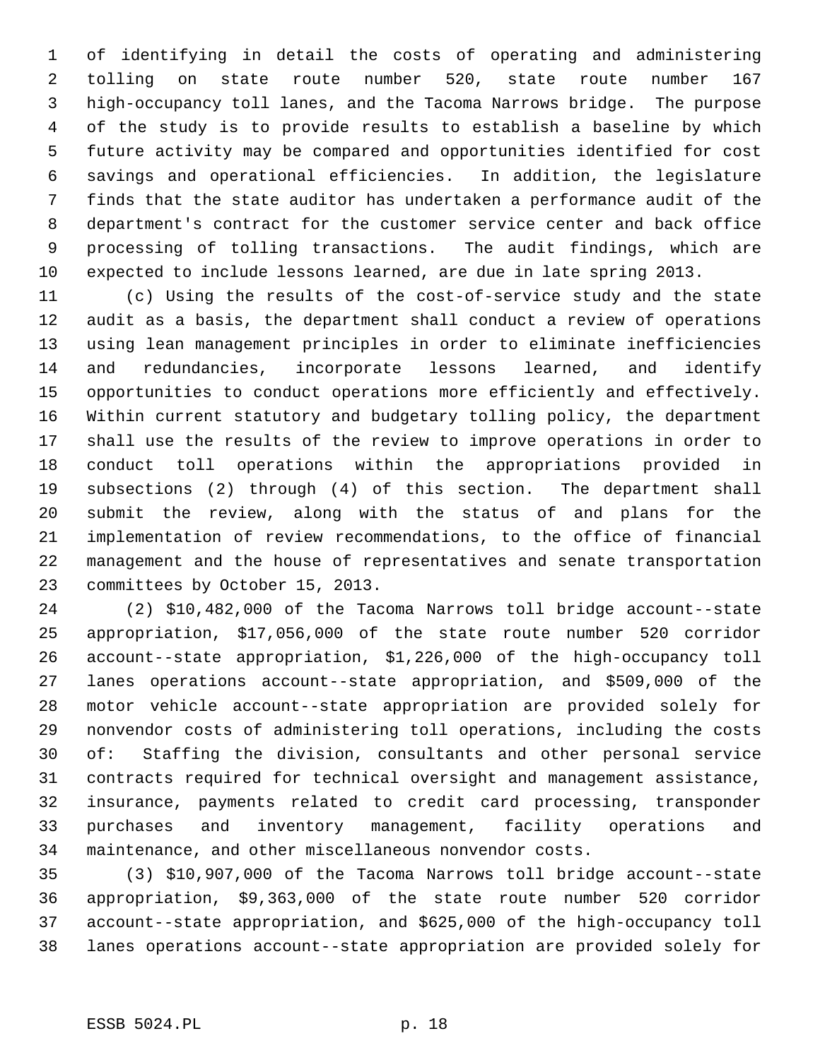1 of identifying in detail the costs of operating and administering 2 tolling on state route number 520, state route number 167 3 high-occupancy toll lanes, and the Tacoma Narrows bridge. The purpose 4 of the study is to provide results to establish a baseline by which 5 future activity may be compared and opportunities identified for cost 6 savings and operational efficiencies. In addition, the legislature 7 finds that the state auditor has undertaken a performance audit of the 8 department's contract for the customer service center and back office 9 processing of tolling transactions. The audit findings, which are 10 expected to include lessons learned, are due in late spring 2013.

11 (c) Using the results of the cost-of-service study and the state 12 audit as a basis, the department shall conduct a review of operations 13 using lean management principles in order to eliminate inefficiencies 14 and redundancies, incorporate lessons learned, and identify 15 opportunities to conduct operations more efficiently and effectively. 16 Within current statutory and budgetary tolling policy, the department 17 shall use the results of the review to improve operations in order to 18 conduct toll operations within the appropriations provided in 19 subsections (2) through (4) of this section. The department shall 20 submit the review, along with the status of and plans for the 21 implementation of review recommendations, to the office of financial 22 management and the house of representatives and senate transportation 23 committees by October 15, 2013.

24 (2) \$10,482,000 of the Tacoma Narrows toll bridge account--state 25 appropriation, \$17,056,000 of the state route number 520 corridor 26 account--state appropriation, \$1,226,000 of the high-occupancy toll 27 lanes operations account--state appropriation, and \$509,000 of the 28 motor vehicle account--state appropriation are provided solely for 29 nonvendor costs of administering toll operations, including the costs 30 of: Staffing the division, consultants and other personal service 31 contracts required for technical oversight and management assistance, 32 insurance, payments related to credit card processing, transponder 33 purchases and inventory management, facility operations and 34 maintenance, and other miscellaneous nonvendor costs.

35 (3) \$10,907,000 of the Tacoma Narrows toll bridge account--state 36 appropriation, \$9,363,000 of the state route number 520 corridor 37 account--state appropriation, and \$625,000 of the high-occupancy toll 38 lanes operations account--state appropriation are provided solely for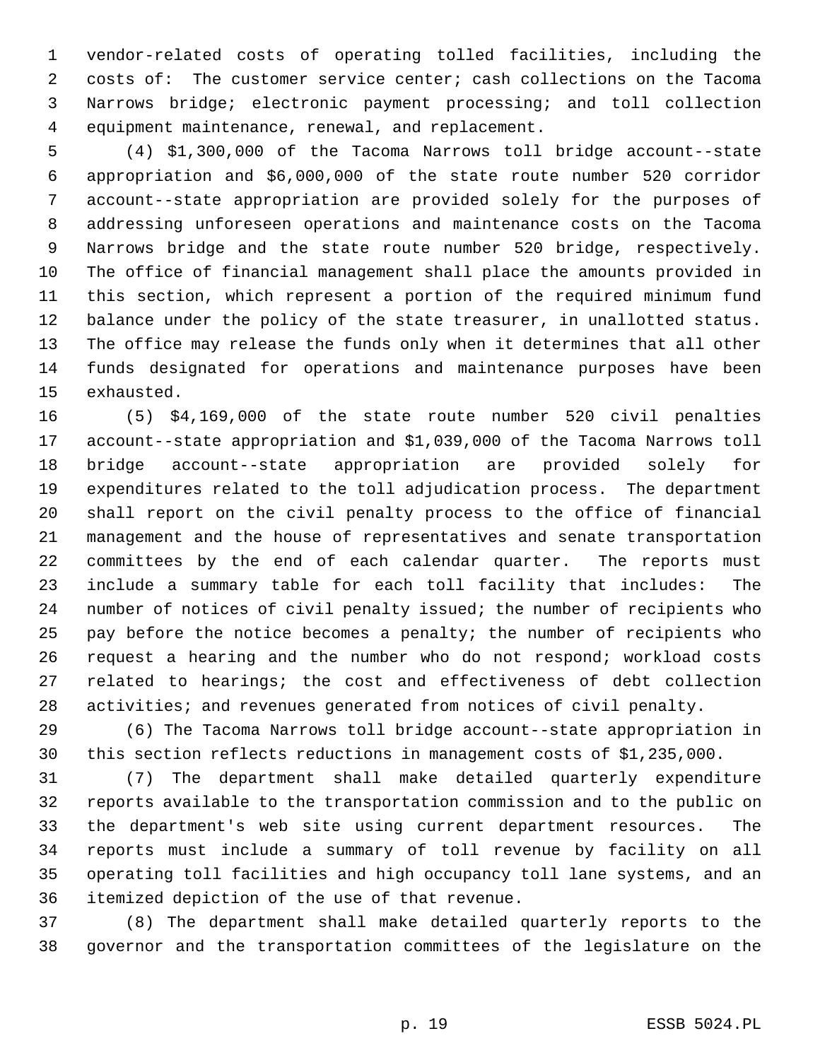1 vendor-related costs of operating tolled facilities, including the 2 costs of: The customer service center; cash collections on the Tacoma 3 Narrows bridge; electronic payment processing; and toll collection 4 equipment maintenance, renewal, and replacement.

 5 (4) \$1,300,000 of the Tacoma Narrows toll bridge account--state 6 appropriation and \$6,000,000 of the state route number 520 corridor 7 account--state appropriation are provided solely for the purposes of 8 addressing unforeseen operations and maintenance costs on the Tacoma 9 Narrows bridge and the state route number 520 bridge, respectively. 10 The office of financial management shall place the amounts provided in 11 this section, which represent a portion of the required minimum fund 12 balance under the policy of the state treasurer, in unallotted status. 13 The office may release the funds only when it determines that all other 14 funds designated for operations and maintenance purposes have been 15 exhausted.

16 (5) \$4,169,000 of the state route number 520 civil penalties 17 account--state appropriation and \$1,039,000 of the Tacoma Narrows toll 18 bridge account--state appropriation are provided solely for 19 expenditures related to the toll adjudication process. The department 20 shall report on the civil penalty process to the office of financial 21 management and the house of representatives and senate transportation 22 committees by the end of each calendar quarter. The reports must 23 include a summary table for each toll facility that includes: The 24 number of notices of civil penalty issued; the number of recipients who 25 pay before the notice becomes a penalty; the number of recipients who 26 request a hearing and the number who do not respond; workload costs 27 related to hearings; the cost and effectiveness of debt collection 28 activities; and revenues generated from notices of civil penalty.

29 (6) The Tacoma Narrows toll bridge account--state appropriation in 30 this section reflects reductions in management costs of \$1,235,000.

31 (7) The department shall make detailed quarterly expenditure 32 reports available to the transportation commission and to the public on 33 the department's web site using current department resources. The 34 reports must include a summary of toll revenue by facility on all 35 operating toll facilities and high occupancy toll lane systems, and an 36 itemized depiction of the use of that revenue.

37 (8) The department shall make detailed quarterly reports to the 38 governor and the transportation committees of the legislature on the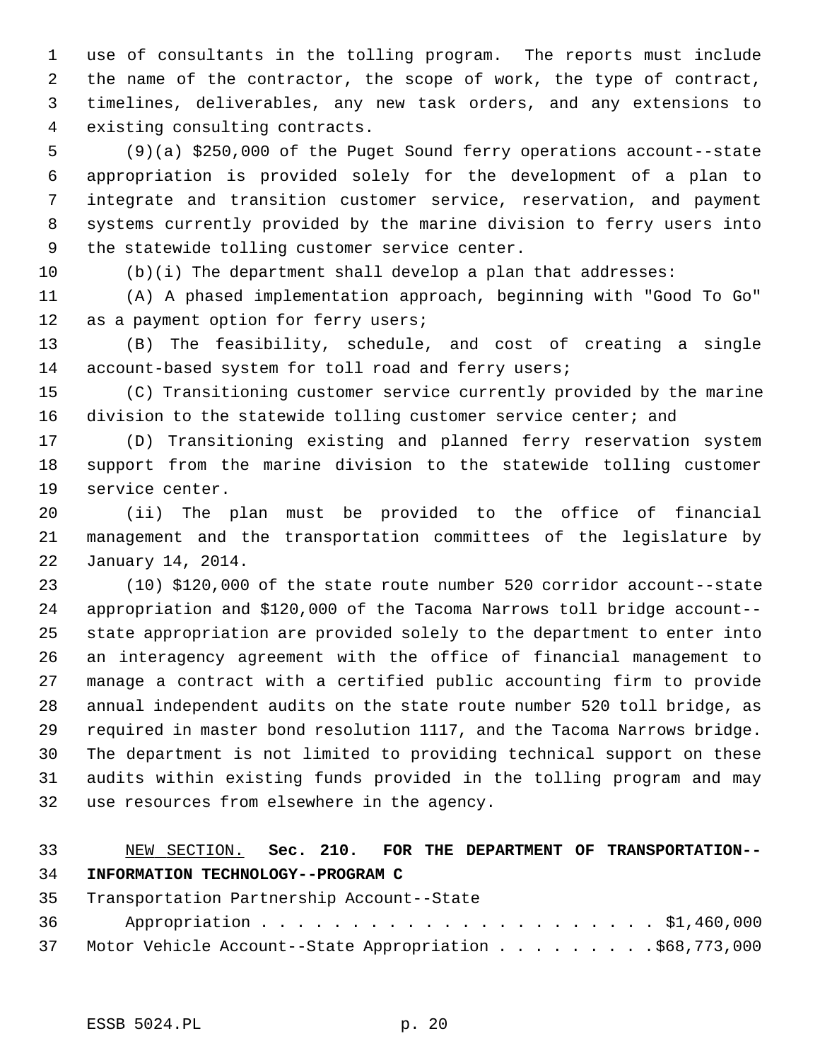1 use of consultants in the tolling program. The reports must include 2 the name of the contractor, the scope of work, the type of contract, 3 timelines, deliverables, any new task orders, and any extensions to 4 existing consulting contracts.

 5 (9)(a) \$250,000 of the Puget Sound ferry operations account--state 6 appropriation is provided solely for the development of a plan to 7 integrate and transition customer service, reservation, and payment 8 systems currently provided by the marine division to ferry users into 9 the statewide tolling customer service center.

10 (b)(i) The department shall develop a plan that addresses:

11 (A) A phased implementation approach, beginning with "Good To Go" 12 as a payment option for ferry users;

13 (B) The feasibility, schedule, and cost of creating a single 14 account-based system for toll road and ferry users;

15 (C) Transitioning customer service currently provided by the marine 16 division to the statewide tolling customer service center; and

17 (D) Transitioning existing and planned ferry reservation system 18 support from the marine division to the statewide tolling customer 19 service center.

20 (ii) The plan must be provided to the office of financial 21 management and the transportation committees of the legislature by 22 January 14, 2014.

23 (10) \$120,000 of the state route number 520 corridor account--state 24 appropriation and \$120,000 of the Tacoma Narrows toll bridge account-- 25 state appropriation are provided solely to the department to enter into 26 an interagency agreement with the office of financial management to 27 manage a contract with a certified public accounting firm to provide 28 annual independent audits on the state route number 520 toll bridge, as 29 required in master bond resolution 1117, and the Tacoma Narrows bridge. 30 The department is not limited to providing technical support on these 31 audits within existing funds provided in the tolling program and may 32 use resources from elsewhere in the agency.

### 33 NEW SECTION. **Sec. 210. FOR THE DEPARTMENT OF TRANSPORTATION--** 34 **INFORMATION TECHNOLOGY--PROGRAM C**

35 Transportation Partnership Account--State 36 Appropriation . . . . . . . . . . . . . . . . . . . . . . \$1,460,000 37 Motor Vehicle Account--State Appropriation . . . . . . . . . \$68,773,000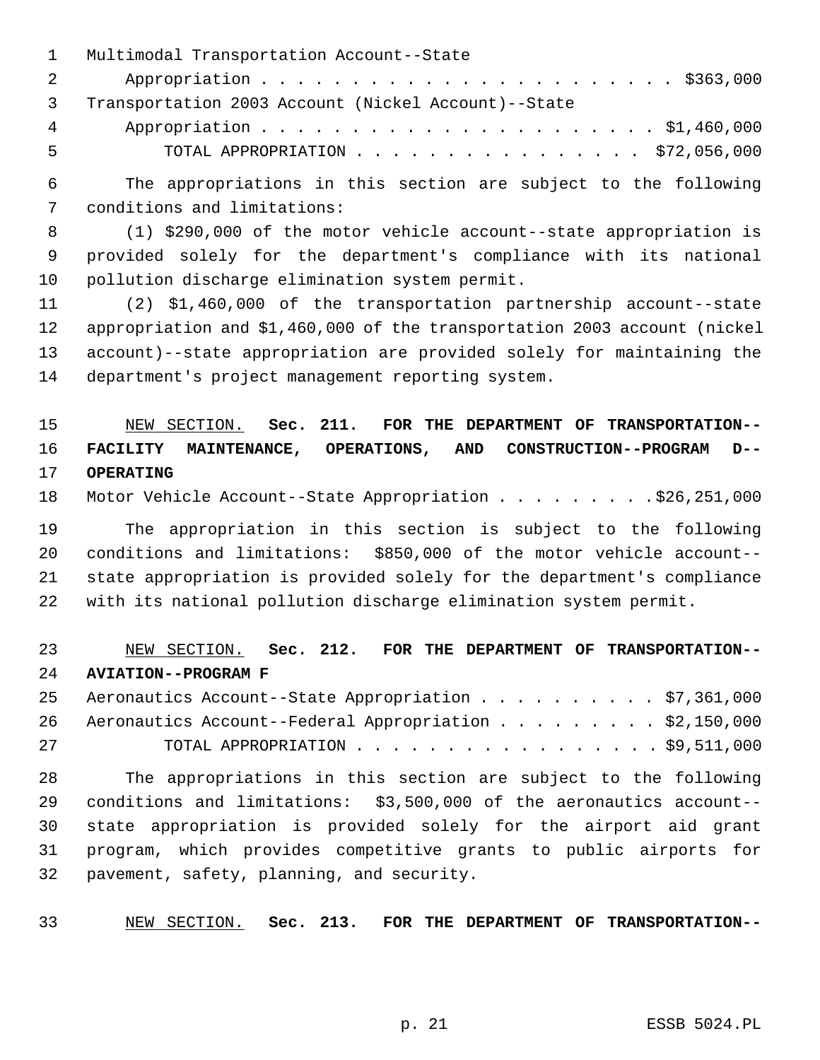|              | 1 Multimodal Transportation Account--State            |
|--------------|-------------------------------------------------------|
| $\mathbf{2}$ |                                                       |
|              | 3 Transportation 2003 Account (Nickel Account)--State |
| $4\degree$   |                                                       |
| -5           | TOTAL APPROPRIATION $\ldots$ , \$72,056,000           |

 6 The appropriations in this section are subject to the following 7 conditions and limitations:

 8 (1) \$290,000 of the motor vehicle account--state appropriation is 9 provided solely for the department's compliance with its national 10 pollution discharge elimination system permit.

11 (2) \$1,460,000 of the transportation partnership account--state 12 appropriation and \$1,460,000 of the transportation 2003 account (nickel 13 account)--state appropriation are provided solely for maintaining the 14 department's project management reporting system.

# 15 NEW SECTION. **Sec. 211. FOR THE DEPARTMENT OF TRANSPORTATION--** 16 **FACILITY MAINTENANCE, OPERATIONS, AND CONSTRUCTION--PROGRAM D--** 17 **OPERATING**

18 Motor Vehicle Account--State Appropriation . . . . . . . . . \$26,251,000

19 The appropriation in this section is subject to the following 20 conditions and limitations: \$850,000 of the motor vehicle account-- 21 state appropriation is provided solely for the department's compliance 22 with its national pollution discharge elimination system permit.

# 23 NEW SECTION. **Sec. 212. FOR THE DEPARTMENT OF TRANSPORTATION--** 24 **AVIATION--PROGRAM F**

25 Aeronautics Account--State Appropriation . . . . . . . . . . \$7,361,000 26 Aeronautics Account--Federal Appropriation . . . . . . . . . \$2,150,000 27 TOTAL APPROPRIATION . . . . . . . . . . . . . . . . . \$9,511,000

28 The appropriations in this section are subject to the following 29 conditions and limitations: \$3,500,000 of the aeronautics account-- 30 state appropriation is provided solely for the airport aid grant 31 program, which provides competitive grants to public airports for 32 pavement, safety, planning, and security.

33 NEW SECTION. **Sec. 213. FOR THE DEPARTMENT OF TRANSPORTATION--**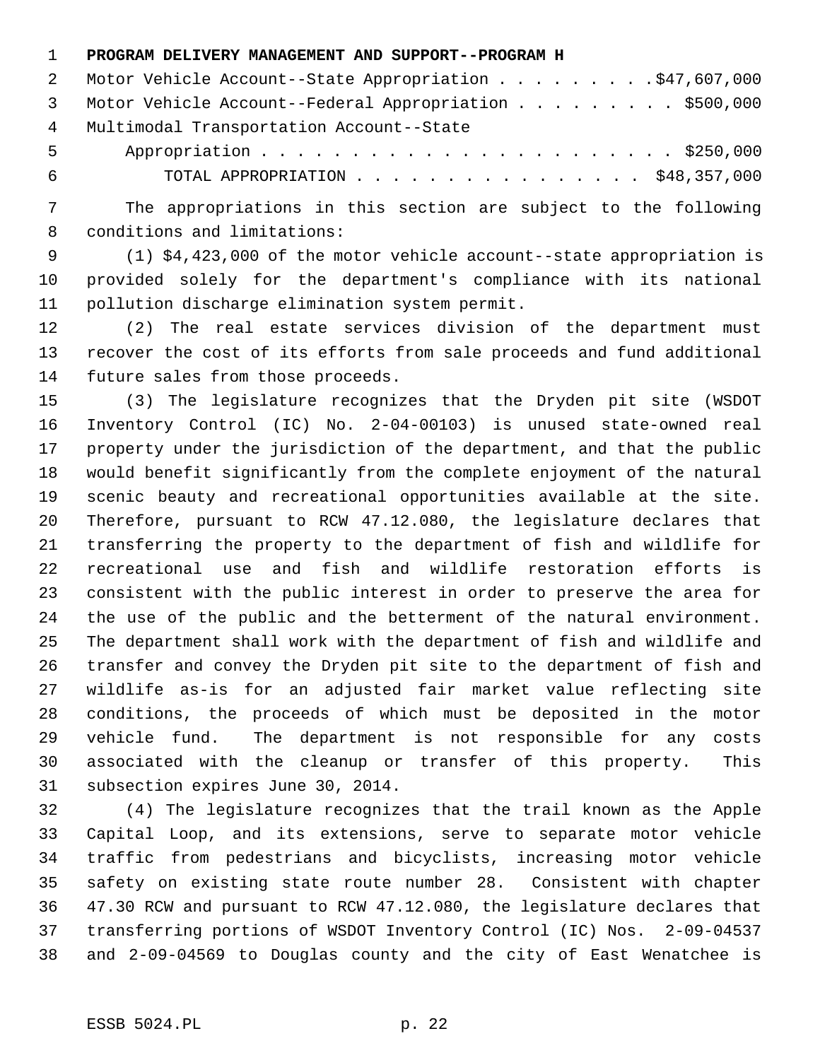#### 1 **PROGRAM DELIVERY MANAGEMENT AND SUPPORT--PROGRAM H**

|       | 2 Motor Vehicle Account--State Appropriation \$47,607,000 |
|-------|-----------------------------------------------------------|
|       | 3 Motor Vehicle Account--Federal Appropriation \$500,000  |
| 4     | Multimodal Transportation Account--State                  |
| $5 -$ |                                                           |
| - 6   | TOTAL APPROPRIATION \$48,357,000                          |

 7 The appropriations in this section are subject to the following 8 conditions and limitations:

 9 (1) \$4,423,000 of the motor vehicle account--state appropriation is 10 provided solely for the department's compliance with its national 11 pollution discharge elimination system permit.

12 (2) The real estate services division of the department must 13 recover the cost of its efforts from sale proceeds and fund additional 14 future sales from those proceeds.

15 (3) The legislature recognizes that the Dryden pit site (WSDOT 16 Inventory Control (IC) No. 2-04-00103) is unused state-owned real 17 property under the jurisdiction of the department, and that the public 18 would benefit significantly from the complete enjoyment of the natural 19 scenic beauty and recreational opportunities available at the site. 20 Therefore, pursuant to RCW 47.12.080, the legislature declares that 21 transferring the property to the department of fish and wildlife for 22 recreational use and fish and wildlife restoration efforts is 23 consistent with the public interest in order to preserve the area for 24 the use of the public and the betterment of the natural environment. 25 The department shall work with the department of fish and wildlife and 26 transfer and convey the Dryden pit site to the department of fish and 27 wildlife as-is for an adjusted fair market value reflecting site 28 conditions, the proceeds of which must be deposited in the motor 29 vehicle fund. The department is not responsible for any costs 30 associated with the cleanup or transfer of this property. This 31 subsection expires June 30, 2014.

32 (4) The legislature recognizes that the trail known as the Apple 33 Capital Loop, and its extensions, serve to separate motor vehicle 34 traffic from pedestrians and bicyclists, increasing motor vehicle 35 safety on existing state route number 28. Consistent with chapter 36 47.30 RCW and pursuant to RCW 47.12.080, the legislature declares that 37 transferring portions of WSDOT Inventory Control (IC) Nos. 2-09-04537 38 and 2-09-04569 to Douglas county and the city of East Wenatchee is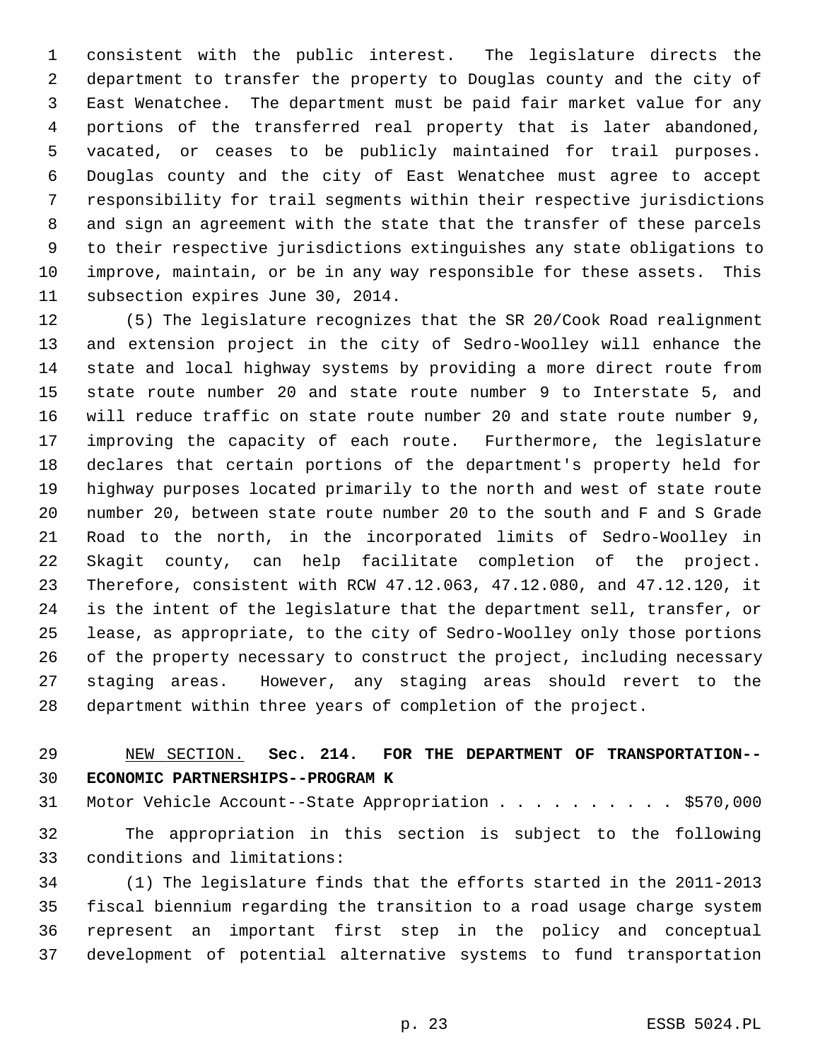1 consistent with the public interest. The legislature directs the 2 department to transfer the property to Douglas county and the city of 3 East Wenatchee. The department must be paid fair market value for any 4 portions of the transferred real property that is later abandoned, 5 vacated, or ceases to be publicly maintained for trail purposes. 6 Douglas county and the city of East Wenatchee must agree to accept 7 responsibility for trail segments within their respective jurisdictions 8 and sign an agreement with the state that the transfer of these parcels 9 to their respective jurisdictions extinguishes any state obligations to 10 improve, maintain, or be in any way responsible for these assets. This 11 subsection expires June 30, 2014.

12 (5) The legislature recognizes that the SR 20/Cook Road realignment 13 and extension project in the city of Sedro-Woolley will enhance the 14 state and local highway systems by providing a more direct route from 15 state route number 20 and state route number 9 to Interstate 5, and 16 will reduce traffic on state route number 20 and state route number 9, 17 improving the capacity of each route. Furthermore, the legislature 18 declares that certain portions of the department's property held for 19 highway purposes located primarily to the north and west of state route 20 number 20, between state route number 20 to the south and F and S Grade 21 Road to the north, in the incorporated limits of Sedro-Woolley in 22 Skagit county, can help facilitate completion of the project. 23 Therefore, consistent with RCW 47.12.063, 47.12.080, and 47.12.120, it 24 is the intent of the legislature that the department sell, transfer, or 25 lease, as appropriate, to the city of Sedro-Woolley only those portions 26 of the property necessary to construct the project, including necessary 27 staging areas. However, any staging areas should revert to the 28 department within three years of completion of the project.

# 29 NEW SECTION. **Sec. 214. FOR THE DEPARTMENT OF TRANSPORTATION--** 30 **ECONOMIC PARTNERSHIPS--PROGRAM K**

31 Motor Vehicle Account--State Appropriation . . . . . . . . . \$570,000 32 The appropriation in this section is subject to the following 33 conditions and limitations:

34 (1) The legislature finds that the efforts started in the 2011-2013 35 fiscal biennium regarding the transition to a road usage charge system 36 represent an important first step in the policy and conceptual 37 development of potential alternative systems to fund transportation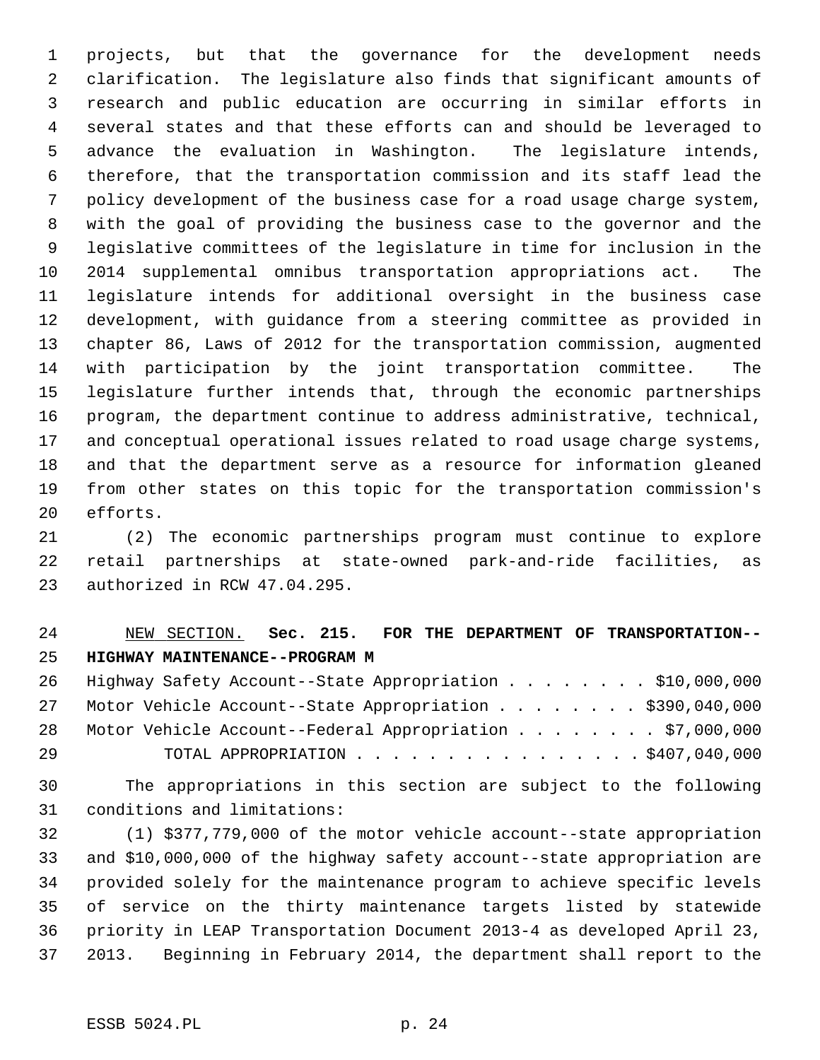1 projects, but that the governance for the development needs 2 clarification. The legislature also finds that significant amounts of 3 research and public education are occurring in similar efforts in 4 several states and that these efforts can and should be leveraged to 5 advance the evaluation in Washington. The legislature intends, 6 therefore, that the transportation commission and its staff lead the 7 policy development of the business case for a road usage charge system, 8 with the goal of providing the business case to the governor and the 9 legislative committees of the legislature in time for inclusion in the 10 2014 supplemental omnibus transportation appropriations act. The 11 legislature intends for additional oversight in the business case 12 development, with guidance from a steering committee as provided in 13 chapter 86, Laws of 2012 for the transportation commission, augmented 14 with participation by the joint transportation committee. The 15 legislature further intends that, through the economic partnerships 16 program, the department continue to address administrative, technical, 17 and conceptual operational issues related to road usage charge systems, 18 and that the department serve as a resource for information gleaned 19 from other states on this topic for the transportation commission's 20 efforts.

21 (2) The economic partnerships program must continue to explore 22 retail partnerships at state-owned park-and-ride facilities, as 23 authorized in RCW 47.04.295.

# 24 NEW SECTION. **Sec. 215. FOR THE DEPARTMENT OF TRANSPORTATION--** 25 **HIGHWAY MAINTENANCE--PROGRAM M**

26 Highway Safety Account--State Appropriation . . . . . . . . \$10,000,000 27 Motor Vehicle Account--State Appropriation . . . . . . . \$390,040,000 28 Motor Vehicle Account--Federal Appropriation . . . . . . . \$7,000,000 29 TOTAL APPROPRIATION . . . . . . . . . . . . . . . . \$407,040,000

30 The appropriations in this section are subject to the following 31 conditions and limitations:

32 (1) \$377,779,000 of the motor vehicle account--state appropriation 33 and \$10,000,000 of the highway safety account--state appropriation are 34 provided solely for the maintenance program to achieve specific levels 35 of service on the thirty maintenance targets listed by statewide 36 priority in LEAP Transportation Document 2013-4 as developed April 23, 37 2013. Beginning in February 2014, the department shall report to the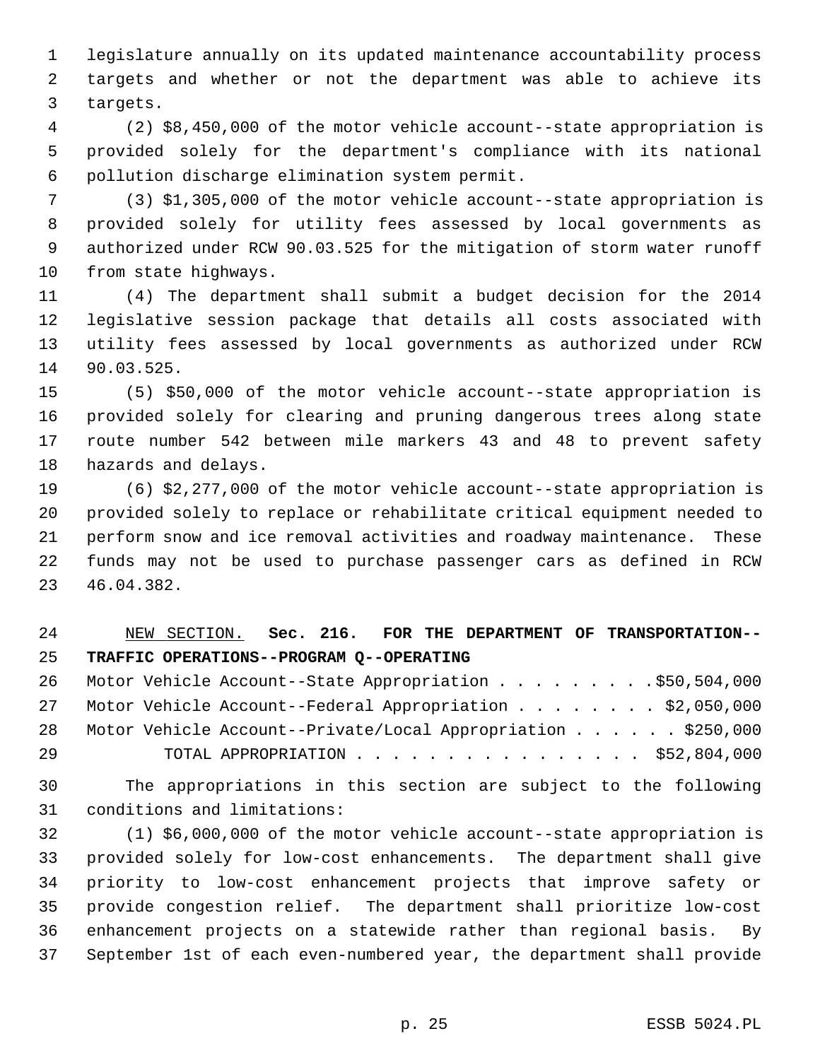1 legislature annually on its updated maintenance accountability process 2 targets and whether or not the department was able to achieve its 3 targets.

 4 (2) \$8,450,000 of the motor vehicle account--state appropriation is 5 provided solely for the department's compliance with its national 6 pollution discharge elimination system permit.

 7 (3) \$1,305,000 of the motor vehicle account--state appropriation is 8 provided solely for utility fees assessed by local governments as 9 authorized under RCW 90.03.525 for the mitigation of storm water runoff 10 from state highways.

11 (4) The department shall submit a budget decision for the 2014 12 legislative session package that details all costs associated with 13 utility fees assessed by local governments as authorized under RCW 14 90.03.525.

15 (5) \$50,000 of the motor vehicle account--state appropriation is 16 provided solely for clearing and pruning dangerous trees along state 17 route number 542 between mile markers 43 and 48 to prevent safety 18 hazards and delays.

19 (6) \$2,277,000 of the motor vehicle account--state appropriation is 20 provided solely to replace or rehabilitate critical equipment needed to 21 perform snow and ice removal activities and roadway maintenance. These 22 funds may not be used to purchase passenger cars as defined in RCW 23 46.04.382.

# 24 NEW SECTION. **Sec. 216. FOR THE DEPARTMENT OF TRANSPORTATION--** 25 **TRAFFIC OPERATIONS--PROGRAM Q--OPERATING**

26 Motor Vehicle Account--State Appropriation . . . . . . . . \$50,504,000 27 Motor Vehicle Account--Federal Appropriation . . . . . . . \$2,050,000 28 Motor Vehicle Account--Private/Local Appropriation . . . . . . \$250,000 29 TOTAL APPROPRIATION . . . . . . . . . . . . . . . . \$52,804,000

30 The appropriations in this section are subject to the following 31 conditions and limitations:

32 (1) \$6,000,000 of the motor vehicle account--state appropriation is 33 provided solely for low-cost enhancements. The department shall give 34 priority to low-cost enhancement projects that improve safety or 35 provide congestion relief. The department shall prioritize low-cost 36 enhancement projects on a statewide rather than regional basis. By 37 September 1st of each even-numbered year, the department shall provide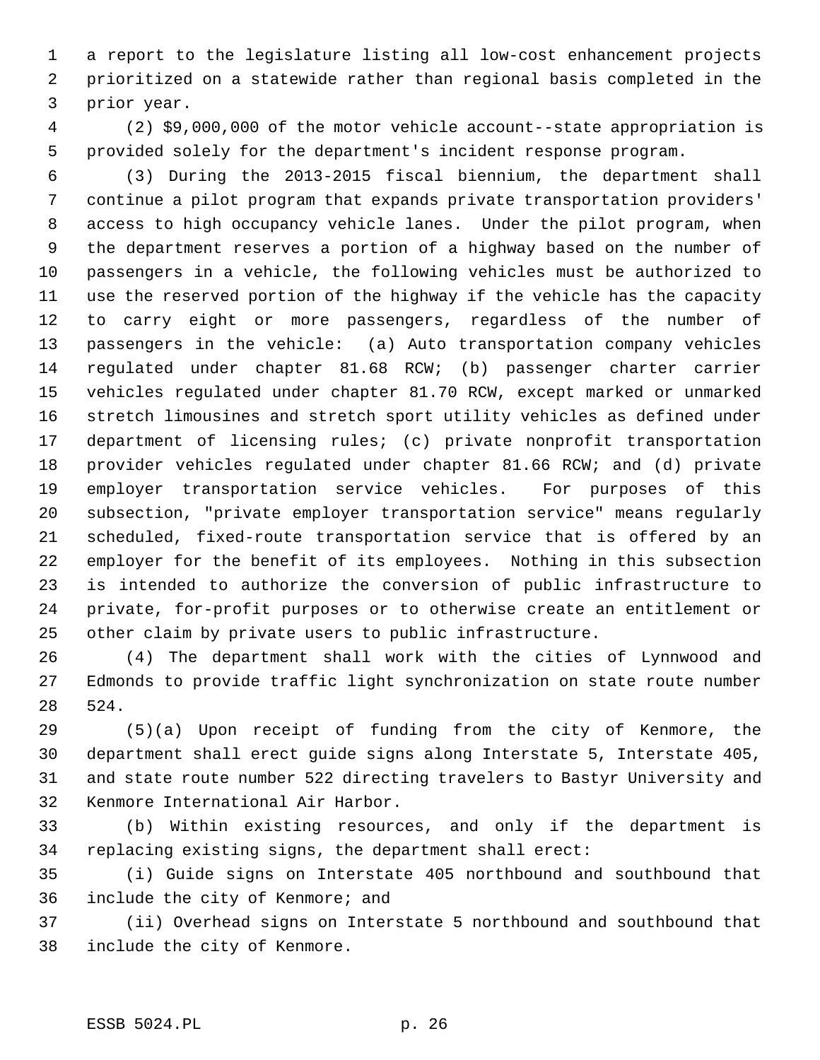1 a report to the legislature listing all low-cost enhancement projects 2 prioritized on a statewide rather than regional basis completed in the 3 prior year.

 4 (2) \$9,000,000 of the motor vehicle account--state appropriation is 5 provided solely for the department's incident response program.

 6 (3) During the 2013-2015 fiscal biennium, the department shall 7 continue a pilot program that expands private transportation providers' 8 access to high occupancy vehicle lanes. Under the pilot program, when 9 the department reserves a portion of a highway based on the number of 10 passengers in a vehicle, the following vehicles must be authorized to 11 use the reserved portion of the highway if the vehicle has the capacity 12 to carry eight or more passengers, regardless of the number of 13 passengers in the vehicle: (a) Auto transportation company vehicles 14 regulated under chapter 81.68 RCW; (b) passenger charter carrier 15 vehicles regulated under chapter 81.70 RCW, except marked or unmarked 16 stretch limousines and stretch sport utility vehicles as defined under 17 department of licensing rules; (c) private nonprofit transportation 18 provider vehicles regulated under chapter 81.66 RCW; and (d) private 19 employer transportation service vehicles. For purposes of this 20 subsection, "private employer transportation service" means regularly 21 scheduled, fixed-route transportation service that is offered by an 22 employer for the benefit of its employees. Nothing in this subsection 23 is intended to authorize the conversion of public infrastructure to 24 private, for-profit purposes or to otherwise create an entitlement or 25 other claim by private users to public infrastructure.

26 (4) The department shall work with the cities of Lynnwood and 27 Edmonds to provide traffic light synchronization on state route number 28 524.

29 (5)(a) Upon receipt of funding from the city of Kenmore, the 30 department shall erect guide signs along Interstate 5, Interstate 405, 31 and state route number 522 directing travelers to Bastyr University and 32 Kenmore International Air Harbor.

33 (b) Within existing resources, and only if the department is 34 replacing existing signs, the department shall erect:

35 (i) Guide signs on Interstate 405 northbound and southbound that 36 include the city of Kenmore; and

37 (ii) Overhead signs on Interstate 5 northbound and southbound that 38 include the city of Kenmore.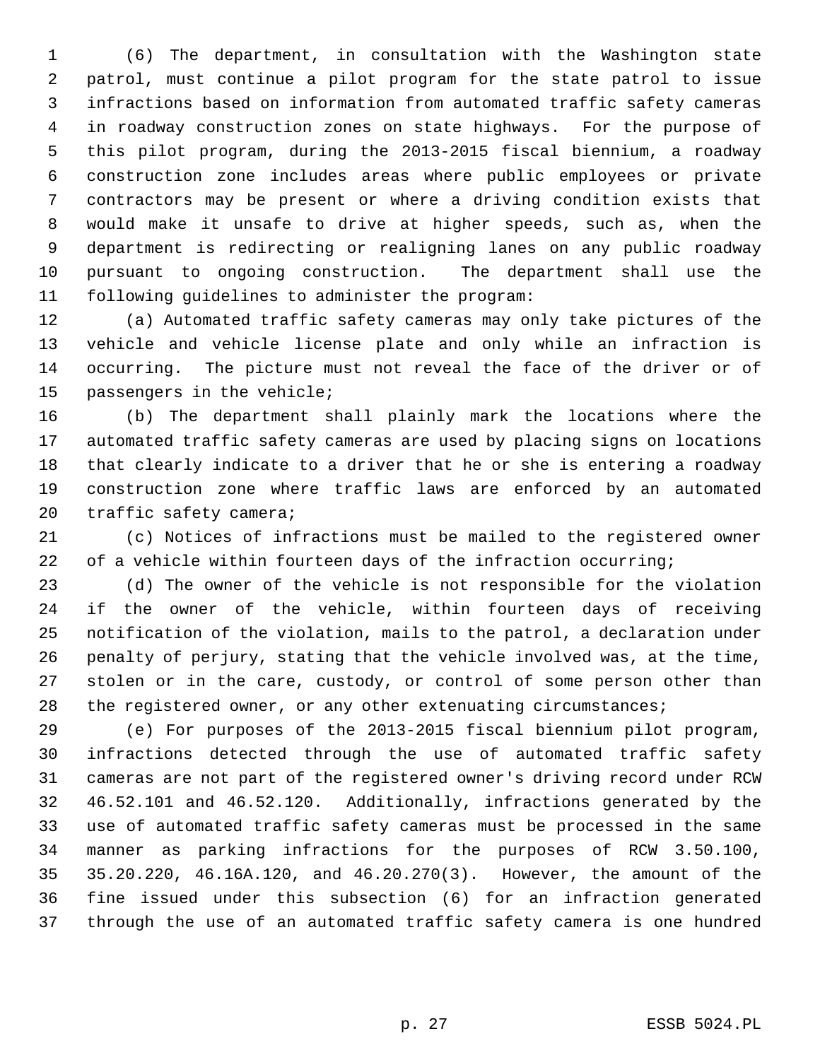1 (6) The department, in consultation with the Washington state 2 patrol, must continue a pilot program for the state patrol to issue 3 infractions based on information from automated traffic safety cameras 4 in roadway construction zones on state highways. For the purpose of 5 this pilot program, during the 2013-2015 fiscal biennium, a roadway 6 construction zone includes areas where public employees or private 7 contractors may be present or where a driving condition exists that 8 would make it unsafe to drive at higher speeds, such as, when the 9 department is redirecting or realigning lanes on any public roadway 10 pursuant to ongoing construction. The department shall use the 11 following guidelines to administer the program:

12 (a) Automated traffic safety cameras may only take pictures of the 13 vehicle and vehicle license plate and only while an infraction is 14 occurring. The picture must not reveal the face of the driver or of 15 passengers in the vehicle;

16 (b) The department shall plainly mark the locations where the 17 automated traffic safety cameras are used by placing signs on locations 18 that clearly indicate to a driver that he or she is entering a roadway 19 construction zone where traffic laws are enforced by an automated 20 traffic safety camera;

21 (c) Notices of infractions must be mailed to the registered owner 22 of a vehicle within fourteen days of the infraction occurring;

23 (d) The owner of the vehicle is not responsible for the violation 24 if the owner of the vehicle, within fourteen days of receiving 25 notification of the violation, mails to the patrol, a declaration under 26 penalty of perjury, stating that the vehicle involved was, at the time, 27 stolen or in the care, custody, or control of some person other than 28 the registered owner, or any other extenuating circumstances;

29 (e) For purposes of the 2013-2015 fiscal biennium pilot program, 30 infractions detected through the use of automated traffic safety 31 cameras are not part of the registered owner's driving record under RCW 32 46.52.101 and 46.52.120. Additionally, infractions generated by the 33 use of automated traffic safety cameras must be processed in the same 34 manner as parking infractions for the purposes of RCW 3.50.100, 35 35.20.220, 46.16A.120, and 46.20.270(3). However, the amount of the 36 fine issued under this subsection (6) for an infraction generated 37 through the use of an automated traffic safety camera is one hundred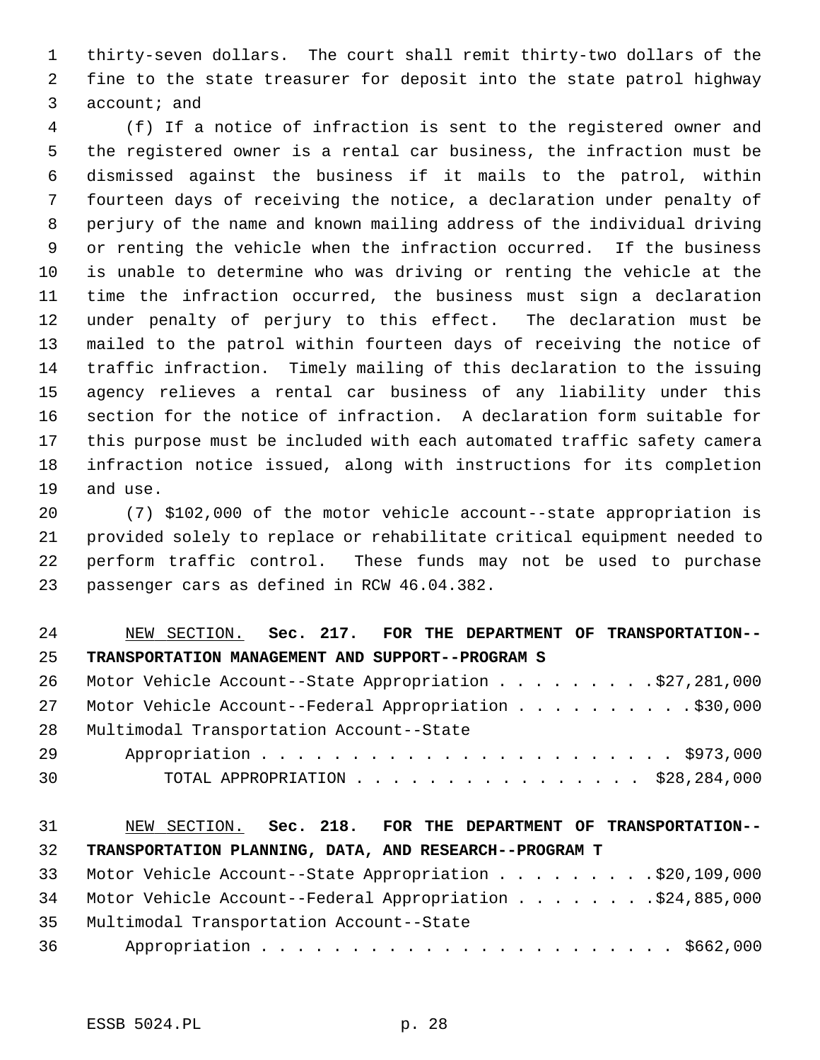1 thirty-seven dollars. The court shall remit thirty-two dollars of the 2 fine to the state treasurer for deposit into the state patrol highway 3 account; and

 4 (f) If a notice of infraction is sent to the registered owner and 5 the registered owner is a rental car business, the infraction must be 6 dismissed against the business if it mails to the patrol, within 7 fourteen days of receiving the notice, a declaration under penalty of 8 perjury of the name and known mailing address of the individual driving 9 or renting the vehicle when the infraction occurred. If the business 10 is unable to determine who was driving or renting the vehicle at the 11 time the infraction occurred, the business must sign a declaration 12 under penalty of perjury to this effect. The declaration must be 13 mailed to the patrol within fourteen days of receiving the notice of 14 traffic infraction. Timely mailing of this declaration to the issuing 15 agency relieves a rental car business of any liability under this 16 section for the notice of infraction. A declaration form suitable for 17 this purpose must be included with each automated traffic safety camera 18 infraction notice issued, along with instructions for its completion 19 and use.

20 (7) \$102,000 of the motor vehicle account--state appropriation is 21 provided solely to replace or rehabilitate critical equipment needed to 22 perform traffic control. These funds may not be used to purchase 23 passenger cars as defined in RCW 46.04.382.

| 24  | NEW SECTION. Sec. 217. FOR THE DEPARTMENT OF TRANSPORTATION-- |
|-----|---------------------------------------------------------------|
| 25  | TRANSPORTATION MANAGEMENT AND SUPPORT--PROGRAM S              |
| -26 | Motor Vehicle Account--State Appropriation \$27,281,000       |
| 2.7 | Motor Vehicle Account--Federal Appropriation \$30,000         |
| 28  | Multimodal Transportation Account--State                      |
| 29  |                                                               |
| 30  | TOTAL APPROPRIATION $\ldots$ , \$28,284,000                   |
|     |                                                               |

# 31 NEW SECTION. **Sec. 218. FOR THE DEPARTMENT OF TRANSPORTATION--** 32 **TRANSPORTATION PLANNING, DATA, AND RESEARCH--PROGRAM T**

|      | 33 Motor Vehicle Account--State Appropriation \$20,109,000   |
|------|--------------------------------------------------------------|
|      | 34 Motor Vehicle Account--Federal Appropriation \$24,885,000 |
|      | 35 Multimodal Transportation Account--State                  |
| 36 — |                                                              |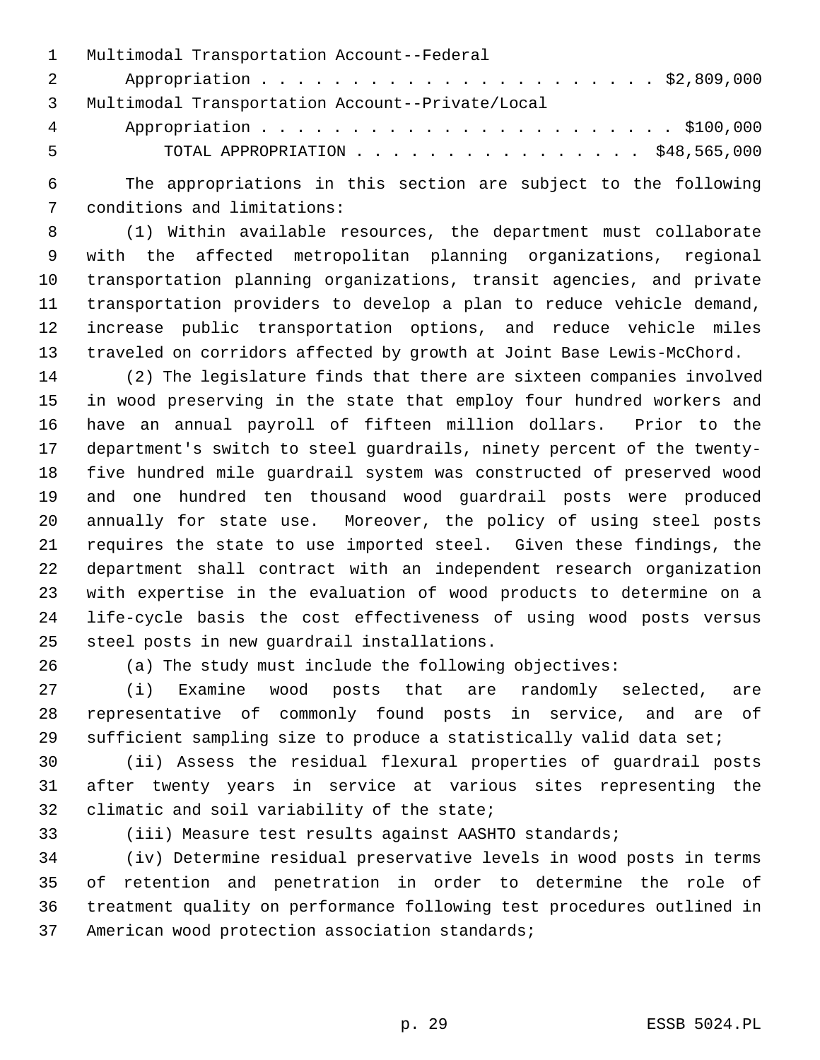|                 | 1 Multimodal Transportation Account--Federal     |
|-----------------|--------------------------------------------------|
| 2 3             |                                                  |
| $\overline{3}$  | Multimodal Transportation Account--Private/Local |
| $4\overline{ }$ |                                                  |
| 5               | TOTAL APPROPRIATION $\ldots$ , \$48,565,000      |

 6 The appropriations in this section are subject to the following 7 conditions and limitations:

 8 (1) Within available resources, the department must collaborate 9 with the affected metropolitan planning organizations, regional 10 transportation planning organizations, transit agencies, and private 11 transportation providers to develop a plan to reduce vehicle demand, 12 increase public transportation options, and reduce vehicle miles 13 traveled on corridors affected by growth at Joint Base Lewis-McChord.

14 (2) The legislature finds that there are sixteen companies involved 15 in wood preserving in the state that employ four hundred workers and 16 have an annual payroll of fifteen million dollars. Prior to the 17 department's switch to steel guardrails, ninety percent of the twenty-18 five hundred mile guardrail system was constructed of preserved wood 19 and one hundred ten thousand wood guardrail posts were produced 20 annually for state use. Moreover, the policy of using steel posts 21 requires the state to use imported steel. Given these findings, the 22 department shall contract with an independent research organization 23 with expertise in the evaluation of wood products to determine on a 24 life-cycle basis the cost effectiveness of using wood posts versus 25 steel posts in new guardrail installations.

26 (a) The study must include the following objectives:

27 (i) Examine wood posts that are randomly selected, are 28 representative of commonly found posts in service, and are of 29 sufficient sampling size to produce a statistically valid data set;

30 (ii) Assess the residual flexural properties of guardrail posts 31 after twenty years in service at various sites representing the 32 climatic and soil variability of the state;

33 (iii) Measure test results against AASHTO standards;

34 (iv) Determine residual preservative levels in wood posts in terms 35 of retention and penetration in order to determine the role of 36 treatment quality on performance following test procedures outlined in 37 American wood protection association standards;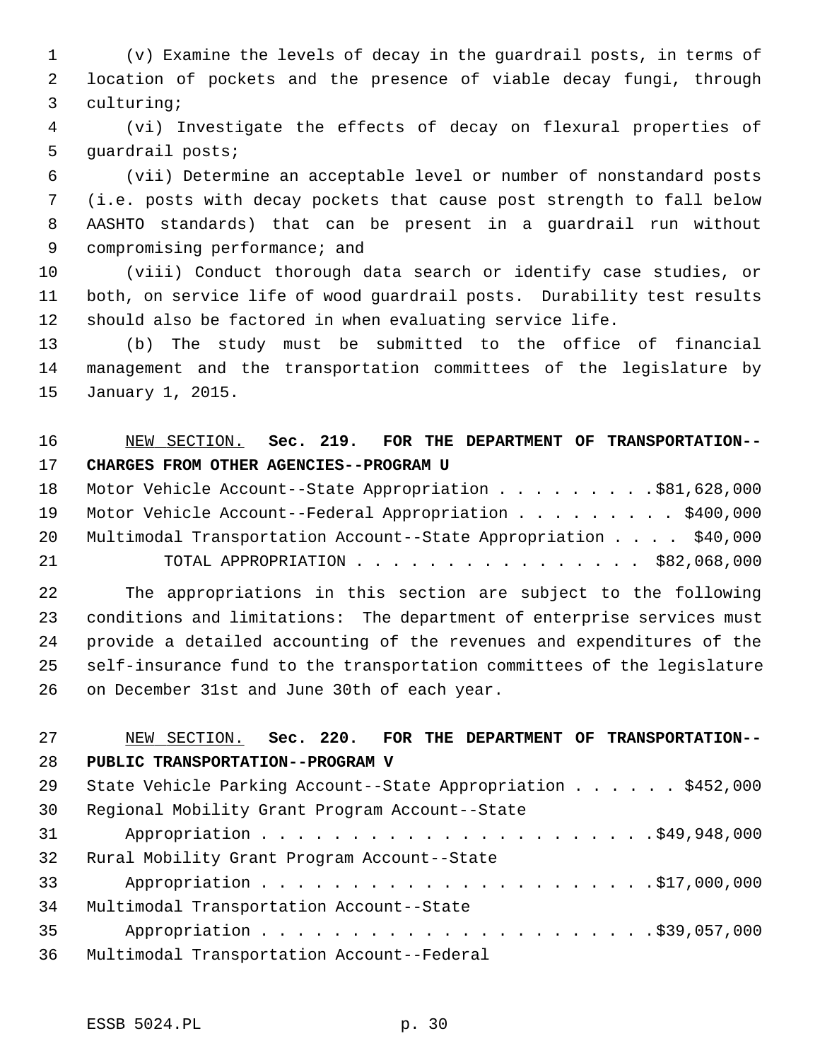1 (v) Examine the levels of decay in the guardrail posts, in terms of 2 location of pockets and the presence of viable decay fungi, through 3 culturing;

 4 (vi) Investigate the effects of decay on flexural properties of 5 guardrail posts;

 6 (vii) Determine an acceptable level or number of nonstandard posts 7 (i.e. posts with decay pockets that cause post strength to fall below 8 AASHTO standards) that can be present in a guardrail run without 9 compromising performance; and

10 (viii) Conduct thorough data search or identify case studies, or 11 both, on service life of wood guardrail posts. Durability test results 12 should also be factored in when evaluating service life.

13 (b) The study must be submitted to the office of financial 14 management and the transportation committees of the legislature by 15 January 1, 2015.

# 16 NEW SECTION. **Sec. 219. FOR THE DEPARTMENT OF TRANSPORTATION--** 17 **CHARGES FROM OTHER AGENCIES--PROGRAM U**

18 Motor Vehicle Account--State Appropriation . . . . . . . . . \$81,628,000 19 Motor Vehicle Account--Federal Appropriation . . . . . . . . \$400,000 20 Multimodal Transportation Account--State Appropriation . . . . \$40,000 21 TOTAL APPROPRIATION . . . . . . . . . . . . . . . . \$82,068,000

22 The appropriations in this section are subject to the following 23 conditions and limitations: The department of enterprise services must 24 provide a detailed accounting of the revenues and expenditures of the 25 self-insurance fund to the transportation committees of the legislature 26 on December 31st and June 30th of each year.

# 27 NEW SECTION. **Sec. 220. FOR THE DEPARTMENT OF TRANSPORTATION--** 28 **PUBLIC TRANSPORTATION--PROGRAM V** 29 State Vehicle Parking Account--State Appropriation . . . . . . \$452,000 30 Regional Mobility Grant Program Account--State 31 Appropriation . . . . . . . . . . . . . . . . . . . . . .\$49,948,000 32 Rural Mobility Grant Program Account--State 33 Appropriation . . . . . . . . . . . . . . . . . . . . . .\$17,000,000 34 Multimodal Transportation Account--State 35 Appropriation . . . . . . . . . . . . . . . . . . . . . .\$39,057,000 36 Multimodal Transportation Account--Federal

ESSB 5024.PL p. 30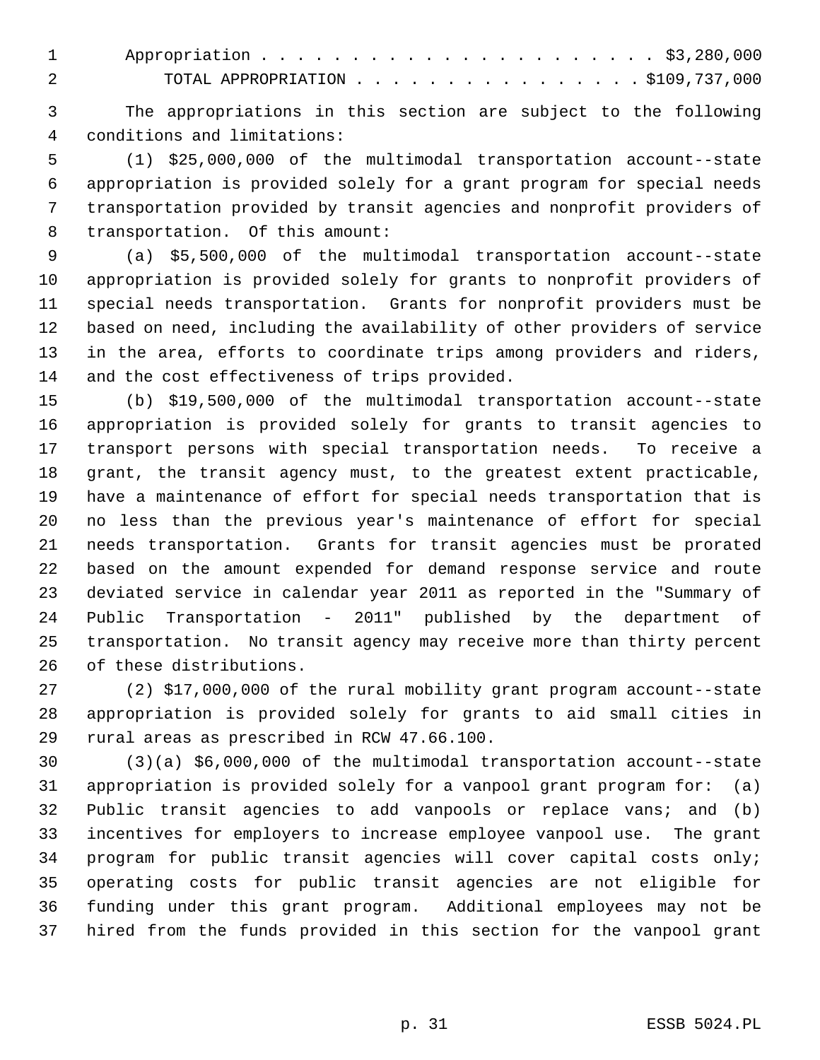1 Appropriation . . . . . . . . . . . . . . . . . . . . . . \$3,280,000 2 TOTAL APPROPRIATION . . . . . . . . . . . . . . . . \$109,737,000

 3 The appropriations in this section are subject to the following 4 conditions and limitations:

 5 (1) \$25,000,000 of the multimodal transportation account--state 6 appropriation is provided solely for a grant program for special needs 7 transportation provided by transit agencies and nonprofit providers of 8 transportation. Of this amount:

 9 (a) \$5,500,000 of the multimodal transportation account--state 10 appropriation is provided solely for grants to nonprofit providers of 11 special needs transportation. Grants for nonprofit providers must be 12 based on need, including the availability of other providers of service 13 in the area, efforts to coordinate trips among providers and riders, 14 and the cost effectiveness of trips provided.

15 (b) \$19,500,000 of the multimodal transportation account--state 16 appropriation is provided solely for grants to transit agencies to 17 transport persons with special transportation needs. To receive a 18 grant, the transit agency must, to the greatest extent practicable, 19 have a maintenance of effort for special needs transportation that is 20 no less than the previous year's maintenance of effort for special 21 needs transportation. Grants for transit agencies must be prorated 22 based on the amount expended for demand response service and route 23 deviated service in calendar year 2011 as reported in the "Summary of 24 Public Transportation - 2011" published by the department of 25 transportation. No transit agency may receive more than thirty percent 26 of these distributions.

27 (2) \$17,000,000 of the rural mobility grant program account--state 28 appropriation is provided solely for grants to aid small cities in 29 rural areas as prescribed in RCW 47.66.100.

30 (3)(a) \$6,000,000 of the multimodal transportation account--state 31 appropriation is provided solely for a vanpool grant program for: (a) 32 Public transit agencies to add vanpools or replace vans; and (b) 33 incentives for employers to increase employee vanpool use. The grant 34 program for public transit agencies will cover capital costs only; 35 operating costs for public transit agencies are not eligible for 36 funding under this grant program. Additional employees may not be 37 hired from the funds provided in this section for the vanpool grant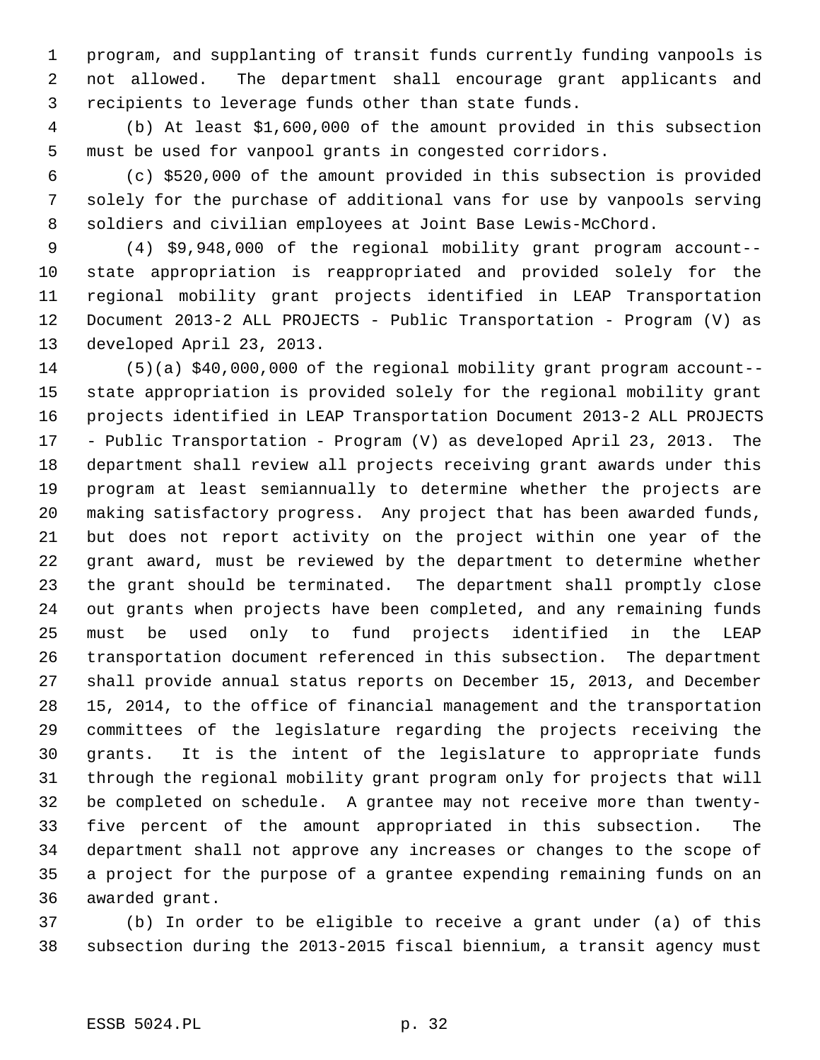1 program, and supplanting of transit funds currently funding vanpools is 2 not allowed. The department shall encourage grant applicants and 3 recipients to leverage funds other than state funds.

 4 (b) At least \$1,600,000 of the amount provided in this subsection 5 must be used for vanpool grants in congested corridors.

 6 (c) \$520,000 of the amount provided in this subsection is provided 7 solely for the purchase of additional vans for use by vanpools serving 8 soldiers and civilian employees at Joint Base Lewis-McChord.

 9 (4) \$9,948,000 of the regional mobility grant program account-- 10 state appropriation is reappropriated and provided solely for the 11 regional mobility grant projects identified in LEAP Transportation 12 Document 2013-2 ALL PROJECTS - Public Transportation - Program (V) as 13 developed April 23, 2013.

14 (5)(a) \$40,000,000 of the regional mobility grant program account-- 15 state appropriation is provided solely for the regional mobility grant 16 projects identified in LEAP Transportation Document 2013-2 ALL PROJECTS 17 - Public Transportation - Program (V) as developed April 23, 2013. The 18 department shall review all projects receiving grant awards under this 19 program at least semiannually to determine whether the projects are 20 making satisfactory progress. Any project that has been awarded funds, 21 but does not report activity on the project within one year of the 22 grant award, must be reviewed by the department to determine whether 23 the grant should be terminated. The department shall promptly close 24 out grants when projects have been completed, and any remaining funds 25 must be used only to fund projects identified in the LEAP 26 transportation document referenced in this subsection. The department 27 shall provide annual status reports on December 15, 2013, and December 28 15, 2014, to the office of financial management and the transportation 29 committees of the legislature regarding the projects receiving the 30 grants. It is the intent of the legislature to appropriate funds 31 through the regional mobility grant program only for projects that will 32 be completed on schedule. A grantee may not receive more than twenty-33 five percent of the amount appropriated in this subsection. The 34 department shall not approve any increases or changes to the scope of 35 a project for the purpose of a grantee expending remaining funds on an 36 awarded grant.

37 (b) In order to be eligible to receive a grant under (a) of this 38 subsection during the 2013-2015 fiscal biennium, a transit agency must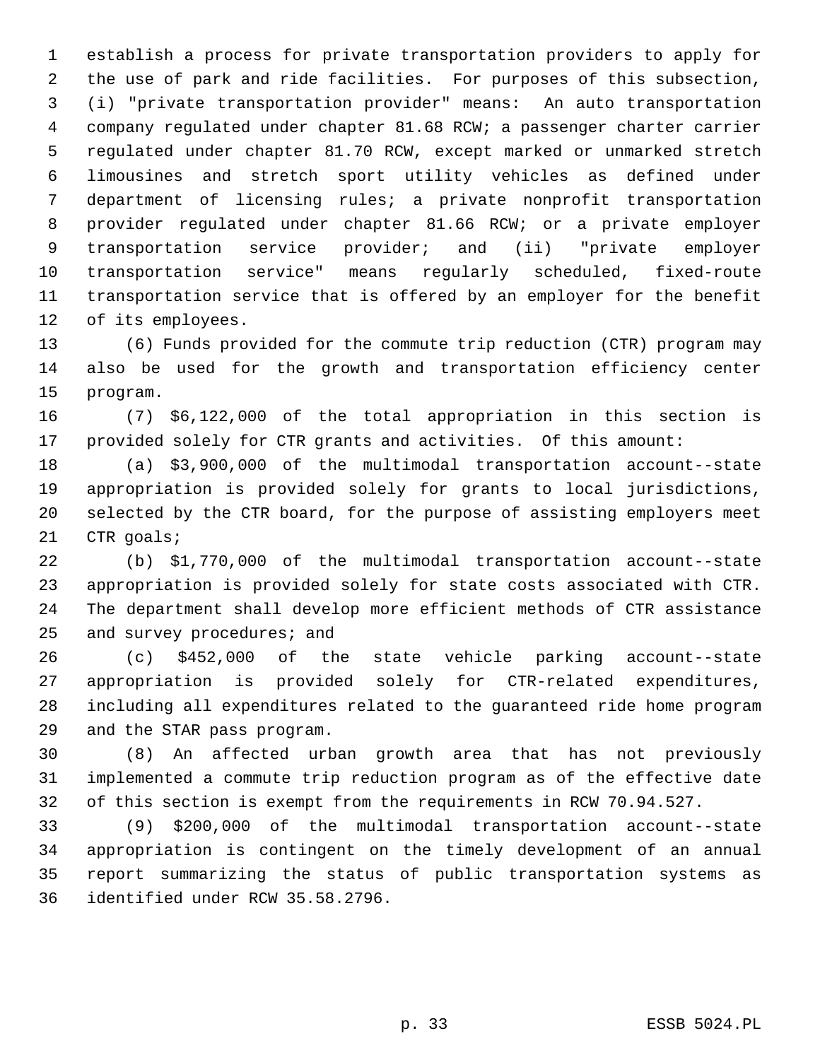1 establish a process for private transportation providers to apply for 2 the use of park and ride facilities. For purposes of this subsection, 3 (i) "private transportation provider" means: An auto transportation 4 company regulated under chapter 81.68 RCW; a passenger charter carrier 5 regulated under chapter 81.70 RCW, except marked or unmarked stretch 6 limousines and stretch sport utility vehicles as defined under 7 department of licensing rules; a private nonprofit transportation 8 provider regulated under chapter 81.66 RCW; or a private employer 9 transportation service provider; and (ii) "private employer 10 transportation service" means regularly scheduled, fixed-route 11 transportation service that is offered by an employer for the benefit 12 of its employees.

13 (6) Funds provided for the commute trip reduction (CTR) program may 14 also be used for the growth and transportation efficiency center 15 program.

16 (7) \$6,122,000 of the total appropriation in this section is 17 provided solely for CTR grants and activities. Of this amount:

18 (a) \$3,900,000 of the multimodal transportation account--state 19 appropriation is provided solely for grants to local jurisdictions, 20 selected by the CTR board, for the purpose of assisting employers meet 21 CTR goals;

22 (b) \$1,770,000 of the multimodal transportation account--state 23 appropriation is provided solely for state costs associated with CTR. 24 The department shall develop more efficient methods of CTR assistance 25 and survey procedures; and

26 (c) \$452,000 of the state vehicle parking account--state 27 appropriation is provided solely for CTR-related expenditures, 28 including all expenditures related to the guaranteed ride home program 29 and the STAR pass program.

30 (8) An affected urban growth area that has not previously 31 implemented a commute trip reduction program as of the effective date 32 of this section is exempt from the requirements in RCW 70.94.527.

33 (9) \$200,000 of the multimodal transportation account--state 34 appropriation is contingent on the timely development of an annual 35 report summarizing the status of public transportation systems as 36 identified under RCW 35.58.2796.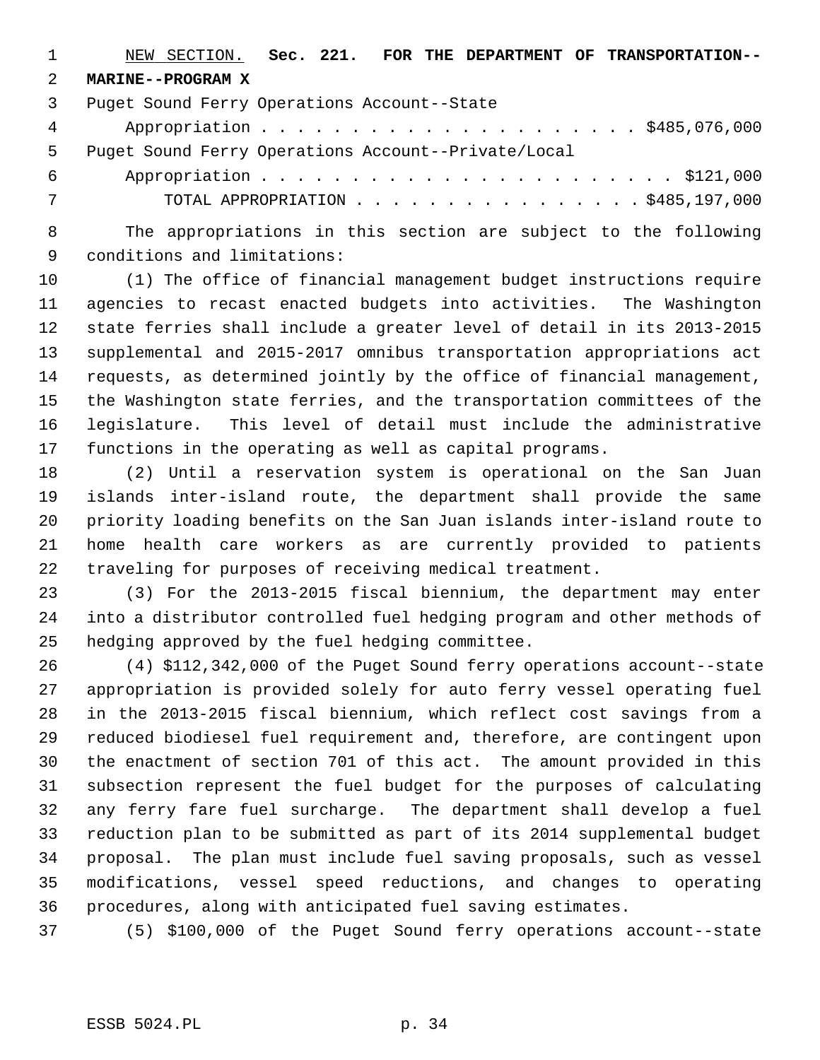1 NEW SECTION. **Sec. 221. FOR THE DEPARTMENT OF TRANSPORTATION--** 2 **MARINE--PROGRAM X**

3 Puget Sound Ferry Operations Account--State

 4 Appropriation . . . . . . . . . . . . . . . . . . . . . \$485,076,000 5 Puget Sound Ferry Operations Account--Private/Local

 6 Appropriation . . . . . . . . . . . . . . . . . . . . . . . \$121,000 7 TOTAL APPROPRIATION . . . . . . . . . . . . . . . . \$485,197,000

 8 The appropriations in this section are subject to the following 9 conditions and limitations:

10 (1) The office of financial management budget instructions require 11 agencies to recast enacted budgets into activities. The Washington 12 state ferries shall include a greater level of detail in its 2013-2015 13 supplemental and 2015-2017 omnibus transportation appropriations act 14 requests, as determined jointly by the office of financial management, 15 the Washington state ferries, and the transportation committees of the 16 legislature. This level of detail must include the administrative 17 functions in the operating as well as capital programs.

18 (2) Until a reservation system is operational on the San Juan 19 islands inter-island route, the department shall provide the same 20 priority loading benefits on the San Juan islands inter-island route to 21 home health care workers as are currently provided to patients 22 traveling for purposes of receiving medical treatment.

23 (3) For the 2013-2015 fiscal biennium, the department may enter 24 into a distributor controlled fuel hedging program and other methods of 25 hedging approved by the fuel hedging committee.

26 (4) \$112,342,000 of the Puget Sound ferry operations account--state 27 appropriation is provided solely for auto ferry vessel operating fuel 28 in the 2013-2015 fiscal biennium, which reflect cost savings from a 29 reduced biodiesel fuel requirement and, therefore, are contingent upon 30 the enactment of section 701 of this act. The amount provided in this 31 subsection represent the fuel budget for the purposes of calculating 32 any ferry fare fuel surcharge. The department shall develop a fuel 33 reduction plan to be submitted as part of its 2014 supplemental budget 34 proposal. The plan must include fuel saving proposals, such as vessel 35 modifications, vessel speed reductions, and changes to operating 36 procedures, along with anticipated fuel saving estimates.

37 (5) \$100,000 of the Puget Sound ferry operations account--state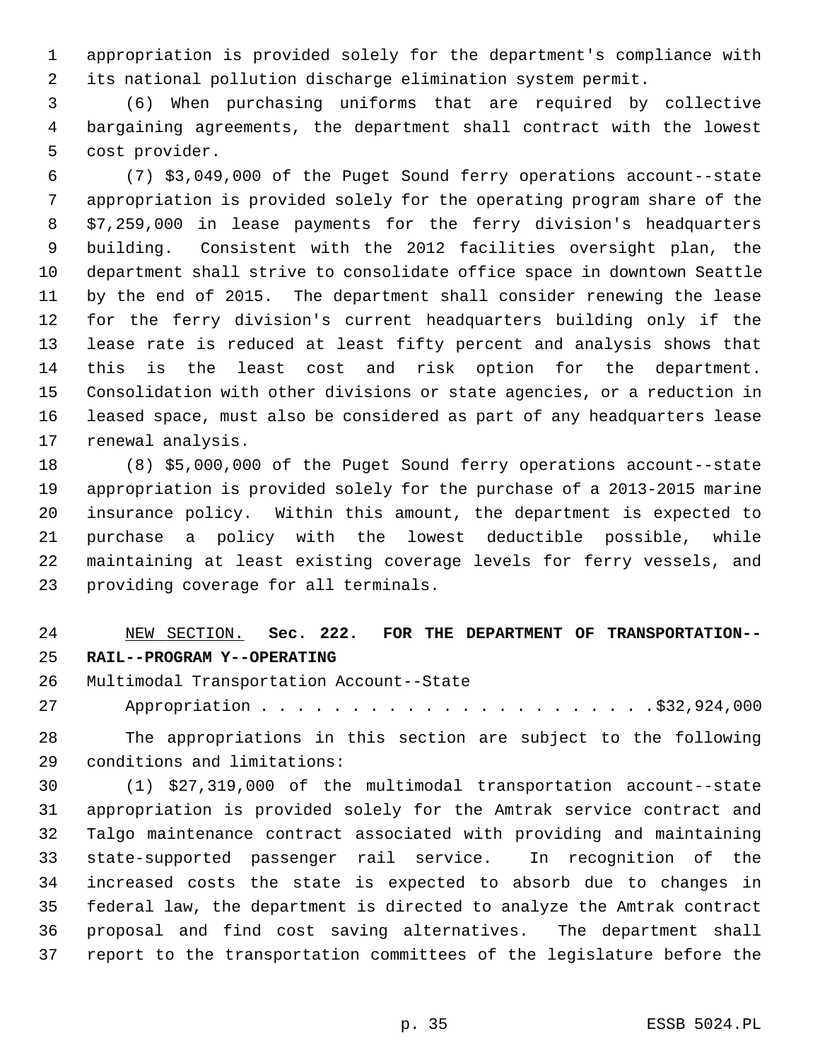1 appropriation is provided solely for the department's compliance with 2 its national pollution discharge elimination system permit.

 3 (6) When purchasing uniforms that are required by collective 4 bargaining agreements, the department shall contract with the lowest 5 cost provider.

 6 (7) \$3,049,000 of the Puget Sound ferry operations account--state 7 appropriation is provided solely for the operating program share of the 8 \$7,259,000 in lease payments for the ferry division's headquarters 9 building. Consistent with the 2012 facilities oversight plan, the 10 department shall strive to consolidate office space in downtown Seattle 11 by the end of 2015. The department shall consider renewing the lease 12 for the ferry division's current headquarters building only if the 13 lease rate is reduced at least fifty percent and analysis shows that 14 this is the least cost and risk option for the department. 15 Consolidation with other divisions or state agencies, or a reduction in 16 leased space, must also be considered as part of any headquarters lease 17 renewal analysis.

18 (8) \$5,000,000 of the Puget Sound ferry operations account--state 19 appropriation is provided solely for the purchase of a 2013-2015 marine 20 insurance policy. Within this amount, the department is expected to 21 purchase a policy with the lowest deductible possible, while 22 maintaining at least existing coverage levels for ferry vessels, and 23 providing coverage for all terminals.

# 24 NEW SECTION. **Sec. 222. FOR THE DEPARTMENT OF TRANSPORTATION--** 25 **RAIL--PROGRAM Y--OPERATING**

26 Multimodal Transportation Account--State

27 Appropriation . . . . . . . . . . . . . . . . . . . . . .\$32,924,000

28 The appropriations in this section are subject to the following 29 conditions and limitations:

30 (1) \$27,319,000 of the multimodal transportation account--state 31 appropriation is provided solely for the Amtrak service contract and 32 Talgo maintenance contract associated with providing and maintaining 33 state-supported passenger rail service. In recognition of the 34 increased costs the state is expected to absorb due to changes in 35 federal law, the department is directed to analyze the Amtrak contract 36 proposal and find cost saving alternatives. The department shall 37 report to the transportation committees of the legislature before the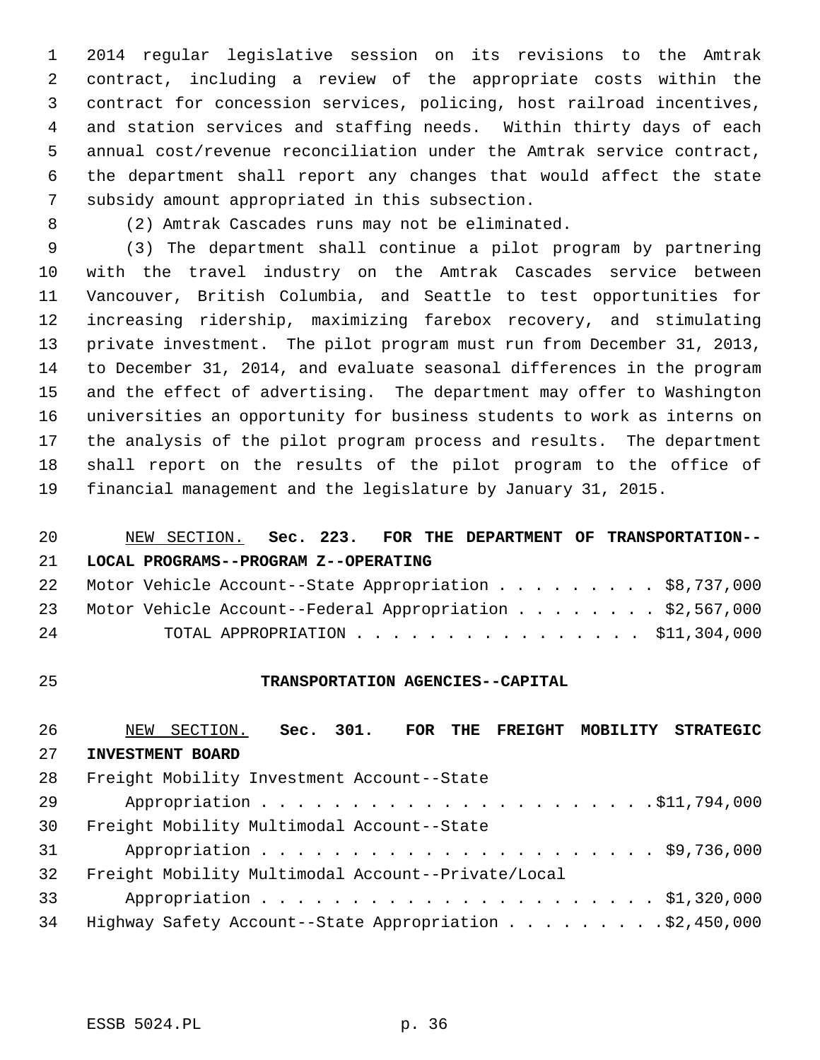1 2014 regular legislative session on its revisions to the Amtrak 2 contract, including a review of the appropriate costs within the 3 contract for concession services, policing, host railroad incentives, 4 and station services and staffing needs. Within thirty days of each 5 annual cost/revenue reconciliation under the Amtrak service contract, 6 the department shall report any changes that would affect the state 7 subsidy amount appropriated in this subsection.

8 (2) Amtrak Cascades runs may not be eliminated.

 9 (3) The department shall continue a pilot program by partnering 10 with the travel industry on the Amtrak Cascades service between 11 Vancouver, British Columbia, and Seattle to test opportunities for 12 increasing ridership, maximizing farebox recovery, and stimulating 13 private investment. The pilot program must run from December 31, 2013, 14 to December 31, 2014, and evaluate seasonal differences in the program 15 and the effect of advertising. The department may offer to Washington 16 universities an opportunity for business students to work as interns on 17 the analysis of the pilot program process and results. The department 18 shall report on the results of the pilot program to the office of 19 financial management and the legislature by January 31, 2015.

# 20 NEW SECTION. **Sec. 223. FOR THE DEPARTMENT OF TRANSPORTATION--** 21 **LOCAL PROGRAMS--PROGRAM Z--OPERATING**

|    |  |  |  |  |  |  |  |  | 22 Motor Vehicle Account--State Appropriation \$8,737,000   |
|----|--|--|--|--|--|--|--|--|-------------------------------------------------------------|
|    |  |  |  |  |  |  |  |  | 23 Motor Vehicle Account--Federal Appropriation \$2,567,000 |
| 24 |  |  |  |  |  |  |  |  | TOTAL APPROPRIATION $\ldots$ , \$11,304,000                 |

#### 25 **TRANSPORTATION AGENCIES--CAPITAL**

# 26 NEW SECTION. **Sec. 301. FOR THE FREIGHT MOBILITY STRATEGIC** 27 **INVESTMENT BOARD** 28 Freight Mobility Investment Account--State 29 Appropriation . . . . . . . . . . . . . . . . . . . . . .\$11,794,000 30 Freight Mobility Multimodal Account--State 31 Appropriation . . . . . . . . . . . . . . . . . . . . . . \$9,736,000 32 Freight Mobility Multimodal Account--Private/Local 33 Appropriation . . . . . . . . . . . . . . . . . . . . . . \$1,320,000 34 Highway Safety Account--State Appropriation . . . . . . . . .\$2,450,000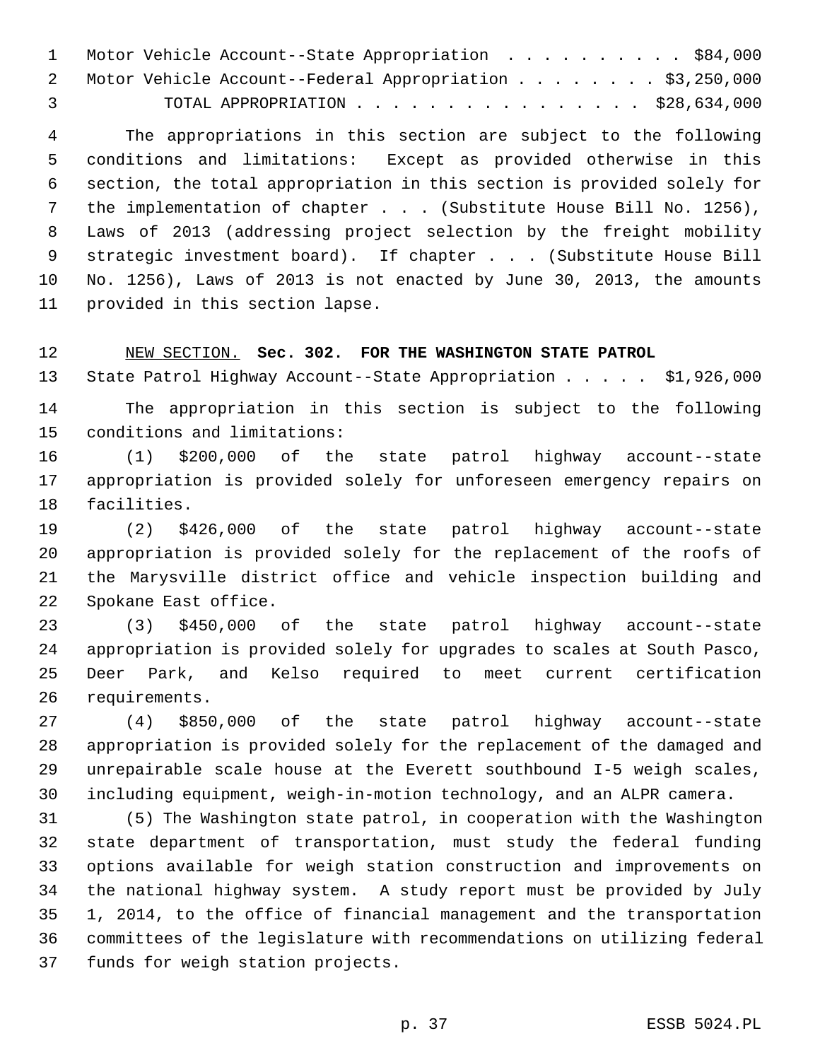| 1 Motor Vehicle Account--State Appropriation \$84,000      |
|------------------------------------------------------------|
| 2 Motor Vehicle Account--Federal Appropriation \$3,250,000 |
| $\mathcal{R}$                                              |

 4 The appropriations in this section are subject to the following 5 conditions and limitations: Except as provided otherwise in this 6 section, the total appropriation in this section is provided solely for 7 the implementation of chapter . . . (Substitute House Bill No. 1256), 8 Laws of 2013 (addressing project selection by the freight mobility 9 strategic investment board). If chapter . . . (Substitute House Bill 10 No. 1256), Laws of 2013 is not enacted by June 30, 2013, the amounts 11 provided in this section lapse.

12 NEW SECTION. **Sec. 302. FOR THE WASHINGTON STATE PATROL**

13 State Patrol Highway Account--State Appropriation . . . . . \$1,926,000 14 The appropriation in this section is subject to the following 15 conditions and limitations:

16 (1) \$200,000 of the state patrol highway account--state 17 appropriation is provided solely for unforeseen emergency repairs on 18 facilities.

19 (2) \$426,000 of the state patrol highway account--state 20 appropriation is provided solely for the replacement of the roofs of 21 the Marysville district office and vehicle inspection building and 22 Spokane East office.

23 (3) \$450,000 of the state patrol highway account--state 24 appropriation is provided solely for upgrades to scales at South Pasco, 25 Deer Park, and Kelso required to meet current certification 26 requirements.

27 (4) \$850,000 of the state patrol highway account--state 28 appropriation is provided solely for the replacement of the damaged and 29 unrepairable scale house at the Everett southbound I-5 weigh scales, 30 including equipment, weigh-in-motion technology, and an ALPR camera.

31 (5) The Washington state patrol, in cooperation with the Washington 32 state department of transportation, must study the federal funding 33 options available for weigh station construction and improvements on 34 the national highway system. A study report must be provided by July 35 1, 2014, to the office of financial management and the transportation 36 committees of the legislature with recommendations on utilizing federal 37 funds for weigh station projects.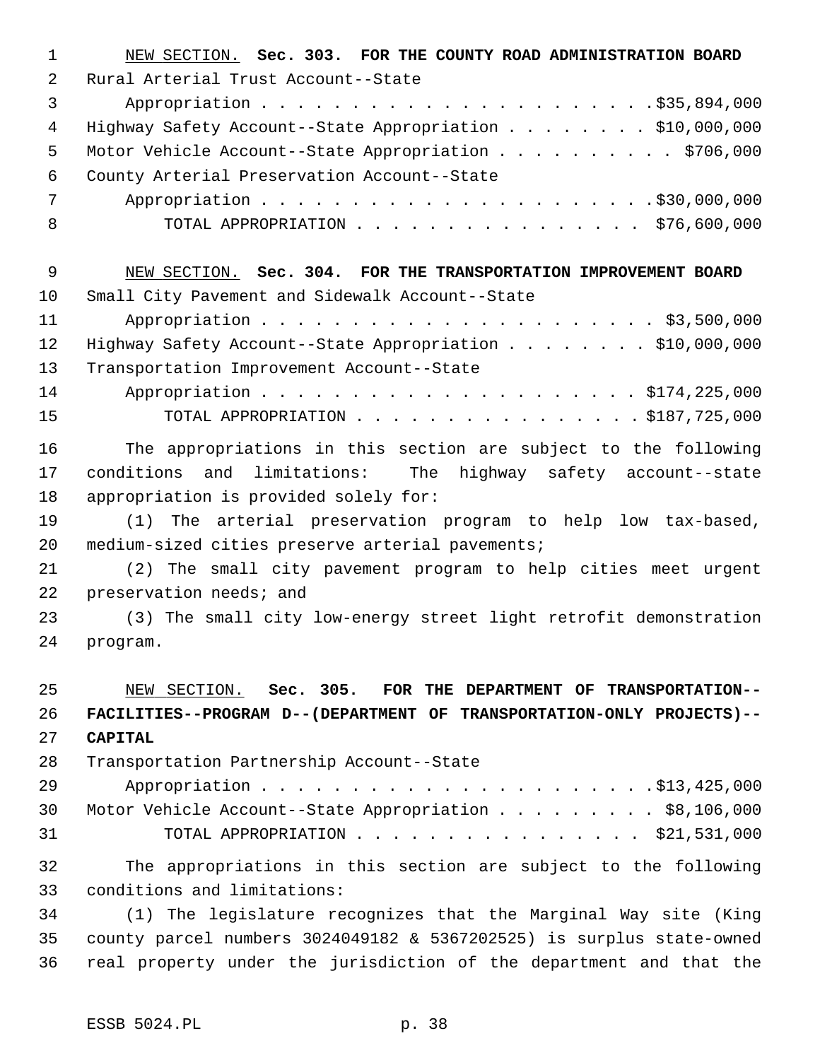| $\mathbf 1$    | NEW SECTION. Sec. 303. FOR THE COUNTY ROAD ADMINISTRATION BOARD       |
|----------------|-----------------------------------------------------------------------|
| 2              | Rural Arterial Trust Account--State                                   |
| 3              |                                                                       |
| $\overline{4}$ | Highway Safety Account--State Appropriation \$10,000,000              |
| 5              | Motor Vehicle Account--State Appropriation \$706,000                  |
| 6              | County Arterial Preservation Account--State                           |
| 7              |                                                                       |
| 8              | TOTAL APPROPRIATION \$76,600,000                                      |
| 9              | NEW SECTION. Sec. 304. FOR THE TRANSPORTATION IMPROVEMENT BOARD       |
| 10             | Small City Pavement and Sidewalk Account--State                       |
| 11             |                                                                       |
| 12             | Highway Safety Account--State Appropriation \$10,000,000              |
| 13             | Transportation Improvement Account--State                             |
| 14             |                                                                       |
| 15             | TOTAL APPROPRIATION $\ldots$ , \$187,725,000                          |
| 16             | The appropriations in this section are subject to the following       |
| 17             | and limitations: The highway safety account--state<br>conditions      |
| 18             | appropriation is provided solely for:                                 |
| 19             | (1) The arterial preservation program to help low tax-based,          |
| 20             | medium-sized cities preserve arterial pavements;                      |
| 21             | (2) The small city pavement program to help cities meet urgent        |
| 22             | preservation needs; and                                               |
| 23             | (3) The small city low-energy street light retrofit demonstration     |
| 24             | program.                                                              |
| 25             | NEW SECTION. Sec. 305. FOR THE DEPARTMENT OF TRANSPORTATION--         |
| 26             | FACILITIES--PROGRAM D--(DEPARTMENT OF TRANSPORTATION-ONLY PROJECTS)-- |
| 27             | <b>CAPITAL</b>                                                        |
| 28             | Transportation Partnership Account--State                             |
| 29             |                                                                       |
| 30             | Motor Vehicle Account--State Appropriation \$8,106,000                |
| 31             | TOTAL APPROPRIATION \$21,531,000                                      |
| 32             | The appropriations in this section are subject to the following       |
| 33             | conditions and limitations:                                           |
| 34             | (1) The legislature recognizes that the Marginal Way site (King       |
| 35             | county parcel numbers 3024049182 & 5367202525) is surplus state-owned |
| 36             | real property under the jurisdiction of the department and that the   |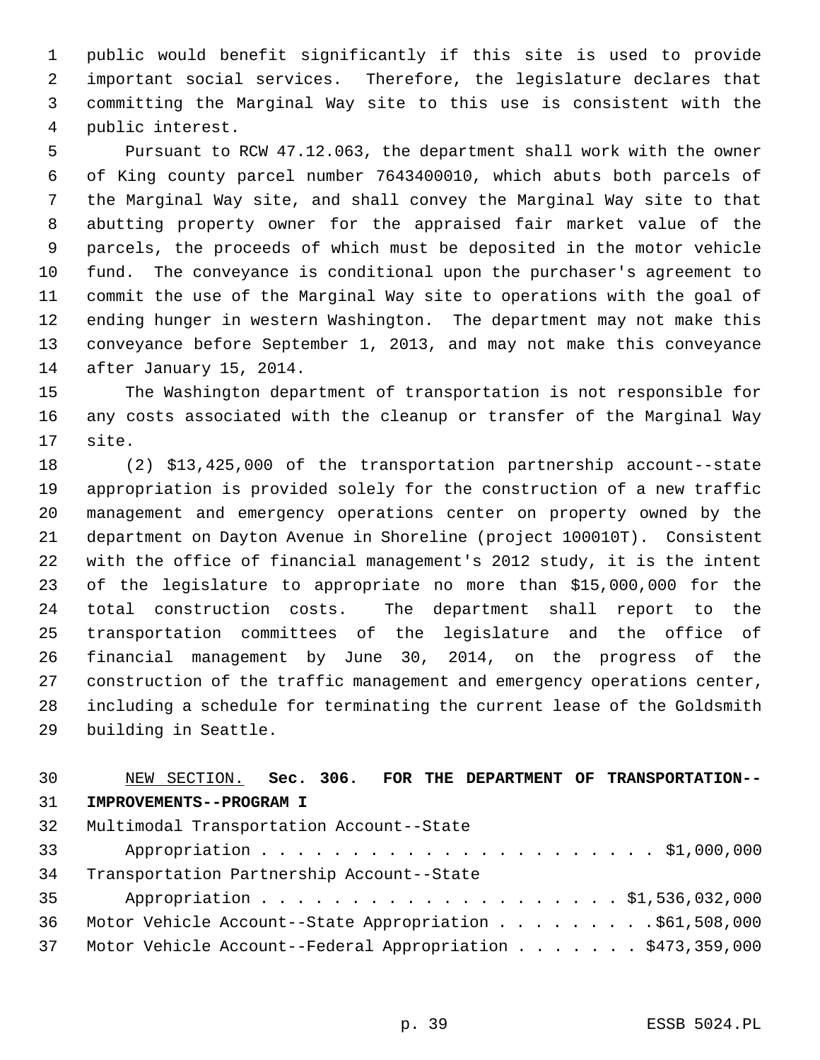1 public would benefit significantly if this site is used to provide 2 important social services. Therefore, the legislature declares that 3 committing the Marginal Way site to this use is consistent with the 4 public interest.

 5 Pursuant to RCW 47.12.063, the department shall work with the owner 6 of King county parcel number 7643400010, which abuts both parcels of 7 the Marginal Way site, and shall convey the Marginal Way site to that 8 abutting property owner for the appraised fair market value of the 9 parcels, the proceeds of which must be deposited in the motor vehicle 10 fund. The conveyance is conditional upon the purchaser's agreement to 11 commit the use of the Marginal Way site to operations with the goal of 12 ending hunger in western Washington. The department may not make this 13 conveyance before September 1, 2013, and may not make this conveyance 14 after January 15, 2014.

15 The Washington department of transportation is not responsible for 16 any costs associated with the cleanup or transfer of the Marginal Way 17 site.

18 (2) \$13,425,000 of the transportation partnership account--state 19 appropriation is provided solely for the construction of a new traffic 20 management and emergency operations center on property owned by the 21 department on Dayton Avenue in Shoreline (project 100010T). Consistent 22 with the office of financial management's 2012 study, it is the intent 23 of the legislature to appropriate no more than \$15,000,000 for the 24 total construction costs. The department shall report to the 25 transportation committees of the legislature and the office of 26 financial management by June 30, 2014, on the progress of the 27 construction of the traffic management and emergency operations center, 28 including a schedule for terminating the current lease of the Goldsmith 29 building in Seattle.

### 30 NEW SECTION. **Sec. 306. FOR THE DEPARTMENT OF TRANSPORTATION--** 31 **IMPROVEMENTS--PROGRAM I**

| 32 | Multimodal Transportation Account--State                      |
|----|---------------------------------------------------------------|
| 33 |                                                               |
| 34 | Transportation Partnership Account--State                     |
| 35 |                                                               |
| 36 | Motor Vehicle Account--State Appropriation \$61,508,000       |
|    | 37 Motor Vehicle Account--Federal Appropriation \$473,359,000 |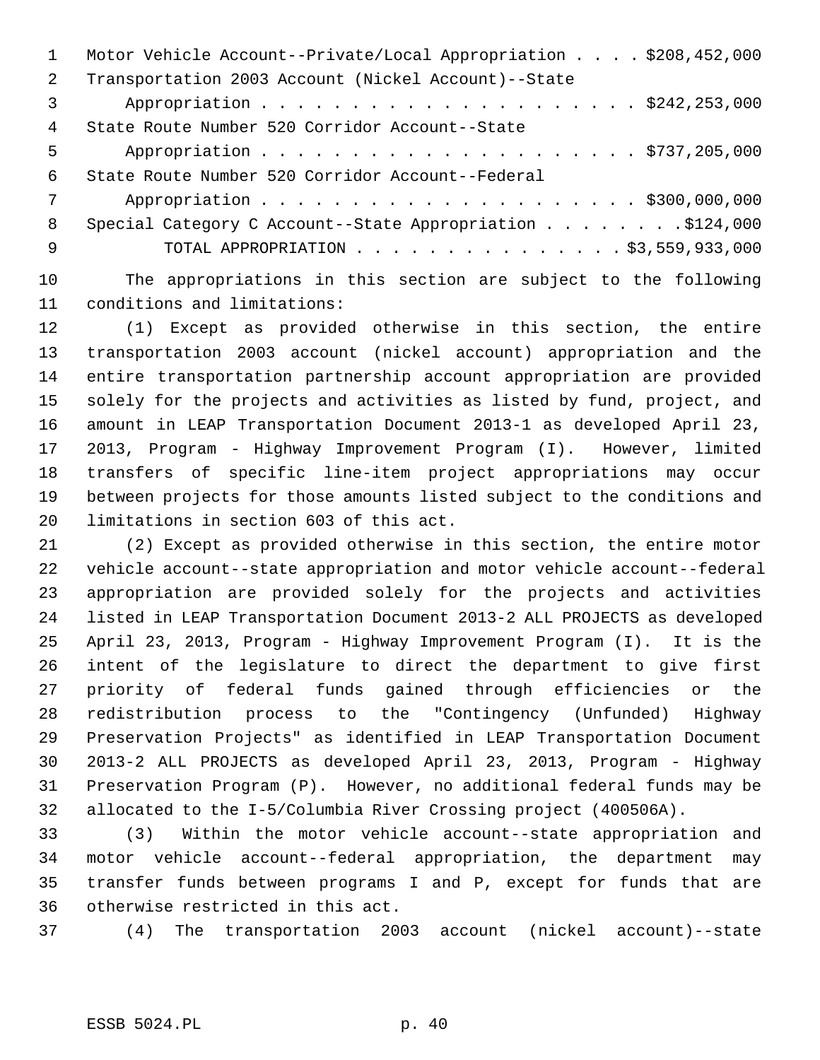|               | Motor Vehicle Account--Private/Local Appropriation \$208,452,000 |
|---------------|------------------------------------------------------------------|
| $\mathcal{L}$ | Transportation 2003 Account (Nickel Account)--State              |
| 3             |                                                                  |
| 4             | State Route Number 520 Corridor Account--State                   |
| 5             |                                                                  |
| 6             | State Route Number 520 Corridor Account--Federal                 |
| 7             |                                                                  |
| 8             |                                                                  |
| -9            | TOTAL APPROPRIATION \$3,559,933,000                              |
|               |                                                                  |

10 The appropriations in this section are subject to the following 11 conditions and limitations:

12 (1) Except as provided otherwise in this section, the entire 13 transportation 2003 account (nickel account) appropriation and the 14 entire transportation partnership account appropriation are provided 15 solely for the projects and activities as listed by fund, project, and 16 amount in LEAP Transportation Document 2013-1 as developed April 23, 17 2013, Program - Highway Improvement Program (I). However, limited 18 transfers of specific line-item project appropriations may occur 19 between projects for those amounts listed subject to the conditions and 20 limitations in section 603 of this act.

21 (2) Except as provided otherwise in this section, the entire motor 22 vehicle account--state appropriation and motor vehicle account--federal 23 appropriation are provided solely for the projects and activities 24 listed in LEAP Transportation Document 2013-2 ALL PROJECTS as developed 25 April 23, 2013, Program - Highway Improvement Program (I). It is the 26 intent of the legislature to direct the department to give first 27 priority of federal funds gained through efficiencies or the 28 redistribution process to the "Contingency (Unfunded) Highway 29 Preservation Projects" as identified in LEAP Transportation Document 30 2013-2 ALL PROJECTS as developed April 23, 2013, Program - Highway 31 Preservation Program (P). However, no additional federal funds may be 32 allocated to the I-5/Columbia River Crossing project (400506A).

33 (3) Within the motor vehicle account--state appropriation and 34 motor vehicle account--federal appropriation, the department may 35 transfer funds between programs I and P, except for funds that are 36 otherwise restricted in this act.

37 (4) The transportation 2003 account (nickel account)--state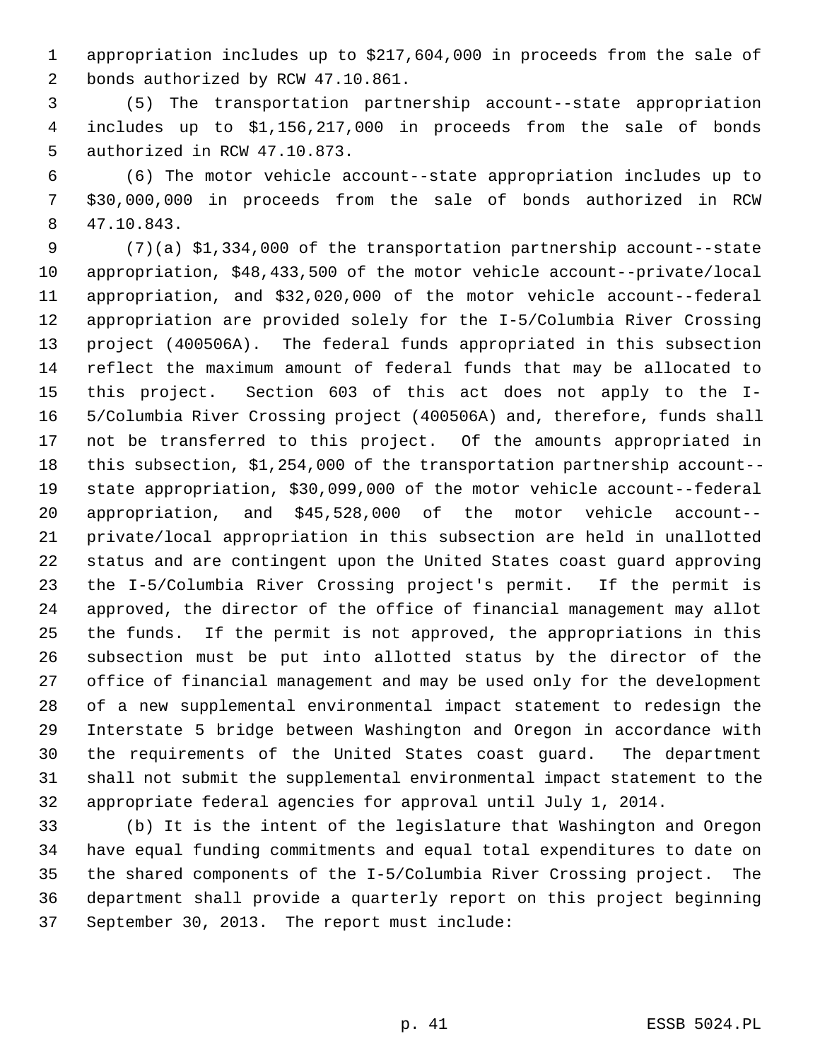1 appropriation includes up to \$217,604,000 in proceeds from the sale of 2 bonds authorized by RCW 47.10.861.

 3 (5) The transportation partnership account--state appropriation 4 includes up to \$1,156,217,000 in proceeds from the sale of bonds 5 authorized in RCW 47.10.873.

 6 (6) The motor vehicle account--state appropriation includes up to 7 \$30,000,000 in proceeds from the sale of bonds authorized in RCW 8 47.10.843.

 9 (7)(a) \$1,334,000 of the transportation partnership account--state 10 appropriation, \$48,433,500 of the motor vehicle account--private/local 11 appropriation, and \$32,020,000 of the motor vehicle account--federal 12 appropriation are provided solely for the I-5/Columbia River Crossing 13 project (400506A). The federal funds appropriated in this subsection 14 reflect the maximum amount of federal funds that may be allocated to 15 this project. Section 603 of this act does not apply to the I-16 5/Columbia River Crossing project (400506A) and, therefore, funds shall 17 not be transferred to this project. Of the amounts appropriated in 18 this subsection, \$1,254,000 of the transportation partnership account-- 19 state appropriation, \$30,099,000 of the motor vehicle account--federal 20 appropriation, and \$45,528,000 of the motor vehicle account-- 21 private/local appropriation in this subsection are held in unallotted 22 status and are contingent upon the United States coast guard approving 23 the I-5/Columbia River Crossing project's permit. If the permit is 24 approved, the director of the office of financial management may allot 25 the funds. If the permit is not approved, the appropriations in this 26 subsection must be put into allotted status by the director of the 27 office of financial management and may be used only for the development 28 of a new supplemental environmental impact statement to redesign the 29 Interstate 5 bridge between Washington and Oregon in accordance with 30 the requirements of the United States coast guard. The department 31 shall not submit the supplemental environmental impact statement to the 32 appropriate federal agencies for approval until July 1, 2014.

33 (b) It is the intent of the legislature that Washington and Oregon 34 have equal funding commitments and equal total expenditures to date on 35 the shared components of the I-5/Columbia River Crossing project. The 36 department shall provide a quarterly report on this project beginning 37 September 30, 2013. The report must include: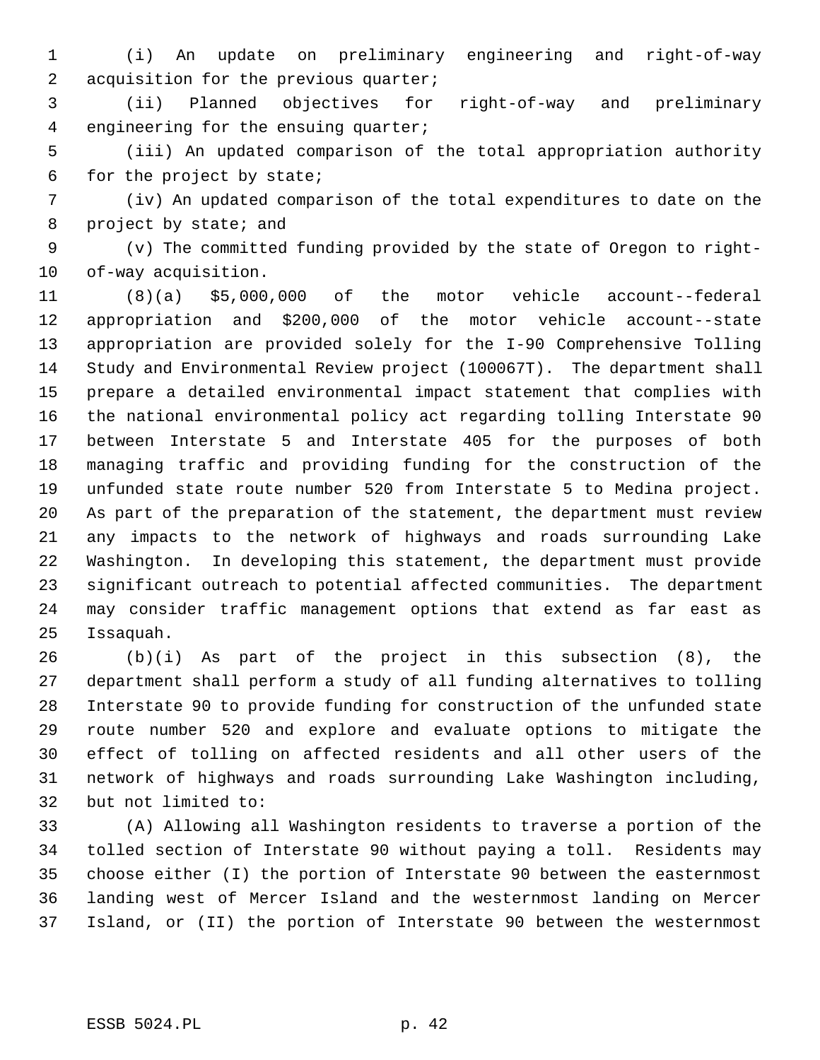1 (i) An update on preliminary engineering and right-of-way 2 acquisition for the previous quarter;

 3 (ii) Planned objectives for right-of-way and preliminary 4 engineering for the ensuing quarter;

 5 (iii) An updated comparison of the total appropriation authority 6 for the project by state;

 7 (iv) An updated comparison of the total expenditures to date on the 8 project by state; and

 9 (v) The committed funding provided by the state of Oregon to right-10 of-way acquisition.

11 (8)(a) \$5,000,000 of the motor vehicle account--federal 12 appropriation and \$200,000 of the motor vehicle account--state 13 appropriation are provided solely for the I-90 Comprehensive Tolling 14 Study and Environmental Review project (100067T). The department shall 15 prepare a detailed environmental impact statement that complies with 16 the national environmental policy act regarding tolling Interstate 90 17 between Interstate 5 and Interstate 405 for the purposes of both 18 managing traffic and providing funding for the construction of the 19 unfunded state route number 520 from Interstate 5 to Medina project. 20 As part of the preparation of the statement, the department must review 21 any impacts to the network of highways and roads surrounding Lake 22 Washington. In developing this statement, the department must provide 23 significant outreach to potential affected communities. The department 24 may consider traffic management options that extend as far east as 25 Issaquah.

26 (b)(i) As part of the project in this subsection (8), the 27 department shall perform a study of all funding alternatives to tolling 28 Interstate 90 to provide funding for construction of the unfunded state 29 route number 520 and explore and evaluate options to mitigate the 30 effect of tolling on affected residents and all other users of the 31 network of highways and roads surrounding Lake Washington including, 32 but not limited to:

33 (A) Allowing all Washington residents to traverse a portion of the 34 tolled section of Interstate 90 without paying a toll. Residents may 35 choose either (I) the portion of Interstate 90 between the easternmost 36 landing west of Mercer Island and the westernmost landing on Mercer 37 Island, or (II) the portion of Interstate 90 between the westernmost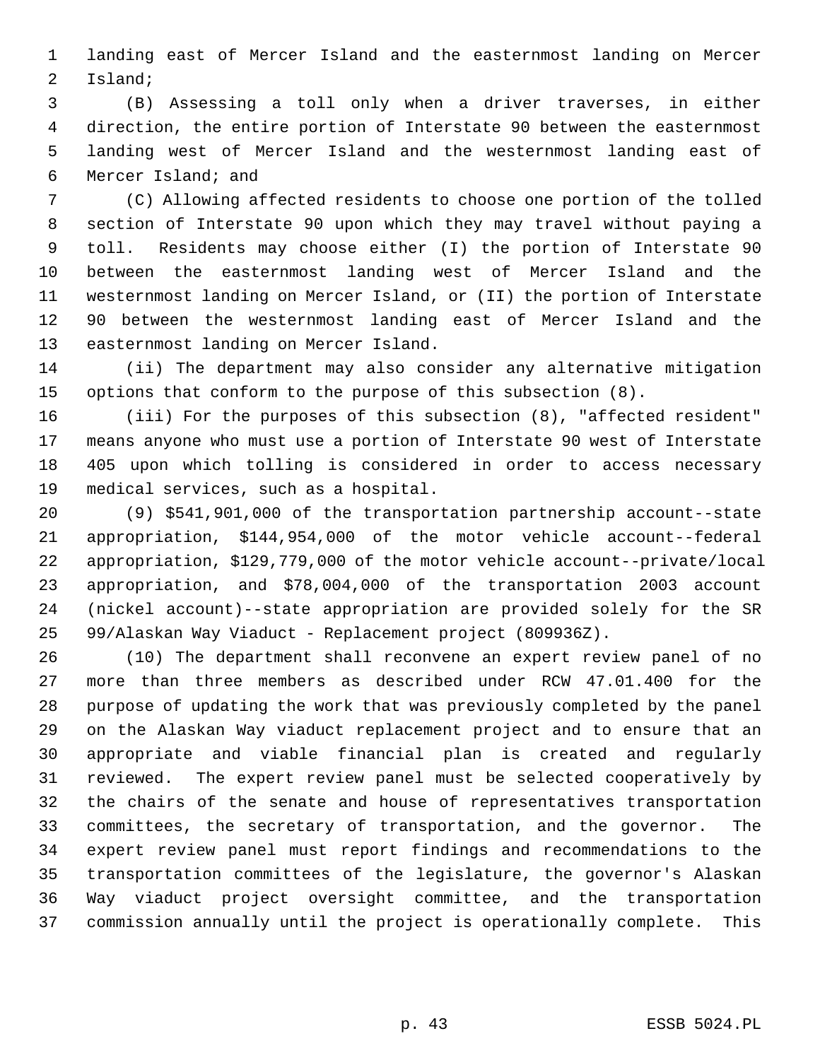1 landing east of Mercer Island and the easternmost landing on Mercer 2 Island;

 3 (B) Assessing a toll only when a driver traverses, in either 4 direction, the entire portion of Interstate 90 between the easternmost 5 landing west of Mercer Island and the westernmost landing east of 6 Mercer Island; and

 7 (C) Allowing affected residents to choose one portion of the tolled 8 section of Interstate 90 upon which they may travel without paying a 9 toll. Residents may choose either (I) the portion of Interstate 90 10 between the easternmost landing west of Mercer Island and the 11 westernmost landing on Mercer Island, or (II) the portion of Interstate 12 90 between the westernmost landing east of Mercer Island and the 13 easternmost landing on Mercer Island.

14 (ii) The department may also consider any alternative mitigation 15 options that conform to the purpose of this subsection (8).

16 (iii) For the purposes of this subsection (8), "affected resident" 17 means anyone who must use a portion of Interstate 90 west of Interstate 18 405 upon which tolling is considered in order to access necessary 19 medical services, such as a hospital.

20 (9) \$541,901,000 of the transportation partnership account--state 21 appropriation, \$144,954,000 of the motor vehicle account--federal 22 appropriation, \$129,779,000 of the motor vehicle account--private/local 23 appropriation, and \$78,004,000 of the transportation 2003 account 24 (nickel account)--state appropriation are provided solely for the SR 25 99/Alaskan Way Viaduct - Replacement project (809936Z).

26 (10) The department shall reconvene an expert review panel of no 27 more than three members as described under RCW 47.01.400 for the 28 purpose of updating the work that was previously completed by the panel 29 on the Alaskan Way viaduct replacement project and to ensure that an 30 appropriate and viable financial plan is created and regularly 31 reviewed. The expert review panel must be selected cooperatively by 32 the chairs of the senate and house of representatives transportation 33 committees, the secretary of transportation, and the governor. The 34 expert review panel must report findings and recommendations to the 35 transportation committees of the legislature, the governor's Alaskan 36 Way viaduct project oversight committee, and the transportation 37 commission annually until the project is operationally complete. This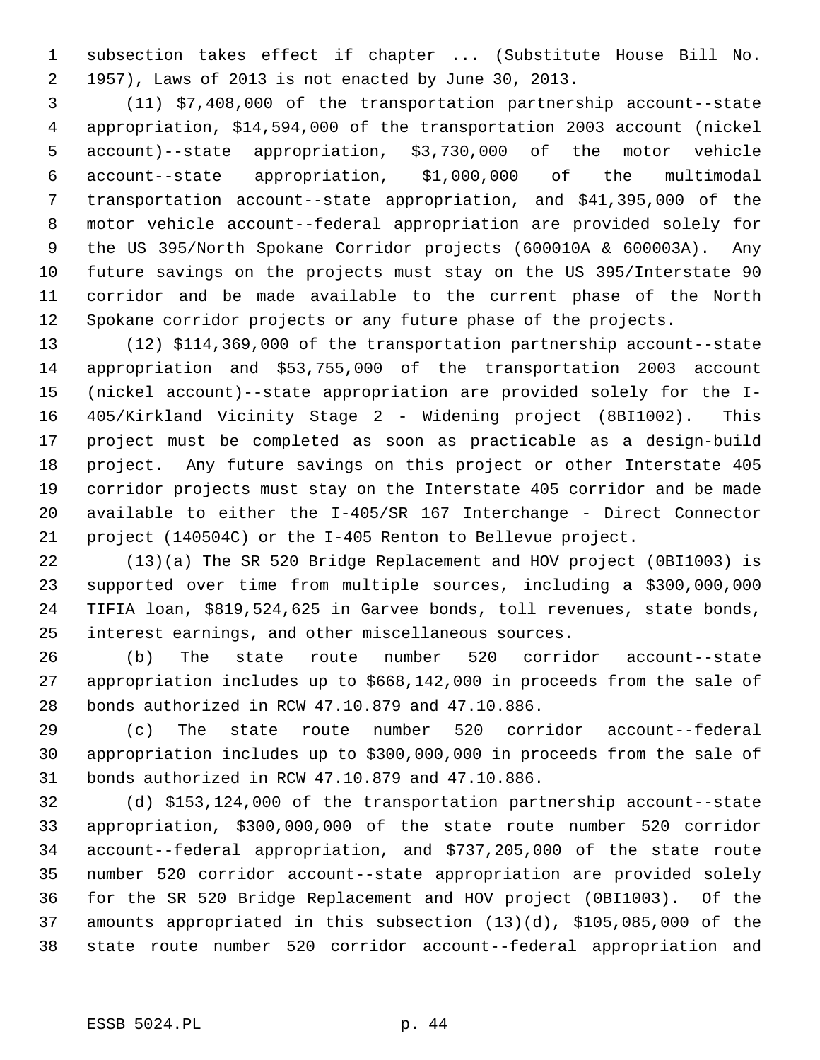1 subsection takes effect if chapter ... (Substitute House Bill No. 2 1957), Laws of 2013 is not enacted by June 30, 2013.

 3 (11) \$7,408,000 of the transportation partnership account--state 4 appropriation, \$14,594,000 of the transportation 2003 account (nickel 5 account)--state appropriation, \$3,730,000 of the motor vehicle 6 account--state appropriation, \$1,000,000 of the multimodal 7 transportation account--state appropriation, and \$41,395,000 of the 8 motor vehicle account--federal appropriation are provided solely for 9 the US 395/North Spokane Corridor projects (600010A & 600003A). Any 10 future savings on the projects must stay on the US 395/Interstate 90 11 corridor and be made available to the current phase of the North 12 Spokane corridor projects or any future phase of the projects.

13 (12) \$114,369,000 of the transportation partnership account--state 14 appropriation and \$53,755,000 of the transportation 2003 account 15 (nickel account)--state appropriation are provided solely for the I-16 405/Kirkland Vicinity Stage 2 - Widening project (8BI1002). This 17 project must be completed as soon as practicable as a design-build 18 project. Any future savings on this project or other Interstate 405 19 corridor projects must stay on the Interstate 405 corridor and be made 20 available to either the I-405/SR 167 Interchange - Direct Connector 21 project (140504C) or the I-405 Renton to Bellevue project.

22 (13)(a) The SR 520 Bridge Replacement and HOV project (0BI1003) is 23 supported over time from multiple sources, including a \$300,000,000 24 TIFIA loan, \$819,524,625 in Garvee bonds, toll revenues, state bonds, 25 interest earnings, and other miscellaneous sources.

26 (b) The state route number 520 corridor account--state 27 appropriation includes up to \$668,142,000 in proceeds from the sale of 28 bonds authorized in RCW 47.10.879 and 47.10.886.

29 (c) The state route number 520 corridor account--federal 30 appropriation includes up to \$300,000,000 in proceeds from the sale of 31 bonds authorized in RCW 47.10.879 and 47.10.886.

32 (d) \$153,124,000 of the transportation partnership account--state 33 appropriation, \$300,000,000 of the state route number 520 corridor 34 account--federal appropriation, and \$737,205,000 of the state route 35 number 520 corridor account--state appropriation are provided solely 36 for the SR 520 Bridge Replacement and HOV project (0BI1003). Of the 37 amounts appropriated in this subsection (13)(d), \$105,085,000 of the 38 state route number 520 corridor account--federal appropriation and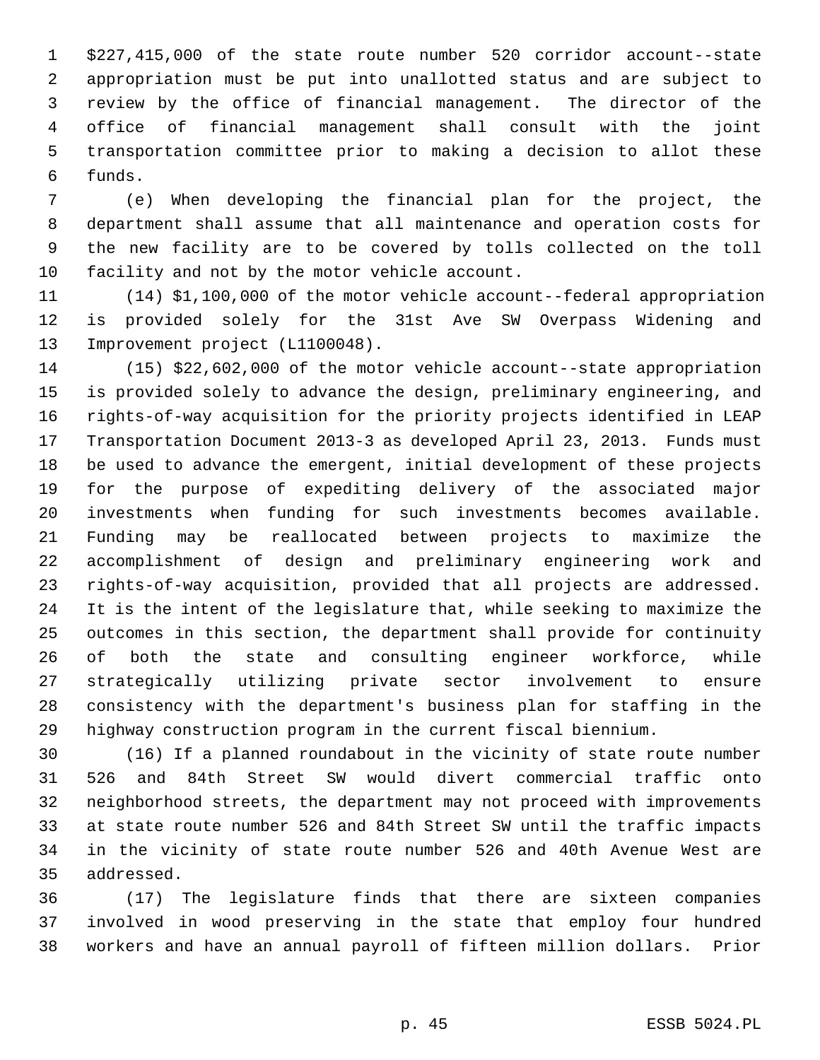1 \$227,415,000 of the state route number 520 corridor account--state 2 appropriation must be put into unallotted status and are subject to 3 review by the office of financial management. The director of the 4 office of financial management shall consult with the joint 5 transportation committee prior to making a decision to allot these 6 funds.

 7 (e) When developing the financial plan for the project, the 8 department shall assume that all maintenance and operation costs for 9 the new facility are to be covered by tolls collected on the toll 10 facility and not by the motor vehicle account.

11 (14) \$1,100,000 of the motor vehicle account--federal appropriation 12 is provided solely for the 31st Ave SW Overpass Widening and 13 Improvement project (L1100048).

14 (15) \$22,602,000 of the motor vehicle account--state appropriation 15 is provided solely to advance the design, preliminary engineering, and 16 rights-of-way acquisition for the priority projects identified in LEAP 17 Transportation Document 2013-3 as developed April 23, 2013. Funds must 18 be used to advance the emergent, initial development of these projects 19 for the purpose of expediting delivery of the associated major 20 investments when funding for such investments becomes available. 21 Funding may be reallocated between projects to maximize the 22 accomplishment of design and preliminary engineering work and 23 rights-of-way acquisition, provided that all projects are addressed. 24 It is the intent of the legislature that, while seeking to maximize the 25 outcomes in this section, the department shall provide for continuity 26 of both the state and consulting engineer workforce, while 27 strategically utilizing private sector involvement to ensure 28 consistency with the department's business plan for staffing in the 29 highway construction program in the current fiscal biennium.

30 (16) If a planned roundabout in the vicinity of state route number 31 526 and 84th Street SW would divert commercial traffic onto 32 neighborhood streets, the department may not proceed with improvements 33 at state route number 526 and 84th Street SW until the traffic impacts 34 in the vicinity of state route number 526 and 40th Avenue West are 35 addressed.

36 (17) The legislature finds that there are sixteen companies 37 involved in wood preserving in the state that employ four hundred 38 workers and have an annual payroll of fifteen million dollars. Prior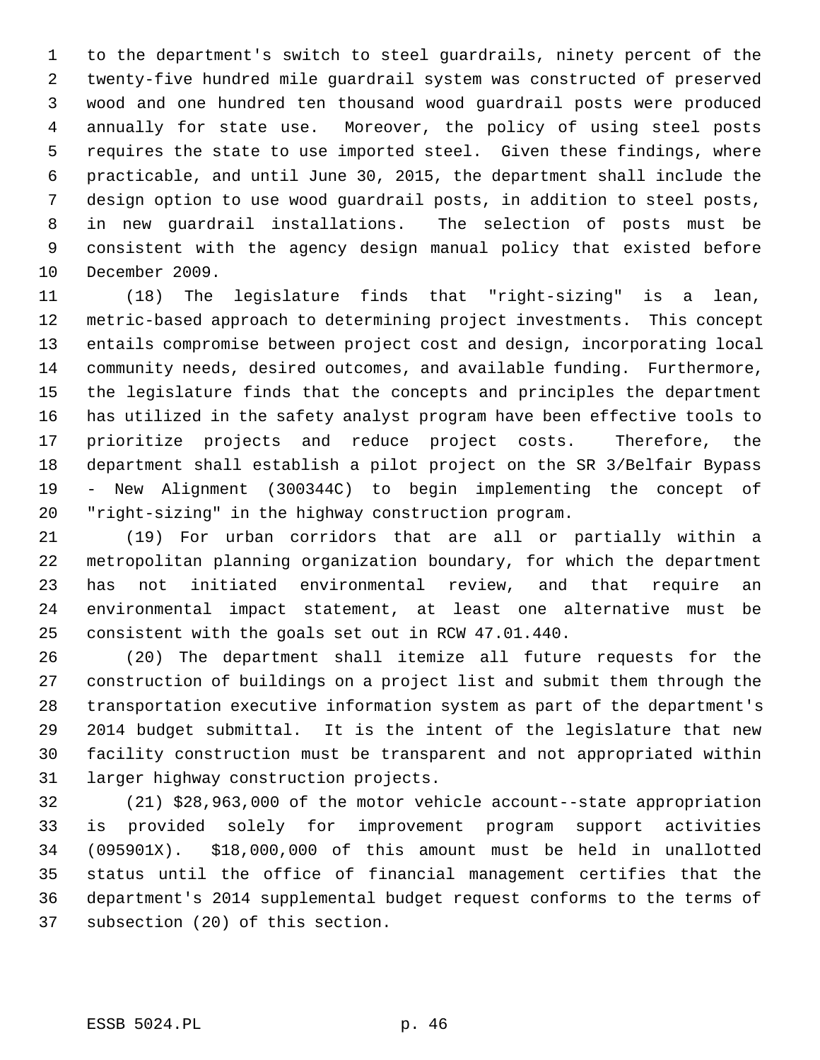1 to the department's switch to steel guardrails, ninety percent of the 2 twenty-five hundred mile guardrail system was constructed of preserved 3 wood and one hundred ten thousand wood guardrail posts were produced 4 annually for state use. Moreover, the policy of using steel posts 5 requires the state to use imported steel. Given these findings, where 6 practicable, and until June 30, 2015, the department shall include the 7 design option to use wood guardrail posts, in addition to steel posts, 8 in new guardrail installations. The selection of posts must be 9 consistent with the agency design manual policy that existed before 10 December 2009.

11 (18) The legislature finds that "right-sizing" is a lean, 12 metric-based approach to determining project investments. This concept 13 entails compromise between project cost and design, incorporating local 14 community needs, desired outcomes, and available funding. Furthermore, 15 the legislature finds that the concepts and principles the department 16 has utilized in the safety analyst program have been effective tools to 17 prioritize projects and reduce project costs. Therefore, the 18 department shall establish a pilot project on the SR 3/Belfair Bypass 19 - New Alignment (300344C) to begin implementing the concept of 20 "right-sizing" in the highway construction program.

21 (19) For urban corridors that are all or partially within a 22 metropolitan planning organization boundary, for which the department 23 has not initiated environmental review, and that require an 24 environmental impact statement, at least one alternative must be 25 consistent with the goals set out in RCW 47.01.440.

26 (20) The department shall itemize all future requests for the 27 construction of buildings on a project list and submit them through the 28 transportation executive information system as part of the department's 29 2014 budget submittal. It is the intent of the legislature that new 30 facility construction must be transparent and not appropriated within 31 larger highway construction projects.

32 (21) \$28,963,000 of the motor vehicle account--state appropriation 33 is provided solely for improvement program support activities 34 (095901X). \$18,000,000 of this amount must be held in unallotted 35 status until the office of financial management certifies that the 36 department's 2014 supplemental budget request conforms to the terms of 37 subsection (20) of this section.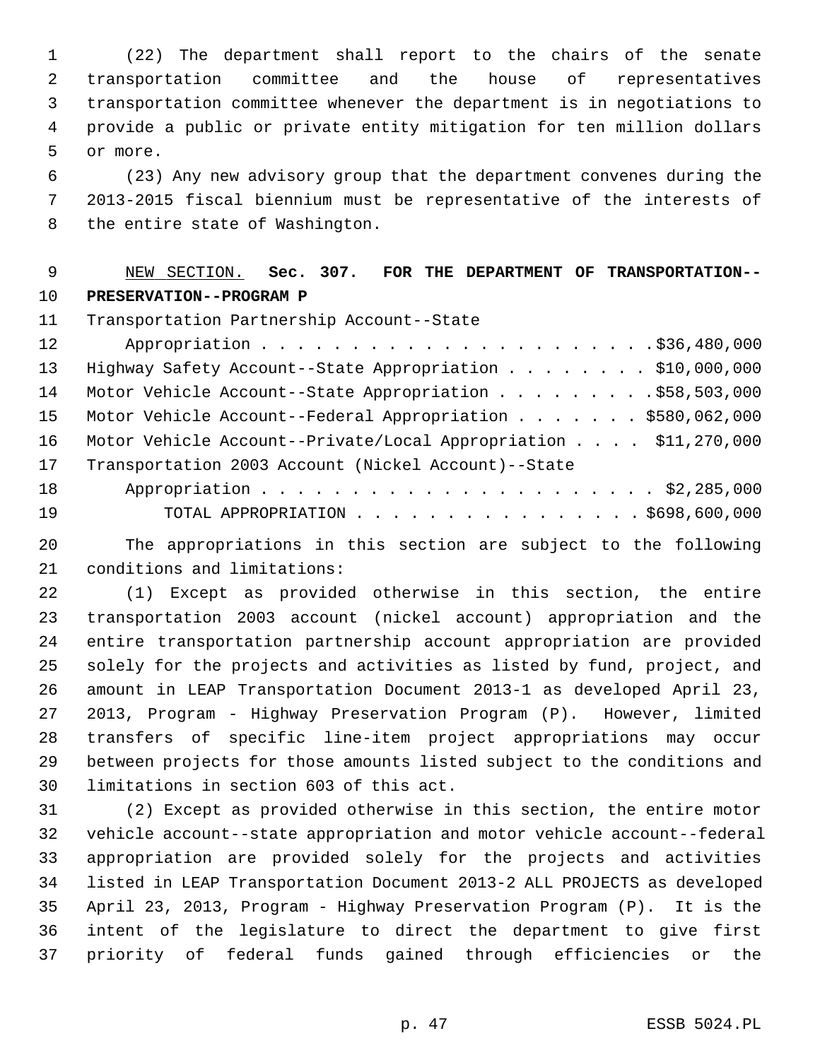1 (22) The department shall report to the chairs of the senate 2 transportation committee and the house of representatives 3 transportation committee whenever the department is in negotiations to 4 provide a public or private entity mitigation for ten million dollars 5 or more.

 6 (23) Any new advisory group that the department convenes during the 7 2013-2015 fiscal biennium must be representative of the interests of 8 the entire state of Washington.

# 9 NEW SECTION. **Sec. 307. FOR THE DEPARTMENT OF TRANSPORTATION--** 10 **PRESERVATION--PROGRAM P**

11 Transportation Partnership Account--State

| 12 |                                                                 |
|----|-----------------------------------------------------------------|
| 13 | Highway Safety Account--State Appropriation \$10,000,000        |
| 14 | Motor Vehicle Account--State Appropriation \$58,503,000         |
| 15 | Motor Vehicle Account--Federal Appropriation \$580,062,000      |
| 16 | Motor Vehicle Account--Private/Local Appropriation \$11,270,000 |
| 17 | Transportation 2003 Account (Nickel Account)--State             |
| 18 |                                                                 |
| 19 | TOTAL APPROPRIATION $\ldots$ , \$698,600,000                    |

20 The appropriations in this section are subject to the following 21 conditions and limitations:

22 (1) Except as provided otherwise in this section, the entire 23 transportation 2003 account (nickel account) appropriation and the 24 entire transportation partnership account appropriation are provided 25 solely for the projects and activities as listed by fund, project, and 26 amount in LEAP Transportation Document 2013-1 as developed April 23, 27 2013, Program - Highway Preservation Program (P). However, limited 28 transfers of specific line-item project appropriations may occur 29 between projects for those amounts listed subject to the conditions and 30 limitations in section 603 of this act.

31 (2) Except as provided otherwise in this section, the entire motor 32 vehicle account--state appropriation and motor vehicle account--federal 33 appropriation are provided solely for the projects and activities 34 listed in LEAP Transportation Document 2013-2 ALL PROJECTS as developed 35 April 23, 2013, Program - Highway Preservation Program (P). It is the 36 intent of the legislature to direct the department to give first 37 priority of federal funds gained through efficiencies or the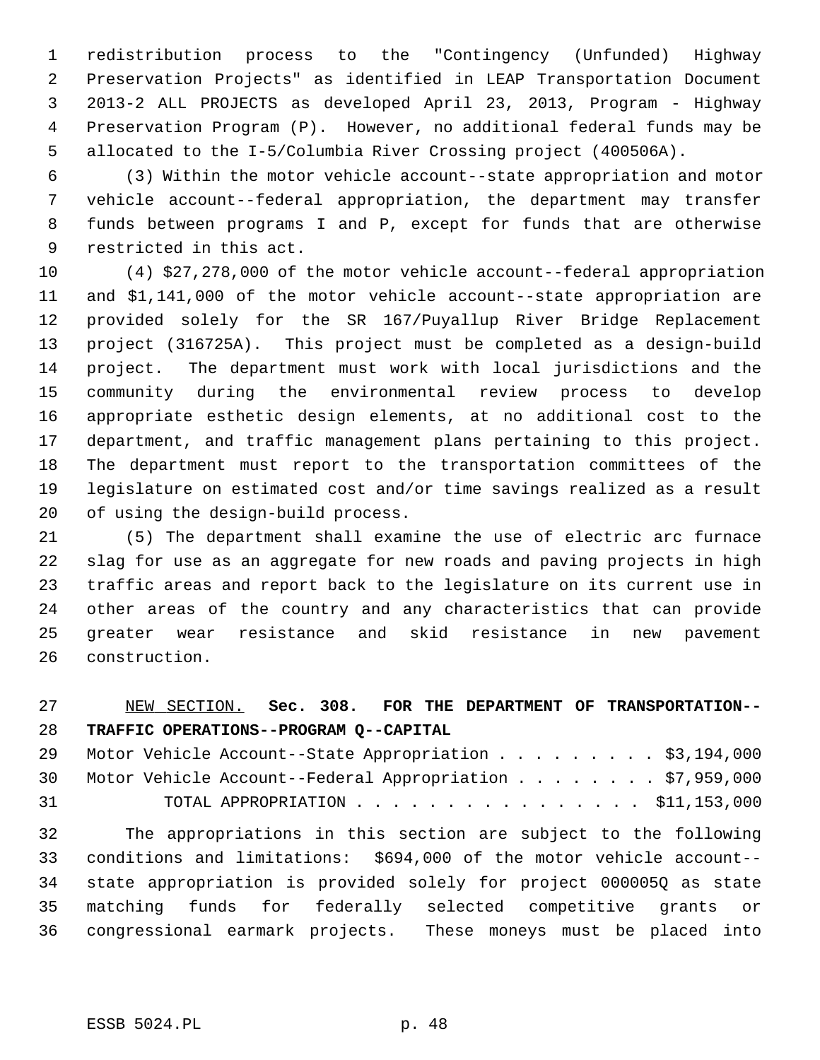1 redistribution process to the "Contingency (Unfunded) Highway 2 Preservation Projects" as identified in LEAP Transportation Document 3 2013-2 ALL PROJECTS as developed April 23, 2013, Program - Highway 4 Preservation Program (P). However, no additional federal funds may be 5 allocated to the I-5/Columbia River Crossing project (400506A).

 6 (3) Within the motor vehicle account--state appropriation and motor 7 vehicle account--federal appropriation, the department may transfer 8 funds between programs I and P, except for funds that are otherwise 9 restricted in this act.

10 (4) \$27,278,000 of the motor vehicle account--federal appropriation 11 and \$1,141,000 of the motor vehicle account--state appropriation are 12 provided solely for the SR 167/Puyallup River Bridge Replacement 13 project (316725A). This project must be completed as a design-build 14 project. The department must work with local jurisdictions and the 15 community during the environmental review process to develop 16 appropriate esthetic design elements, at no additional cost to the 17 department, and traffic management plans pertaining to this project. 18 The department must report to the transportation committees of the 19 legislature on estimated cost and/or time savings realized as a result 20 of using the design-build process.

21 (5) The department shall examine the use of electric arc furnace 22 slag for use as an aggregate for new roads and paving projects in high 23 traffic areas and report back to the legislature on its current use in 24 other areas of the country and any characteristics that can provide 25 greater wear resistance and skid resistance in new pavement 26 construction.

# 27 NEW SECTION. **Sec. 308. FOR THE DEPARTMENT OF TRANSPORTATION--** 28 **TRAFFIC OPERATIONS--PROGRAM Q--CAPITAL**

|    | 29 Motor Vehicle Account--State Appropriation \$3,194,000   |  |
|----|-------------------------------------------------------------|--|
|    | 30 Motor Vehicle Account--Federal Appropriation \$7,959,000 |  |
| 31 | TOTAL APPROPRIATION $\ldots$ , \$11,153,000                 |  |

32 The appropriations in this section are subject to the following 33 conditions and limitations: \$694,000 of the motor vehicle account-- 34 state appropriation is provided solely for project 000005Q as state 35 matching funds for federally selected competitive grants or 36 congressional earmark projects. These moneys must be placed into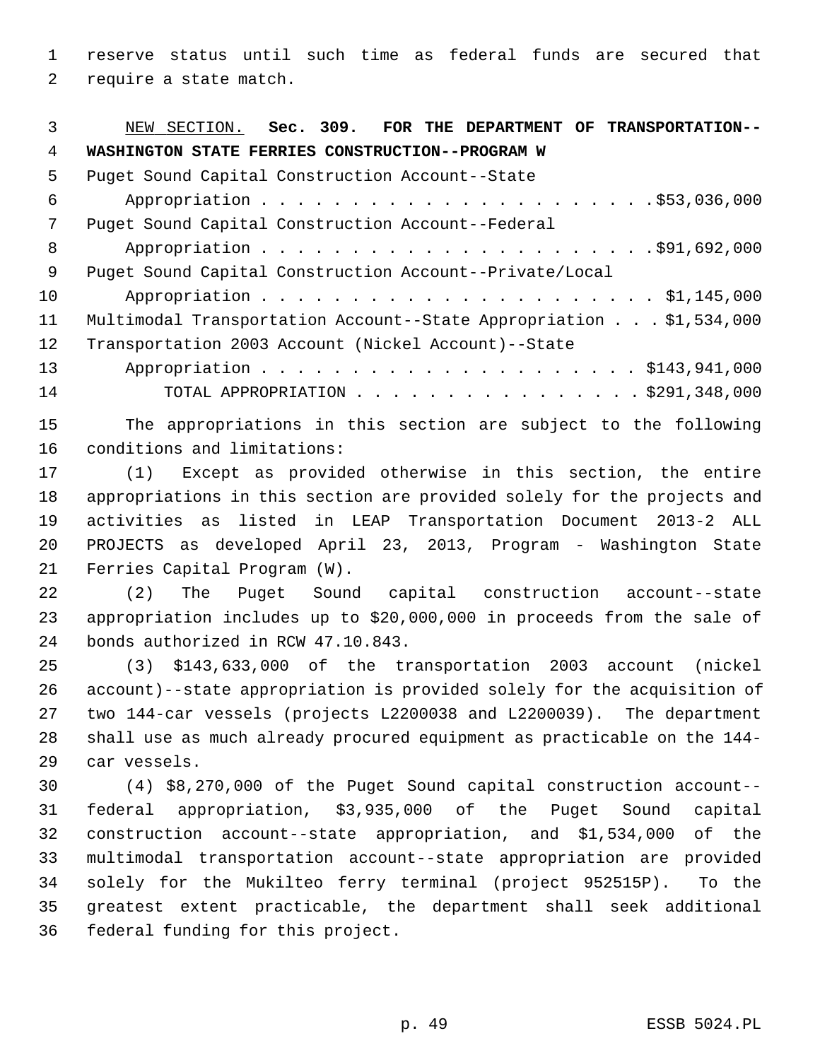1 reserve status until such time as federal funds are secured that 2 require a state match.

| 3  | NEW SECTION. Sec. 309. FOR THE DEPARTMENT OF TRANSPORTATION--      |
|----|--------------------------------------------------------------------|
| 4  | WASHINGTON STATE FERRIES CONSTRUCTION--PROGRAM W                   |
| 5  | Puget Sound Capital Construction Account--State                    |
| 6  |                                                                    |
| 7  | Puget Sound Capital Construction Account--Federal                  |
| 8  |                                                                    |
| 9  | Puget Sound Capital Construction Account--Private/Local            |
| 10 |                                                                    |
| 11 | Multimodal Transportation Account--State Appropriation \$1,534,000 |
| 12 | Transportation 2003 Account (Nickel Account)--State                |
| 13 |                                                                    |
| 14 | TOTAL APPROPRIATION \$291,348,000                                  |

15 The appropriations in this section are subject to the following 16 conditions and limitations:

17 (1) Except as provided otherwise in this section, the entire 18 appropriations in this section are provided solely for the projects and 19 activities as listed in LEAP Transportation Document 2013-2 ALL 20 PROJECTS as developed April 23, 2013, Program - Washington State 21 Ferries Capital Program (W).

22 (2) The Puget Sound capital construction account--state 23 appropriation includes up to \$20,000,000 in proceeds from the sale of 24 bonds authorized in RCW 47.10.843.

25 (3) \$143,633,000 of the transportation 2003 account (nickel 26 account)--state appropriation is provided solely for the acquisition of 27 two 144-car vessels (projects L2200038 and L2200039). The department 28 shall use as much already procured equipment as practicable on the 144- 29 car vessels.

30 (4) \$8,270,000 of the Puget Sound capital construction account-- 31 federal appropriation, \$3,935,000 of the Puget Sound capital 32 construction account--state appropriation, and \$1,534,000 of the 33 multimodal transportation account--state appropriation are provided 34 solely for the Mukilteo ferry terminal (project 952515P). To the 35 greatest extent practicable, the department shall seek additional 36 federal funding for this project.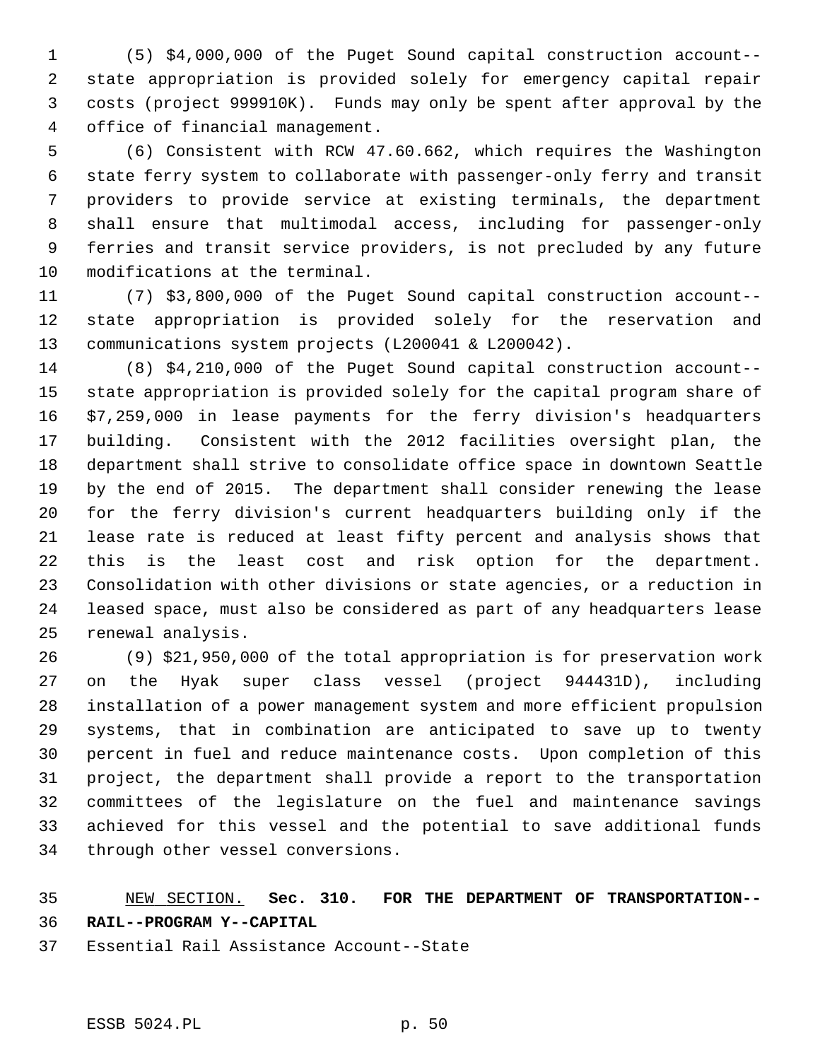1 (5) \$4,000,000 of the Puget Sound capital construction account-- 2 state appropriation is provided solely for emergency capital repair 3 costs (project 999910K). Funds may only be spent after approval by the 4 office of financial management.

 5 (6) Consistent with RCW 47.60.662, which requires the Washington 6 state ferry system to collaborate with passenger-only ferry and transit 7 providers to provide service at existing terminals, the department 8 shall ensure that multimodal access, including for passenger-only 9 ferries and transit service providers, is not precluded by any future 10 modifications at the terminal.

11 (7) \$3,800,000 of the Puget Sound capital construction account-- 12 state appropriation is provided solely for the reservation and 13 communications system projects (L200041 & L200042).

14 (8) \$4,210,000 of the Puget Sound capital construction account-- 15 state appropriation is provided solely for the capital program share of 16 \$7,259,000 in lease payments for the ferry division's headquarters 17 building. Consistent with the 2012 facilities oversight plan, the 18 department shall strive to consolidate office space in downtown Seattle 19 by the end of 2015. The department shall consider renewing the lease 20 for the ferry division's current headquarters building only if the 21 lease rate is reduced at least fifty percent and analysis shows that 22 this is the least cost and risk option for the department. 23 Consolidation with other divisions or state agencies, or a reduction in 24 leased space, must also be considered as part of any headquarters lease 25 renewal analysis.

26 (9) \$21,950,000 of the total appropriation is for preservation work 27 on the Hyak super class vessel (project 944431D), including 28 installation of a power management system and more efficient propulsion 29 systems, that in combination are anticipated to save up to twenty 30 percent in fuel and reduce maintenance costs. Upon completion of this 31 project, the department shall provide a report to the transportation 32 committees of the legislature on the fuel and maintenance savings 33 achieved for this vessel and the potential to save additional funds 34 through other vessel conversions.

#### 35 NEW SECTION. **Sec. 310. FOR THE DEPARTMENT OF TRANSPORTATION--** 36 **RAIL--PROGRAM Y--CAPITAL**

37 Essential Rail Assistance Account--State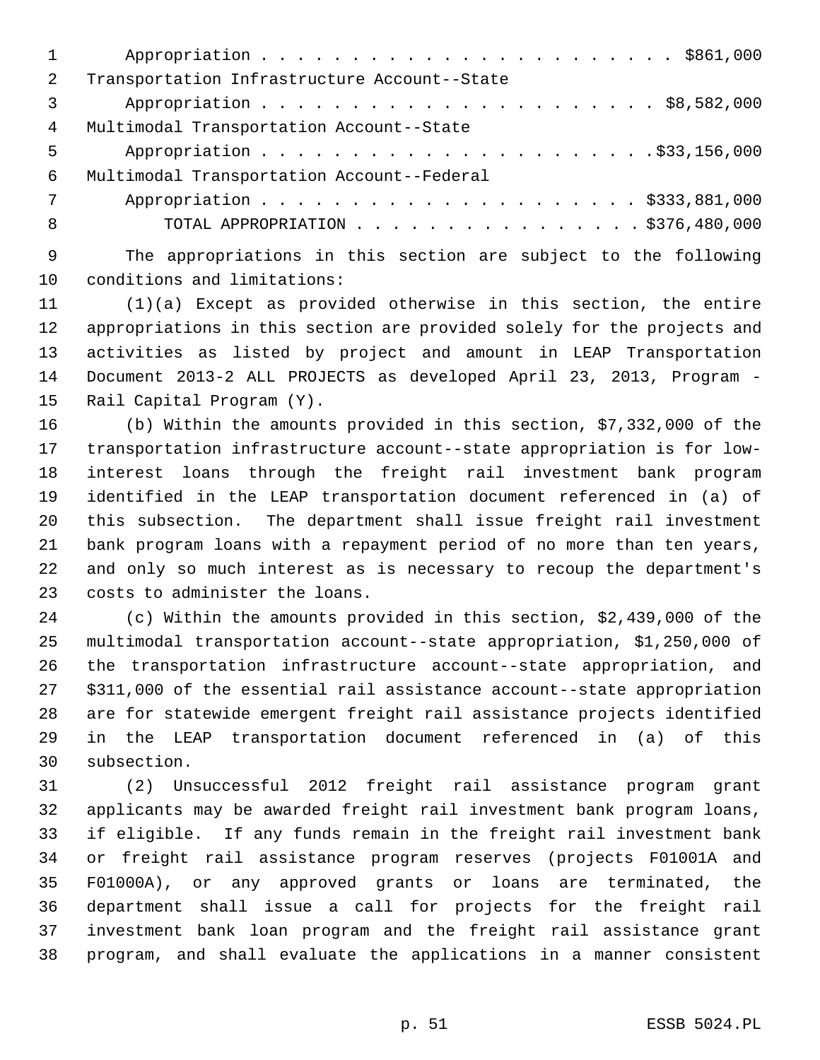| 2 | Transportation Infrastructure Account--State |
|---|----------------------------------------------|
| 3 |                                              |
| 4 | Multimodal Transportation Account--State     |
| 5 |                                              |
| 6 | Multimodal Transportation Account--Federal   |
| 7 |                                              |
| 8 | TOTAL APPROPRIATION $\ldots$ , \$376,480,000 |
|   |                                              |

 9 The appropriations in this section are subject to the following 10 conditions and limitations:

11 (1)(a) Except as provided otherwise in this section, the entire 12 appropriations in this section are provided solely for the projects and 13 activities as listed by project and amount in LEAP Transportation 14 Document 2013-2 ALL PROJECTS as developed April 23, 2013, Program - 15 Rail Capital Program (Y).

16 (b) Within the amounts provided in this section, \$7,332,000 of the 17 transportation infrastructure account--state appropriation is for low-18 interest loans through the freight rail investment bank program 19 identified in the LEAP transportation document referenced in (a) of 20 this subsection. The department shall issue freight rail investment 21 bank program loans with a repayment period of no more than ten years, 22 and only so much interest as is necessary to recoup the department's 23 costs to administer the loans.

24 (c) Within the amounts provided in this section, \$2,439,000 of the 25 multimodal transportation account--state appropriation, \$1,250,000 of 26 the transportation infrastructure account--state appropriation, and 27 \$311,000 of the essential rail assistance account--state appropriation 28 are for statewide emergent freight rail assistance projects identified 29 in the LEAP transportation document referenced in (a) of this 30 subsection.

31 (2) Unsuccessful 2012 freight rail assistance program grant 32 applicants may be awarded freight rail investment bank program loans, 33 if eligible. If any funds remain in the freight rail investment bank 34 or freight rail assistance program reserves (projects F01001A and 35 F01000A), or any approved grants or loans are terminated, the 36 department shall issue a call for projects for the freight rail 37 investment bank loan program and the freight rail assistance grant 38 program, and shall evaluate the applications in a manner consistent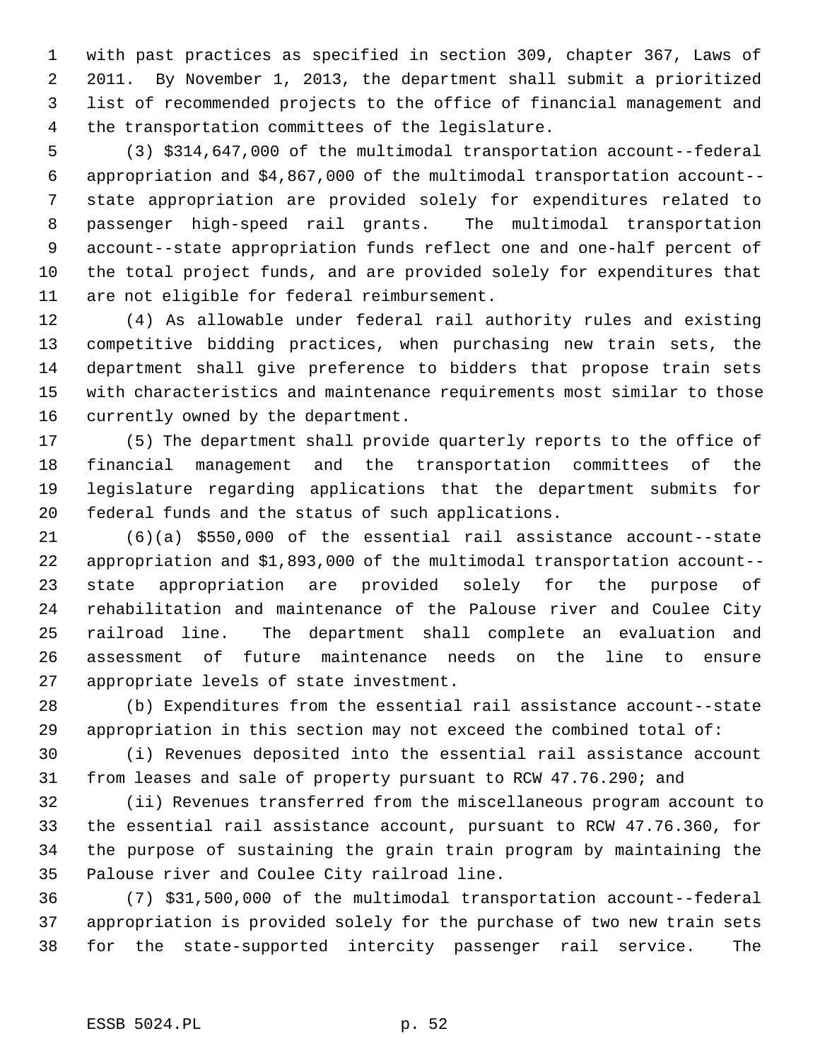1 with past practices as specified in section 309, chapter 367, Laws of 2 2011. By November 1, 2013, the department shall submit a prioritized 3 list of recommended projects to the office of financial management and 4 the transportation committees of the legislature.

 5 (3) \$314,647,000 of the multimodal transportation account--federal 6 appropriation and \$4,867,000 of the multimodal transportation account-- 7 state appropriation are provided solely for expenditures related to 8 passenger high-speed rail grants. The multimodal transportation 9 account--state appropriation funds reflect one and one-half percent of 10 the total project funds, and are provided solely for expenditures that 11 are not eligible for federal reimbursement.

12 (4) As allowable under federal rail authority rules and existing 13 competitive bidding practices, when purchasing new train sets, the 14 department shall give preference to bidders that propose train sets 15 with characteristics and maintenance requirements most similar to those 16 currently owned by the department.

17 (5) The department shall provide quarterly reports to the office of 18 financial management and the transportation committees of the 19 legislature regarding applications that the department submits for 20 federal funds and the status of such applications.

21 (6)(a) \$550,000 of the essential rail assistance account--state 22 appropriation and \$1,893,000 of the multimodal transportation account-- 23 state appropriation are provided solely for the purpose of 24 rehabilitation and maintenance of the Palouse river and Coulee City 25 railroad line. The department shall complete an evaluation and 26 assessment of future maintenance needs on the line to ensure 27 appropriate levels of state investment.

28 (b) Expenditures from the essential rail assistance account--state 29 appropriation in this section may not exceed the combined total of:

30 (i) Revenues deposited into the essential rail assistance account 31 from leases and sale of property pursuant to RCW 47.76.290; and

32 (ii) Revenues transferred from the miscellaneous program account to 33 the essential rail assistance account, pursuant to RCW 47.76.360, for 34 the purpose of sustaining the grain train program by maintaining the 35 Palouse river and Coulee City railroad line.

36 (7) \$31,500,000 of the multimodal transportation account--federal 37 appropriation is provided solely for the purchase of two new train sets 38 for the state-supported intercity passenger rail service. The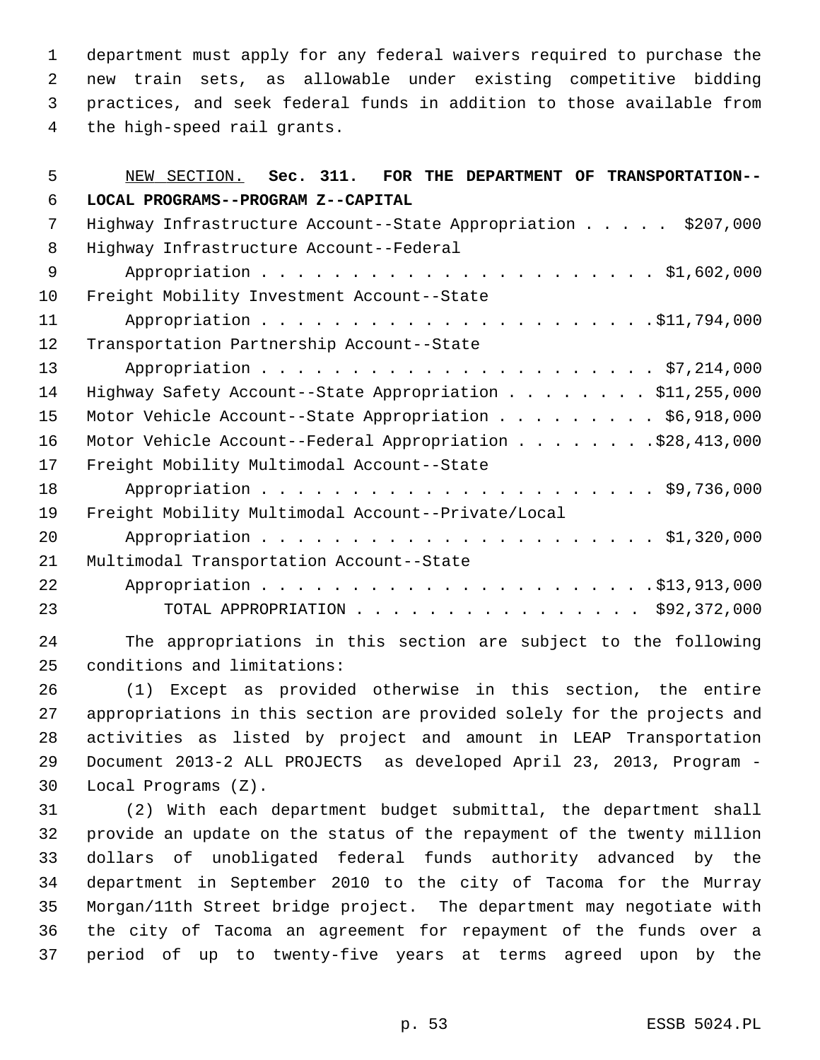1 department must apply for any federal waivers required to purchase the 2 new train sets, as allowable under existing competitive bidding 3 practices, and seek federal funds in addition to those available from 4 the high-speed rail grants.

| 5              | NEW SECTION. Sec. 311. FOR THE DEPARTMENT OF TRANSPORTATION--                                                   |
|----------------|-----------------------------------------------------------------------------------------------------------------|
| 6              | LOCAL PROGRAMS--PROGRAM Z--CAPITAL                                                                              |
| 7              | Highway Infrastructure Account--State Appropriation \$207,000                                                   |
| 8              | Highway Infrastructure Account--Federal                                                                         |
| $\overline{9}$ |                                                                                                                 |
| 10             | Freight Mobility Investment Account--State                                                                      |
| 11             |                                                                                                                 |
| 12             | Transportation Partnership Account--State                                                                       |
| 13             |                                                                                                                 |
| 14             | Highway Safety Account--State Appropriation \$11,255,000                                                        |
| 15             | Motor Vehicle Account--State Appropriation \$6,918,000                                                          |
| 16             | Motor Vehicle Account--Federal Appropriation \$28,413,000                                                       |
| 17             | Freight Mobility Multimodal Account--State                                                                      |
| 18             |                                                                                                                 |
| 19             | Freight Mobility Multimodal Account--Private/Local                                                              |
| 20             |                                                                                                                 |
| 21             | Multimodal Transportation Account--State                                                                        |
| 22             |                                                                                                                 |
| 23             | TOTAL APPROPRIATION $\ldots$ \$92,372,000                                                                       |
| 24             | The appropriations in this section are subject to the following                                                 |
| 25             | conditions and limitations:                                                                                     |
| 26             | (1) Except as provided otherwise in this section, the entire                                                    |
| $\cap$         | o ma construire de la construcción de la construcción de la calidad de la construcción de la construcción de la |

27 appropriations in this section are provided solely for the projects and 28 activities as listed by project and amount in LEAP Transportation 29 Document 2013-2 ALL PROJECTS as developed April 23, 2013, Program - 30 Local Programs (Z).

31 (2) With each department budget submittal, the department shall 32 provide an update on the status of the repayment of the twenty million 33 dollars of unobligated federal funds authority advanced by the 34 department in September 2010 to the city of Tacoma for the Murray 35 Morgan/11th Street bridge project. The department may negotiate with 36 the city of Tacoma an agreement for repayment of the funds over a 37 period of up to twenty-five years at terms agreed upon by the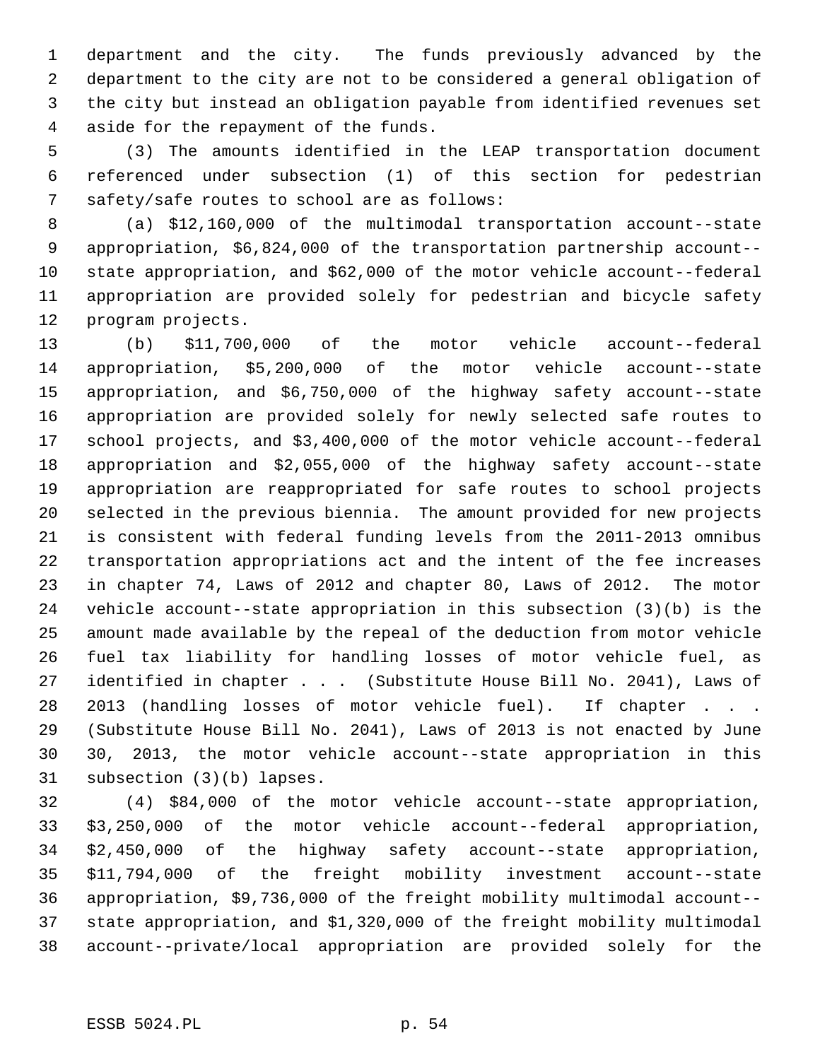1 department and the city. The funds previously advanced by the 2 department to the city are not to be considered a general obligation of 3 the city but instead an obligation payable from identified revenues set 4 aside for the repayment of the funds.

 5 (3) The amounts identified in the LEAP transportation document 6 referenced under subsection (1) of this section for pedestrian 7 safety/safe routes to school are as follows:

 8 (a) \$12,160,000 of the multimodal transportation account--state 9 appropriation, \$6,824,000 of the transportation partnership account-- 10 state appropriation, and \$62,000 of the motor vehicle account--federal 11 appropriation are provided solely for pedestrian and bicycle safety 12 program projects.

13 (b) \$11,700,000 of the motor vehicle account--federal 14 appropriation, \$5,200,000 of the motor vehicle account--state 15 appropriation, and \$6,750,000 of the highway safety account--state 16 appropriation are provided solely for newly selected safe routes to 17 school projects, and \$3,400,000 of the motor vehicle account--federal 18 appropriation and \$2,055,000 of the highway safety account--state 19 appropriation are reappropriated for safe routes to school projects 20 selected in the previous biennia. The amount provided for new projects 21 is consistent with federal funding levels from the 2011-2013 omnibus 22 transportation appropriations act and the intent of the fee increases 23 in chapter 74, Laws of 2012 and chapter 80, Laws of 2012. The motor 24 vehicle account--state appropriation in this subsection (3)(b) is the 25 amount made available by the repeal of the deduction from motor vehicle 26 fuel tax liability for handling losses of motor vehicle fuel, as 27 identified in chapter . . . (Substitute House Bill No. 2041), Laws of 28 2013 (handling losses of motor vehicle fuel). If chapter . . . 29 (Substitute House Bill No. 2041), Laws of 2013 is not enacted by June 30 30, 2013, the motor vehicle account--state appropriation in this 31 subsection (3)(b) lapses.

32 (4) \$84,000 of the motor vehicle account--state appropriation, 33 \$3,250,000 of the motor vehicle account--federal appropriation, 34 \$2,450,000 of the highway safety account--state appropriation, 35 \$11,794,000 of the freight mobility investment account--state 36 appropriation, \$9,736,000 of the freight mobility multimodal account-- 37 state appropriation, and \$1,320,000 of the freight mobility multimodal 38 account--private/local appropriation are provided solely for the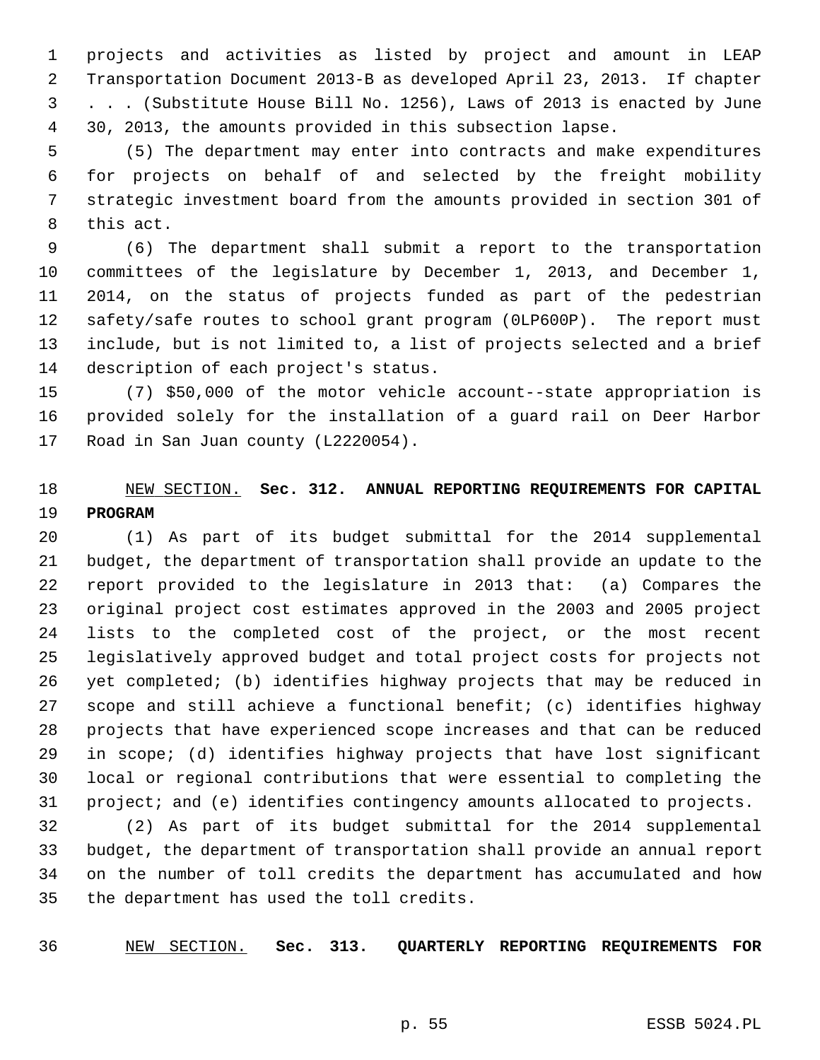1 projects and activities as listed by project and amount in LEAP 2 Transportation Document 2013-B as developed April 23, 2013. If chapter 3 . . . (Substitute House Bill No. 1256), Laws of 2013 is enacted by June 4 30, 2013, the amounts provided in this subsection lapse.

 5 (5) The department may enter into contracts and make expenditures 6 for projects on behalf of and selected by the freight mobility 7 strategic investment board from the amounts provided in section 301 of 8 this act.

 9 (6) The department shall submit a report to the transportation 10 committees of the legislature by December 1, 2013, and December 1, 11 2014, on the status of projects funded as part of the pedestrian 12 safety/safe routes to school grant program (0LP600P). The report must 13 include, but is not limited to, a list of projects selected and a brief 14 description of each project's status.

15 (7) \$50,000 of the motor vehicle account--state appropriation is 16 provided solely for the installation of a guard rail on Deer Harbor 17 Road in San Juan county (L2220054).

# 18 NEW SECTION. **Sec. 312. ANNUAL REPORTING REQUIREMENTS FOR CAPITAL** 19 **PROGRAM**

20 (1) As part of its budget submittal for the 2014 supplemental 21 budget, the department of transportation shall provide an update to the 22 report provided to the legislature in 2013 that: (a) Compares the 23 original project cost estimates approved in the 2003 and 2005 project 24 lists to the completed cost of the project, or the most recent 25 legislatively approved budget and total project costs for projects not 26 yet completed; (b) identifies highway projects that may be reduced in 27 scope and still achieve a functional benefit; (c) identifies highway 28 projects that have experienced scope increases and that can be reduced 29 in scope; (d) identifies highway projects that have lost significant 30 local or regional contributions that were essential to completing the 31 project; and (e) identifies contingency amounts allocated to projects.

32 (2) As part of its budget submittal for the 2014 supplemental 33 budget, the department of transportation shall provide an annual report 34 on the number of toll credits the department has accumulated and how 35 the department has used the toll credits.

36 NEW SECTION. **Sec. 313. QUARTERLY REPORTING REQUIREMENTS FOR**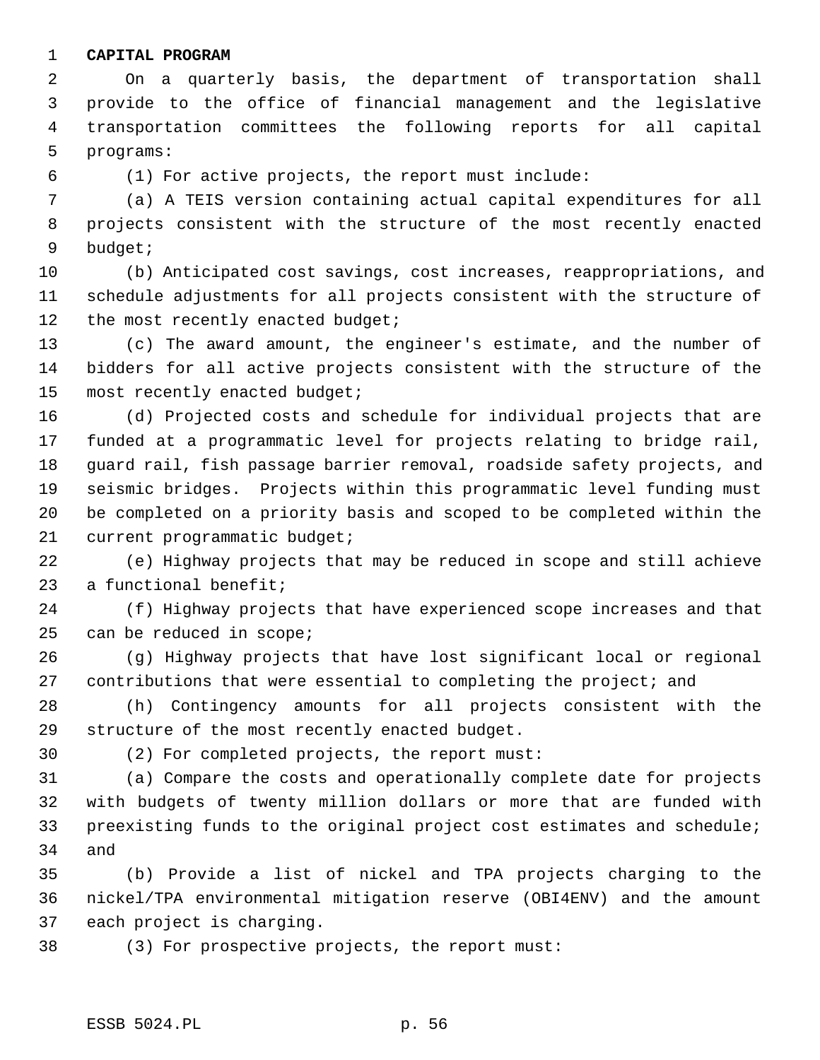#### 1 **CAPITAL PROGRAM**

 2 On a quarterly basis, the department of transportation shall 3 provide to the office of financial management and the legislative 4 transportation committees the following reports for all capital 5 programs:

6 (1) For active projects, the report must include:

 7 (a) A TEIS version containing actual capital expenditures for all 8 projects consistent with the structure of the most recently enacted 9 budget;

10 (b) Anticipated cost savings, cost increases, reappropriations, and 11 schedule adjustments for all projects consistent with the structure of 12 the most recently enacted budget;

13 (c) The award amount, the engineer's estimate, and the number of 14 bidders for all active projects consistent with the structure of the 15 most recently enacted budget;

16 (d) Projected costs and schedule for individual projects that are 17 funded at a programmatic level for projects relating to bridge rail, 18 guard rail, fish passage barrier removal, roadside safety projects, and 19 seismic bridges. Projects within this programmatic level funding must 20 be completed on a priority basis and scoped to be completed within the 21 current programmatic budget;

22 (e) Highway projects that may be reduced in scope and still achieve 23 a functional benefit;

24 (f) Highway projects that have experienced scope increases and that 25 can be reduced in scope;

26 (g) Highway projects that have lost significant local or regional 27 contributions that were essential to completing the project; and

28 (h) Contingency amounts for all projects consistent with the 29 structure of the most recently enacted budget.

30 (2) For completed projects, the report must:

31 (a) Compare the costs and operationally complete date for projects 32 with budgets of twenty million dollars or more that are funded with 33 preexisting funds to the original project cost estimates and schedule; 34 and

35 (b) Provide a list of nickel and TPA projects charging to the 36 nickel/TPA environmental mitigation reserve (OBI4ENV) and the amount 37 each project is charging.

38 (3) For prospective projects, the report must: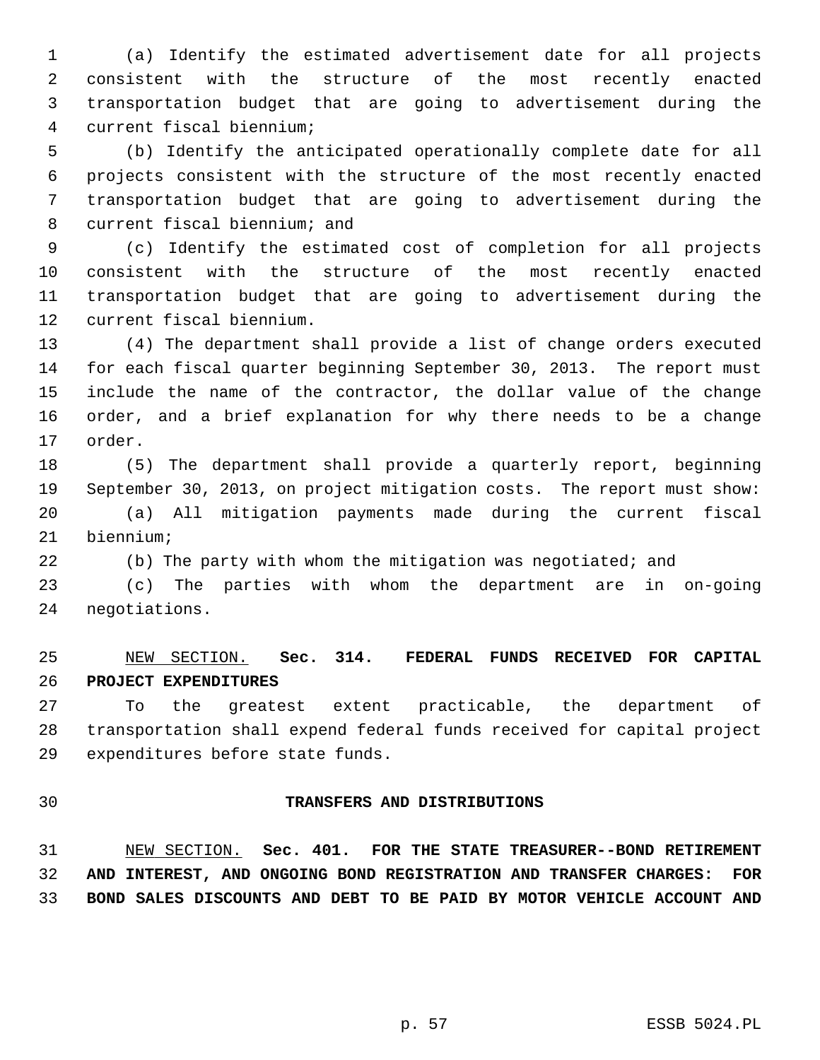1 (a) Identify the estimated advertisement date for all projects 2 consistent with the structure of the most recently enacted 3 transportation budget that are going to advertisement during the 4 current fiscal biennium;

 5 (b) Identify the anticipated operationally complete date for all 6 projects consistent with the structure of the most recently enacted 7 transportation budget that are going to advertisement during the 8 current fiscal biennium; and

 9 (c) Identify the estimated cost of completion for all projects 10 consistent with the structure of the most recently enacted 11 transportation budget that are going to advertisement during the 12 current fiscal biennium.

13 (4) The department shall provide a list of change orders executed 14 for each fiscal quarter beginning September 30, 2013. The report must 15 include the name of the contractor, the dollar value of the change 16 order, and a brief explanation for why there needs to be a change 17 order.

18 (5) The department shall provide a quarterly report, beginning 19 September 30, 2013, on project mitigation costs. The report must show: 20 (a) All mitigation payments made during the current fiscal 21 biennium;

22 (b) The party with whom the mitigation was negotiated; and

23 (c) The parties with whom the department are in on-going 24 negotiations.

# 25 NEW SECTION. **Sec. 314. FEDERAL FUNDS RECEIVED FOR CAPITAL** 26 **PROJECT EXPENDITURES**

27 To the greatest extent practicable, the department of 28 transportation shall expend federal funds received for capital project 29 expenditures before state funds.

#### 30 **TRANSFERS AND DISTRIBUTIONS**

31 NEW SECTION. **Sec. 401. FOR THE STATE TREASURER--BOND RETIREMENT** 32 **AND INTEREST, AND ONGOING BOND REGISTRATION AND TRANSFER CHARGES: FOR** 33 **BOND SALES DISCOUNTS AND DEBT TO BE PAID BY MOTOR VEHICLE ACCOUNT AND**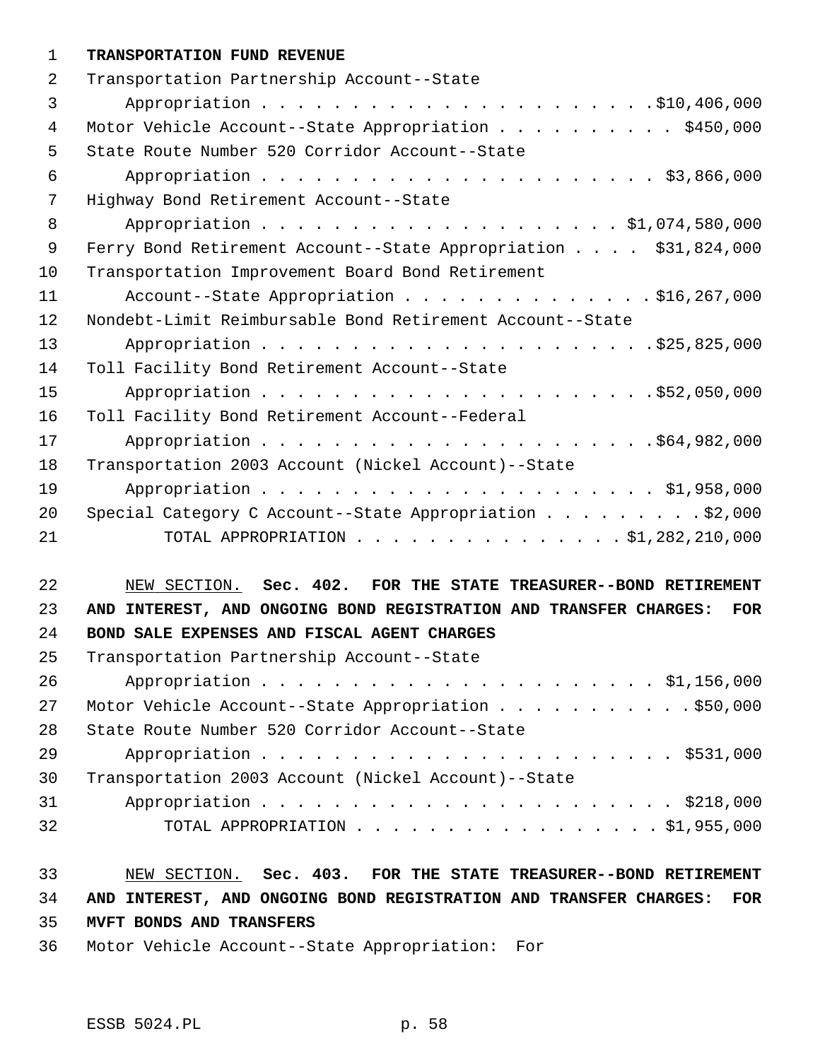#### 1 **TRANSPORTATION FUND REVENUE**

| 2  | Transportation Partnership Account--State                       |
|----|-----------------------------------------------------------------|
| 3  |                                                                 |
| 4  | Motor Vehicle Account--State Appropriation \$450,000            |
| 5  | State Route Number 520 Corridor Account--State                  |
| 6  |                                                                 |
| 7  | Highway Bond Retirement Account--State                          |
| 8  |                                                                 |
| 9  | Ferry Bond Retirement Account--State Appropriation \$31,824,000 |
| 10 | Transportation Improvement Board Bond Retirement                |
| 11 | Account--State Appropriation \$16,267,000                       |
| 12 | Nondebt-Limit Reimbursable Bond Retirement Account--State       |
| 13 |                                                                 |
| 14 | Toll Facility Bond Retirement Account--State                    |
| 15 |                                                                 |
| 16 | Toll Facility Bond Retirement Account--Federal                  |
| 17 |                                                                 |
| 18 | Transportation 2003 Account (Nickel Account)--State             |
| 19 |                                                                 |
| 20 | Special Category C Account--State Appropriation \$2,000         |
| 21 | TOTAL APPROPRIATION \$1,282,210,000                             |
|    |                                                                 |

# 22 NEW SECTION. **Sec. 402. FOR THE STATE TREASURER--BOND RETIREMENT** 23 **AND INTEREST, AND ONGOING BOND REGISTRATION AND TRANSFER CHARGES: FOR** 24 **BOND SALE EXPENSES AND FISCAL AGENT CHARGES**

| 25 | Transportation Partnership Account--State           |
|----|-----------------------------------------------------|
| 26 |                                                     |
| 27 | Motor Vehicle Account--State Appropriation \$50,000 |
| 28 | State Route Number 520 Corridor Account--State      |
| 29 |                                                     |
| 30 | Transportation 2003 Account (Nickel Account)--State |
| 31 |                                                     |
| 32 | TOTAL APPROPRIATION $\ldots$ , \$1,955,000          |

# 33 NEW SECTION. **Sec. 403. FOR THE STATE TREASURER--BOND RETIREMENT** 34 **AND INTEREST, AND ONGOING BOND REGISTRATION AND TRANSFER CHARGES: FOR** 35 **MVFT BONDS AND TRANSFERS**

36 Motor Vehicle Account--State Appropriation: For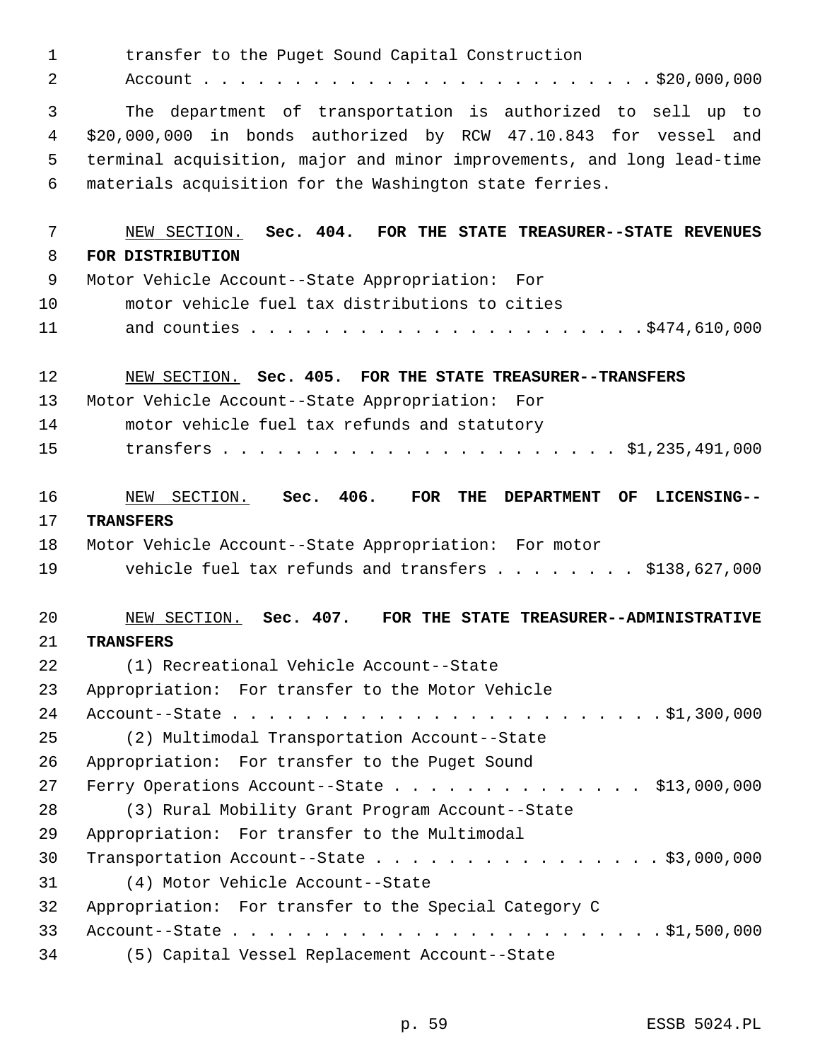| $\mathbf{1}$ | transfer to the Puget Sound Capital Construction                                                   |
|--------------|----------------------------------------------------------------------------------------------------|
| 2            |                                                                                                    |
| 3            | The department of transportation is authorized to sell up to                                       |
| 4            | \$20,000,000 in bonds authorized by RCW 47.10.843 for vessel and                                   |
| 5            | terminal acquisition, major and minor improvements, and long lead-time                             |
| 6            | materials acquisition for the Washington state ferries.                                            |
| 7            | NEW SECTION. Sec. 404. FOR THE STATE TREASURER--STATE REVENUES                                     |
| 8            | FOR DISTRIBUTION                                                                                   |
| 9            | Motor Vehicle Account--State Appropriation: For                                                    |
| 10           | motor vehicle fuel tax distributions to cities                                                     |
| 11           |                                                                                                    |
| 12           | NEW SECTION. Sec. 405. FOR THE STATE TREASURER--TRANSFERS                                          |
| 13           | Motor Vehicle Account--State Appropriation: For                                                    |
| 14           | motor vehicle fuel tax refunds and statutory                                                       |
| 15           |                                                                                                    |
| 16           | NEW SECTION. Sec. 406.<br>$\overline{\text{FOR}}$<br>THE<br>OF<br>LICENSING--<br><b>DEPARTMENT</b> |
| 17           | <b>TRANSFERS</b>                                                                                   |
| 18           | Motor Vehicle Account--State Appropriation: For motor                                              |
| 19           | vehicle fuel tax refunds and transfers $\ldots$ \$138,627,000                                      |
| 20           | NEW SECTION. Sec. 407. FOR THE STATE TREASURER--ADMINISTRATIVE                                     |
| 21           | <b>TRANSFERS</b>                                                                                   |
| 22           | (1) Recreational Vehicle Account--State                                                            |
| 23           | Appropriation: For transfer to the Motor Vehicle                                                   |
| 24           |                                                                                                    |
| 25           | (2) Multimodal Transportation Account--State                                                       |
| 26           | Appropriation: For transfer to the Puget Sound                                                     |
| 27           | Ferry Operations Account--State \$13,000,000                                                       |
| 28           | (3) Rural Mobility Grant Program Account--State                                                    |
| 29           | Appropriation: For transfer to the Multimodal                                                      |
| 30           | Transportation Account--State \$3,000,000                                                          |
| 31           | (4) Motor Vehicle Account--State                                                                   |
| 32           | Appropriation: For transfer to the Special Category C                                              |
| 33           |                                                                                                    |
| 34           | (5) Capital Vessel Replacement Account--State                                                      |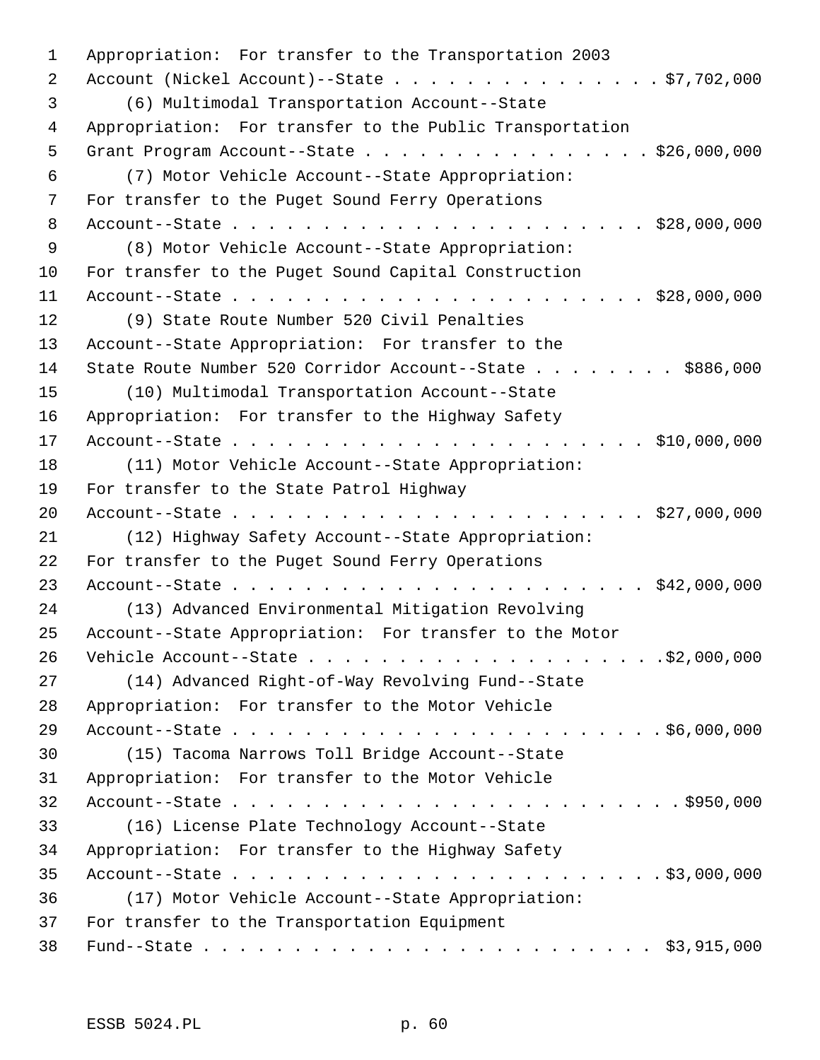| $\mathbf 1$ | Appropriation: For transfer to the Transportation 2003   |
|-------------|----------------------------------------------------------|
| 2           | Account (Nickel Account)--State $\ldots$ \$7,702,000     |
| 3           | (6) Multimodal Transportation Account--State             |
| 4           | Appropriation: For transfer to the Public Transportation |
| 5           | Grant Program Account--State \$26,000,000                |
| 6           | (7) Motor Vehicle Account--State Appropriation:          |
| 7           | For transfer to the Puget Sound Ferry Operations         |
| 8           |                                                          |
| 9           | (8) Motor Vehicle Account--State Appropriation:          |
| 10          | For transfer to the Puget Sound Capital Construction     |
| 11          |                                                          |
| 12          | (9) State Route Number 520 Civil Penalties               |
| 13          | Account--State Appropriation: For transfer to the        |
| 14          | State Route Number 520 Corridor Account--State \$886,000 |
| 15          | (10) Multimodal Transportation Account--State            |
| 16          | Appropriation: For transfer to the Highway Safety        |
| 17          |                                                          |
| 18          | (11) Motor Vehicle Account--State Appropriation:         |
| 19          | For transfer to the State Patrol Highway                 |
| 20          |                                                          |
| 21          | (12) Highway Safety Account--State Appropriation:        |
| 22          | For transfer to the Puget Sound Ferry Operations         |
| 23          |                                                          |
| 24          | (13) Advanced Environmental Mitigation Revolving         |
| 25          | Account--State Appropriation: For transfer to the Motor  |
| 26          |                                                          |
| 27          | (14) Advanced Right-of-Way Revolving Fund--State         |
| 28          | Appropriation: For transfer to the Motor Vehicle         |
| 29          |                                                          |
| 30          | (15) Tacoma Narrows Toll Bridge Account--State           |
| 31          | Appropriation: For transfer to the Motor Vehicle         |
| 32          |                                                          |
| 33          | (16) License Plate Technology Account--State             |
| 34          | Appropriation: For transfer to the Highway Safety        |
| 35          |                                                          |
| 36          | (17) Motor Vehicle Account--State Appropriation:         |
| 37          | For transfer to the Transportation Equipment             |
| 38          |                                                          |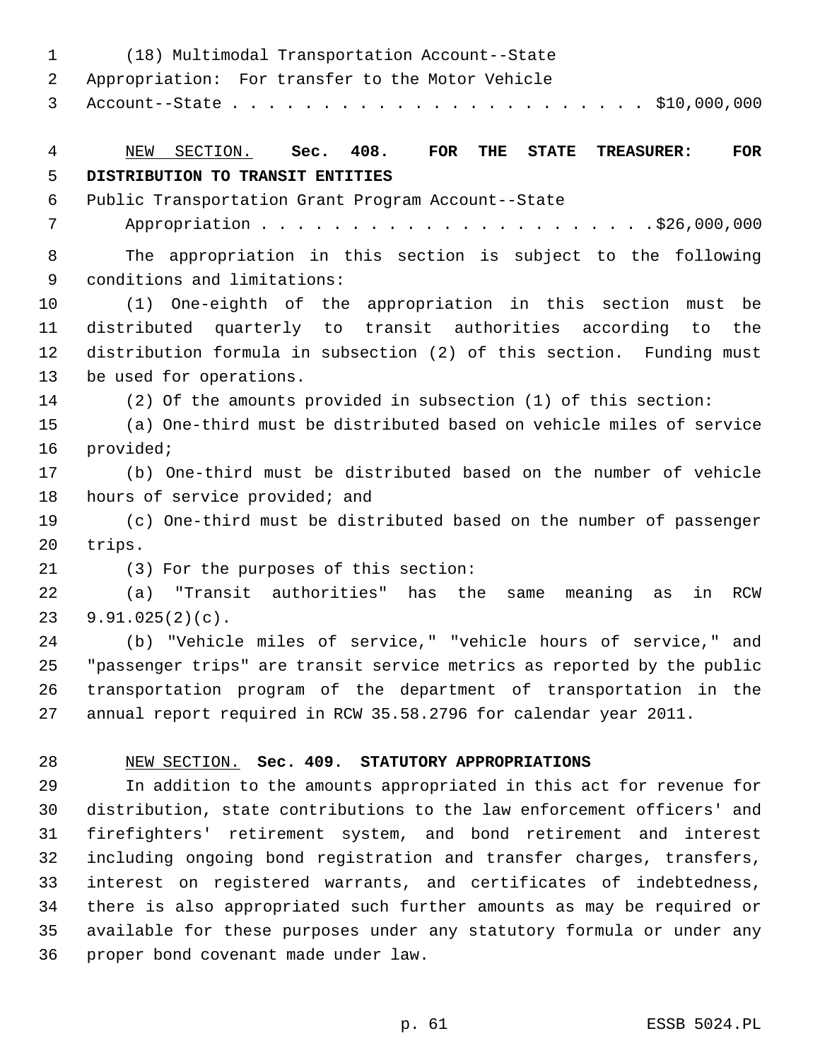1 (18) Multimodal Transportation Account--State 2 Appropriation: For transfer to the Motor Vehicle 3 Account--State . . . . . . . . . . . . . . . . . . . . . . . \$10,000,000 4 NEW SECTION. **Sec. 408. FOR THE STATE TREASURER: FOR** 5 **DISTRIBUTION TO TRANSIT ENTITIES** 6 Public Transportation Grant Program Account--State 7 Appropriation . . . . . . . . . . . . . . . . . . . . . .\$26,000,000 8 The appropriation in this section is subject to the following 9 conditions and limitations: 10 (1) One-eighth of the appropriation in this section must be 11 distributed quarterly to transit authorities according to the 12 distribution formula in subsection (2) of this section. Funding must 13 be used for operations. 14 (2) Of the amounts provided in subsection (1) of this section: 15 (a) One-third must be distributed based on vehicle miles of service 16 provided; 17 (b) One-third must be distributed based on the number of vehicle 18 hours of service provided; and 19 (c) One-third must be distributed based on the number of passenger 20 trips. 21 (3) For the purposes of this section: 22 (a) "Transit authorities" has the same meaning as in RCW 23 9.91.025(2)(c). 24 (b) "Vehicle miles of service," "vehicle hours of service," and 25 "passenger trips" are transit service metrics as reported by the public 26 transportation program of the department of transportation in the 27 annual report required in RCW 35.58.2796 for calendar year 2011. 28 NEW SECTION. **Sec. 409. STATUTORY APPROPRIATIONS** 29 In addition to the amounts appropriated in this act for revenue for 30 distribution, state contributions to the law enforcement officers' and 31 firefighters' retirement system, and bond retirement and interest 32 including ongoing bond registration and transfer charges, transfers, 33 interest on registered warrants, and certificates of indebtedness, 34 there is also appropriated such further amounts as may be required or 35 available for these purposes under any statutory formula or under any 36 proper bond covenant made under law.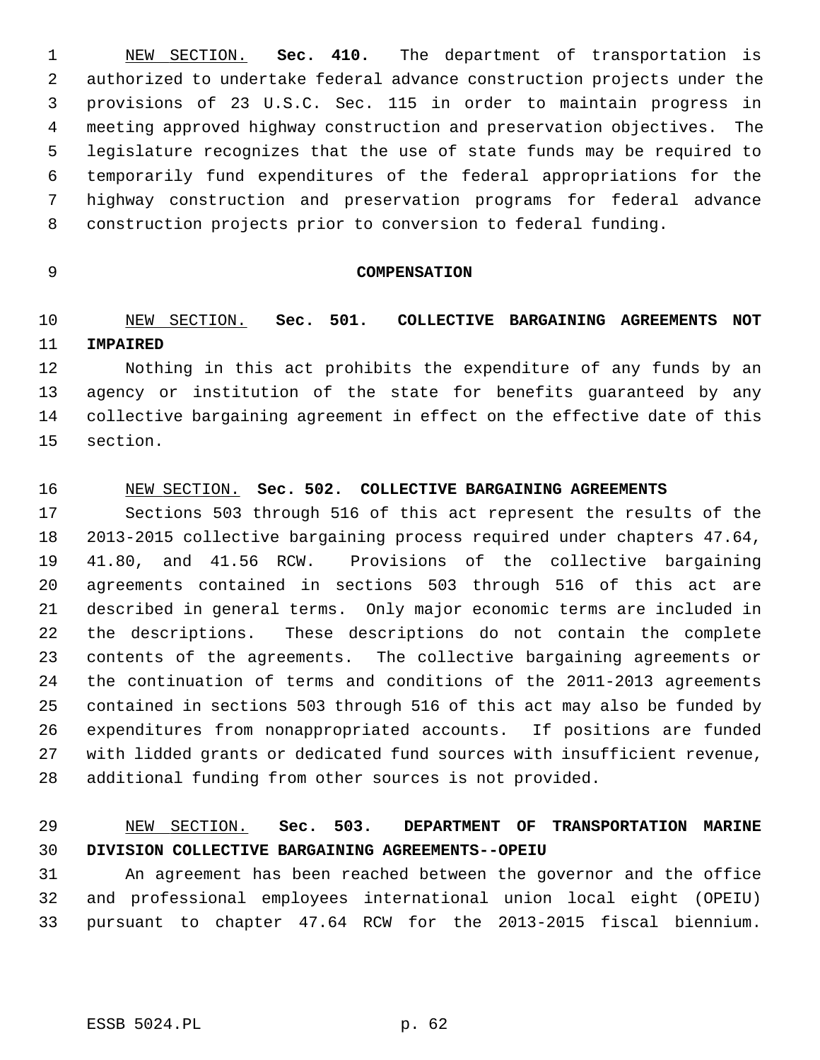1 NEW SECTION. **Sec. 410.** The department of transportation is 2 authorized to undertake federal advance construction projects under the 3 provisions of 23 U.S.C. Sec. 115 in order to maintain progress in 4 meeting approved highway construction and preservation objectives. The 5 legislature recognizes that the use of state funds may be required to 6 temporarily fund expenditures of the federal appropriations for the 7 highway construction and preservation programs for federal advance 8 construction projects prior to conversion to federal funding.

#### 9 **COMPENSATION**

# 10 NEW SECTION. **Sec. 501. COLLECTIVE BARGAINING AGREEMENTS NOT** 11 **IMPAIRED**

12 Nothing in this act prohibits the expenditure of any funds by an 13 agency or institution of the state for benefits guaranteed by any 14 collective bargaining agreement in effect on the effective date of this 15 section.

#### 16 NEW SECTION. **Sec. 502. COLLECTIVE BARGAINING AGREEMENTS**

17 Sections 503 through 516 of this act represent the results of the 18 2013-2015 collective bargaining process required under chapters 47.64, 19 41.80, and 41.56 RCW. Provisions of the collective bargaining 20 agreements contained in sections 503 through 516 of this act are 21 described in general terms. Only major economic terms are included in 22 the descriptions. These descriptions do not contain the complete 23 contents of the agreements. The collective bargaining agreements or 24 the continuation of terms and conditions of the 2011-2013 agreements 25 contained in sections 503 through 516 of this act may also be funded by 26 expenditures from nonappropriated accounts. If positions are funded 27 with lidded grants or dedicated fund sources with insufficient revenue, 28 additional funding from other sources is not provided.

### 29 NEW SECTION. **Sec. 503. DEPARTMENT OF TRANSPORTATION MARINE** 30 **DIVISION COLLECTIVE BARGAINING AGREEMENTS--OPEIU**

31 An agreement has been reached between the governor and the office 32 and professional employees international union local eight (OPEIU) 33 pursuant to chapter 47.64 RCW for the 2013-2015 fiscal biennium.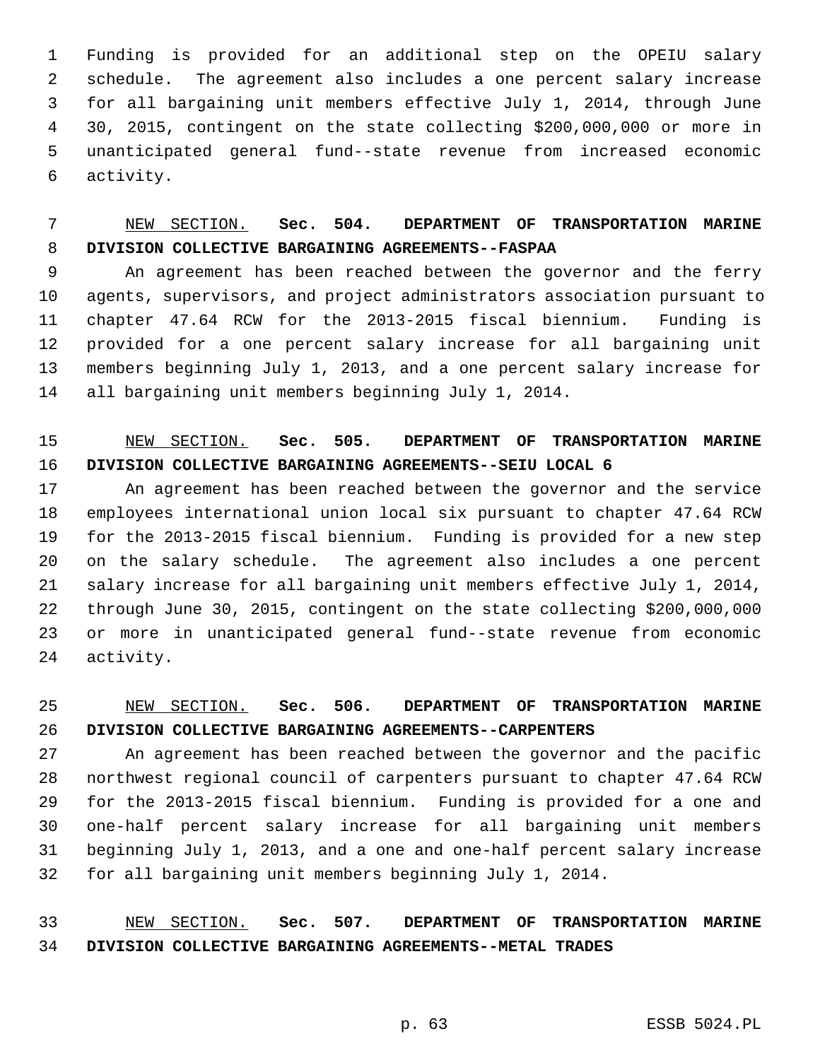1 Funding is provided for an additional step on the OPEIU salary 2 schedule. The agreement also includes a one percent salary increase 3 for all bargaining unit members effective July 1, 2014, through June 4 30, 2015, contingent on the state collecting \$200,000,000 or more in 5 unanticipated general fund--state revenue from increased economic 6 activity.

# 7 NEW SECTION. **Sec. 504. DEPARTMENT OF TRANSPORTATION MARINE** 8 **DIVISION COLLECTIVE BARGAINING AGREEMENTS--FASPAA**

 9 An agreement has been reached between the governor and the ferry 10 agents, supervisors, and project administrators association pursuant to 11 chapter 47.64 RCW for the 2013-2015 fiscal biennium. Funding is 12 provided for a one percent salary increase for all bargaining unit 13 members beginning July 1, 2013, and a one percent salary increase for 14 all bargaining unit members beginning July 1, 2014.

# 15 NEW SECTION. **Sec. 505. DEPARTMENT OF TRANSPORTATION MARINE** 16 **DIVISION COLLECTIVE BARGAINING AGREEMENTS--SEIU LOCAL 6**

17 An agreement has been reached between the governor and the service 18 employees international union local six pursuant to chapter 47.64 RCW 19 for the 2013-2015 fiscal biennium. Funding is provided for a new step 20 on the salary schedule. The agreement also includes a one percent 21 salary increase for all bargaining unit members effective July 1, 2014, 22 through June 30, 2015, contingent on the state collecting \$200,000,000 23 or more in unanticipated general fund--state revenue from economic 24 activity.

# 25 NEW SECTION. **Sec. 506. DEPARTMENT OF TRANSPORTATION MARINE** 26 **DIVISION COLLECTIVE BARGAINING AGREEMENTS--CARPENTERS**

27 An agreement has been reached between the governor and the pacific 28 northwest regional council of carpenters pursuant to chapter 47.64 RCW 29 for the 2013-2015 fiscal biennium. Funding is provided for a one and 30 one-half percent salary increase for all bargaining unit members 31 beginning July 1, 2013, and a one and one-half percent salary increase 32 for all bargaining unit members beginning July 1, 2014.

33 NEW SECTION. **Sec. 507. DEPARTMENT OF TRANSPORTATION MARINE** 34 **DIVISION COLLECTIVE BARGAINING AGREEMENTS--METAL TRADES**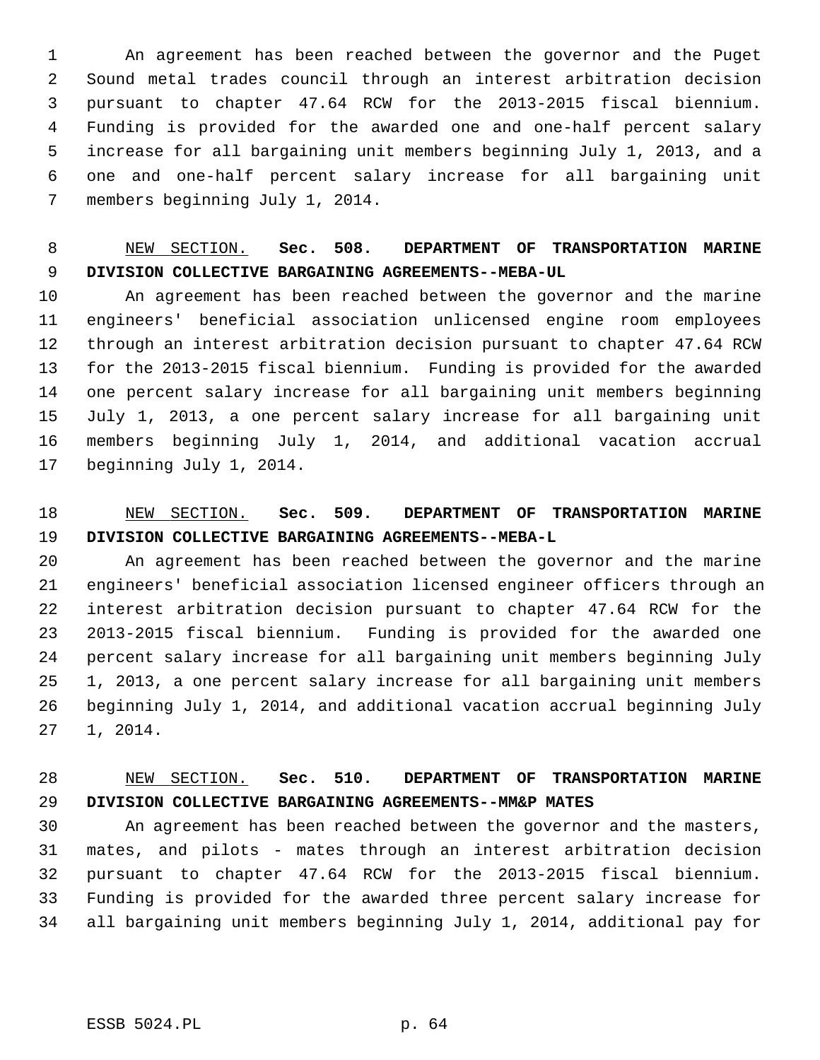1 An agreement has been reached between the governor and the Puget 2 Sound metal trades council through an interest arbitration decision 3 pursuant to chapter 47.64 RCW for the 2013-2015 fiscal biennium. 4 Funding is provided for the awarded one and one-half percent salary 5 increase for all bargaining unit members beginning July 1, 2013, and a 6 one and one-half percent salary increase for all bargaining unit 7 members beginning July 1, 2014.

### 8 NEW SECTION. **Sec. 508. DEPARTMENT OF TRANSPORTATION MARINE** 9 **DIVISION COLLECTIVE BARGAINING AGREEMENTS--MEBA-UL**

10 An agreement has been reached between the governor and the marine 11 engineers' beneficial association unlicensed engine room employees 12 through an interest arbitration decision pursuant to chapter 47.64 RCW 13 for the 2013-2015 fiscal biennium. Funding is provided for the awarded 14 one percent salary increase for all bargaining unit members beginning 15 July 1, 2013, a one percent salary increase for all bargaining unit 16 members beginning July 1, 2014, and additional vacation accrual 17 beginning July 1, 2014.

#### 18 NEW SECTION. **Sec. 509. DEPARTMENT OF TRANSPORTATION MARINE** 19 **DIVISION COLLECTIVE BARGAINING AGREEMENTS--MEBA-L**

20 An agreement has been reached between the governor and the marine 21 engineers' beneficial association licensed engineer officers through an 22 interest arbitration decision pursuant to chapter 47.64 RCW for the 23 2013-2015 fiscal biennium. Funding is provided for the awarded one 24 percent salary increase for all bargaining unit members beginning July 25 1, 2013, a one percent salary increase for all bargaining unit members 26 beginning July 1, 2014, and additional vacation accrual beginning July 27 1, 2014.

#### 28 NEW SECTION. **Sec. 510. DEPARTMENT OF TRANSPORTATION MARINE** 29 **DIVISION COLLECTIVE BARGAINING AGREEMENTS--MM&P MATES**

30 An agreement has been reached between the governor and the masters, 31 mates, and pilots - mates through an interest arbitration decision 32 pursuant to chapter 47.64 RCW for the 2013-2015 fiscal biennium. 33 Funding is provided for the awarded three percent salary increase for 34 all bargaining unit members beginning July 1, 2014, additional pay for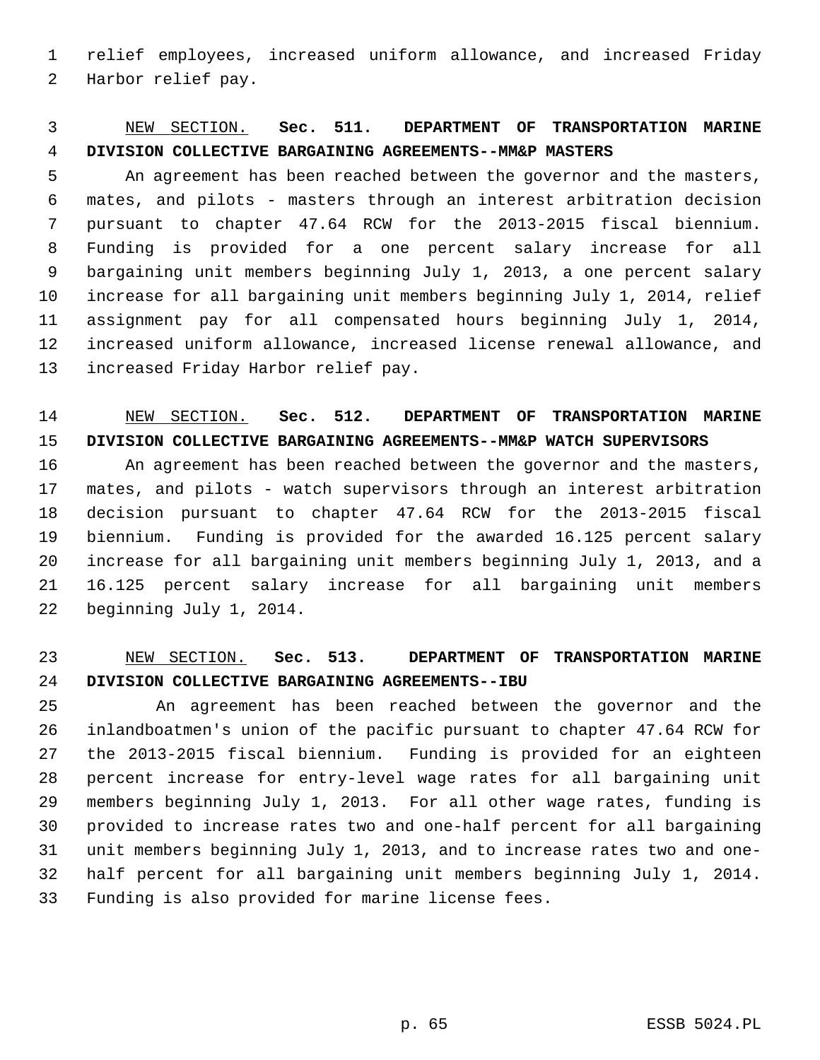1 relief employees, increased uniform allowance, and increased Friday 2 Harbor relief pay.

### 3 NEW SECTION. **Sec. 511. DEPARTMENT OF TRANSPORTATION MARINE** 4 **DIVISION COLLECTIVE BARGAINING AGREEMENTS--MM&P MASTERS**

 5 An agreement has been reached between the governor and the masters, 6 mates, and pilots - masters through an interest arbitration decision 7 pursuant to chapter 47.64 RCW for the 2013-2015 fiscal biennium. 8 Funding is provided for a one percent salary increase for all 9 bargaining unit members beginning July 1, 2013, a one percent salary 10 increase for all bargaining unit members beginning July 1, 2014, relief 11 assignment pay for all compensated hours beginning July 1, 2014, 12 increased uniform allowance, increased license renewal allowance, and 13 increased Friday Harbor relief pay.

#### 14 NEW SECTION. **Sec. 512. DEPARTMENT OF TRANSPORTATION MARINE** 15 **DIVISION COLLECTIVE BARGAINING AGREEMENTS--MM&P WATCH SUPERVISORS**

16 An agreement has been reached between the governor and the masters, 17 mates, and pilots - watch supervisors through an interest arbitration 18 decision pursuant to chapter 47.64 RCW for the 2013-2015 fiscal 19 biennium. Funding is provided for the awarded 16.125 percent salary 20 increase for all bargaining unit members beginning July 1, 2013, and a 21 16.125 percent salary increase for all bargaining unit members 22 beginning July 1, 2014.

#### 23 NEW SECTION. **Sec. 513. DEPARTMENT OF TRANSPORTATION MARINE** 24 **DIVISION COLLECTIVE BARGAINING AGREEMENTS--IBU**

25 An agreement has been reached between the governor and the 26 inlandboatmen's union of the pacific pursuant to chapter 47.64 RCW for 27 the 2013-2015 fiscal biennium. Funding is provided for an eighteen 28 percent increase for entry-level wage rates for all bargaining unit 29 members beginning July 1, 2013. For all other wage rates, funding is 30 provided to increase rates two and one-half percent for all bargaining 31 unit members beginning July 1, 2013, and to increase rates two and one-32 half percent for all bargaining unit members beginning July 1, 2014. 33 Funding is also provided for marine license fees.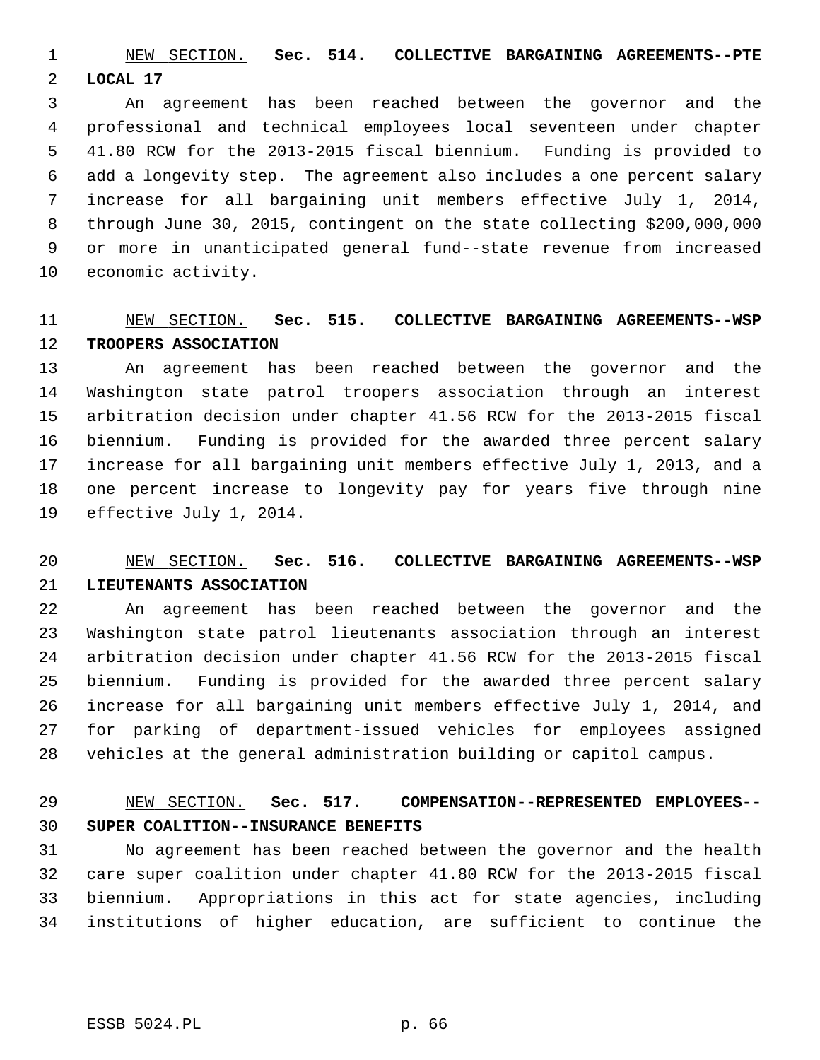1 NEW SECTION. **Sec. 514. COLLECTIVE BARGAINING AGREEMENTS--PTE** 2 **LOCAL 17**

 3 An agreement has been reached between the governor and the 4 professional and technical employees local seventeen under chapter 5 41.80 RCW for the 2013-2015 fiscal biennium. Funding is provided to 6 add a longevity step. The agreement also includes a one percent salary 7 increase for all bargaining unit members effective July 1, 2014, 8 through June 30, 2015, contingent on the state collecting \$200,000,000 9 or more in unanticipated general fund--state revenue from increased 10 economic activity.

# 11 NEW SECTION. **Sec. 515. COLLECTIVE BARGAINING AGREEMENTS--WSP** 12 **TROOPERS ASSOCIATION**

13 An agreement has been reached between the governor and the 14 Washington state patrol troopers association through an interest 15 arbitration decision under chapter 41.56 RCW for the 2013-2015 fiscal 16 biennium. Funding is provided for the awarded three percent salary 17 increase for all bargaining unit members effective July 1, 2013, and a 18 one percent increase to longevity pay for years five through nine 19 effective July 1, 2014.

# 20 NEW SECTION. **Sec. 516. COLLECTIVE BARGAINING AGREEMENTS--WSP** 21 **LIEUTENANTS ASSOCIATION**

22 An agreement has been reached between the governor and the 23 Washington state patrol lieutenants association through an interest 24 arbitration decision under chapter 41.56 RCW for the 2013-2015 fiscal 25 biennium. Funding is provided for the awarded three percent salary 26 increase for all bargaining unit members effective July 1, 2014, and 27 for parking of department-issued vehicles for employees assigned 28 vehicles at the general administration building or capitol campus.

#### 29 NEW SECTION. **Sec. 517. COMPENSATION--REPRESENTED EMPLOYEES--** 30 **SUPER COALITION--INSURANCE BENEFITS**

31 No agreement has been reached between the governor and the health 32 care super coalition under chapter 41.80 RCW for the 2013-2015 fiscal 33 biennium. Appropriations in this act for state agencies, including 34 institutions of higher education, are sufficient to continue the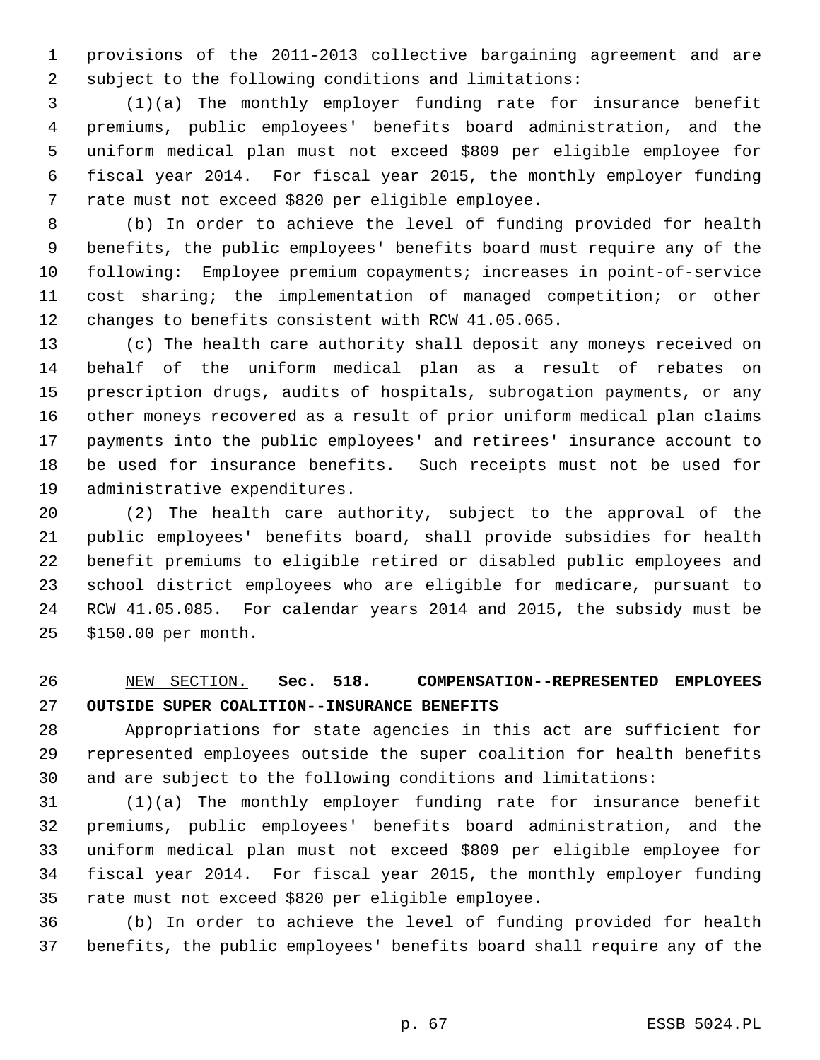1 provisions of the 2011-2013 collective bargaining agreement and are 2 subject to the following conditions and limitations:

 3 (1)(a) The monthly employer funding rate for insurance benefit 4 premiums, public employees' benefits board administration, and the 5 uniform medical plan must not exceed \$809 per eligible employee for 6 fiscal year 2014. For fiscal year 2015, the monthly employer funding 7 rate must not exceed \$820 per eligible employee.

 8 (b) In order to achieve the level of funding provided for health 9 benefits, the public employees' benefits board must require any of the 10 following: Employee premium copayments; increases in point-of-service 11 cost sharing; the implementation of managed competition; or other 12 changes to benefits consistent with RCW 41.05.065.

13 (c) The health care authority shall deposit any moneys received on 14 behalf of the uniform medical plan as a result of rebates on 15 prescription drugs, audits of hospitals, subrogation payments, or any 16 other moneys recovered as a result of prior uniform medical plan claims 17 payments into the public employees' and retirees' insurance account to 18 be used for insurance benefits. Such receipts must not be used for 19 administrative expenditures.

20 (2) The health care authority, subject to the approval of the 21 public employees' benefits board, shall provide subsidies for health 22 benefit premiums to eligible retired or disabled public employees and 23 school district employees who are eligible for medicare, pursuant to 24 RCW 41.05.085. For calendar years 2014 and 2015, the subsidy must be 25 \$150.00 per month.

#### 26 NEW SECTION. **Sec. 518. COMPENSATION--REPRESENTED EMPLOYEES** 27 **OUTSIDE SUPER COALITION--INSURANCE BENEFITS**

28 Appropriations for state agencies in this act are sufficient for 29 represented employees outside the super coalition for health benefits 30 and are subject to the following conditions and limitations:

31 (1)(a) The monthly employer funding rate for insurance benefit 32 premiums, public employees' benefits board administration, and the 33 uniform medical plan must not exceed \$809 per eligible employee for 34 fiscal year 2014. For fiscal year 2015, the monthly employer funding 35 rate must not exceed \$820 per eligible employee.

36 (b) In order to achieve the level of funding provided for health 37 benefits, the public employees' benefits board shall require any of the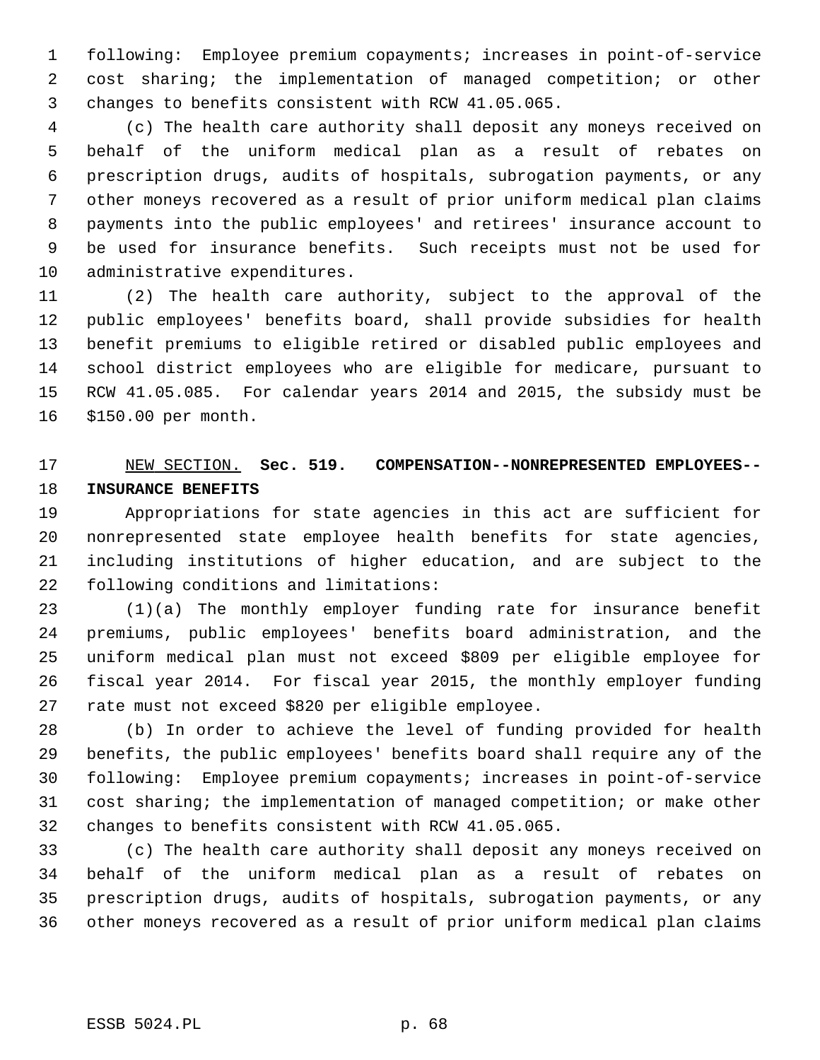1 following: Employee premium copayments; increases in point-of-service 2 cost sharing; the implementation of managed competition; or other 3 changes to benefits consistent with RCW 41.05.065.

 4 (c) The health care authority shall deposit any moneys received on 5 behalf of the uniform medical plan as a result of rebates on 6 prescription drugs, audits of hospitals, subrogation payments, or any 7 other moneys recovered as a result of prior uniform medical plan claims 8 payments into the public employees' and retirees' insurance account to 9 be used for insurance benefits. Such receipts must not be used for 10 administrative expenditures.

11 (2) The health care authority, subject to the approval of the 12 public employees' benefits board, shall provide subsidies for health 13 benefit premiums to eligible retired or disabled public employees and 14 school district employees who are eligible for medicare, pursuant to 15 RCW 41.05.085. For calendar years 2014 and 2015, the subsidy must be 16 \$150.00 per month.

# 17 NEW SECTION. **Sec. 519. COMPENSATION--NONREPRESENTED EMPLOYEES--** 18 **INSURANCE BENEFITS**

19 Appropriations for state agencies in this act are sufficient for 20 nonrepresented state employee health benefits for state agencies, 21 including institutions of higher education, and are subject to the 22 following conditions and limitations:

23 (1)(a) The monthly employer funding rate for insurance benefit 24 premiums, public employees' benefits board administration, and the 25 uniform medical plan must not exceed \$809 per eligible employee for 26 fiscal year 2014. For fiscal year 2015, the monthly employer funding 27 rate must not exceed \$820 per eligible employee.

28 (b) In order to achieve the level of funding provided for health 29 benefits, the public employees' benefits board shall require any of the 30 following: Employee premium copayments; increases in point-of-service 31 cost sharing; the implementation of managed competition; or make other 32 changes to benefits consistent with RCW 41.05.065.

33 (c) The health care authority shall deposit any moneys received on 34 behalf of the uniform medical plan as a result of rebates on 35 prescription drugs, audits of hospitals, subrogation payments, or any 36 other moneys recovered as a result of prior uniform medical plan claims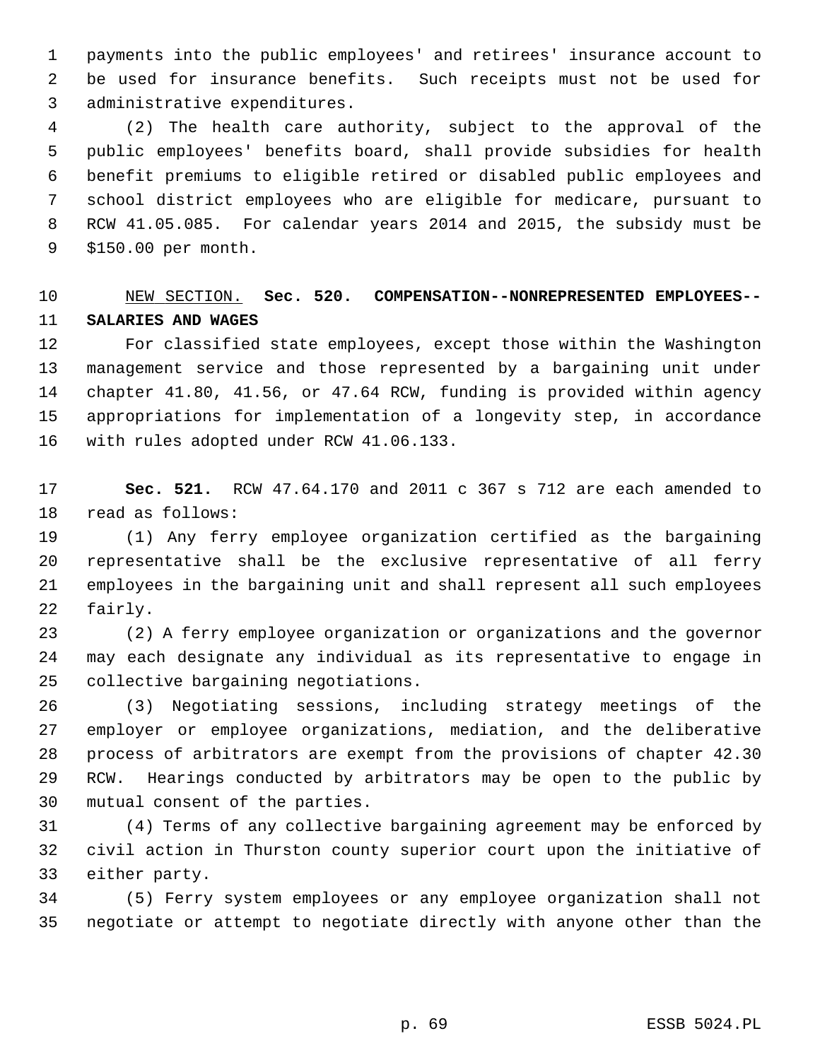1 payments into the public employees' and retirees' insurance account to 2 be used for insurance benefits. Such receipts must not be used for 3 administrative expenditures.

 4 (2) The health care authority, subject to the approval of the 5 public employees' benefits board, shall provide subsidies for health 6 benefit premiums to eligible retired or disabled public employees and 7 school district employees who are eligible for medicare, pursuant to 8 RCW 41.05.085. For calendar years 2014 and 2015, the subsidy must be 9 \$150.00 per month.

# 10 NEW SECTION. **Sec. 520. COMPENSATION--NONREPRESENTED EMPLOYEES--** 11 **SALARIES AND WAGES**

12 For classified state employees, except those within the Washington 13 management service and those represented by a bargaining unit under 14 chapter 41.80, 41.56, or 47.64 RCW, funding is provided within agency 15 appropriations for implementation of a longevity step, in accordance 16 with rules adopted under RCW 41.06.133.

17 **Sec. 521.** RCW 47.64.170 and 2011 c 367 s 712 are each amended to 18 read as follows:

19 (1) Any ferry employee organization certified as the bargaining 20 representative shall be the exclusive representative of all ferry 21 employees in the bargaining unit and shall represent all such employees 22 fairly.

23 (2) A ferry employee organization or organizations and the governor 24 may each designate any individual as its representative to engage in 25 collective bargaining negotiations.

26 (3) Negotiating sessions, including strategy meetings of the 27 employer or employee organizations, mediation, and the deliberative 28 process of arbitrators are exempt from the provisions of chapter 42.30 29 RCW. Hearings conducted by arbitrators may be open to the public by 30 mutual consent of the parties.

31 (4) Terms of any collective bargaining agreement may be enforced by 32 civil action in Thurston county superior court upon the initiative of 33 either party.

34 (5) Ferry system employees or any employee organization shall not 35 negotiate or attempt to negotiate directly with anyone other than the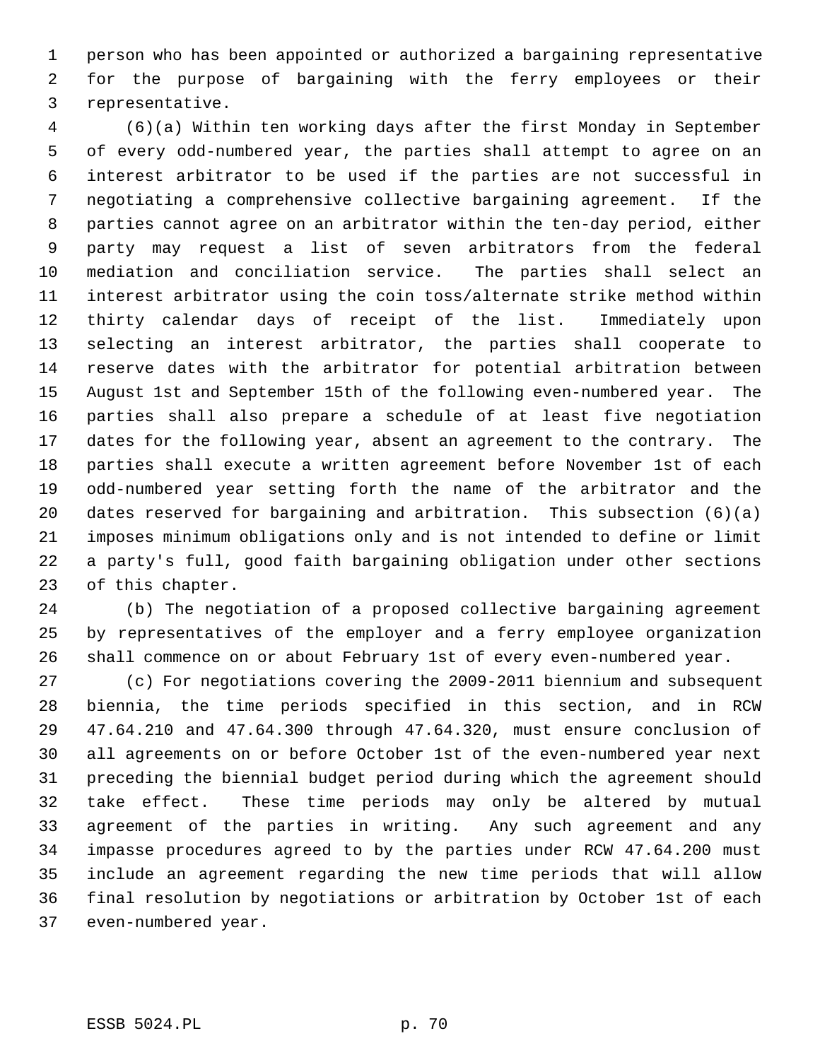1 person who has been appointed or authorized a bargaining representative 2 for the purpose of bargaining with the ferry employees or their 3 representative.

 4 (6)(a) Within ten working days after the first Monday in September 5 of every odd-numbered year, the parties shall attempt to agree on an 6 interest arbitrator to be used if the parties are not successful in 7 negotiating a comprehensive collective bargaining agreement. If the 8 parties cannot agree on an arbitrator within the ten-day period, either 9 party may request a list of seven arbitrators from the federal 10 mediation and conciliation service. The parties shall select an 11 interest arbitrator using the coin toss/alternate strike method within 12 thirty calendar days of receipt of the list. Immediately upon 13 selecting an interest arbitrator, the parties shall cooperate to 14 reserve dates with the arbitrator for potential arbitration between 15 August 1st and September 15th of the following even-numbered year. The 16 parties shall also prepare a schedule of at least five negotiation 17 dates for the following year, absent an agreement to the contrary. The 18 parties shall execute a written agreement before November 1st of each 19 odd-numbered year setting forth the name of the arbitrator and the 20 dates reserved for bargaining and arbitration. This subsection (6)(a) 21 imposes minimum obligations only and is not intended to define or limit 22 a party's full, good faith bargaining obligation under other sections 23 of this chapter.

24 (b) The negotiation of a proposed collective bargaining agreement 25 by representatives of the employer and a ferry employee organization 26 shall commence on or about February 1st of every even-numbered year.

27 (c) For negotiations covering the 2009-2011 biennium and subsequent 28 biennia, the time periods specified in this section, and in RCW 29 47.64.210 and 47.64.300 through 47.64.320, must ensure conclusion of 30 all agreements on or before October 1st of the even-numbered year next 31 preceding the biennial budget period during which the agreement should 32 take effect. These time periods may only be altered by mutual 33 agreement of the parties in writing. Any such agreement and any 34 impasse procedures agreed to by the parties under RCW 47.64.200 must 35 include an agreement regarding the new time periods that will allow 36 final resolution by negotiations or arbitration by October 1st of each 37 even-numbered year.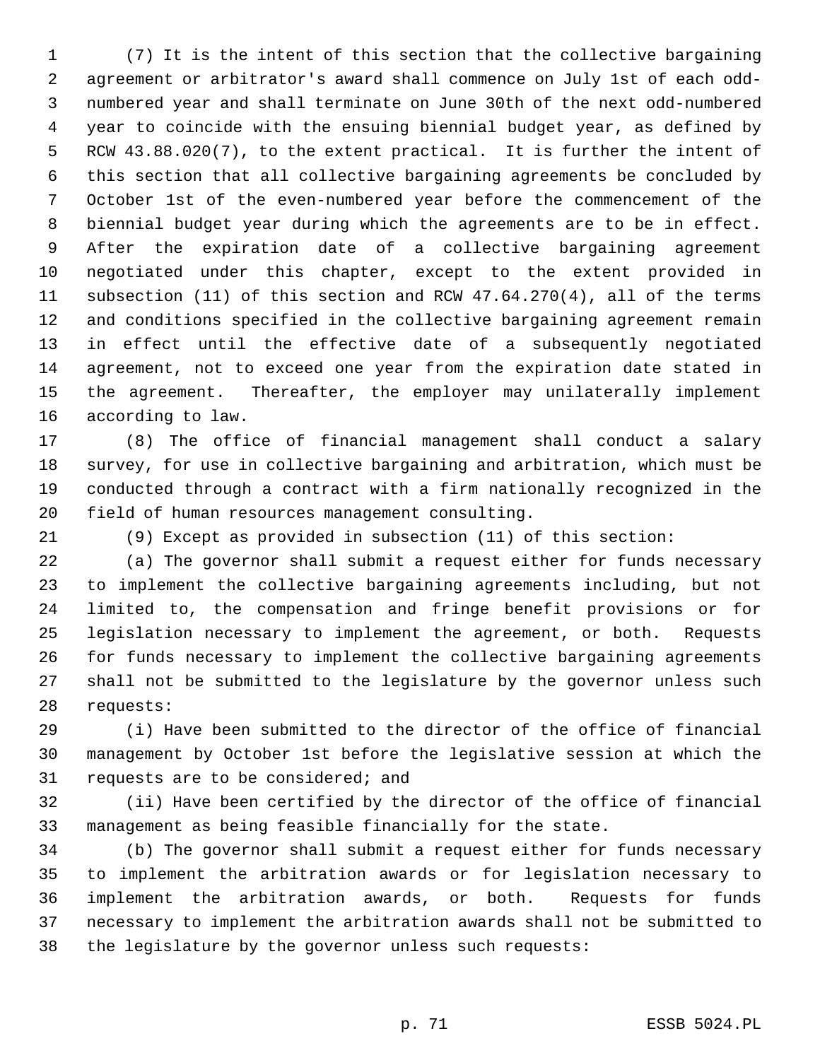1 (7) It is the intent of this section that the collective bargaining 2 agreement or arbitrator's award shall commence on July 1st of each odd- 3 numbered year and shall terminate on June 30th of the next odd-numbered 4 year to coincide with the ensuing biennial budget year, as defined by 5 RCW 43.88.020(7), to the extent practical. It is further the intent of 6 this section that all collective bargaining agreements be concluded by 7 October 1st of the even-numbered year before the commencement of the 8 biennial budget year during which the agreements are to be in effect. 9 After the expiration date of a collective bargaining agreement 10 negotiated under this chapter, except to the extent provided in 11 subsection (11) of this section and RCW 47.64.270(4), all of the terms 12 and conditions specified in the collective bargaining agreement remain 13 in effect until the effective date of a subsequently negotiated 14 agreement, not to exceed one year from the expiration date stated in 15 the agreement. Thereafter, the employer may unilaterally implement 16 according to law.

17 (8) The office of financial management shall conduct a salary 18 survey, for use in collective bargaining and arbitration, which must be 19 conducted through a contract with a firm nationally recognized in the 20 field of human resources management consulting.

21 (9) Except as provided in subsection (11) of this section:

22 (a) The governor shall submit a request either for funds necessary 23 to implement the collective bargaining agreements including, but not 24 limited to, the compensation and fringe benefit provisions or for 25 legislation necessary to implement the agreement, or both. Requests 26 for funds necessary to implement the collective bargaining agreements 27 shall not be submitted to the legislature by the governor unless such 28 requests:

29 (i) Have been submitted to the director of the office of financial 30 management by October 1st before the legislative session at which the 31 requests are to be considered; and

32 (ii) Have been certified by the director of the office of financial 33 management as being feasible financially for the state.

34 (b) The governor shall submit a request either for funds necessary 35 to implement the arbitration awards or for legislation necessary to 36 implement the arbitration awards, or both. Requests for funds 37 necessary to implement the arbitration awards shall not be submitted to 38 the legislature by the governor unless such requests: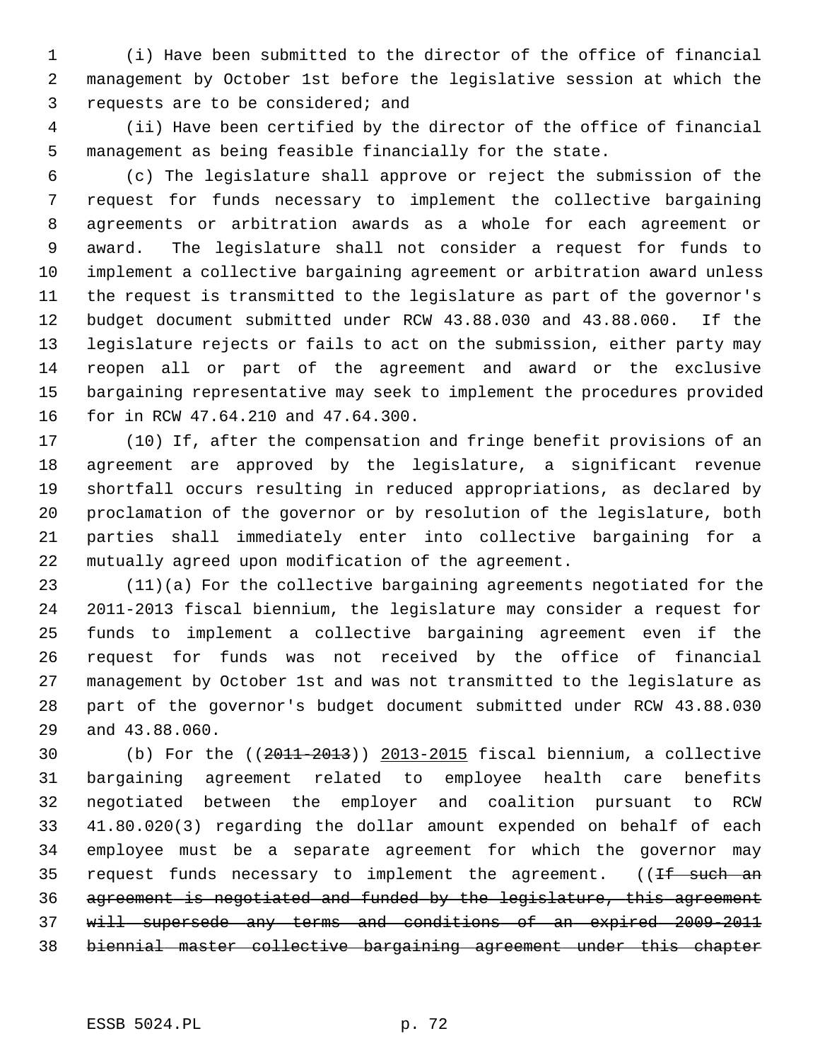1 (i) Have been submitted to the director of the office of financial 2 management by October 1st before the legislative session at which the 3 requests are to be considered; and

 4 (ii) Have been certified by the director of the office of financial 5 management as being feasible financially for the state.

 6 (c) The legislature shall approve or reject the submission of the 7 request for funds necessary to implement the collective bargaining 8 agreements or arbitration awards as a whole for each agreement or 9 award. The legislature shall not consider a request for funds to 10 implement a collective bargaining agreement or arbitration award unless 11 the request is transmitted to the legislature as part of the governor's 12 budget document submitted under RCW 43.88.030 and 43.88.060. If the 13 legislature rejects or fails to act on the submission, either party may 14 reopen all or part of the agreement and award or the exclusive 15 bargaining representative may seek to implement the procedures provided 16 for in RCW 47.64.210 and 47.64.300.

17 (10) If, after the compensation and fringe benefit provisions of an 18 agreement are approved by the legislature, a significant revenue 19 shortfall occurs resulting in reduced appropriations, as declared by 20 proclamation of the governor or by resolution of the legislature, both 21 parties shall immediately enter into collective bargaining for a 22 mutually agreed upon modification of the agreement.

23 (11)(a) For the collective bargaining agreements negotiated for the 24 2011-2013 fiscal biennium, the legislature may consider a request for 25 funds to implement a collective bargaining agreement even if the 26 request for funds was not received by the office of financial 27 management by October 1st and was not transmitted to the legislature as 28 part of the governor's budget document submitted under RCW 43.88.030 29 and 43.88.060.

30 (b) For the ((2011-2013)) 2013-2015 fiscal biennium, a collective 31 bargaining agreement related to employee health care benefits 32 negotiated between the employer and coalition pursuant to RCW 33 41.80.020(3) regarding the dollar amount expended on behalf of each 34 employee must be a separate agreement for which the governor may 35 request funds necessary to implement the agreement. ((<del>If such an</del> 36 agreement is negotiated and funded by the legislature, this agreement 37 will supersede any terms and conditions of an expired 2009-2011 38 biennial master collective bargaining agreement under this chapter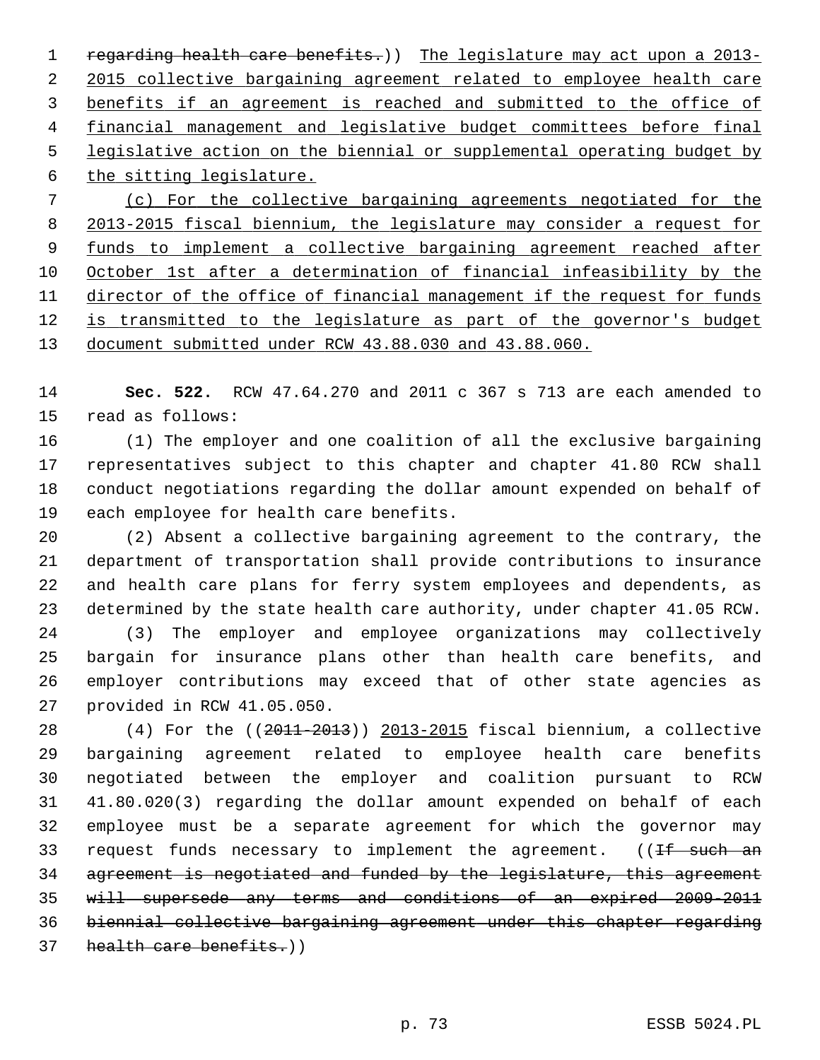1 regarding health care benefits.)) The legislature may act upon a 2013- 2015 collective bargaining agreement related to employee health care benefits if an agreement is reached and submitted to the office of financial management and legislative budget committees before final legislative action on the biennial or supplemental operating budget by the sitting legislature. (c) For the collective bargaining agreements negotiated for the 2013-2015 fiscal biennium, the legislature may consider a request for funds to implement a collective bargaining agreement reached after 10 October 1st after a determination of financial infeasibility by the director of the office of financial management if the request for funds is transmitted to the legislature as part of the governor's budget

13 document submitted under RCW 43.88.030 and 43.88.060.

14 **Sec. 522.** RCW 47.64.270 and 2011 c 367 s 713 are each amended to 15 read as follows:

16 (1) The employer and one coalition of all the exclusive bargaining 17 representatives subject to this chapter and chapter 41.80 RCW shall 18 conduct negotiations regarding the dollar amount expended on behalf of 19 each employee for health care benefits.

20 (2) Absent a collective bargaining agreement to the contrary, the 21 department of transportation shall provide contributions to insurance 22 and health care plans for ferry system employees and dependents, as 23 determined by the state health care authority, under chapter 41.05 RCW.

24 (3) The employer and employee organizations may collectively 25 bargain for insurance plans other than health care benefits, and 26 employer contributions may exceed that of other state agencies as 27 provided in RCW 41.05.050.

28 (4) For the ((2011-2013)) 2013-2015 fiscal biennium, a collective 29 bargaining agreement related to employee health care benefits 30 negotiated between the employer and coalition pursuant to RCW 31 41.80.020(3) regarding the dollar amount expended on behalf of each 32 employee must be a separate agreement for which the governor may 33 request funds necessary to implement the agreement.  $(1f$  such an 34 agreement is negotiated and funded by the legislature, this agreement 35 will supersede any terms and conditions of an expired 2009-2011 36 biennial collective bargaining agreement under this chapter regarding 37 health care benefits.)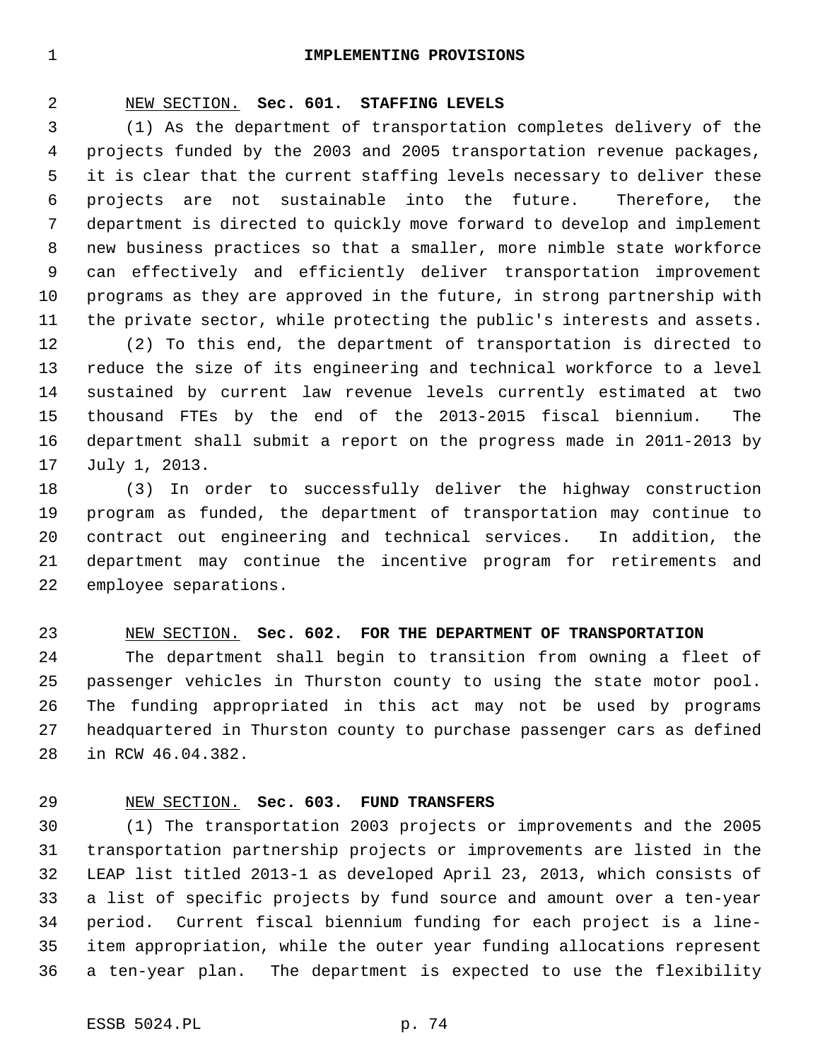#### 1 **IMPLEMENTING PROVISIONS**

# 2 NEW SECTION. **Sec. 601. STAFFING LEVELS**

 3 (1) As the department of transportation completes delivery of the 4 projects funded by the 2003 and 2005 transportation revenue packages, 5 it is clear that the current staffing levels necessary to deliver these 6 projects are not sustainable into the future. Therefore, the 7 department is directed to quickly move forward to develop and implement 8 new business practices so that a smaller, more nimble state workforce 9 can effectively and efficiently deliver transportation improvement 10 programs as they are approved in the future, in strong partnership with 11 the private sector, while protecting the public's interests and assets.

12 (2) To this end, the department of transportation is directed to 13 reduce the size of its engineering and technical workforce to a level 14 sustained by current law revenue levels currently estimated at two 15 thousand FTEs by the end of the 2013-2015 fiscal biennium. The 16 department shall submit a report on the progress made in 2011-2013 by 17 July 1, 2013.

18 (3) In order to successfully deliver the highway construction 19 program as funded, the department of transportation may continue to 20 contract out engineering and technical services. In addition, the 21 department may continue the incentive program for retirements and 22 employee separations.

## 23 NEW SECTION. **Sec. 602. FOR THE DEPARTMENT OF TRANSPORTATION**

24 The department shall begin to transition from owning a fleet of 25 passenger vehicles in Thurston county to using the state motor pool. 26 The funding appropriated in this act may not be used by programs 27 headquartered in Thurston county to purchase passenger cars as defined 28 in RCW 46.04.382.

## 29 NEW SECTION. **Sec. 603. FUND TRANSFERS**

30 (1) The transportation 2003 projects or improvements and the 2005 31 transportation partnership projects or improvements are listed in the 32 LEAP list titled 2013-1 as developed April 23, 2013, which consists of 33 a list of specific projects by fund source and amount over a ten-year 34 period. Current fiscal biennium funding for each project is a line-35 item appropriation, while the outer year funding allocations represent 36 a ten-year plan. The department is expected to use the flexibility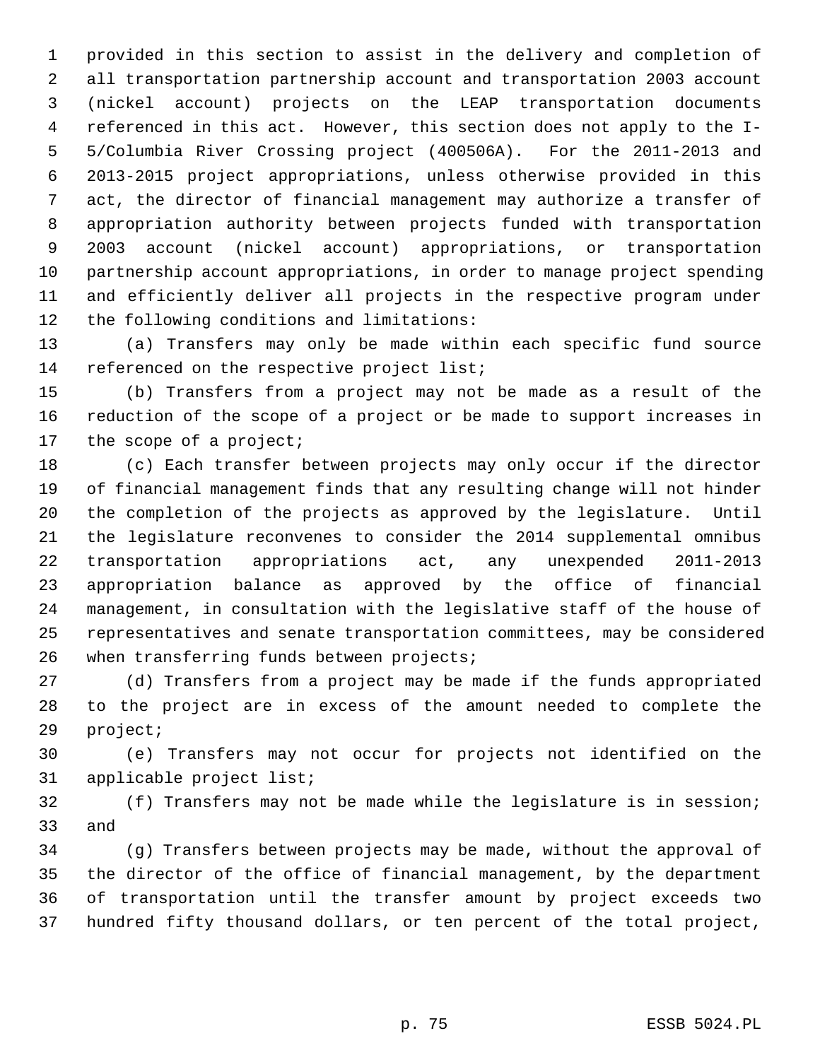1 provided in this section to assist in the delivery and completion of 2 all transportation partnership account and transportation 2003 account 3 (nickel account) projects on the LEAP transportation documents 4 referenced in this act. However, this section does not apply to the I- 5 5/Columbia River Crossing project (400506A). For the 2011-2013 and 6 2013-2015 project appropriations, unless otherwise provided in this 7 act, the director of financial management may authorize a transfer of 8 appropriation authority between projects funded with transportation 9 2003 account (nickel account) appropriations, or transportation 10 partnership account appropriations, in order to manage project spending 11 and efficiently deliver all projects in the respective program under 12 the following conditions and limitations:

13 (a) Transfers may only be made within each specific fund source 14 referenced on the respective project list;

15 (b) Transfers from a project may not be made as a result of the 16 reduction of the scope of a project or be made to support increases in 17 the scope of a project;

18 (c) Each transfer between projects may only occur if the director 19 of financial management finds that any resulting change will not hinder 20 the completion of the projects as approved by the legislature. Until 21 the legislature reconvenes to consider the 2014 supplemental omnibus 22 transportation appropriations act, any unexpended 2011-2013 23 appropriation balance as approved by the office of financial 24 management, in consultation with the legislative staff of the house of 25 representatives and senate transportation committees, may be considered 26 when transferring funds between projects;

27 (d) Transfers from a project may be made if the funds appropriated 28 to the project are in excess of the amount needed to complete the 29 project;

30 (e) Transfers may not occur for projects not identified on the 31 applicable project list;

32 (f) Transfers may not be made while the legislature is in session; 33 and

34 (g) Transfers between projects may be made, without the approval of 35 the director of the office of financial management, by the department 36 of transportation until the transfer amount by project exceeds two 37 hundred fifty thousand dollars, or ten percent of the total project,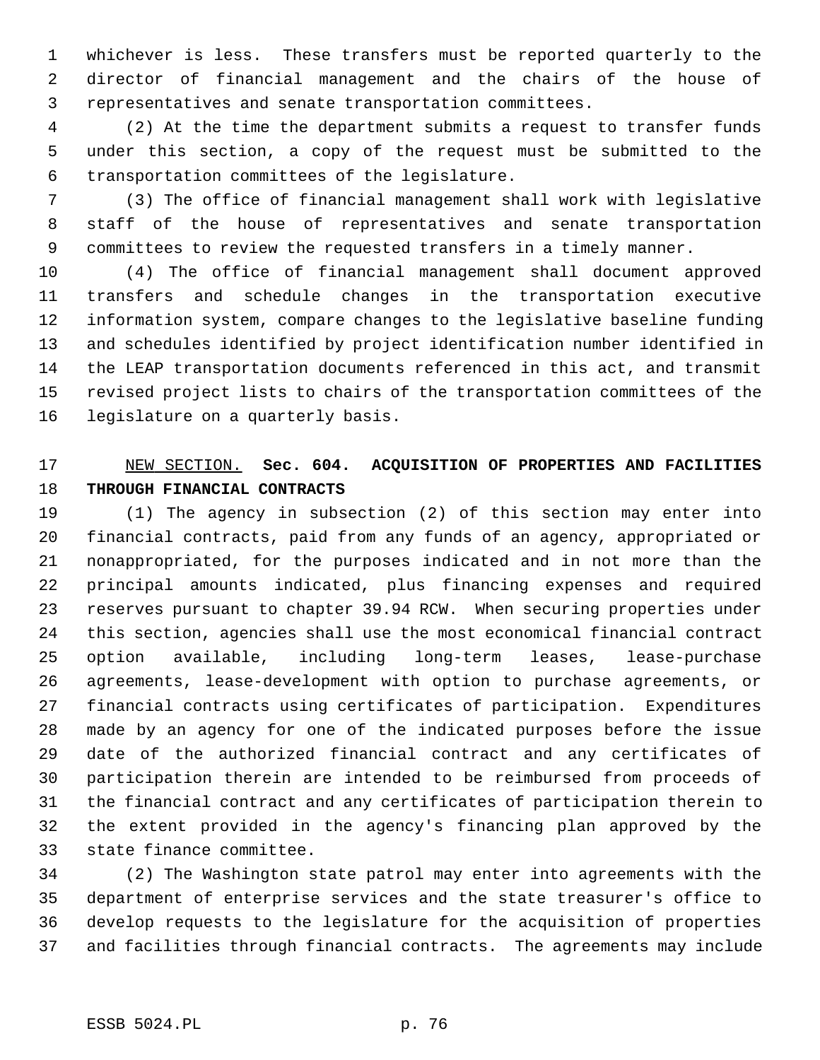1 whichever is less. These transfers must be reported quarterly to the 2 director of financial management and the chairs of the house of 3 representatives and senate transportation committees.

 4 (2) At the time the department submits a request to transfer funds 5 under this section, a copy of the request must be submitted to the 6 transportation committees of the legislature.

 7 (3) The office of financial management shall work with legislative 8 staff of the house of representatives and senate transportation 9 committees to review the requested transfers in a timely manner.

10 (4) The office of financial management shall document approved 11 transfers and schedule changes in the transportation executive 12 information system, compare changes to the legislative baseline funding 13 and schedules identified by project identification number identified in 14 the LEAP transportation documents referenced in this act, and transmit 15 revised project lists to chairs of the transportation committees of the 16 legislature on a quarterly basis.

# 17 NEW SECTION. **Sec. 604. ACQUISITION OF PROPERTIES AND FACILITIES** 18 **THROUGH FINANCIAL CONTRACTS**

19 (1) The agency in subsection (2) of this section may enter into 20 financial contracts, paid from any funds of an agency, appropriated or 21 nonappropriated, for the purposes indicated and in not more than the 22 principal amounts indicated, plus financing expenses and required 23 reserves pursuant to chapter 39.94 RCW. When securing properties under 24 this section, agencies shall use the most economical financial contract 25 option available, including long-term leases, lease-purchase 26 agreements, lease-development with option to purchase agreements, or 27 financial contracts using certificates of participation. Expenditures 28 made by an agency for one of the indicated purposes before the issue 29 date of the authorized financial contract and any certificates of 30 participation therein are intended to be reimbursed from proceeds of 31 the financial contract and any certificates of participation therein to 32 the extent provided in the agency's financing plan approved by the 33 state finance committee.

34 (2) The Washington state patrol may enter into agreements with the 35 department of enterprise services and the state treasurer's office to 36 develop requests to the legislature for the acquisition of properties 37 and facilities through financial contracts. The agreements may include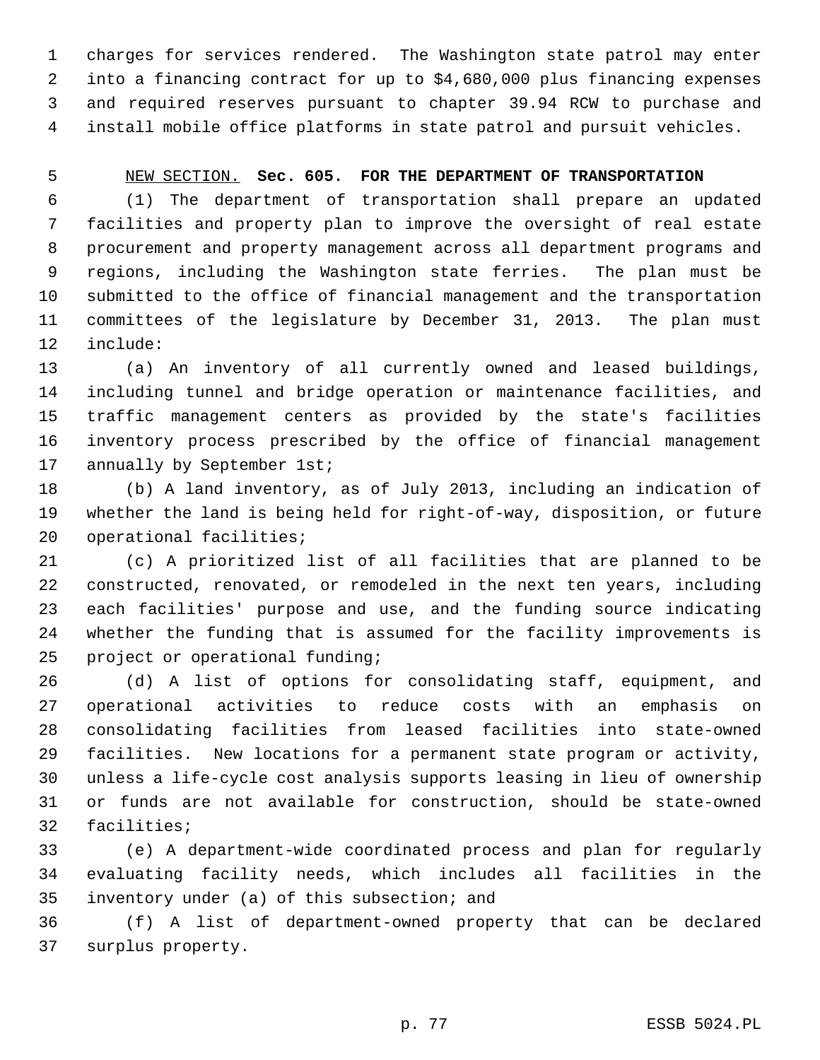1 charges for services rendered. The Washington state patrol may enter 2 into a financing contract for up to \$4,680,000 plus financing expenses 3 and required reserves pursuant to chapter 39.94 RCW to purchase and 4 install mobile office platforms in state patrol and pursuit vehicles.

## 5 NEW SECTION. **Sec. 605. FOR THE DEPARTMENT OF TRANSPORTATION**

 6 (1) The department of transportation shall prepare an updated 7 facilities and property plan to improve the oversight of real estate 8 procurement and property management across all department programs and 9 regions, including the Washington state ferries. The plan must be 10 submitted to the office of financial management and the transportation 11 committees of the legislature by December 31, 2013. The plan must 12 include:

13 (a) An inventory of all currently owned and leased buildings, 14 including tunnel and bridge operation or maintenance facilities, and 15 traffic management centers as provided by the state's facilities 16 inventory process prescribed by the office of financial management 17 annually by September 1st;

18 (b) A land inventory, as of July 2013, including an indication of 19 whether the land is being held for right-of-way, disposition, or future 20 operational facilities;

21 (c) A prioritized list of all facilities that are planned to be 22 constructed, renovated, or remodeled in the next ten years, including 23 each facilities' purpose and use, and the funding source indicating 24 whether the funding that is assumed for the facility improvements is 25 project or operational funding;

26 (d) A list of options for consolidating staff, equipment, and 27 operational activities to reduce costs with an emphasis on 28 consolidating facilities from leased facilities into state-owned 29 facilities. New locations for a permanent state program or activity, 30 unless a life-cycle cost analysis supports leasing in lieu of ownership 31 or funds are not available for construction, should be state-owned 32 facilities;

33 (e) A department-wide coordinated process and plan for regularly 34 evaluating facility needs, which includes all facilities in the 35 inventory under (a) of this subsection; and

36 (f) A list of department-owned property that can be declared 37 surplus property.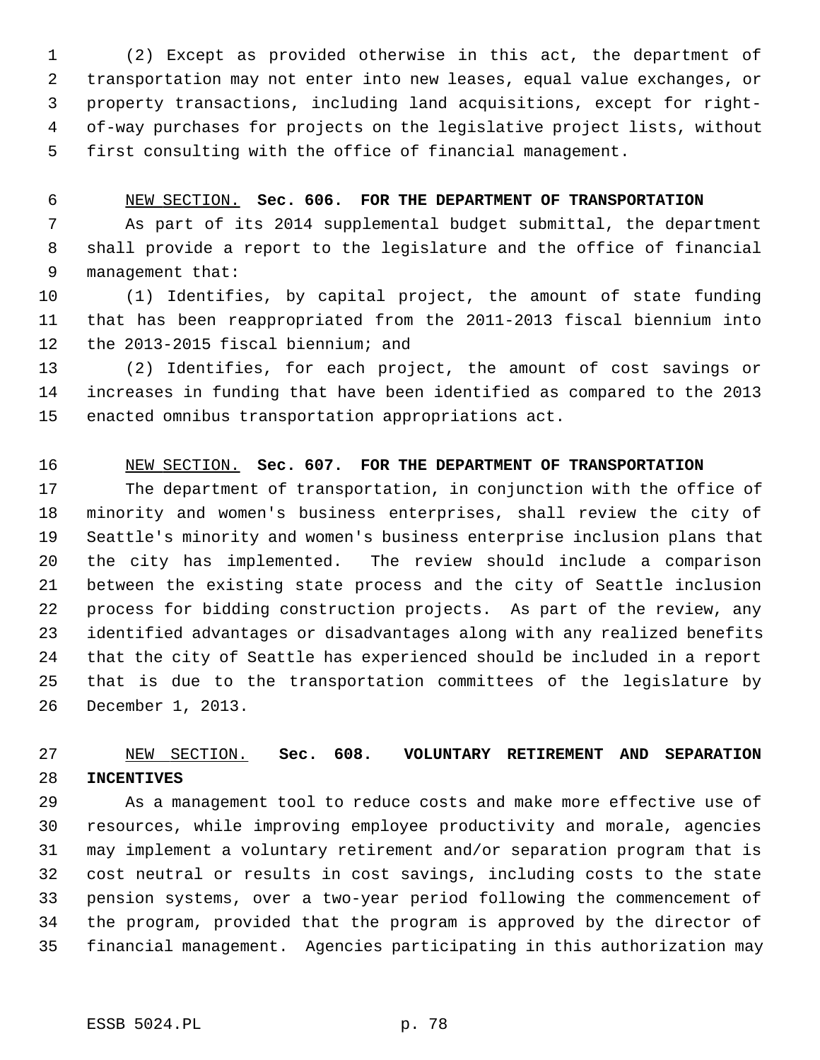1 (2) Except as provided otherwise in this act, the department of 2 transportation may not enter into new leases, equal value exchanges, or 3 property transactions, including land acquisitions, except for right- 4 of-way purchases for projects on the legislative project lists, without 5 first consulting with the office of financial management.

## 6 NEW SECTION. **Sec. 606. FOR THE DEPARTMENT OF TRANSPORTATION**

 7 As part of its 2014 supplemental budget submittal, the department 8 shall provide a report to the legislature and the office of financial 9 management that:

10 (1) Identifies, by capital project, the amount of state funding 11 that has been reappropriated from the 2011-2013 fiscal biennium into 12 the 2013-2015 fiscal biennium; and

13 (2) Identifies, for each project, the amount of cost savings or 14 increases in funding that have been identified as compared to the 2013 15 enacted omnibus transportation appropriations act.

## 16 NEW SECTION. **Sec. 607. FOR THE DEPARTMENT OF TRANSPORTATION**

17 The department of transportation, in conjunction with the office of 18 minority and women's business enterprises, shall review the city of 19 Seattle's minority and women's business enterprise inclusion plans that 20 the city has implemented. The review should include a comparison 21 between the existing state process and the city of Seattle inclusion 22 process for bidding construction projects. As part of the review, any 23 identified advantages or disadvantages along with any realized benefits 24 that the city of Seattle has experienced should be included in a report 25 that is due to the transportation committees of the legislature by 26 December 1, 2013.

# 27 NEW SECTION. **Sec. 608. VOLUNTARY RETIREMENT AND SEPARATION** 28 **INCENTIVES**

29 As a management tool to reduce costs and make more effective use of 30 resources, while improving employee productivity and morale, agencies 31 may implement a voluntary retirement and/or separation program that is 32 cost neutral or results in cost savings, including costs to the state 33 pension systems, over a two-year period following the commencement of 34 the program, provided that the program is approved by the director of 35 financial management. Agencies participating in this authorization may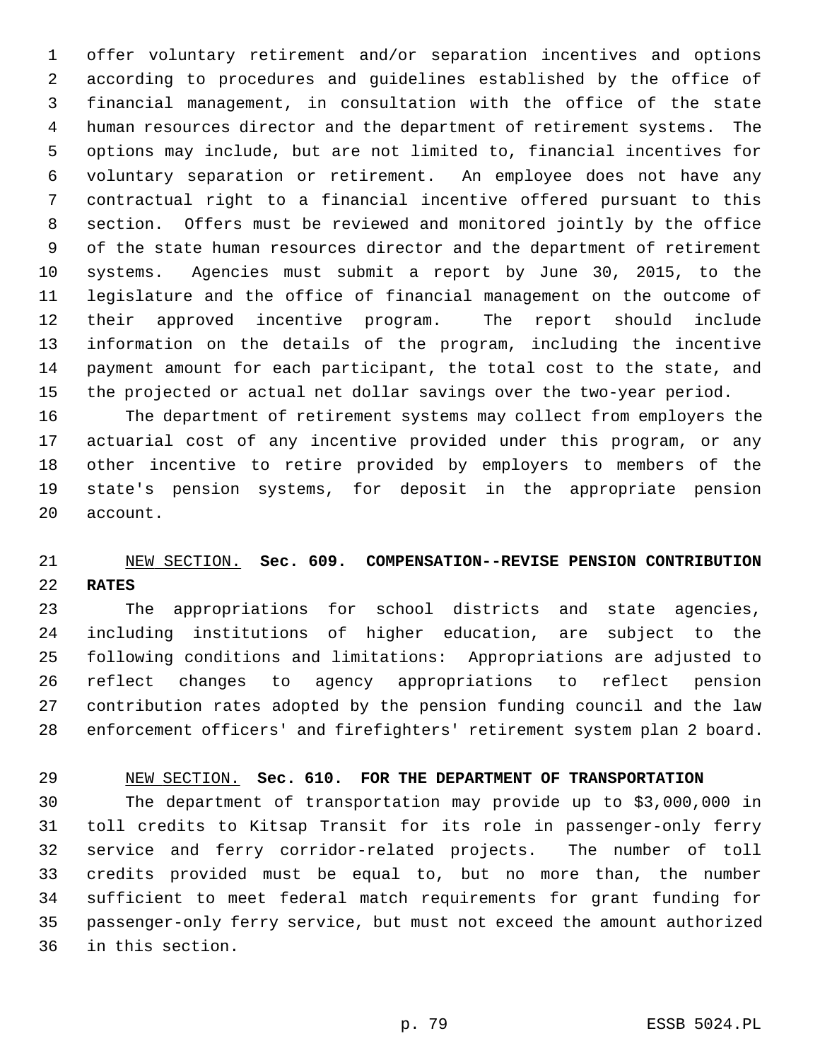1 offer voluntary retirement and/or separation incentives and options 2 according to procedures and guidelines established by the office of 3 financial management, in consultation with the office of the state 4 human resources director and the department of retirement systems. The 5 options may include, but are not limited to, financial incentives for 6 voluntary separation or retirement. An employee does not have any 7 contractual right to a financial incentive offered pursuant to this 8 section. Offers must be reviewed and monitored jointly by the office 9 of the state human resources director and the department of retirement 10 systems. Agencies must submit a report by June 30, 2015, to the 11 legislature and the office of financial management on the outcome of 12 their approved incentive program. The report should include 13 information on the details of the program, including the incentive 14 payment amount for each participant, the total cost to the state, and 15 the projected or actual net dollar savings over the two-year period.

16 The department of retirement systems may collect from employers the 17 actuarial cost of any incentive provided under this program, or any 18 other incentive to retire provided by employers to members of the 19 state's pension systems, for deposit in the appropriate pension 20 account.

# 21 NEW SECTION. **Sec. 609. COMPENSATION--REVISE PENSION CONTRIBUTION** 22 **RATES**

23 The appropriations for school districts and state agencies, 24 including institutions of higher education, are subject to the 25 following conditions and limitations: Appropriations are adjusted to 26 reflect changes to agency appropriations to reflect pension 27 contribution rates adopted by the pension funding council and the law 28 enforcement officers' and firefighters' retirement system plan 2 board.

## 29 NEW SECTION. **Sec. 610. FOR THE DEPARTMENT OF TRANSPORTATION**

30 The department of transportation may provide up to \$3,000,000 in 31 toll credits to Kitsap Transit for its role in passenger-only ferry 32 service and ferry corridor-related projects. The number of toll 33 credits provided must be equal to, but no more than, the number 34 sufficient to meet federal match requirements for grant funding for 35 passenger-only ferry service, but must not exceed the amount authorized 36 in this section.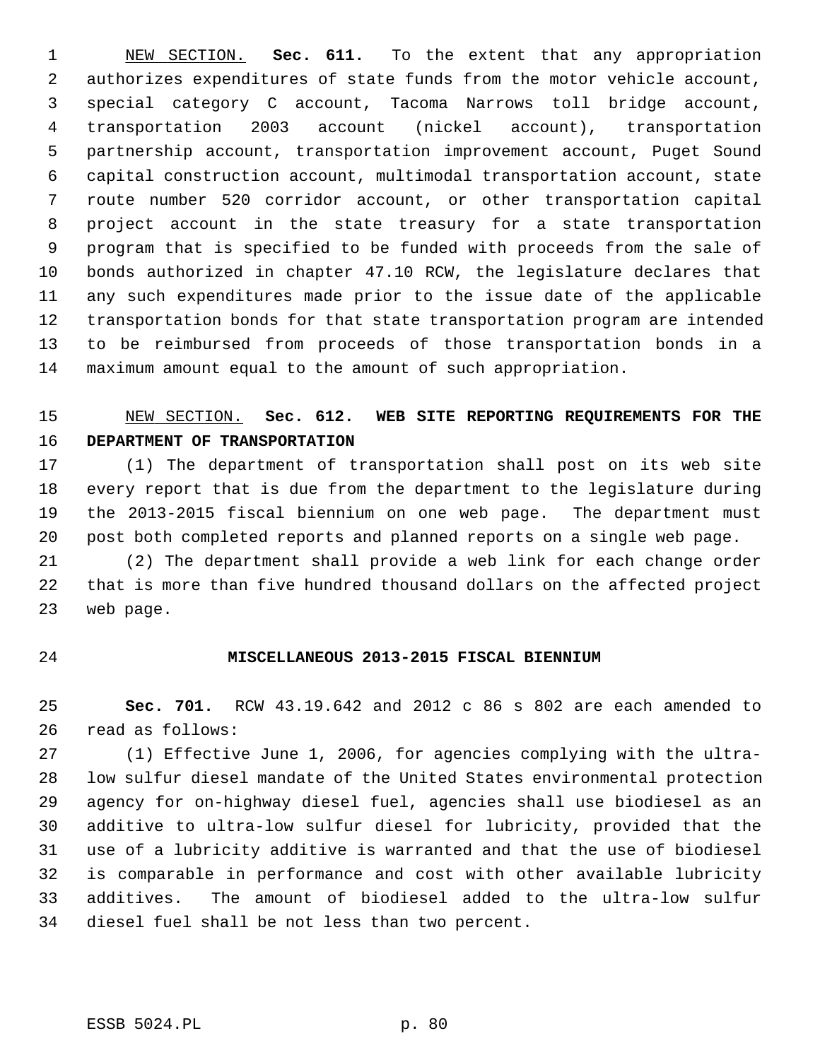1 NEW SECTION. **Sec. 611.** To the extent that any appropriation 2 authorizes expenditures of state funds from the motor vehicle account, 3 special category C account, Tacoma Narrows toll bridge account, 4 transportation 2003 account (nickel account), transportation 5 partnership account, transportation improvement account, Puget Sound 6 capital construction account, multimodal transportation account, state 7 route number 520 corridor account, or other transportation capital 8 project account in the state treasury for a state transportation 9 program that is specified to be funded with proceeds from the sale of 10 bonds authorized in chapter 47.10 RCW, the legislature declares that 11 any such expenditures made prior to the issue date of the applicable 12 transportation bonds for that state transportation program are intended 13 to be reimbursed from proceeds of those transportation bonds in a 14 maximum amount equal to the amount of such appropriation.

# 15 NEW SECTION. **Sec. 612. WEB SITE REPORTING REQUIREMENTS FOR THE** 16 **DEPARTMENT OF TRANSPORTATION**

17 (1) The department of transportation shall post on its web site 18 every report that is due from the department to the legislature during 19 the 2013-2015 fiscal biennium on one web page. The department must 20 post both completed reports and planned reports on a single web page.

21 (2) The department shall provide a web link for each change order 22 that is more than five hundred thousand dollars on the affected project 23 web page.

## 24 **MISCELLANEOUS 2013-2015 FISCAL BIENNIUM**

25 **Sec. 701.** RCW 43.19.642 and 2012 c 86 s 802 are each amended to 26 read as follows:

27 (1) Effective June 1, 2006, for agencies complying with the ultra-28 low sulfur diesel mandate of the United States environmental protection 29 agency for on-highway diesel fuel, agencies shall use biodiesel as an 30 additive to ultra-low sulfur diesel for lubricity, provided that the 31 use of a lubricity additive is warranted and that the use of biodiesel 32 is comparable in performance and cost with other available lubricity 33 additives. The amount of biodiesel added to the ultra-low sulfur 34 diesel fuel shall be not less than two percent.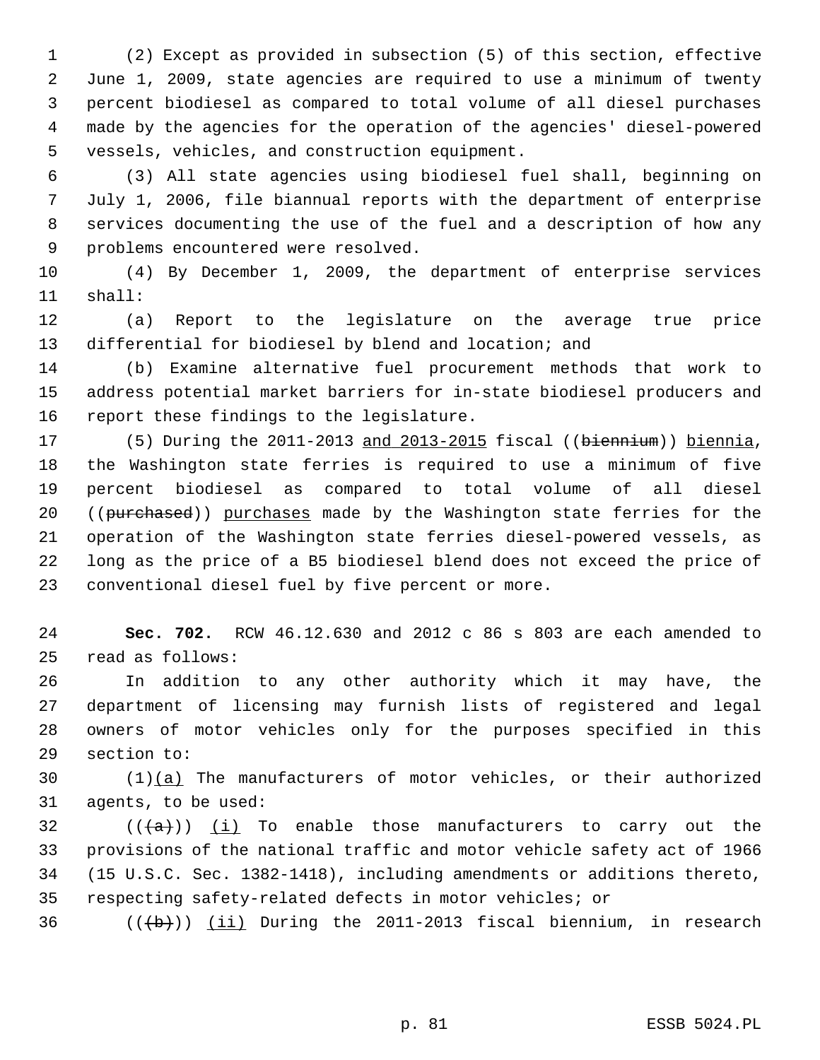1 (2) Except as provided in subsection (5) of this section, effective 2 June 1, 2009, state agencies are required to use a minimum of twenty 3 percent biodiesel as compared to total volume of all diesel purchases 4 made by the agencies for the operation of the agencies' diesel-powered 5 vessels, vehicles, and construction equipment.

 6 (3) All state agencies using biodiesel fuel shall, beginning on 7 July 1, 2006, file biannual reports with the department of enterprise 8 services documenting the use of the fuel and a description of how any 9 problems encountered were resolved.

10 (4) By December 1, 2009, the department of enterprise services 11 shall:

12 (a) Report to the legislature on the average true price 13 differential for biodiesel by blend and location; and

14 (b) Examine alternative fuel procurement methods that work to 15 address potential market barriers for in-state biodiesel producers and 16 report these findings to the legislature.

17 (5) During the 2011-2013 and 2013-2015 fiscal ((biennium)) biennia, 18 the Washington state ferries is required to use a minimum of five 19 percent biodiesel as compared to total volume of all diesel 20 ((purchased)) purchases made by the Washington state ferries for the 21 operation of the Washington state ferries diesel-powered vessels, as 22 long as the price of a B5 biodiesel blend does not exceed the price of 23 conventional diesel fuel by five percent or more.

24 **Sec. 702.** RCW 46.12.630 and 2012 c 86 s 803 are each amended to 25 read as follows:

26 In addition to any other authority which it may have, the 27 department of licensing may furnish lists of registered and legal 28 owners of motor vehicles only for the purposes specified in this 29 section to:

30 (1)(a) The manufacturers of motor vehicles, or their authorized 31 agents, to be used:

32 ( $(\overline{\{a\}})$  (i) To enable those manufacturers to carry out the 33 provisions of the national traffic and motor vehicle safety act of 1966 34 (15 U.S.C. Sec. 1382-1418), including amendments or additions thereto, 35 respecting safety-related defects in motor vehicles; or

36 ( $(\overline{\text{(b)}})$  (ii) During the 2011-2013 fiscal biennium, in research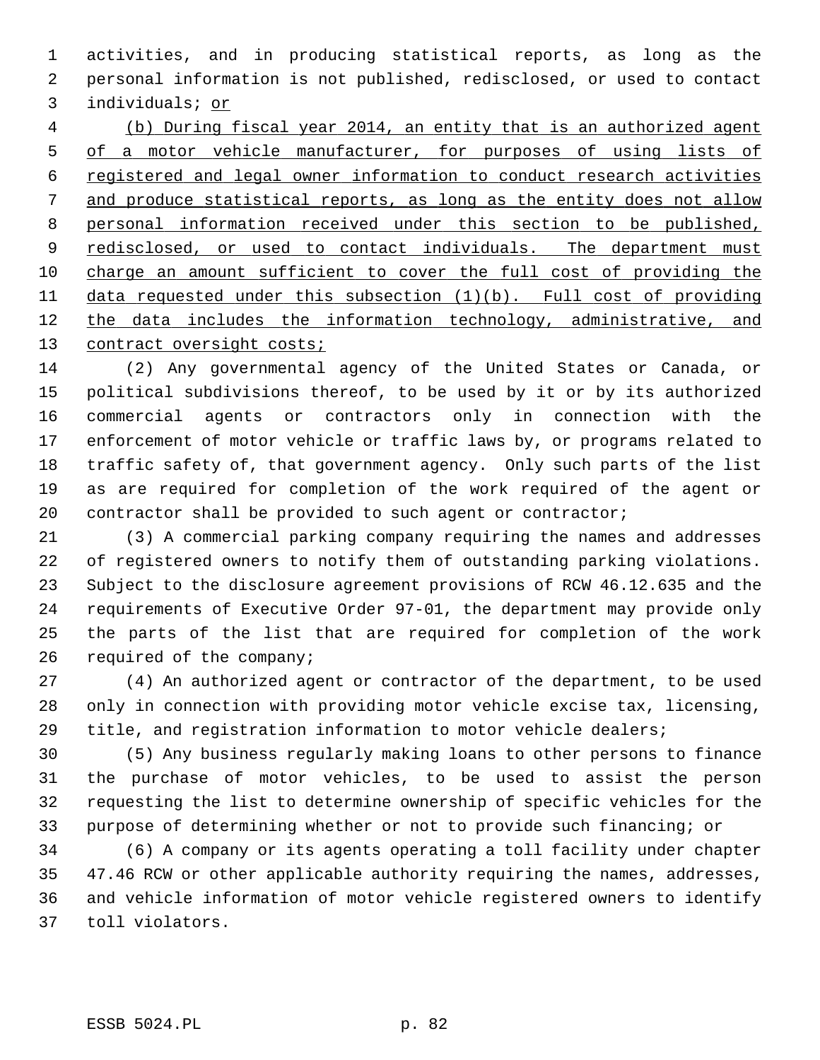1 activities, and in producing statistical reports, as long as the 2 personal information is not published, redisclosed, or used to contact 3 individuals; or

 (b) During fiscal year 2014, an entity that is an authorized agent of a motor vehicle manufacturer, for purposes of using lists of registered and legal owner information to conduct research activities and produce statistical reports, as long as the entity does not allow personal information received under this section to be published, 9 redisclosed, or used to contact individuals. The department must charge an amount sufficient to cover the full cost of providing the data requested under this subsection (1)(b). Full cost of providing the data includes the information technology, administrative, and contract oversight costs;

14 (2) Any governmental agency of the United States or Canada, or 15 political subdivisions thereof, to be used by it or by its authorized 16 commercial agents or contractors only in connection with the 17 enforcement of motor vehicle or traffic laws by, or programs related to 18 traffic safety of, that government agency. Only such parts of the list 19 as are required for completion of the work required of the agent or 20 contractor shall be provided to such agent or contractor;

21 (3) A commercial parking company requiring the names and addresses 22 of registered owners to notify them of outstanding parking violations. 23 Subject to the disclosure agreement provisions of RCW 46.12.635 and the 24 requirements of Executive Order 97-01, the department may provide only 25 the parts of the list that are required for completion of the work 26 required of the company;

27 (4) An authorized agent or contractor of the department, to be used 28 only in connection with providing motor vehicle excise tax, licensing, 29 title, and registration information to motor vehicle dealers;

30 (5) Any business regularly making loans to other persons to finance 31 the purchase of motor vehicles, to be used to assist the person 32 requesting the list to determine ownership of specific vehicles for the 33 purpose of determining whether or not to provide such financing; or

34 (6) A company or its agents operating a toll facility under chapter 35 47.46 RCW or other applicable authority requiring the names, addresses, 36 and vehicle information of motor vehicle registered owners to identify 37 toll violators.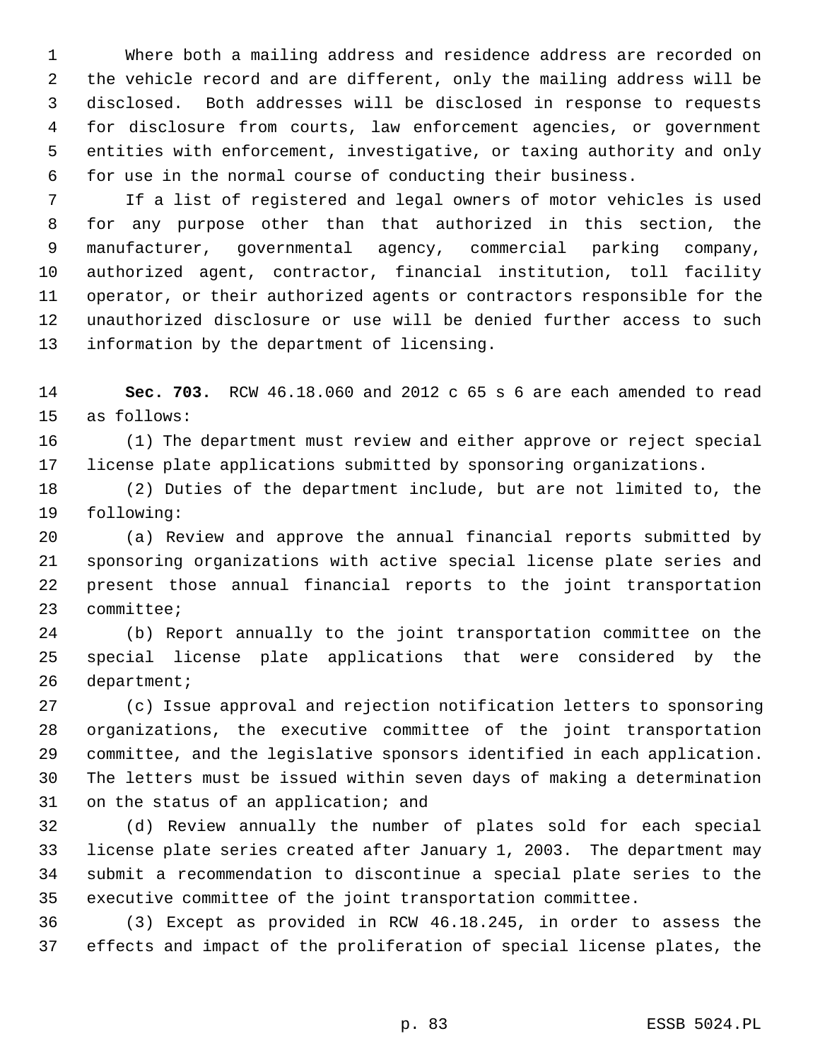1 Where both a mailing address and residence address are recorded on 2 the vehicle record and are different, only the mailing address will be 3 disclosed. Both addresses will be disclosed in response to requests 4 for disclosure from courts, law enforcement agencies, or government 5 entities with enforcement, investigative, or taxing authority and only 6 for use in the normal course of conducting their business.

 7 If a list of registered and legal owners of motor vehicles is used 8 for any purpose other than that authorized in this section, the 9 manufacturer, governmental agency, commercial parking company, 10 authorized agent, contractor, financial institution, toll facility 11 operator, or their authorized agents or contractors responsible for the 12 unauthorized disclosure or use will be denied further access to such 13 information by the department of licensing.

14 **Sec. 703.** RCW 46.18.060 and 2012 c 65 s 6 are each amended to read 15 as follows:

16 (1) The department must review and either approve or reject special 17 license plate applications submitted by sponsoring organizations.

18 (2) Duties of the department include, but are not limited to, the 19 following:

20 (a) Review and approve the annual financial reports submitted by 21 sponsoring organizations with active special license plate series and 22 present those annual financial reports to the joint transportation 23 committee;

24 (b) Report annually to the joint transportation committee on the 25 special license plate applications that were considered by the 26 department;

27 (c) Issue approval and rejection notification letters to sponsoring 28 organizations, the executive committee of the joint transportation 29 committee, and the legislative sponsors identified in each application. 30 The letters must be issued within seven days of making a determination 31 on the status of an application; and

32 (d) Review annually the number of plates sold for each special 33 license plate series created after January 1, 2003. The department may 34 submit a recommendation to discontinue a special plate series to the 35 executive committee of the joint transportation committee.

36 (3) Except as provided in RCW 46.18.245, in order to assess the 37 effects and impact of the proliferation of special license plates, the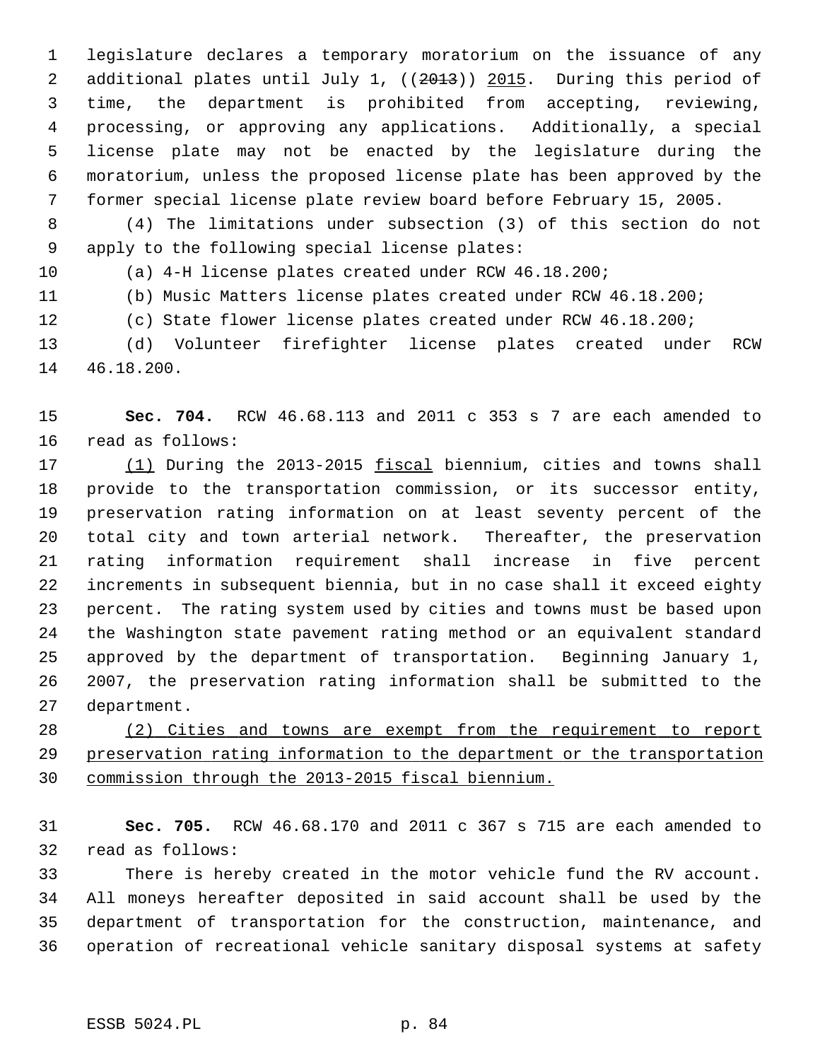1 legislature declares a temporary moratorium on the issuance of any 2 additional plates until July 1, ((2013)) 2015. During this period of 3 time, the department is prohibited from accepting, reviewing, 4 processing, or approving any applications. Additionally, a special 5 license plate may not be enacted by the legislature during the 6 moratorium, unless the proposed license plate has been approved by the 7 former special license plate review board before February 15, 2005.

 8 (4) The limitations under subsection (3) of this section do not 9 apply to the following special license plates:

10 (a) 4-H license plates created under RCW 46.18.200;

11 (b) Music Matters license plates created under RCW 46.18.200;

12 (c) State flower license plates created under RCW 46.18.200;

13 (d) Volunteer firefighter license plates created under RCW 14 46.18.200.

15 **Sec. 704.** RCW 46.68.113 and 2011 c 353 s 7 are each amended to 16 read as follows:

17 (1) During the 2013-2015 fiscal biennium, cities and towns shall 18 provide to the transportation commission, or its successor entity, 19 preservation rating information on at least seventy percent of the 20 total city and town arterial network. Thereafter, the preservation 21 rating information requirement shall increase in five percent 22 increments in subsequent biennia, but in no case shall it exceed eighty 23 percent. The rating system used by cities and towns must be based upon 24 the Washington state pavement rating method or an equivalent standard 25 approved by the department of transportation. Beginning January 1, 26 2007, the preservation rating information shall be submitted to the 27 department.

28 (2) Cities and towns are exempt from the requirement to report 29 preservation rating information to the department or the transportation 30 commission through the 2013-2015 fiscal biennium.

31 **Sec. 705.** RCW 46.68.170 and 2011 c 367 s 715 are each amended to 32 read as follows:

33 There is hereby created in the motor vehicle fund the RV account. 34 All moneys hereafter deposited in said account shall be used by the 35 department of transportation for the construction, maintenance, and 36 operation of recreational vehicle sanitary disposal systems at safety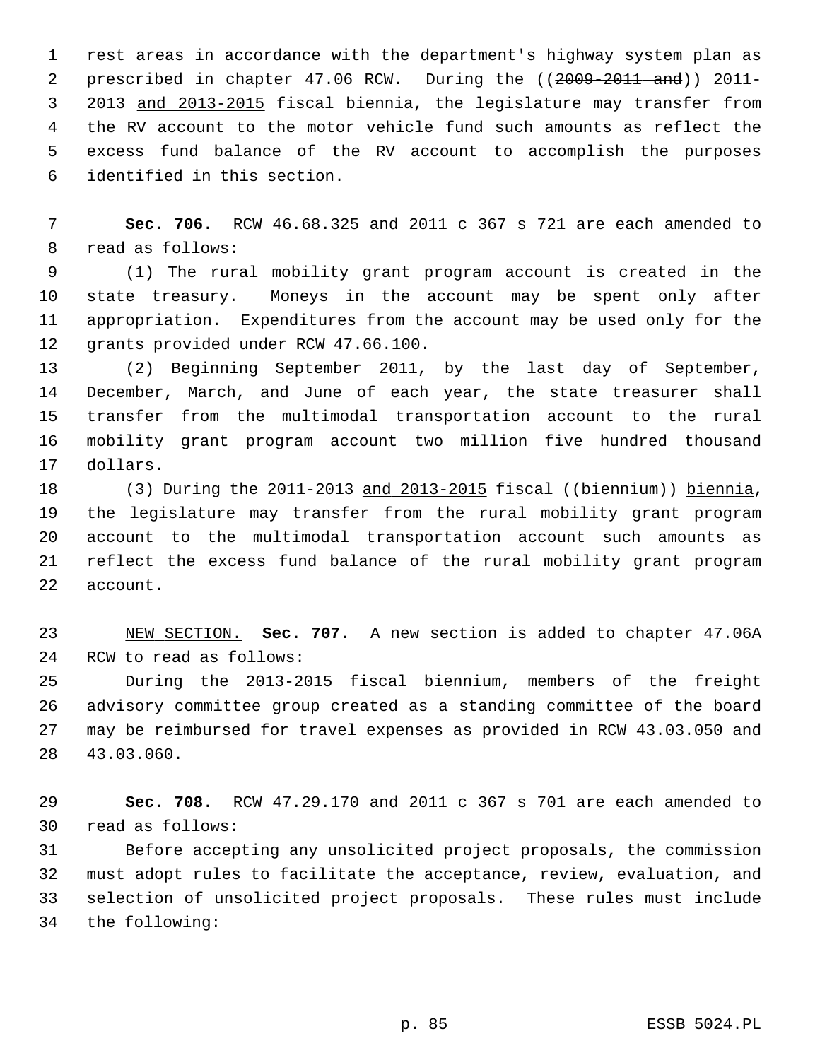1 rest areas in accordance with the department's highway system plan as 2 prescribed in chapter 47.06 RCW. During the ((2009-2011 and)) 2011- 3 2013 and 2013-2015 fiscal biennia, the legislature may transfer from 4 the RV account to the motor vehicle fund such amounts as reflect the 5 excess fund balance of the RV account to accomplish the purposes 6 identified in this section.

 7 **Sec. 706.** RCW 46.68.325 and 2011 c 367 s 721 are each amended to 8 read as follows:

 9 (1) The rural mobility grant program account is created in the 10 state treasury. Moneys in the account may be spent only after 11 appropriation. Expenditures from the account may be used only for the 12 grants provided under RCW 47.66.100.

13 (2) Beginning September 2011, by the last day of September, 14 December, March, and June of each year, the state treasurer shall 15 transfer from the multimodal transportation account to the rural 16 mobility grant program account two million five hundred thousand 17 dollars.

18 (3) During the 2011-2013 and 2013-2015 fiscal ((biennium)) biennia, 19 the legislature may transfer from the rural mobility grant program 20 account to the multimodal transportation account such amounts as 21 reflect the excess fund balance of the rural mobility grant program 22 account.

23 NEW SECTION. **Sec. 707.** A new section is added to chapter 47.06A 24 RCW to read as follows:

25 During the 2013-2015 fiscal biennium, members of the freight 26 advisory committee group created as a standing committee of the board 27 may be reimbursed for travel expenses as provided in RCW 43.03.050 and 28 43.03.060.

29 **Sec. 708.** RCW 47.29.170 and 2011 c 367 s 701 are each amended to 30 read as follows:

31 Before accepting any unsolicited project proposals, the commission 32 must adopt rules to facilitate the acceptance, review, evaluation, and 33 selection of unsolicited project proposals. These rules must include 34 the following: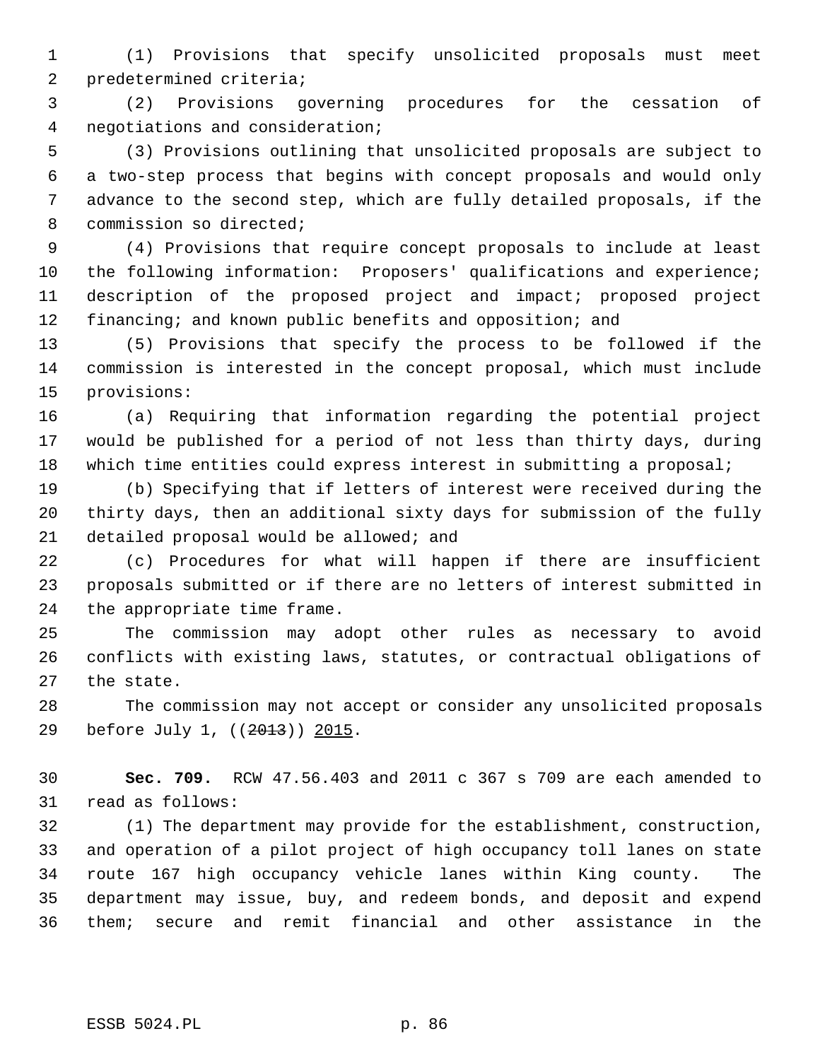1 (1) Provisions that specify unsolicited proposals must meet 2 predetermined criteria;

 3 (2) Provisions governing procedures for the cessation of 4 negotiations and consideration;

 5 (3) Provisions outlining that unsolicited proposals are subject to 6 a two-step process that begins with concept proposals and would only 7 advance to the second step, which are fully detailed proposals, if the 8 commission so directed;

 9 (4) Provisions that require concept proposals to include at least 10 the following information: Proposers' qualifications and experience; 11 description of the proposed project and impact; proposed project 12 financing; and known public benefits and opposition; and

13 (5) Provisions that specify the process to be followed if the 14 commission is interested in the concept proposal, which must include 15 provisions:

16 (a) Requiring that information regarding the potential project 17 would be published for a period of not less than thirty days, during 18 which time entities could express interest in submitting a proposal;

19 (b) Specifying that if letters of interest were received during the 20 thirty days, then an additional sixty days for submission of the fully 21 detailed proposal would be allowed; and

22 (c) Procedures for what will happen if there are insufficient 23 proposals submitted or if there are no letters of interest submitted in 24 the appropriate time frame.

25 The commission may adopt other rules as necessary to avoid 26 conflicts with existing laws, statutes, or contractual obligations of 27 the state.

28 The commission may not accept or consider any unsolicited proposals 29 before July 1, ((2013)) 2015.

30 **Sec. 709.** RCW 47.56.403 and 2011 c 367 s 709 are each amended to 31 read as follows:

32 (1) The department may provide for the establishment, construction, 33 and operation of a pilot project of high occupancy toll lanes on state 34 route 167 high occupancy vehicle lanes within King county. The 35 department may issue, buy, and redeem bonds, and deposit and expend 36 them; secure and remit financial and other assistance in the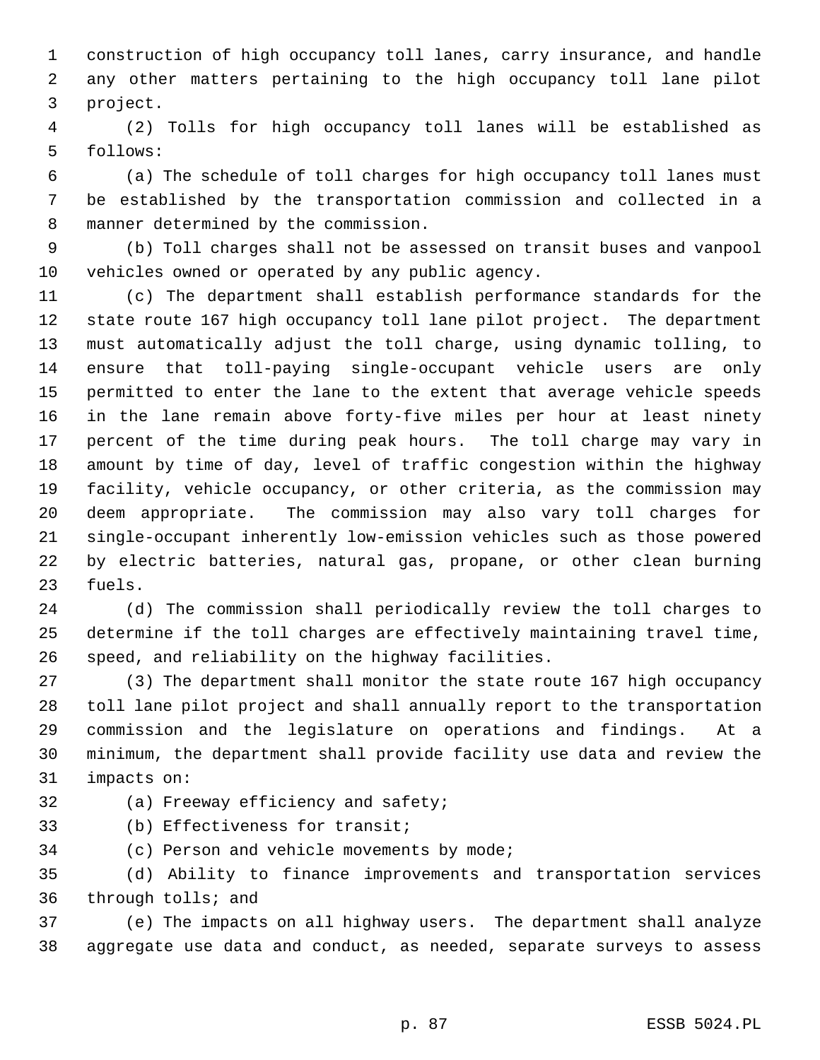1 construction of high occupancy toll lanes, carry insurance, and handle 2 any other matters pertaining to the high occupancy toll lane pilot 3 project.

 4 (2) Tolls for high occupancy toll lanes will be established as 5 follows:

 6 (a) The schedule of toll charges for high occupancy toll lanes must 7 be established by the transportation commission and collected in a 8 manner determined by the commission.

 9 (b) Toll charges shall not be assessed on transit buses and vanpool 10 vehicles owned or operated by any public agency.

11 (c) The department shall establish performance standards for the 12 state route 167 high occupancy toll lane pilot project. The department 13 must automatically adjust the toll charge, using dynamic tolling, to 14 ensure that toll-paying single-occupant vehicle users are only 15 permitted to enter the lane to the extent that average vehicle speeds 16 in the lane remain above forty-five miles per hour at least ninety 17 percent of the time during peak hours. The toll charge may vary in 18 amount by time of day, level of traffic congestion within the highway 19 facility, vehicle occupancy, or other criteria, as the commission may 20 deem appropriate. The commission may also vary toll charges for 21 single-occupant inherently low-emission vehicles such as those powered 22 by electric batteries, natural gas, propane, or other clean burning 23 fuels.

24 (d) The commission shall periodically review the toll charges to 25 determine if the toll charges are effectively maintaining travel time, 26 speed, and reliability on the highway facilities.

27 (3) The department shall monitor the state route 167 high occupancy 28 toll lane pilot project and shall annually report to the transportation 29 commission and the legislature on operations and findings. At a 30 minimum, the department shall provide facility use data and review the 31 impacts on:

32 (a) Freeway efficiency and safety;

33 (b) Effectiveness for transit;

34 (c) Person and vehicle movements by mode;

35 (d) Ability to finance improvements and transportation services 36 through tolls; and

37 (e) The impacts on all highway users. The department shall analyze 38 aggregate use data and conduct, as needed, separate surveys to assess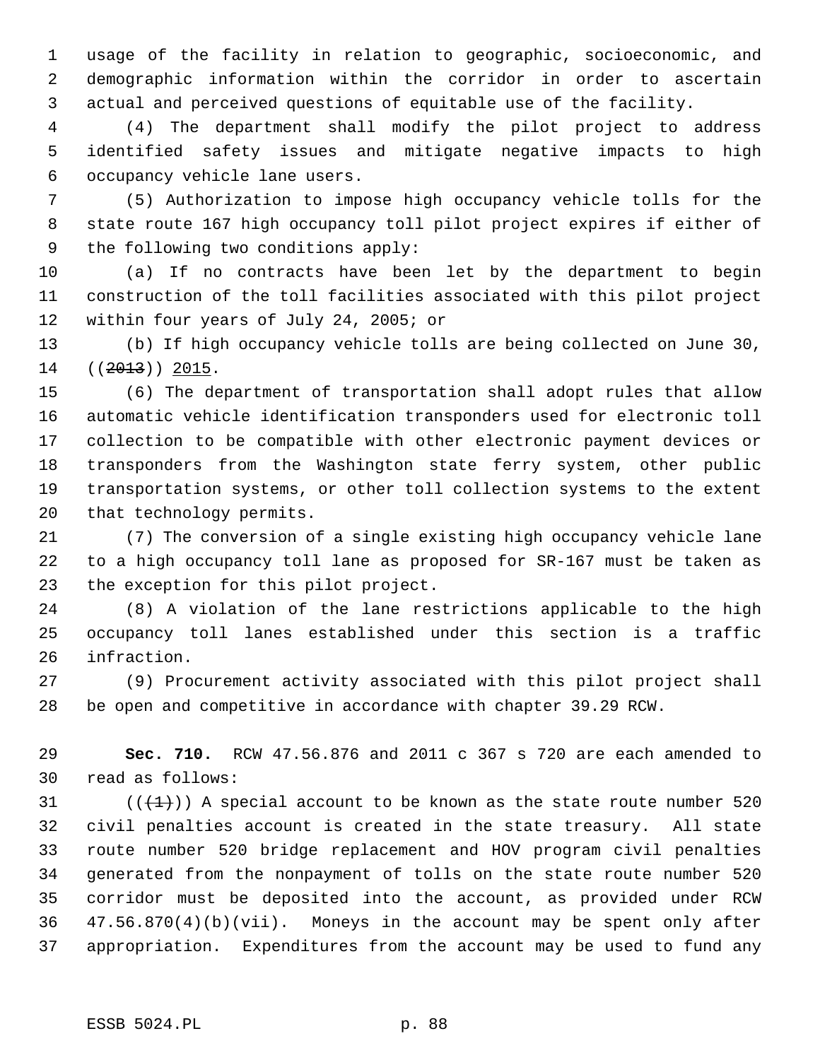1 usage of the facility in relation to geographic, socioeconomic, and 2 demographic information within the corridor in order to ascertain 3 actual and perceived questions of equitable use of the facility.

 4 (4) The department shall modify the pilot project to address 5 identified safety issues and mitigate negative impacts to high 6 occupancy vehicle lane users.

 7 (5) Authorization to impose high occupancy vehicle tolls for the 8 state route 167 high occupancy toll pilot project expires if either of 9 the following two conditions apply:

10 (a) If no contracts have been let by the department to begin 11 construction of the toll facilities associated with this pilot project 12 within four years of July 24, 2005; or

13 (b) If high occupancy vehicle tolls are being collected on June 30, 14 ((2013)) 2015.

15 (6) The department of transportation shall adopt rules that allow 16 automatic vehicle identification transponders used for electronic toll 17 collection to be compatible with other electronic payment devices or 18 transponders from the Washington state ferry system, other public 19 transportation systems, or other toll collection systems to the extent 20 that technology permits.

21 (7) The conversion of a single existing high occupancy vehicle lane 22 to a high occupancy toll lane as proposed for SR-167 must be taken as 23 the exception for this pilot project.

24 (8) A violation of the lane restrictions applicable to the high 25 occupancy toll lanes established under this section is a traffic 26 infraction.

27 (9) Procurement activity associated with this pilot project shall 28 be open and competitive in accordance with chapter 39.29 RCW.

29 **Sec. 710.** RCW 47.56.876 and 2011 c 367 s 720 are each amended to 30 read as follows:

31  $((+1))$  A special account to be known as the state route number 520 32 civil penalties account is created in the state treasury. All state 33 route number 520 bridge replacement and HOV program civil penalties 34 generated from the nonpayment of tolls on the state route number 520 35 corridor must be deposited into the account, as provided under RCW 36 47.56.870(4)(b)(vii). Moneys in the account may be spent only after 37 appropriation. Expenditures from the account may be used to fund any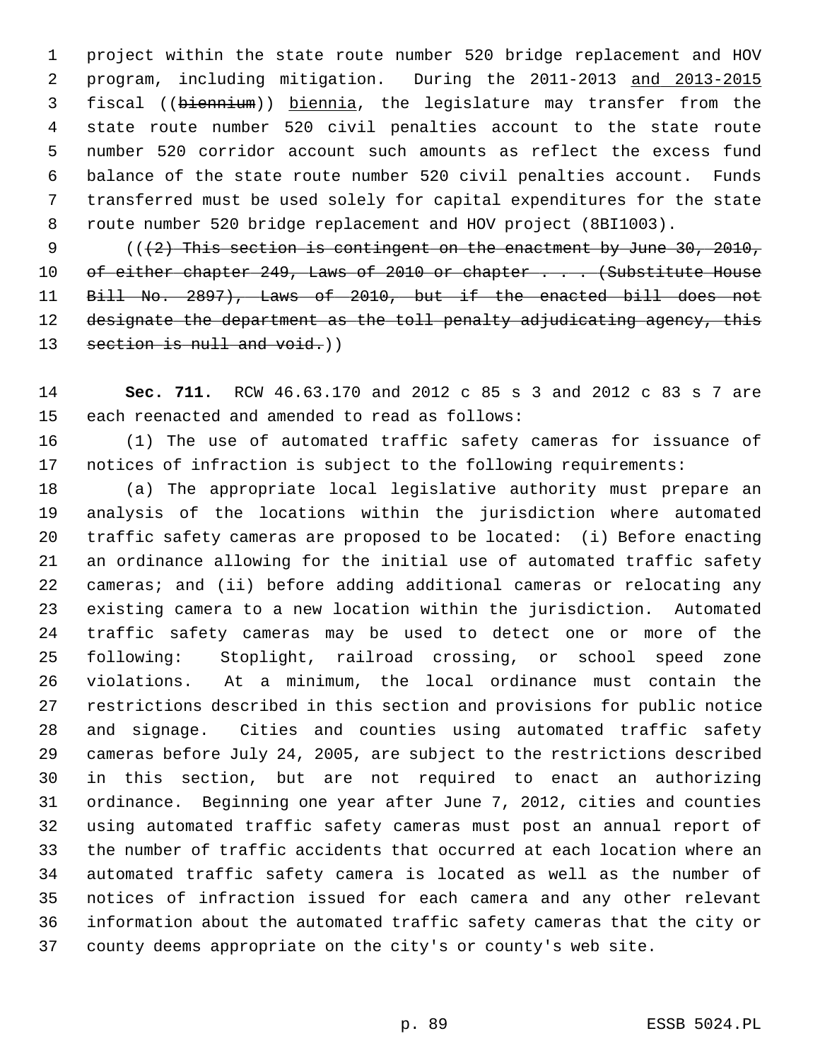1 project within the state route number 520 bridge replacement and HOV 2 program, including mitigation. During the 2011-2013 and 2013-2015 3 fiscal ((biennium)) biennia, the legislature may transfer from the 4 state route number 520 civil penalties account to the state route 5 number 520 corridor account such amounts as reflect the excess fund 6 balance of the state route number 520 civil penalties account. Funds 7 transferred must be used solely for capital expenditures for the state 8 route number 520 bridge replacement and HOV project (8BI1003).

9  $($   $($   $($   $+2)$  This section is contingent on the enactment by June 30, 2010, 10 of either chapter 249, Laws of 2010 or chapter . . . (Substitute House 11 Bill No. 2897), Laws of 2010, but if the enacted bill does not 12 designate the department as the toll penalty adjudicating agency, this 13 section is null and void.)

14 **Sec. 711.** RCW 46.63.170 and 2012 c 85 s 3 and 2012 c 83 s 7 are 15 each reenacted and amended to read as follows:

16 (1) The use of automated traffic safety cameras for issuance of 17 notices of infraction is subject to the following requirements:

18 (a) The appropriate local legislative authority must prepare an 19 analysis of the locations within the jurisdiction where automated 20 traffic safety cameras are proposed to be located: (i) Before enacting 21 an ordinance allowing for the initial use of automated traffic safety 22 cameras; and (ii) before adding additional cameras or relocating any 23 existing camera to a new location within the jurisdiction. Automated 24 traffic safety cameras may be used to detect one or more of the 25 following: Stoplight, railroad crossing, or school speed zone 26 violations. At a minimum, the local ordinance must contain the 27 restrictions described in this section and provisions for public notice 28 and signage. Cities and counties using automated traffic safety 29 cameras before July 24, 2005, are subject to the restrictions described 30 in this section, but are not required to enact an authorizing 31 ordinance. Beginning one year after June 7, 2012, cities and counties 32 using automated traffic safety cameras must post an annual report of 33 the number of traffic accidents that occurred at each location where an 34 automated traffic safety camera is located as well as the number of 35 notices of infraction issued for each camera and any other relevant 36 information about the automated traffic safety cameras that the city or 37 county deems appropriate on the city's or county's web site.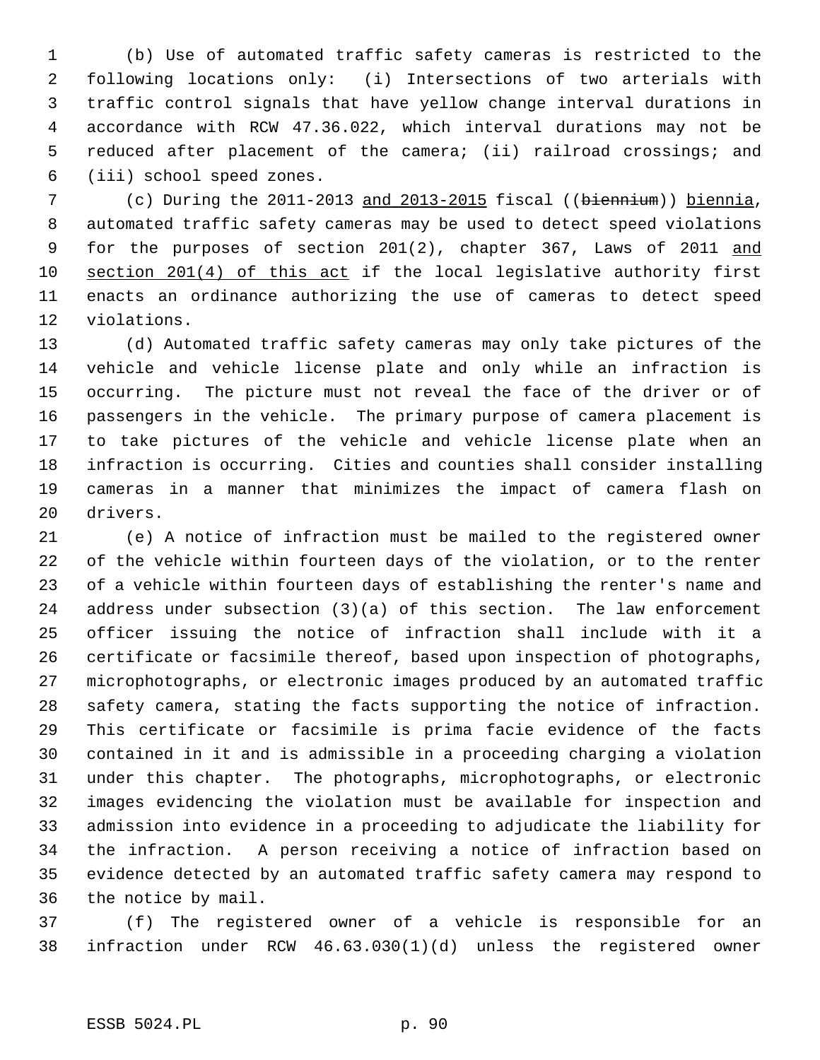1 (b) Use of automated traffic safety cameras is restricted to the 2 following locations only: (i) Intersections of two arterials with 3 traffic control signals that have yellow change interval durations in 4 accordance with RCW 47.36.022, which interval durations may not be 5 reduced after placement of the camera; (ii) railroad crossings; and 6 (iii) school speed zones.

 7 (c) During the 2011-2013 and 2013-2015 fiscal ((biennium)) biennia, 8 automated traffic safety cameras may be used to detect speed violations 9 for the purposes of section 201(2), chapter 367, Laws of 2011 and 10 section 201(4) of this act if the local legislative authority first 11 enacts an ordinance authorizing the use of cameras to detect speed 12 violations.

13 (d) Automated traffic safety cameras may only take pictures of the 14 vehicle and vehicle license plate and only while an infraction is 15 occurring. The picture must not reveal the face of the driver or of 16 passengers in the vehicle. The primary purpose of camera placement is 17 to take pictures of the vehicle and vehicle license plate when an 18 infraction is occurring. Cities and counties shall consider installing 19 cameras in a manner that minimizes the impact of camera flash on 20 drivers.

21 (e) A notice of infraction must be mailed to the registered owner 22 of the vehicle within fourteen days of the violation, or to the renter 23 of a vehicle within fourteen days of establishing the renter's name and 24 address under subsection (3)(a) of this section. The law enforcement 25 officer issuing the notice of infraction shall include with it a 26 certificate or facsimile thereof, based upon inspection of photographs, 27 microphotographs, or electronic images produced by an automated traffic 28 safety camera, stating the facts supporting the notice of infraction. 29 This certificate or facsimile is prima facie evidence of the facts 30 contained in it and is admissible in a proceeding charging a violation 31 under this chapter. The photographs, microphotographs, or electronic 32 images evidencing the violation must be available for inspection and 33 admission into evidence in a proceeding to adjudicate the liability for 34 the infraction. A person receiving a notice of infraction based on 35 evidence detected by an automated traffic safety camera may respond to 36 the notice by mail.

37 (f) The registered owner of a vehicle is responsible for an 38 infraction under RCW 46.63.030(1)(d) unless the registered owner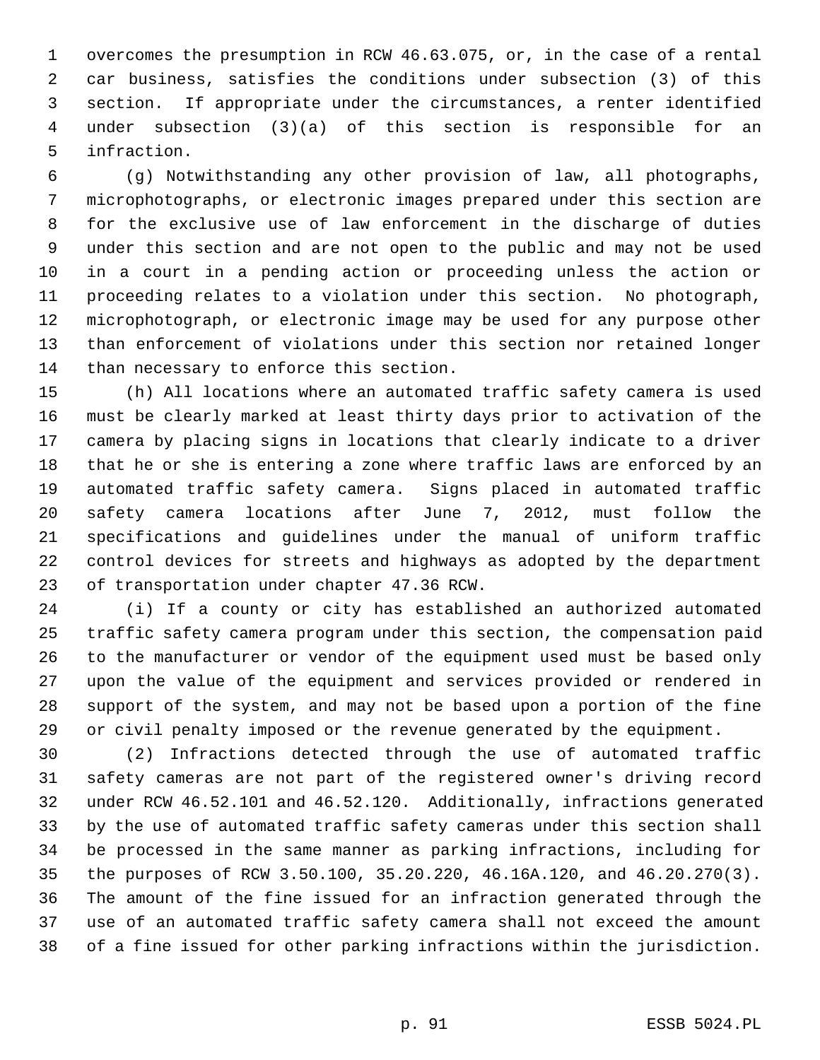1 overcomes the presumption in RCW 46.63.075, or, in the case of a rental 2 car business, satisfies the conditions under subsection (3) of this 3 section. If appropriate under the circumstances, a renter identified 4 under subsection (3)(a) of this section is responsible for an 5 infraction.

 6 (g) Notwithstanding any other provision of law, all photographs, 7 microphotographs, or electronic images prepared under this section are 8 for the exclusive use of law enforcement in the discharge of duties 9 under this section and are not open to the public and may not be used 10 in a court in a pending action or proceeding unless the action or 11 proceeding relates to a violation under this section. No photograph, 12 microphotograph, or electronic image may be used for any purpose other 13 than enforcement of violations under this section nor retained longer 14 than necessary to enforce this section.

15 (h) All locations where an automated traffic safety camera is used 16 must be clearly marked at least thirty days prior to activation of the 17 camera by placing signs in locations that clearly indicate to a driver 18 that he or she is entering a zone where traffic laws are enforced by an 19 automated traffic safety camera. Signs placed in automated traffic 20 safety camera locations after June 7, 2012, must follow the 21 specifications and guidelines under the manual of uniform traffic 22 control devices for streets and highways as adopted by the department 23 of transportation under chapter 47.36 RCW.

24 (i) If a county or city has established an authorized automated 25 traffic safety camera program under this section, the compensation paid 26 to the manufacturer or vendor of the equipment used must be based only 27 upon the value of the equipment and services provided or rendered in 28 support of the system, and may not be based upon a portion of the fine 29 or civil penalty imposed or the revenue generated by the equipment.

30 (2) Infractions detected through the use of automated traffic 31 safety cameras are not part of the registered owner's driving record 32 under RCW 46.52.101 and 46.52.120. Additionally, infractions generated 33 by the use of automated traffic safety cameras under this section shall 34 be processed in the same manner as parking infractions, including for 35 the purposes of RCW 3.50.100, 35.20.220, 46.16A.120, and 46.20.270(3). 36 The amount of the fine issued for an infraction generated through the 37 use of an automated traffic safety camera shall not exceed the amount 38 of a fine issued for other parking infractions within the jurisdiction.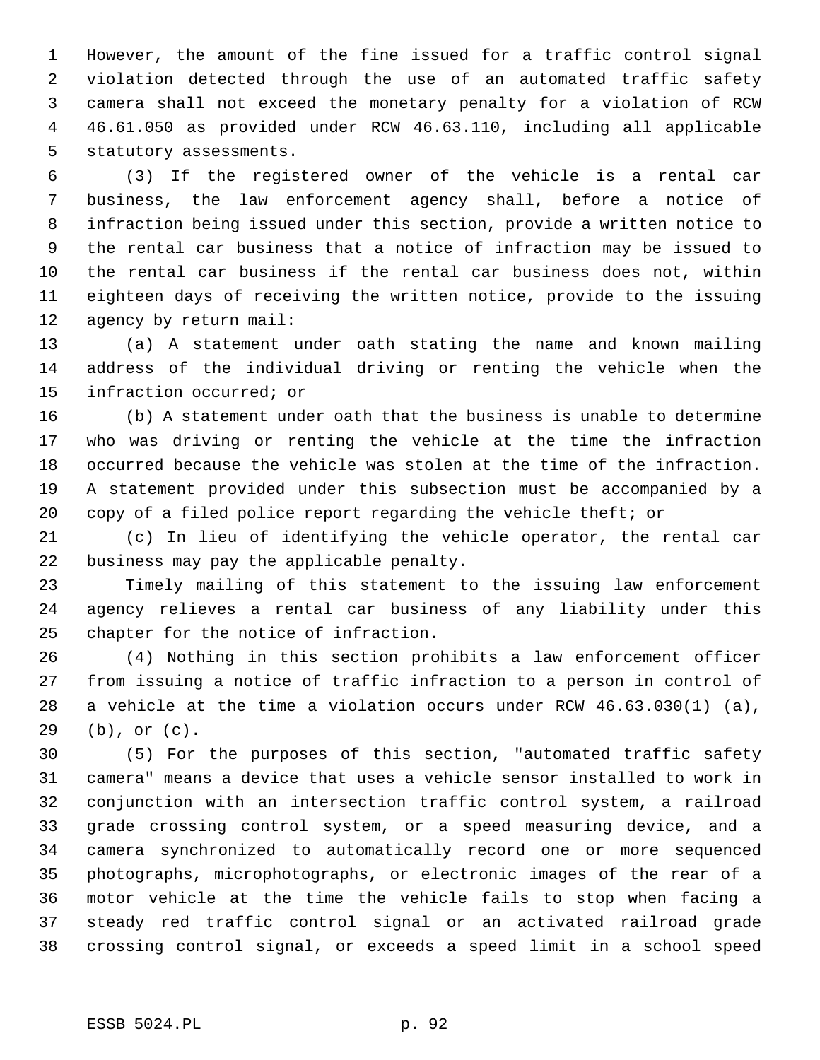1 However, the amount of the fine issued for a traffic control signal 2 violation detected through the use of an automated traffic safety 3 camera shall not exceed the monetary penalty for a violation of RCW 4 46.61.050 as provided under RCW 46.63.110, including all applicable 5 statutory assessments.

 6 (3) If the registered owner of the vehicle is a rental car 7 business, the law enforcement agency shall, before a notice of 8 infraction being issued under this section, provide a written notice to 9 the rental car business that a notice of infraction may be issued to 10 the rental car business if the rental car business does not, within 11 eighteen days of receiving the written notice, provide to the issuing 12 agency by return mail:

13 (a) A statement under oath stating the name and known mailing 14 address of the individual driving or renting the vehicle when the 15 infraction occurred; or

16 (b) A statement under oath that the business is unable to determine 17 who was driving or renting the vehicle at the time the infraction 18 occurred because the vehicle was stolen at the time of the infraction. 19 A statement provided under this subsection must be accompanied by a 20 copy of a filed police report regarding the vehicle theft; or

21 (c) In lieu of identifying the vehicle operator, the rental car 22 business may pay the applicable penalty.

23 Timely mailing of this statement to the issuing law enforcement 24 agency relieves a rental car business of any liability under this 25 chapter for the notice of infraction.

26 (4) Nothing in this section prohibits a law enforcement officer 27 from issuing a notice of traffic infraction to a person in control of 28 a vehicle at the time a violation occurs under RCW 46.63.030(1) (a), 29 (b), or (c).

30 (5) For the purposes of this section, "automated traffic safety 31 camera" means a device that uses a vehicle sensor installed to work in 32 conjunction with an intersection traffic control system, a railroad 33 grade crossing control system, or a speed measuring device, and a 34 camera synchronized to automatically record one or more sequenced 35 photographs, microphotographs, or electronic images of the rear of a 36 motor vehicle at the time the vehicle fails to stop when facing a 37 steady red traffic control signal or an activated railroad grade 38 crossing control signal, or exceeds a speed limit in a school speed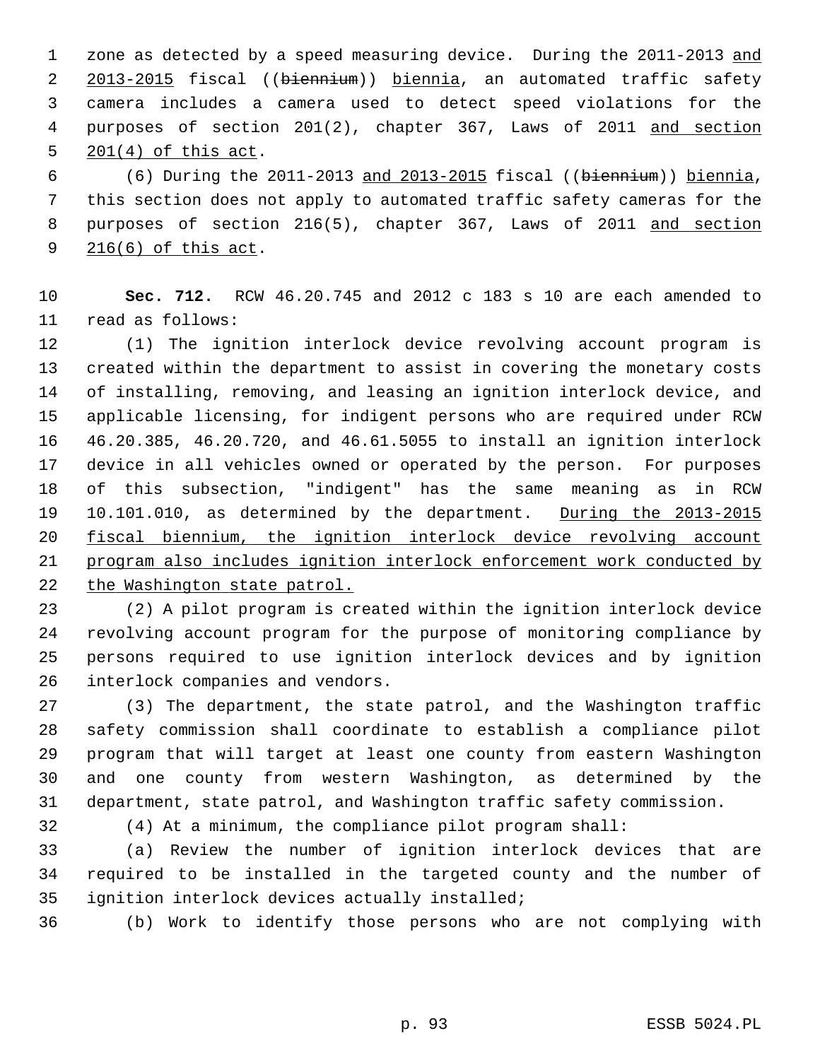1 zone as detected by a speed measuring device. During the 2011-2013 and 2 2013-2015 fiscal ((biennium)) biennia, an automated traffic safety 3 camera includes a camera used to detect speed violations for the 4 purposes of section 201(2), chapter 367, Laws of 2011 and section 5 201(4) of this act.

 6 (6) During the 2011-2013 and 2013-2015 fiscal ((biennium)) biennia, 7 this section does not apply to automated traffic safety cameras for the 8 purposes of section 216(5), chapter 367, Laws of 2011 and section 9 216(6) of this act.

10 **Sec. 712.** RCW 46.20.745 and 2012 c 183 s 10 are each amended to 11 read as follows:

12 (1) The ignition interlock device revolving account program is 13 created within the department to assist in covering the monetary costs 14 of installing, removing, and leasing an ignition interlock device, and 15 applicable licensing, for indigent persons who are required under RCW 16 46.20.385, 46.20.720, and 46.61.5055 to install an ignition interlock 17 device in all vehicles owned or operated by the person. For purposes 18 of this subsection, "indigent" has the same meaning as in RCW 19 10.101.010, as determined by the department. During the 2013-2015 20 fiscal biennium, the ignition interlock device revolving account 21 program also includes ignition interlock enforcement work conducted by 22 the Washington state patrol.

23 (2) A pilot program is created within the ignition interlock device 24 revolving account program for the purpose of monitoring compliance by 25 persons required to use ignition interlock devices and by ignition 26 interlock companies and vendors.

27 (3) The department, the state patrol, and the Washington traffic 28 safety commission shall coordinate to establish a compliance pilot 29 program that will target at least one county from eastern Washington 30 and one county from western Washington, as determined by the 31 department, state patrol, and Washington traffic safety commission.

32 (4) At a minimum, the compliance pilot program shall:

33 (a) Review the number of ignition interlock devices that are 34 required to be installed in the targeted county and the number of 35 ignition interlock devices actually installed;

36 (b) Work to identify those persons who are not complying with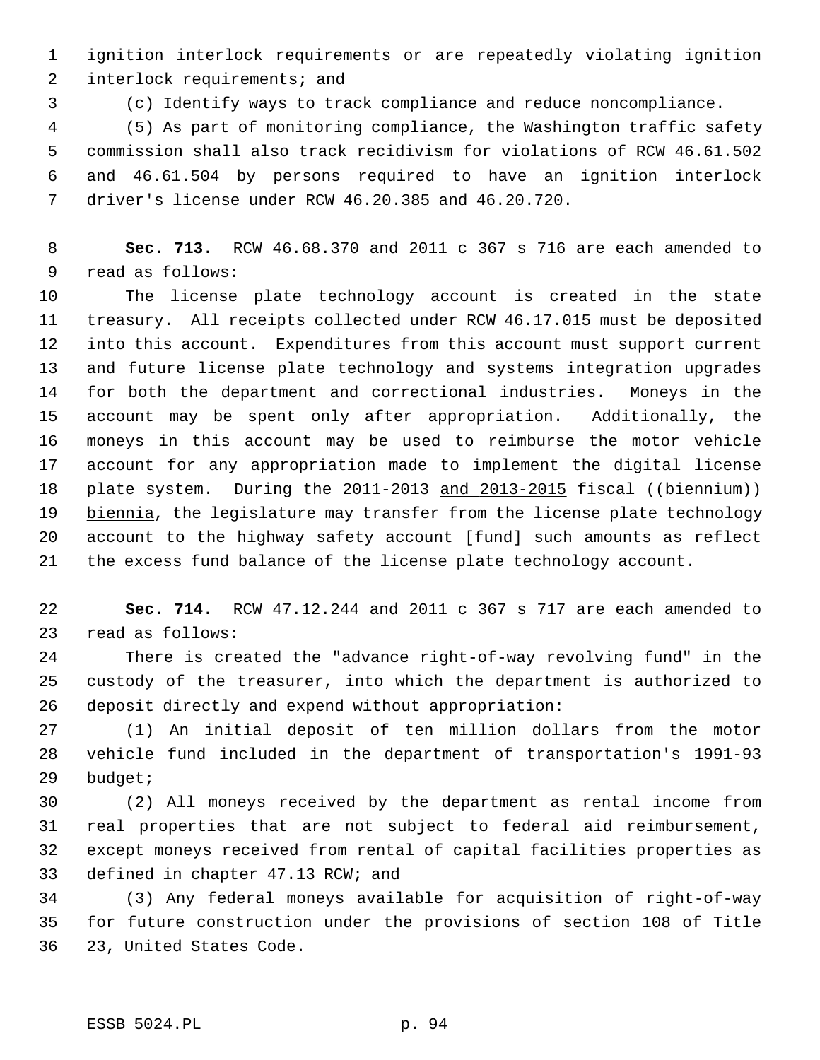1 ignition interlock requirements or are repeatedly violating ignition 2 interlock requirements; and

3 (c) Identify ways to track compliance and reduce noncompliance.

 4 (5) As part of monitoring compliance, the Washington traffic safety 5 commission shall also track recidivism for violations of RCW 46.61.502 6 and 46.61.504 by persons required to have an ignition interlock 7 driver's license under RCW 46.20.385 and 46.20.720.

 8 **Sec. 713.** RCW 46.68.370 and 2011 c 367 s 716 are each amended to 9 read as follows:

10 The license plate technology account is created in the state 11 treasury. All receipts collected under RCW 46.17.015 must be deposited 12 into this account. Expenditures from this account must support current 13 and future license plate technology and systems integration upgrades 14 for both the department and correctional industries. Moneys in the 15 account may be spent only after appropriation. Additionally, the 16 moneys in this account may be used to reimburse the motor vehicle 17 account for any appropriation made to implement the digital license 18 plate system. During the 2011-2013 and 2013-2015 fiscal ((biennium)) 19 biennia, the legislature may transfer from the license plate technology 20 account to the highway safety account [fund] such amounts as reflect 21 the excess fund balance of the license plate technology account.

22 **Sec. 714.** RCW 47.12.244 and 2011 c 367 s 717 are each amended to 23 read as follows:

24 There is created the "advance right-of-way revolving fund" in the 25 custody of the treasurer, into which the department is authorized to 26 deposit directly and expend without appropriation:

27 (1) An initial deposit of ten million dollars from the motor 28 vehicle fund included in the department of transportation's 1991-93 29 budget;

30 (2) All moneys received by the department as rental income from 31 real properties that are not subject to federal aid reimbursement, 32 except moneys received from rental of capital facilities properties as 33 defined in chapter 47.13 RCW; and

34 (3) Any federal moneys available for acquisition of right-of-way 35 for future construction under the provisions of section 108 of Title 36 23, United States Code.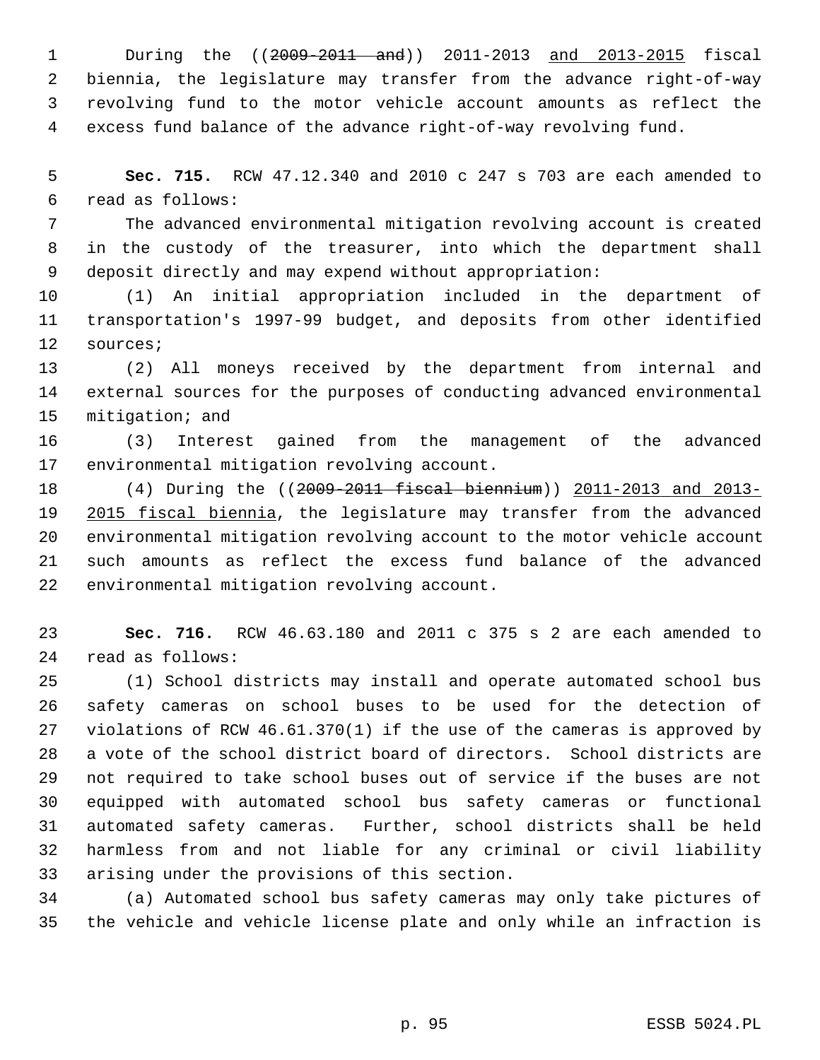1 During the ((2009-2011 and)) 2011-2013 and 2013-2015 fiscal 2 biennia, the legislature may transfer from the advance right-of-way 3 revolving fund to the motor vehicle account amounts as reflect the 4 excess fund balance of the advance right-of-way revolving fund.

 5 **Sec. 715.** RCW 47.12.340 and 2010 c 247 s 703 are each amended to 6 read as follows:

 7 The advanced environmental mitigation revolving account is created 8 in the custody of the treasurer, into which the department shall 9 deposit directly and may expend without appropriation:

10 (1) An initial appropriation included in the department of 11 transportation's 1997-99 budget, and deposits from other identified 12 sources;

13 (2) All moneys received by the department from internal and 14 external sources for the purposes of conducting advanced environmental 15 mitigation; and

16 (3) Interest gained from the management of the advanced 17 environmental mitigation revolving account.

18 (4) During the ((2009-2011 fiscal biennium)) 2011-2013 and 2013- 19 2015 fiscal biennia, the legislature may transfer from the advanced 20 environmental mitigation revolving account to the motor vehicle account 21 such amounts as reflect the excess fund balance of the advanced 22 environmental mitigation revolving account.

23 **Sec. 716.** RCW 46.63.180 and 2011 c 375 s 2 are each amended to 24 read as follows:

25 (1) School districts may install and operate automated school bus 26 safety cameras on school buses to be used for the detection of 27 violations of RCW 46.61.370(1) if the use of the cameras is approved by 28 a vote of the school district board of directors. School districts are 29 not required to take school buses out of service if the buses are not 30 equipped with automated school bus safety cameras or functional 31 automated safety cameras. Further, school districts shall be held 32 harmless from and not liable for any criminal or civil liability 33 arising under the provisions of this section.

34 (a) Automated school bus safety cameras may only take pictures of 35 the vehicle and vehicle license plate and only while an infraction is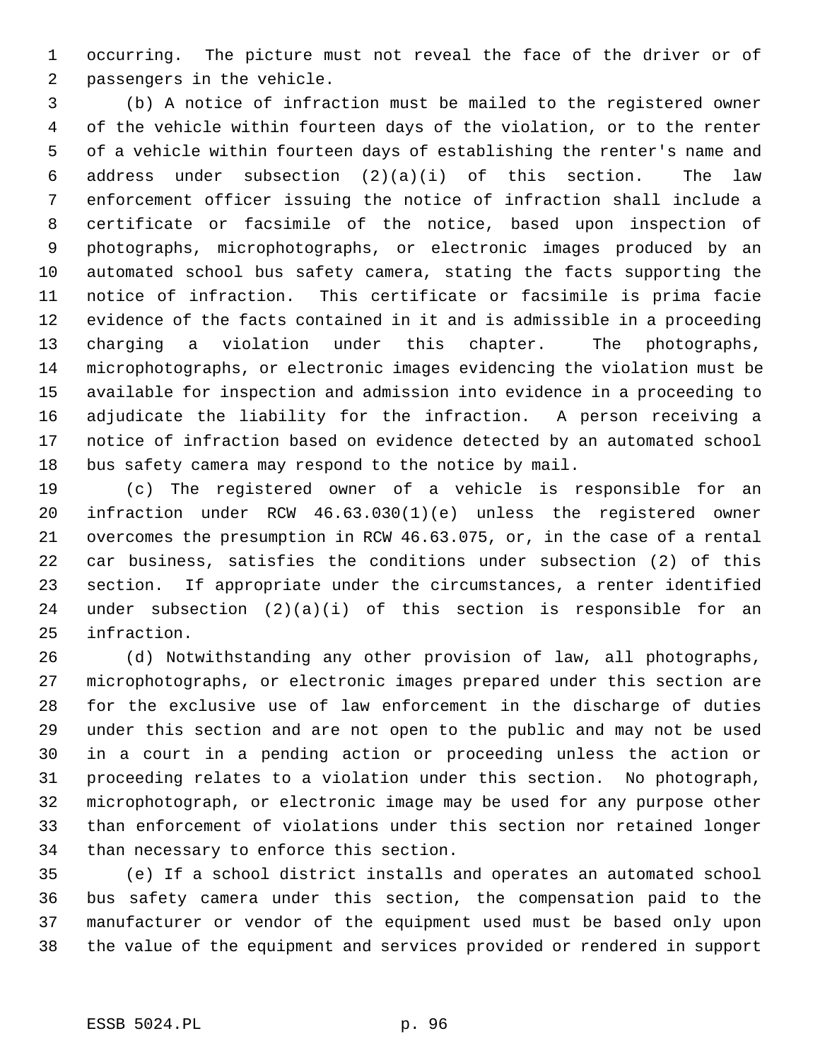1 occurring. The picture must not reveal the face of the driver or of 2 passengers in the vehicle.

 3 (b) A notice of infraction must be mailed to the registered owner 4 of the vehicle within fourteen days of the violation, or to the renter 5 of a vehicle within fourteen days of establishing the renter's name and 6 address under subsection  $(2)(a)(i)$  of this section. The law 7 enforcement officer issuing the notice of infraction shall include a 8 certificate or facsimile of the notice, based upon inspection of 9 photographs, microphotographs, or electronic images produced by an 10 automated school bus safety camera, stating the facts supporting the 11 notice of infraction. This certificate or facsimile is prima facie 12 evidence of the facts contained in it and is admissible in a proceeding 13 charging a violation under this chapter. The photographs, 14 microphotographs, or electronic images evidencing the violation must be 15 available for inspection and admission into evidence in a proceeding to 16 adjudicate the liability for the infraction. A person receiving a 17 notice of infraction based on evidence detected by an automated school 18 bus safety camera may respond to the notice by mail.

19 (c) The registered owner of a vehicle is responsible for an 20 infraction under RCW 46.63.030(1)(e) unless the registered owner 21 overcomes the presumption in RCW 46.63.075, or, in the case of a rental 22 car business, satisfies the conditions under subsection (2) of this 23 section. If appropriate under the circumstances, a renter identified 24 under subsection (2)(a)(i) of this section is responsible for an 25 infraction.

26 (d) Notwithstanding any other provision of law, all photographs, 27 microphotographs, or electronic images prepared under this section are 28 for the exclusive use of law enforcement in the discharge of duties 29 under this section and are not open to the public and may not be used 30 in a court in a pending action or proceeding unless the action or 31 proceeding relates to a violation under this section. No photograph, 32 microphotograph, or electronic image may be used for any purpose other 33 than enforcement of violations under this section nor retained longer 34 than necessary to enforce this section.

35 (e) If a school district installs and operates an automated school 36 bus safety camera under this section, the compensation paid to the 37 manufacturer or vendor of the equipment used must be based only upon 38 the value of the equipment and services provided or rendered in support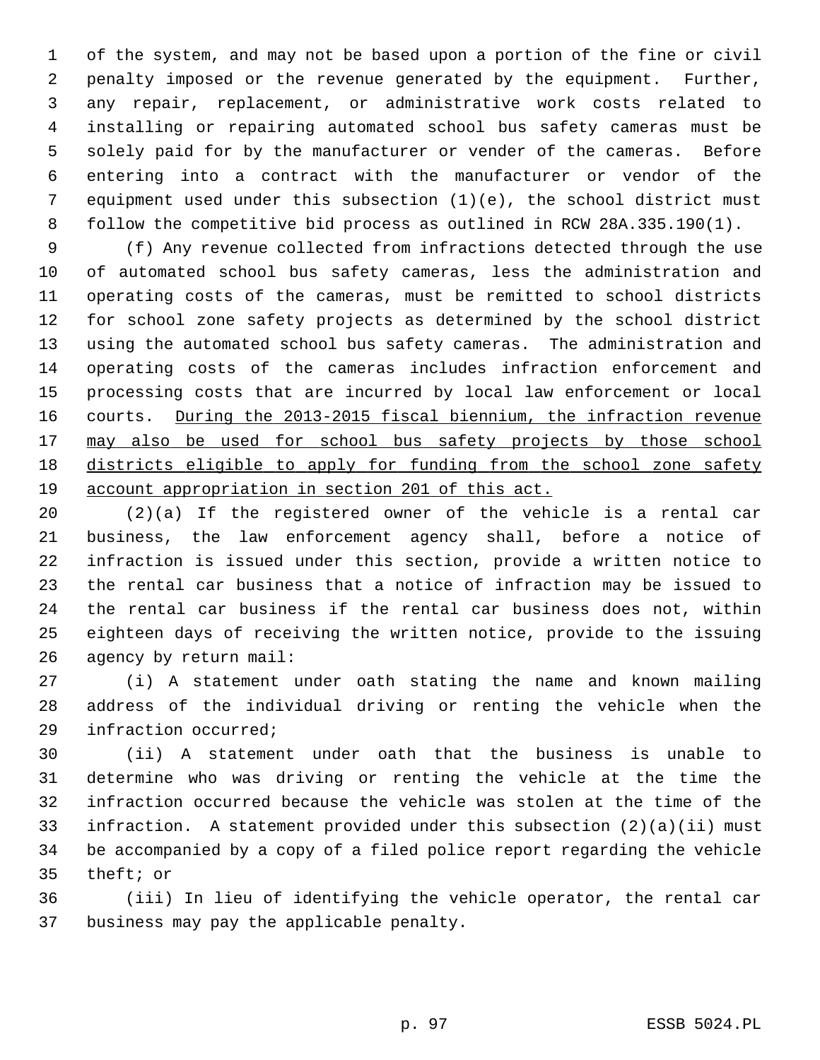1 of the system, and may not be based upon a portion of the fine or civil 2 penalty imposed or the revenue generated by the equipment. Further, 3 any repair, replacement, or administrative work costs related to 4 installing or repairing automated school bus safety cameras must be 5 solely paid for by the manufacturer or vender of the cameras. Before 6 entering into a contract with the manufacturer or vendor of the 7 equipment used under this subsection (1)(e), the school district must 8 follow the competitive bid process as outlined in RCW 28A.335.190(1).

 9 (f) Any revenue collected from infractions detected through the use 10 of automated school bus safety cameras, less the administration and 11 operating costs of the cameras, must be remitted to school districts 12 for school zone safety projects as determined by the school district 13 using the automated school bus safety cameras. The administration and 14 operating costs of the cameras includes infraction enforcement and 15 processing costs that are incurred by local law enforcement or local 16 courts. During the 2013-2015 fiscal biennium, the infraction revenue 17 may also be used for school bus safety projects by those school 18 districts eligible to apply for funding from the school zone safety 19 account appropriation in section 201 of this act.

20 (2)(a) If the registered owner of the vehicle is a rental car 21 business, the law enforcement agency shall, before a notice of 22 infraction is issued under this section, provide a written notice to 23 the rental car business that a notice of infraction may be issued to 24 the rental car business if the rental car business does not, within 25 eighteen days of receiving the written notice, provide to the issuing 26 agency by return mail:

27 (i) A statement under oath stating the name and known mailing 28 address of the individual driving or renting the vehicle when the 29 infraction occurred;

30 (ii) A statement under oath that the business is unable to 31 determine who was driving or renting the vehicle at the time the 32 infraction occurred because the vehicle was stolen at the time of the 33 infraction. A statement provided under this subsection (2)(a)(ii) must 34 be accompanied by a copy of a filed police report regarding the vehicle 35 theft; or

36 (iii) In lieu of identifying the vehicle operator, the rental car 37 business may pay the applicable penalty.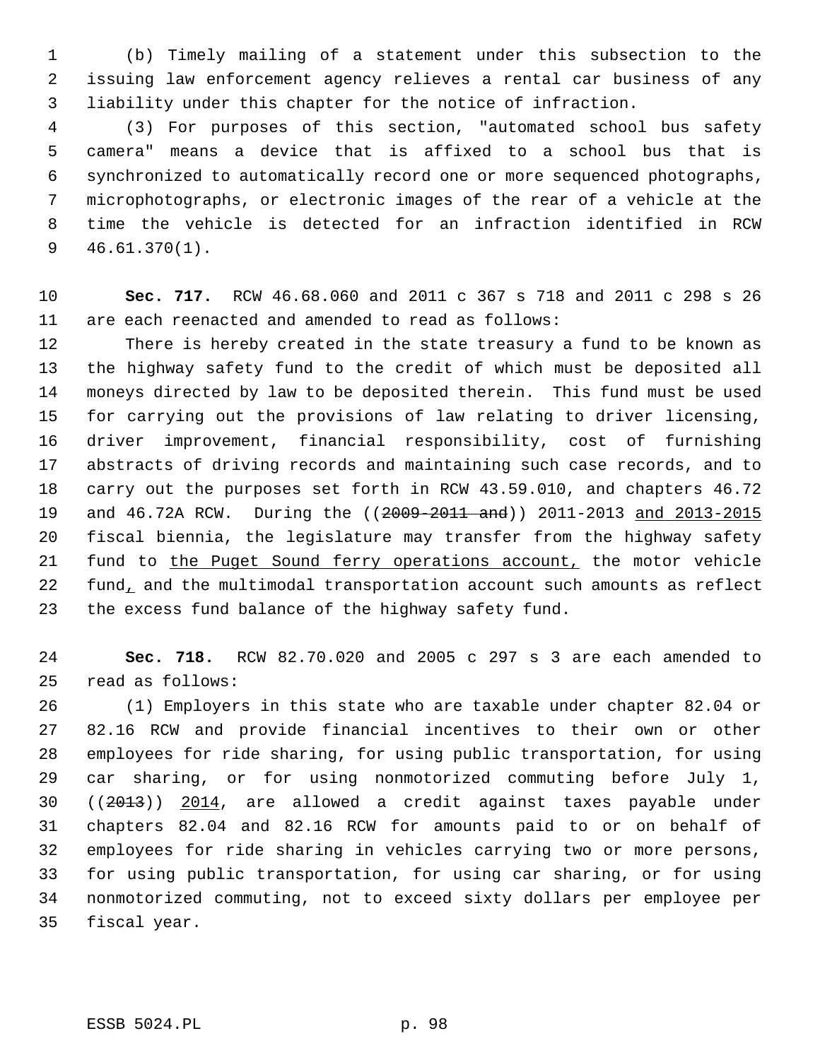1 (b) Timely mailing of a statement under this subsection to the 2 issuing law enforcement agency relieves a rental car business of any 3 liability under this chapter for the notice of infraction.

 4 (3) For purposes of this section, "automated school bus safety 5 camera" means a device that is affixed to a school bus that is 6 synchronized to automatically record one or more sequenced photographs, 7 microphotographs, or electronic images of the rear of a vehicle at the 8 time the vehicle is detected for an infraction identified in RCW 9 46.61.370(1).

10 **Sec. 717.** RCW 46.68.060 and 2011 c 367 s 718 and 2011 c 298 s 26 11 are each reenacted and amended to read as follows:

12 There is hereby created in the state treasury a fund to be known as 13 the highway safety fund to the credit of which must be deposited all 14 moneys directed by law to be deposited therein. This fund must be used 15 for carrying out the provisions of law relating to driver licensing, 16 driver improvement, financial responsibility, cost of furnishing 17 abstracts of driving records and maintaining such case records, and to 18 carry out the purposes set forth in RCW 43.59.010, and chapters 46.72 19 and 46.72A RCW. During the ((2009-2011 and)) 2011-2013 and 2013-2015 20 fiscal biennia, the legislature may transfer from the highway safety 21 fund to the Puget Sound ferry operations account, the motor vehicle 22 fund, and the multimodal transportation account such amounts as reflect 23 the excess fund balance of the highway safety fund.

24 **Sec. 718.** RCW 82.70.020 and 2005 c 297 s 3 are each amended to 25 read as follows:

26 (1) Employers in this state who are taxable under chapter 82.04 or 27 82.16 RCW and provide financial incentives to their own or other 28 employees for ride sharing, for using public transportation, for using 29 car sharing, or for using nonmotorized commuting before July 1, 30 ((2013)) 2014, are allowed a credit against taxes payable under 31 chapters 82.04 and 82.16 RCW for amounts paid to or on behalf of 32 employees for ride sharing in vehicles carrying two or more persons, 33 for using public transportation, for using car sharing, or for using 34 nonmotorized commuting, not to exceed sixty dollars per employee per 35 fiscal year.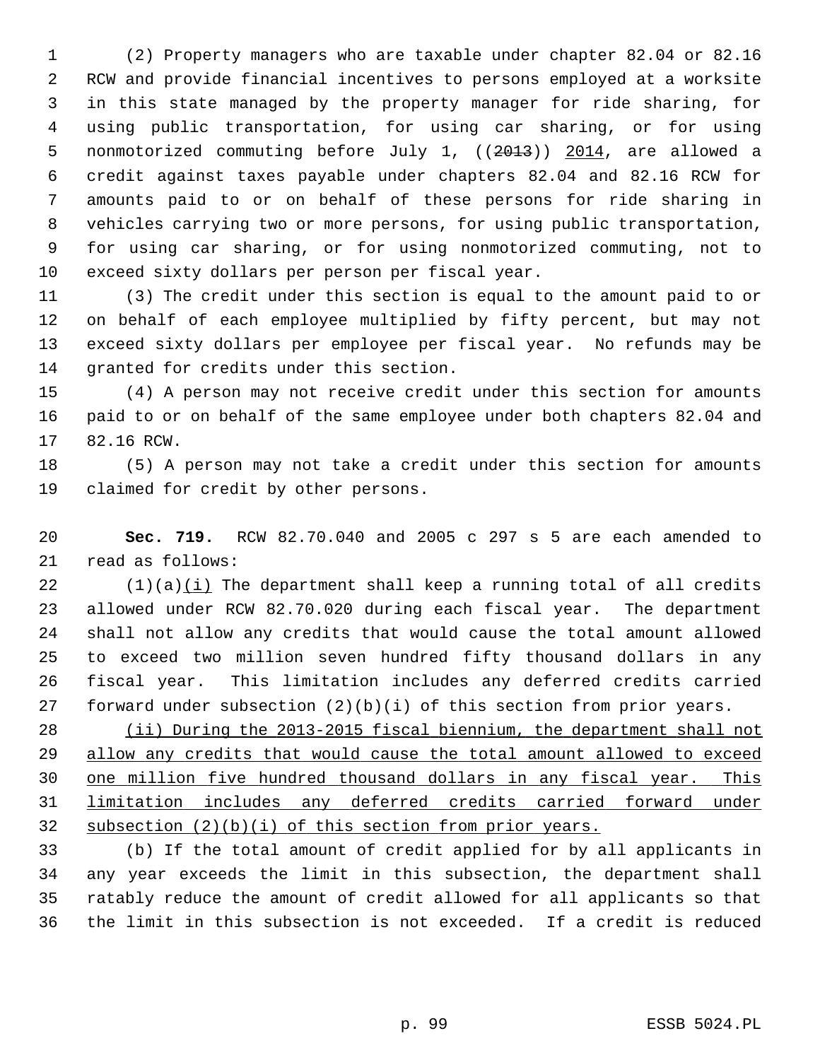1 (2) Property managers who are taxable under chapter 82.04 or 82.16 2 RCW and provide financial incentives to persons employed at a worksite 3 in this state managed by the property manager for ride sharing, for 4 using public transportation, for using car sharing, or for using 5 nonmotorized commuting before July 1, ((2013)) 2014, are allowed a 6 credit against taxes payable under chapters 82.04 and 82.16 RCW for 7 amounts paid to or on behalf of these persons for ride sharing in 8 vehicles carrying two or more persons, for using public transportation, 9 for using car sharing, or for using nonmotorized commuting, not to 10 exceed sixty dollars per person per fiscal year.

11 (3) The credit under this section is equal to the amount paid to or 12 on behalf of each employee multiplied by fifty percent, but may not 13 exceed sixty dollars per employee per fiscal year. No refunds may be 14 granted for credits under this section.

15 (4) A person may not receive credit under this section for amounts 16 paid to or on behalf of the same employee under both chapters 82.04 and 17 82.16 RCW.

18 (5) A person may not take a credit under this section for amounts 19 claimed for credit by other persons.

20 **Sec. 719.** RCW 82.70.040 and 2005 c 297 s 5 are each amended to 21 read as follows:

 $22$  (1)(a) $(i)$  The department shall keep a running total of all credits 23 allowed under RCW 82.70.020 during each fiscal year. The department 24 shall not allow any credits that would cause the total amount allowed 25 to exceed two million seven hundred fifty thousand dollars in any 26 fiscal year. This limitation includes any deferred credits carried 27 forward under subsection (2)(b)(i) of this section from prior years.

 (ii) During the 2013-2015 fiscal biennium, the department shall not allow any credits that would cause the total amount allowed to exceed one million five hundred thousand dollars in any fiscal year. This limitation includes any deferred credits carried forward under subsection (2)(b)(i) of this section from prior years.

33 (b) If the total amount of credit applied for by all applicants in 34 any year exceeds the limit in this subsection, the department shall 35 ratably reduce the amount of credit allowed for all applicants so that 36 the limit in this subsection is not exceeded. If a credit is reduced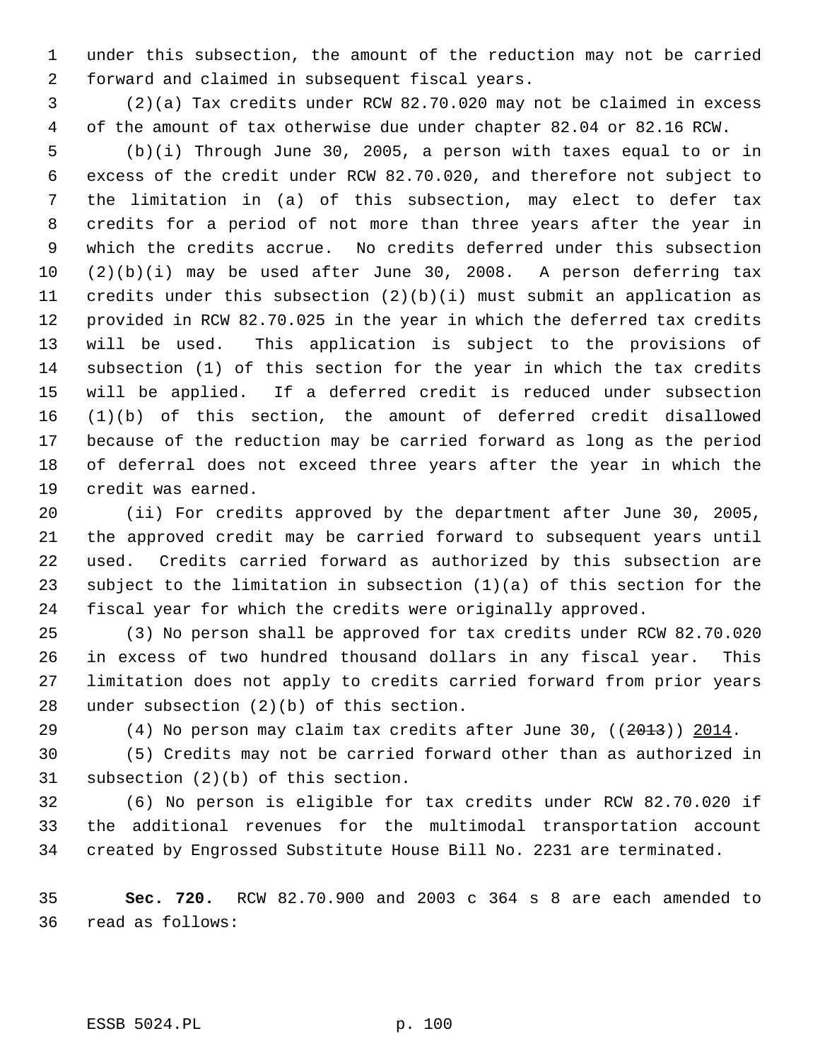1 under this subsection, the amount of the reduction may not be carried 2 forward and claimed in subsequent fiscal years.

 3 (2)(a) Tax credits under RCW 82.70.020 may not be claimed in excess 4 of the amount of tax otherwise due under chapter 82.04 or 82.16 RCW.

 5 (b)(i) Through June 30, 2005, a person with taxes equal to or in 6 excess of the credit under RCW 82.70.020, and therefore not subject to 7 the limitation in (a) of this subsection, may elect to defer tax 8 credits for a period of not more than three years after the year in 9 which the credits accrue. No credits deferred under this subsection 10 (2)(b)(i) may be used after June 30, 2008. A person deferring tax 11 credits under this subsection (2)(b)(i) must submit an application as 12 provided in RCW 82.70.025 in the year in which the deferred tax credits 13 will be used. This application is subject to the provisions of 14 subsection (1) of this section for the year in which the tax credits 15 will be applied. If a deferred credit is reduced under subsection 16 (1)(b) of this section, the amount of deferred credit disallowed 17 because of the reduction may be carried forward as long as the period 18 of deferral does not exceed three years after the year in which the 19 credit was earned.

20 (ii) For credits approved by the department after June 30, 2005, 21 the approved credit may be carried forward to subsequent years until 22 used. Credits carried forward as authorized by this subsection are 23 subject to the limitation in subsection (1)(a) of this section for the 24 fiscal year for which the credits were originally approved.

25 (3) No person shall be approved for tax credits under RCW 82.70.020 26 in excess of two hundred thousand dollars in any fiscal year. This 27 limitation does not apply to credits carried forward from prior years 28 under subsection (2)(b) of this section.

29 (4) No person may claim tax credits after June 30,  $(2013)$ ) 2014.

30 (5) Credits may not be carried forward other than as authorized in 31 subsection (2)(b) of this section.

32 (6) No person is eligible for tax credits under RCW 82.70.020 if 33 the additional revenues for the multimodal transportation account 34 created by Engrossed Substitute House Bill No. 2231 are terminated.

35 **Sec. 720.** RCW 82.70.900 and 2003 c 364 s 8 are each amended to 36 read as follows: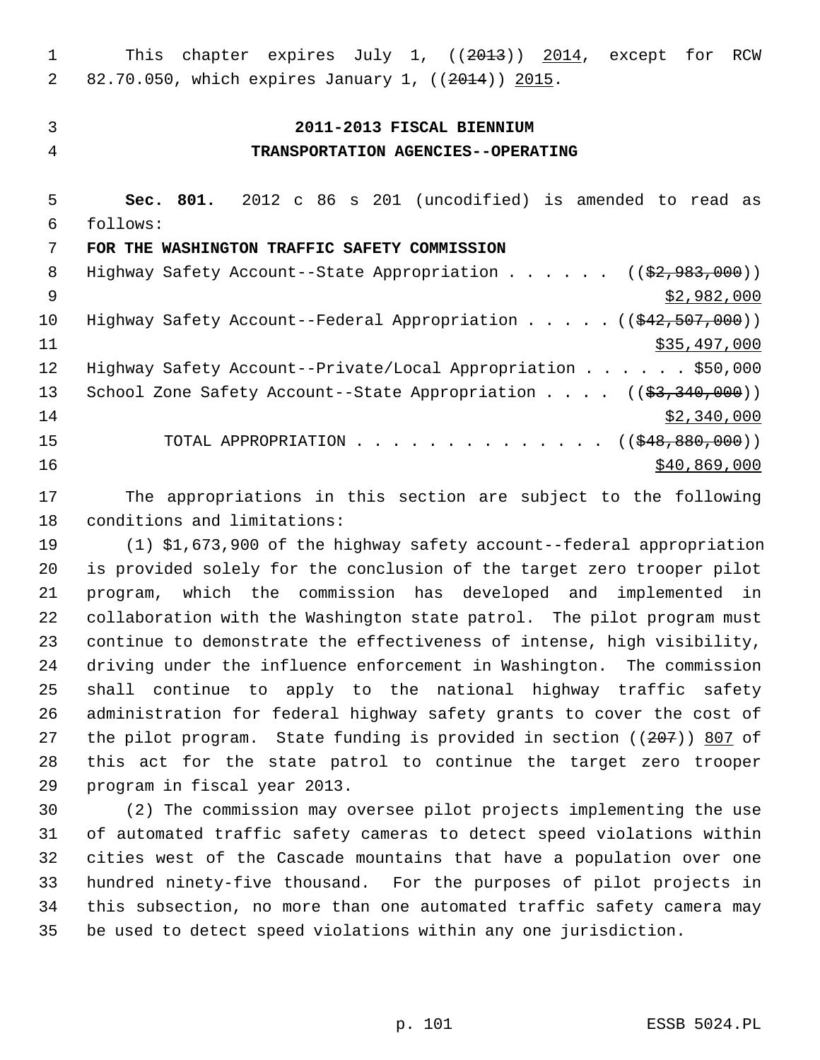1 This chapter expires July 1, ((2013)) 2014, except for RCW 2 82.70.050, which expires January 1, ((2014)) 2015.

#### 3 **2011-2013 FISCAL BIENNIUM**

## 4 **TRANSPORTATION AGENCIES--OPERATING**

 5 **Sec. 801.** 2012 c 86 s 201 (uncodified) is amended to read as 6 follows:

## 7 **FOR THE WASHINGTON TRAFFIC SAFETY COMMISSION**

8 Highway Safety Account--State Appropriation . . . . . ((\$2,983,000))  $\frac{1}{2}$  \$2,982,000 10 Highway Safety Account--Federal Appropriation . . . . . ((\$42,507,000))  $\frac{11}{335,497,000}$ 12 Highway Safety Account--Private/Local Appropriation . . . . . \$50,000 13 School Zone Safety Account--State Appropriation . . . . ((\$3,340,000))  $14$  \$2,340,000 15 TOTAL APPROPRIATION . . . . . . . . . . . . . . ((\$48,880,000))  $16$  \$40,869,000

17 The appropriations in this section are subject to the following 18 conditions and limitations:

19 (1) \$1,673,900 of the highway safety account--federal appropriation 20 is provided solely for the conclusion of the target zero trooper pilot 21 program, which the commission has developed and implemented in 22 collaboration with the Washington state patrol. The pilot program must 23 continue to demonstrate the effectiveness of intense, high visibility, 24 driving under the influence enforcement in Washington. The commission 25 shall continue to apply to the national highway traffic safety 26 administration for federal highway safety grants to cover the cost of 27 the pilot program. State funding is provided in section  $(207)$ ) 807 of 28 this act for the state patrol to continue the target zero trooper 29 program in fiscal year 2013.

30 (2) The commission may oversee pilot projects implementing the use 31 of automated traffic safety cameras to detect speed violations within 32 cities west of the Cascade mountains that have a population over one 33 hundred ninety-five thousand. For the purposes of pilot projects in 34 this subsection, no more than one automated traffic safety camera may 35 be used to detect speed violations within any one jurisdiction.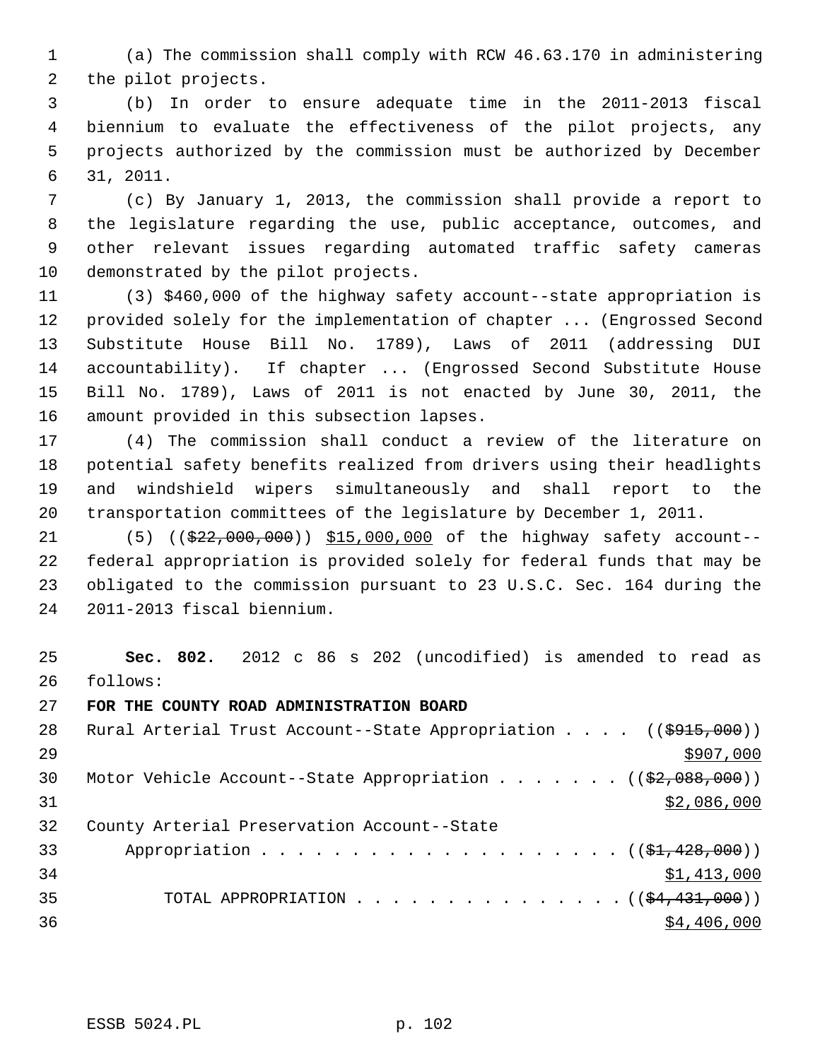1 (a) The commission shall comply with RCW 46.63.170 in administering 2 the pilot projects.

 3 (b) In order to ensure adequate time in the 2011-2013 fiscal 4 biennium to evaluate the effectiveness of the pilot projects, any 5 projects authorized by the commission must be authorized by December 6 31, 2011.

 7 (c) By January 1, 2013, the commission shall provide a report to 8 the legislature regarding the use, public acceptance, outcomes, and 9 other relevant issues regarding automated traffic safety cameras 10 demonstrated by the pilot projects.

11 (3) \$460,000 of the highway safety account--state appropriation is 12 provided solely for the implementation of chapter ... (Engrossed Second 13 Substitute House Bill No. 1789), Laws of 2011 (addressing DUI 14 accountability). If chapter ... (Engrossed Second Substitute House 15 Bill No. 1789), Laws of 2011 is not enacted by June 30, 2011, the 16 amount provided in this subsection lapses.

17 (4) The commission shall conduct a review of the literature on 18 potential safety benefits realized from drivers using their headlights 19 and windshield wipers simultaneously and shall report to the 20 transportation committees of the legislature by December 1, 2011.

21 (5) ((\$22,000,000)) \$15,000,000 of the highway safety account--22 federal appropriation is provided solely for federal funds that may be 23 obligated to the commission pursuant to 23 U.S.C. Sec. 164 during the 24 2011-2013 fiscal biennium.

25 **Sec. 802.** 2012 c 86 s 202 (uncodified) is amended to read as 26 follows:

27 **FOR THE COUNTY ROAD ADMINISTRATION BOARD**

| 28 | Rural Arterial Trust Account--State Appropriation $($ $($ \$915,000) $)$        |
|----|---------------------------------------------------------------------------------|
| 29 | \$907,000                                                                       |
| 30 | Motor Vehicle Account--State Appropriation $($ $($ $\frac{2}{2}, 088, 000)$ $)$ |
| 31 | \$2,086,000                                                                     |
| 32 | County Arterial Preservation Account--State                                     |
| 33 | Appropriation $($ $(\frac{1}{21}, 428, 000))$                                   |
| 34 | \$1,413,000                                                                     |
| 35 | TOTAL APPROPRIATION $($ $($ \$4,431,000) $)$                                    |
| 36 | \$4,406,000                                                                     |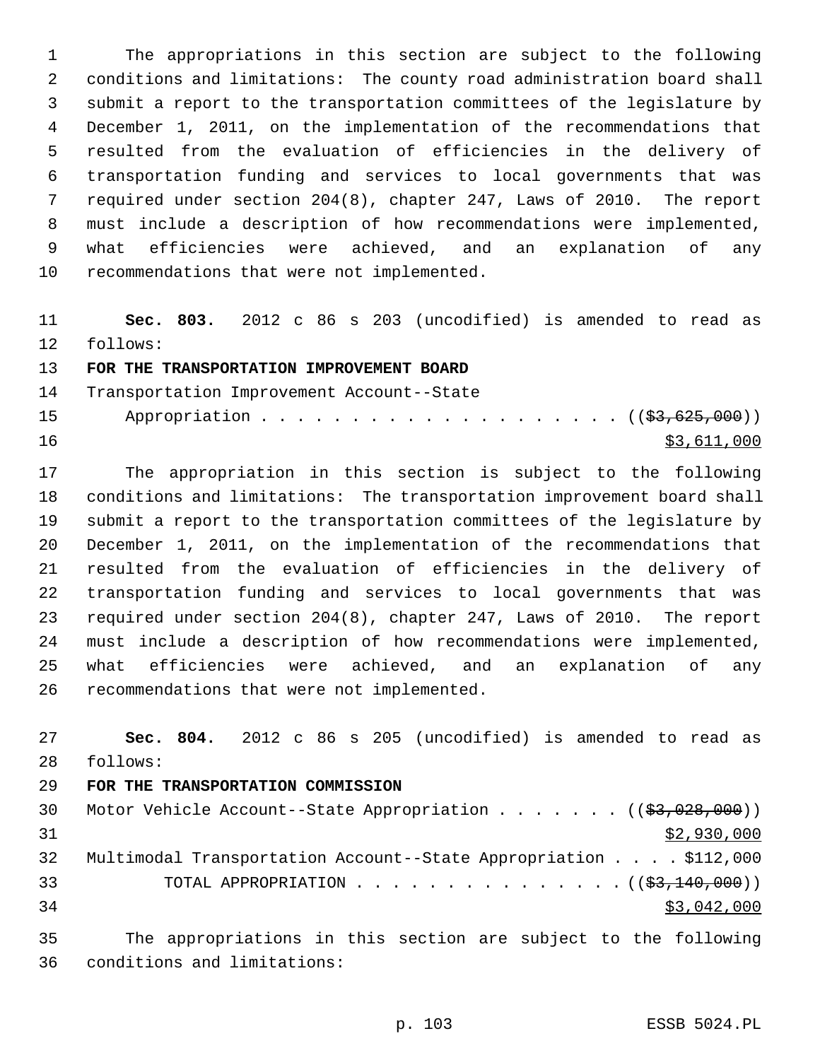1 The appropriations in this section are subject to the following 2 conditions and limitations: The county road administration board shall 3 submit a report to the transportation committees of the legislature by 4 December 1, 2011, on the implementation of the recommendations that 5 resulted from the evaluation of efficiencies in the delivery of 6 transportation funding and services to local governments that was 7 required under section 204(8), chapter 247, Laws of 2010. The report 8 must include a description of how recommendations were implemented, 9 what efficiencies were achieved, and an explanation of any 10 recommendations that were not implemented.

11 **Sec. 803.** 2012 c 86 s 203 (uncodified) is amended to read as 12 follows:

## 13 **FOR THE TRANSPORTATION IMPROVEMENT BOARD**

14 Transportation Improvement Account--State

15 Appropriation . . . . . . . . . . . . . . . . . . (  $(\frac{23}{63}, \frac{625}{600})$  ) 16 \$3,611,000

17 The appropriation in this section is subject to the following 18 conditions and limitations: The transportation improvement board shall 19 submit a report to the transportation committees of the legislature by 20 December 1, 2011, on the implementation of the recommendations that 21 resulted from the evaluation of efficiencies in the delivery of 22 transportation funding and services to local governments that was 23 required under section 204(8), chapter 247, Laws of 2010. The report 24 must include a description of how recommendations were implemented, 25 what efficiencies were achieved, and an explanation of any 26 recommendations that were not implemented.

27 **Sec. 804.** 2012 c 86 s 205 (uncodified) is amended to read as 28 follows: 29 **FOR THE TRANSPORTATION COMMISSION** 30 Motor Vehicle Account--State Appropriation . . . . . . ((\$3,028,000))  $31$  \$2,930,000 32 Multimodal Transportation Account--State Appropriation . . . . \$112,000 33 TOTAL APPROPRIATION . . . . . . . . . . . . . . . ((\$3,140,000))  $34$  \$3,042,000

35 The appropriations in this section are subject to the following 36 conditions and limitations: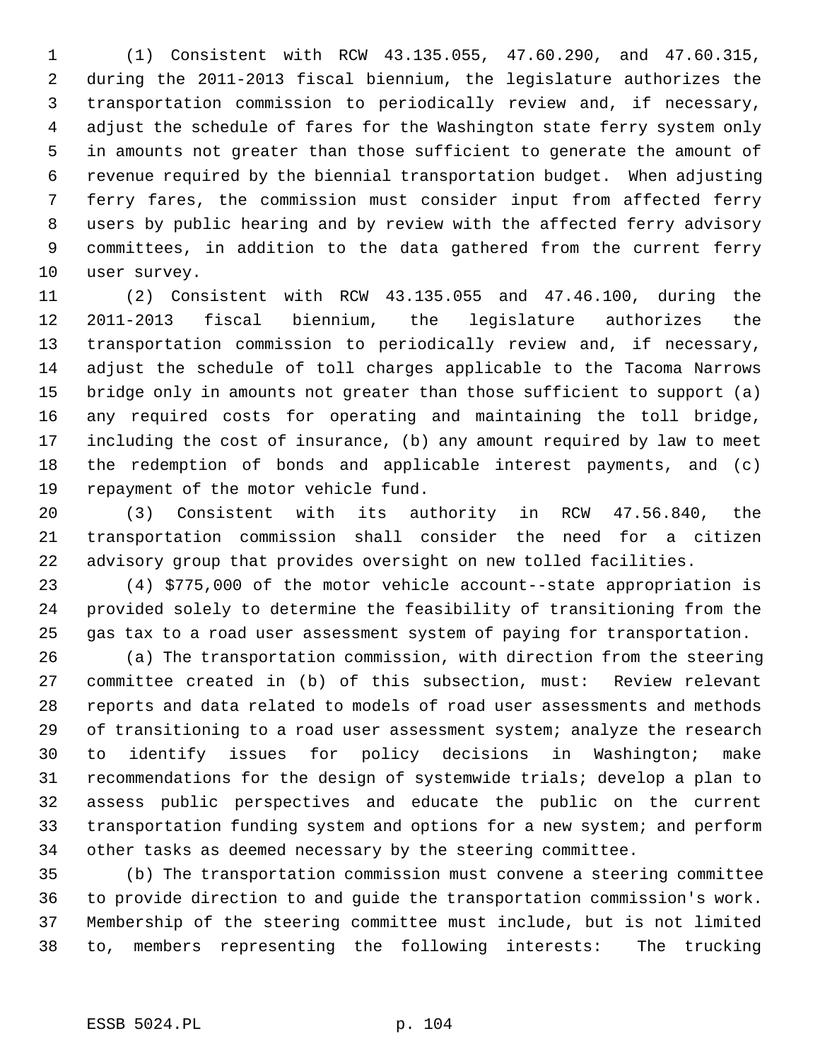1 (1) Consistent with RCW 43.135.055, 47.60.290, and 47.60.315, 2 during the 2011-2013 fiscal biennium, the legislature authorizes the 3 transportation commission to periodically review and, if necessary, 4 adjust the schedule of fares for the Washington state ferry system only 5 in amounts not greater than those sufficient to generate the amount of 6 revenue required by the biennial transportation budget. When adjusting 7 ferry fares, the commission must consider input from affected ferry 8 users by public hearing and by review with the affected ferry advisory 9 committees, in addition to the data gathered from the current ferry 10 user survey.

11 (2) Consistent with RCW 43.135.055 and 47.46.100, during the 12 2011-2013 fiscal biennium, the legislature authorizes the 13 transportation commission to periodically review and, if necessary, 14 adjust the schedule of toll charges applicable to the Tacoma Narrows 15 bridge only in amounts not greater than those sufficient to support (a) 16 any required costs for operating and maintaining the toll bridge, 17 including the cost of insurance, (b) any amount required by law to meet 18 the redemption of bonds and applicable interest payments, and (c) 19 repayment of the motor vehicle fund.

20 (3) Consistent with its authority in RCW 47.56.840, the 21 transportation commission shall consider the need for a citizen 22 advisory group that provides oversight on new tolled facilities.

23 (4) \$775,000 of the motor vehicle account--state appropriation is 24 provided solely to determine the feasibility of transitioning from the 25 gas tax to a road user assessment system of paying for transportation.

26 (a) The transportation commission, with direction from the steering 27 committee created in (b) of this subsection, must: Review relevant 28 reports and data related to models of road user assessments and methods 29 of transitioning to a road user assessment system; analyze the research 30 to identify issues for policy decisions in Washington; make 31 recommendations for the design of systemwide trials; develop a plan to 32 assess public perspectives and educate the public on the current 33 transportation funding system and options for a new system; and perform 34 other tasks as deemed necessary by the steering committee.

35 (b) The transportation commission must convene a steering committee 36 to provide direction to and guide the transportation commission's work. 37 Membership of the steering committee must include, but is not limited 38 to, members representing the following interests: The trucking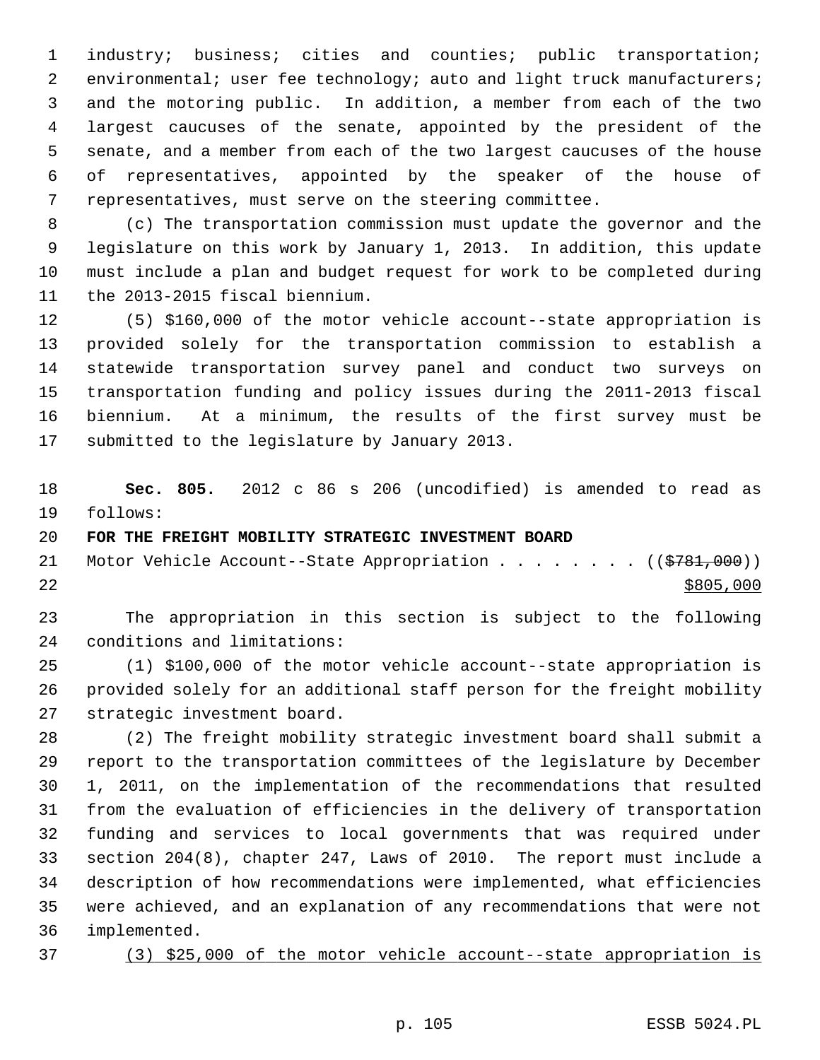1 industry; business; cities and counties; public transportation; 2 environmental; user fee technology; auto and light truck manufacturers; 3 and the motoring public. In addition, a member from each of the two 4 largest caucuses of the senate, appointed by the president of the 5 senate, and a member from each of the two largest caucuses of the house 6 of representatives, appointed by the speaker of the house of 7 representatives, must serve on the steering committee.

 8 (c) The transportation commission must update the governor and the 9 legislature on this work by January 1, 2013. In addition, this update 10 must include a plan and budget request for work to be completed during 11 the 2013-2015 fiscal biennium.

12 (5) \$160,000 of the motor vehicle account--state appropriation is 13 provided solely for the transportation commission to establish a 14 statewide transportation survey panel and conduct two surveys on 15 transportation funding and policy issues during the 2011-2013 fiscal 16 biennium. At a minimum, the results of the first survey must be 17 submitted to the legislature by January 2013.

18 **Sec. 805.** 2012 c 86 s 206 (uncodified) is amended to read as 19 follows:

# 20 **FOR THE FREIGHT MOBILITY STRATEGIC INVESTMENT BOARD**

21 Motor Vehicle Account--State Appropriation . . . . . . . ((\$781,000))  $22$ 

23 The appropriation in this section is subject to the following 24 conditions and limitations:

25 (1) \$100,000 of the motor vehicle account--state appropriation is 26 provided solely for an additional staff person for the freight mobility 27 strategic investment board.

28 (2) The freight mobility strategic investment board shall submit a 29 report to the transportation committees of the legislature by December 30 1, 2011, on the implementation of the recommendations that resulted 31 from the evaluation of efficiencies in the delivery of transportation 32 funding and services to local governments that was required under 33 section 204(8), chapter 247, Laws of 2010. The report must include a 34 description of how recommendations were implemented, what efficiencies 35 were achieved, and an explanation of any recommendations that were not 36 implemented.

37 (3) \$25,000 of the motor vehicle account--state appropriation is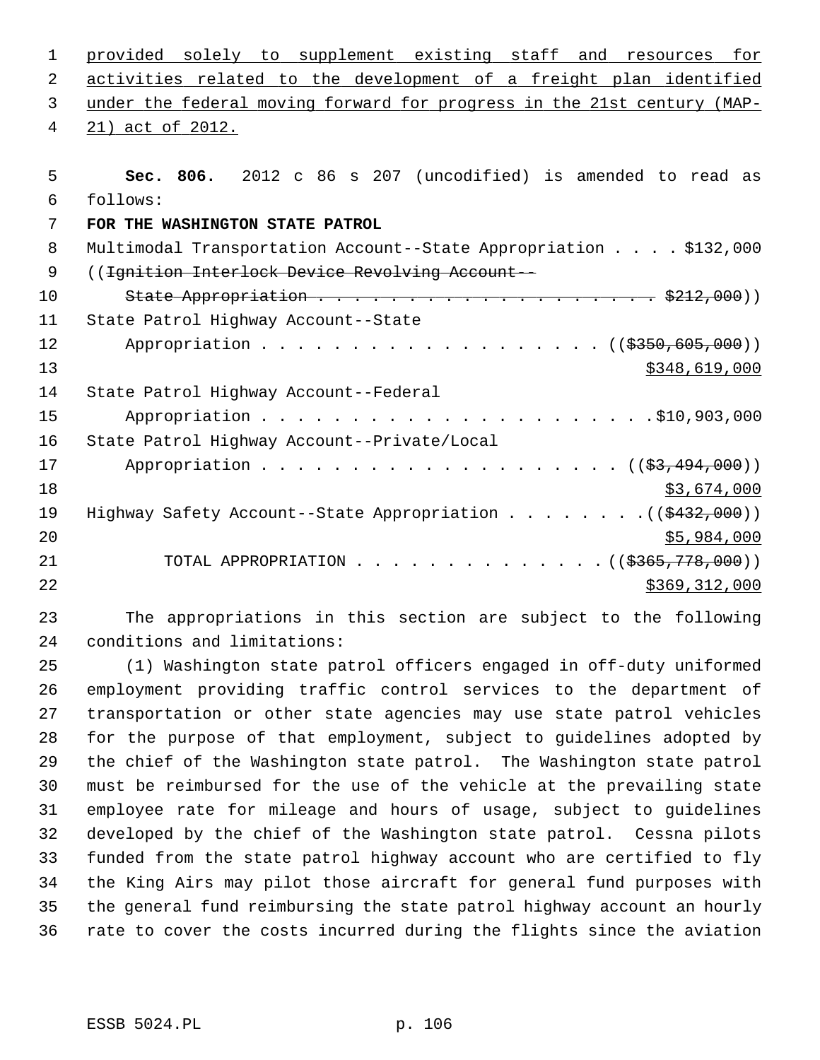| $\mathbf{1}$   | provided solely to supplement existing staff and resources for                                                  |
|----------------|-----------------------------------------------------------------------------------------------------------------|
| 2              | activities related to the development of a freight plan identified                                              |
| 3              | under the federal moving forward for progress in the 21st century (MAP-                                         |
| 4              | 21) act of 2012.                                                                                                |
|                |                                                                                                                 |
| 5              | Sec. 806. 2012 c 86 s 207 (uncodified) is amended to read as                                                    |
| 6              | follows:                                                                                                        |
| 7              | FOR THE WASHINGTON STATE PATROL                                                                                 |
| 8              | Multimodal Transportation Account--State Appropriation \$132,000                                                |
| $\overline{9}$ | ((Ignition Interlock Device Revolving Account --                                                                |
| 10             | State Appropriation $\cdots$ $\cdots$ $\cdots$ $\cdots$ $\cdots$ $\cdots$ $\cdots$ $\cdots$ $\frac{2212}{000})$ |
| 11             | State Patrol Highway Account--State                                                                             |
| 12             | Appropriation ((\$350,605,000))                                                                                 |
| 13             | \$348,619,000                                                                                                   |
| 14             | State Patrol Highway Account--Federal                                                                           |
| 15             |                                                                                                                 |
| 16             | State Patrol Highway Account--Private/Local                                                                     |
| 17             |                                                                                                                 |
| 18             | \$3,674,000                                                                                                     |
| 19             | Highway Safety Account--State Appropriation $($ $($ $\frac{2432}{100})$                                         |
| 20             | \$5,984,000                                                                                                     |
| 21             | TOTAL APPROPRIATION ( $(\frac{2365}{778},000)$ )                                                                |
| 22             | \$369,312,000                                                                                                   |
|                |                                                                                                                 |

23 The appropriations in this section are subject to the following 24 conditions and limitations:

25 (1) Washington state patrol officers engaged in off-duty uniformed 26 employment providing traffic control services to the department of 27 transportation or other state agencies may use state patrol vehicles 28 for the purpose of that employment, subject to guidelines adopted by 29 the chief of the Washington state patrol. The Washington state patrol 30 must be reimbursed for the use of the vehicle at the prevailing state 31 employee rate for mileage and hours of usage, subject to guidelines 32 developed by the chief of the Washington state patrol. Cessna pilots 33 funded from the state patrol highway account who are certified to fly 34 the King Airs may pilot those aircraft for general fund purposes with 35 the general fund reimbursing the state patrol highway account an hourly 36 rate to cover the costs incurred during the flights since the aviation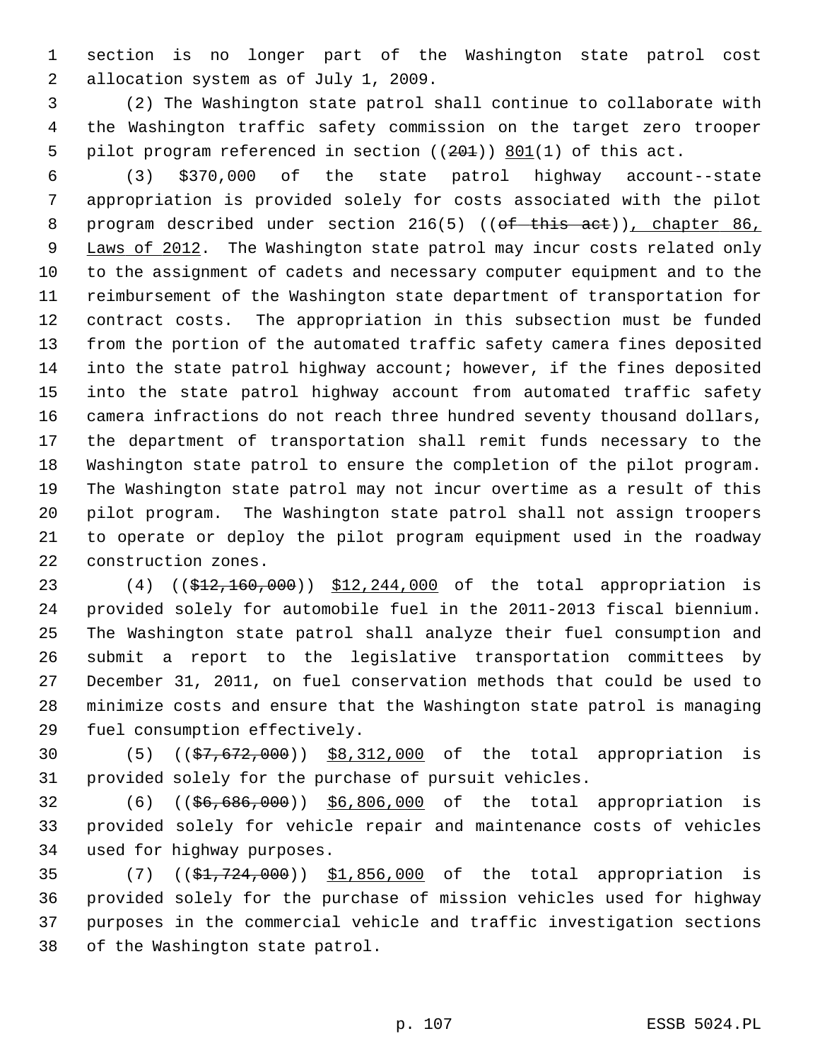1 section is no longer part of the Washington state patrol cost 2 allocation system as of July 1, 2009.

 3 (2) The Washington state patrol shall continue to collaborate with 4 the Washington traffic safety commission on the target zero trooper 5 pilot program referenced in section  $((201))$  801(1) of this act.

 6 (3) \$370,000 of the state patrol highway account--state 7 appropriation is provided solely for costs associated with the pilot 8 program described under section 216(5) ((of this act)), chapter 86, 9 Laws of 2012. The Washington state patrol may incur costs related only 10 to the assignment of cadets and necessary computer equipment and to the 11 reimbursement of the Washington state department of transportation for 12 contract costs. The appropriation in this subsection must be funded 13 from the portion of the automated traffic safety camera fines deposited 14 into the state patrol highway account; however, if the fines deposited 15 into the state patrol highway account from automated traffic safety 16 camera infractions do not reach three hundred seventy thousand dollars, 17 the department of transportation shall remit funds necessary to the 18 Washington state patrol to ensure the completion of the pilot program. 19 The Washington state patrol may not incur overtime as a result of this 20 pilot program. The Washington state patrol shall not assign troopers 21 to operate or deploy the pilot program equipment used in the roadway 22 construction zones.

23 (4) ((\$12,160,000)) \$12,244,000 of the total appropriation is 24 provided solely for automobile fuel in the 2011-2013 fiscal biennium. 25 The Washington state patrol shall analyze their fuel consumption and 26 submit a report to the legislative transportation committees by 27 December 31, 2011, on fuel conservation methods that could be used to 28 minimize costs and ensure that the Washington state patrol is managing 29 fuel consumption effectively.

30 (5) ((\$7,672,000)) \$8,312,000 of the total appropriation is 31 provided solely for the purchase of pursuit vehicles.

32 (6) ((\$6,686,000)) \$6,806,000 of the total appropriation is 33 provided solely for vehicle repair and maintenance costs of vehicles 34 used for highway purposes.

35 (7) ((\$1,724,000)) \$1,856,000 of the total appropriation is 36 provided solely for the purchase of mission vehicles used for highway 37 purposes in the commercial vehicle and traffic investigation sections 38 of the Washington state patrol.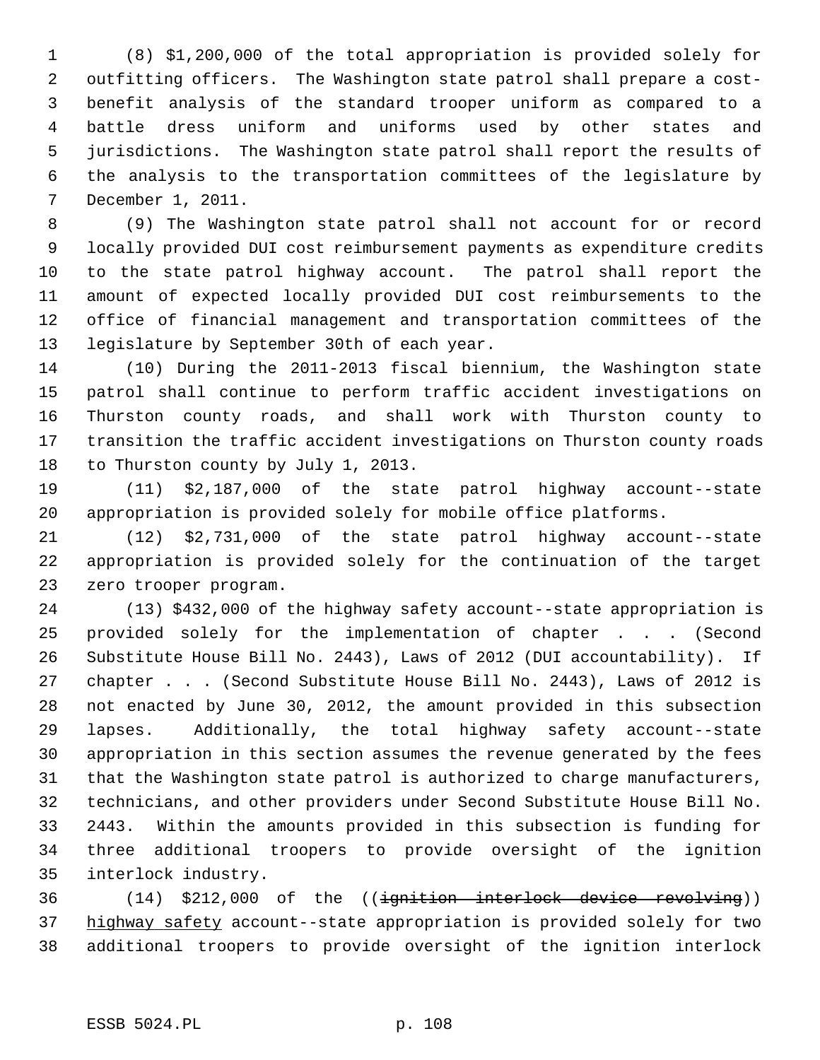1 (8) \$1,200,000 of the total appropriation is provided solely for 2 outfitting officers. The Washington state patrol shall prepare a cost- 3 benefit analysis of the standard trooper uniform as compared to a 4 battle dress uniform and uniforms used by other states and 5 jurisdictions. The Washington state patrol shall report the results of 6 the analysis to the transportation committees of the legislature by 7 December 1, 2011.

 8 (9) The Washington state patrol shall not account for or record 9 locally provided DUI cost reimbursement payments as expenditure credits 10 to the state patrol highway account. The patrol shall report the 11 amount of expected locally provided DUI cost reimbursements to the 12 office of financial management and transportation committees of the 13 legislature by September 30th of each year.

14 (10) During the 2011-2013 fiscal biennium, the Washington state 15 patrol shall continue to perform traffic accident investigations on 16 Thurston county roads, and shall work with Thurston county to 17 transition the traffic accident investigations on Thurston county roads 18 to Thurston county by July 1, 2013.

19 (11) \$2,187,000 of the state patrol highway account--state 20 appropriation is provided solely for mobile office platforms.

21 (12) \$2,731,000 of the state patrol highway account--state 22 appropriation is provided solely for the continuation of the target 23 zero trooper program.

24 (13) \$432,000 of the highway safety account--state appropriation is 25 provided solely for the implementation of chapter . . . (Second 26 Substitute House Bill No. 2443), Laws of 2012 (DUI accountability). If 27 chapter . . . (Second Substitute House Bill No. 2443), Laws of 2012 is 28 not enacted by June 30, 2012, the amount provided in this subsection 29 lapses. Additionally, the total highway safety account--state 30 appropriation in this section assumes the revenue generated by the fees 31 that the Washington state patrol is authorized to charge manufacturers, 32 technicians, and other providers under Second Substitute House Bill No. 33 2443. Within the amounts provided in this subsection is funding for 34 three additional troopers to provide oversight of the ignition 35 interlock industry.

36 (14) \$212,000 of the ((ignition interlock device revolving)) 37 highway safety account--state appropriation is provided solely for two 38 additional troopers to provide oversight of the ignition interlock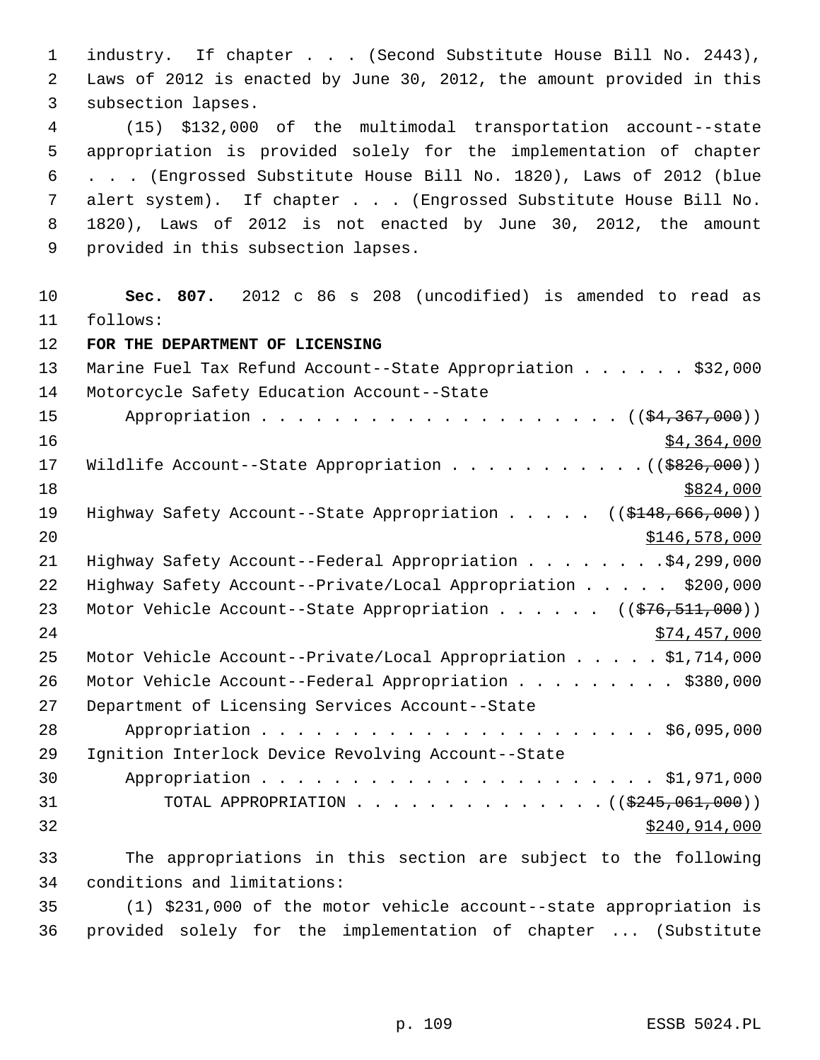1 industry. If chapter . . . (Second Substitute House Bill No. 2443), 2 Laws of 2012 is enacted by June 30, 2012, the amount provided in this 3 subsection lapses. 4 (15) \$132,000 of the multimodal transportation account--state 5 appropriation is provided solely for the implementation of chapter 6 . . . (Engrossed Substitute House Bill No. 1820), Laws of 2012 (blue 7 alert system). If chapter . . . (Engrossed Substitute House Bill No. 8 1820), Laws of 2012 is not enacted by June 30, 2012, the amount 9 provided in this subsection lapses. 10 **Sec. 807.** 2012 c 86 s 208 (uncodified) is amended to read as 11 follows: 12 **FOR THE DEPARTMENT OF LICENSING** 13 Marine Fuel Tax Refund Account--State Appropriation . . . . . \$32,000 14 Motorcycle Safety Education Account--State 15 Appropriation . . . . . . . . . . . . . . . . . . ((\$4,367,000)) 16 \$4,364,000 17 Wildlife Account--State Appropriation . . . . . . . . . . . ((\$826,000))  $18 \frac{$824,000}{ }$ 19 Highway Safety Account--State Appropriation . . . . ((\$148,666,000)) 20 \$146,578,000 21 Highway Safety Account--Federal Appropriation . . . . . . . . \$4,299,000 22 Highway Safety Account--Private/Local Appropriation . . . . \$200,000 23 Motor Vehicle Account--State Appropriation . . . . . ((\$76,511,000)) 24 \$74,457,000 25 Motor Vehicle Account--Private/Local Appropriation . . . . . \$1,714,000 26 Motor Vehicle Account--Federal Appropriation . . . . . . . . \$380,000 27 Department of Licensing Services Account--State 28 Appropriation . . . . . . . . . . . . . . . . . . . . . . \$6,095,000 29 Ignition Interlock Device Revolving Account--State 30 Appropriation . . . . . . . . . . . . . . . . . . . . . . \$1,971,000 31 TOTAL APPROPRIATION  $\ldots$ , . . . . . . . . . . . ( $(\frac{2245,061,000}{2})$ )  $32$   $32$ 33 The appropriations in this section are subject to the following 34 conditions and limitations: 35 (1) \$231,000 of the motor vehicle account--state appropriation is

36 provided solely for the implementation of chapter ... (Substitute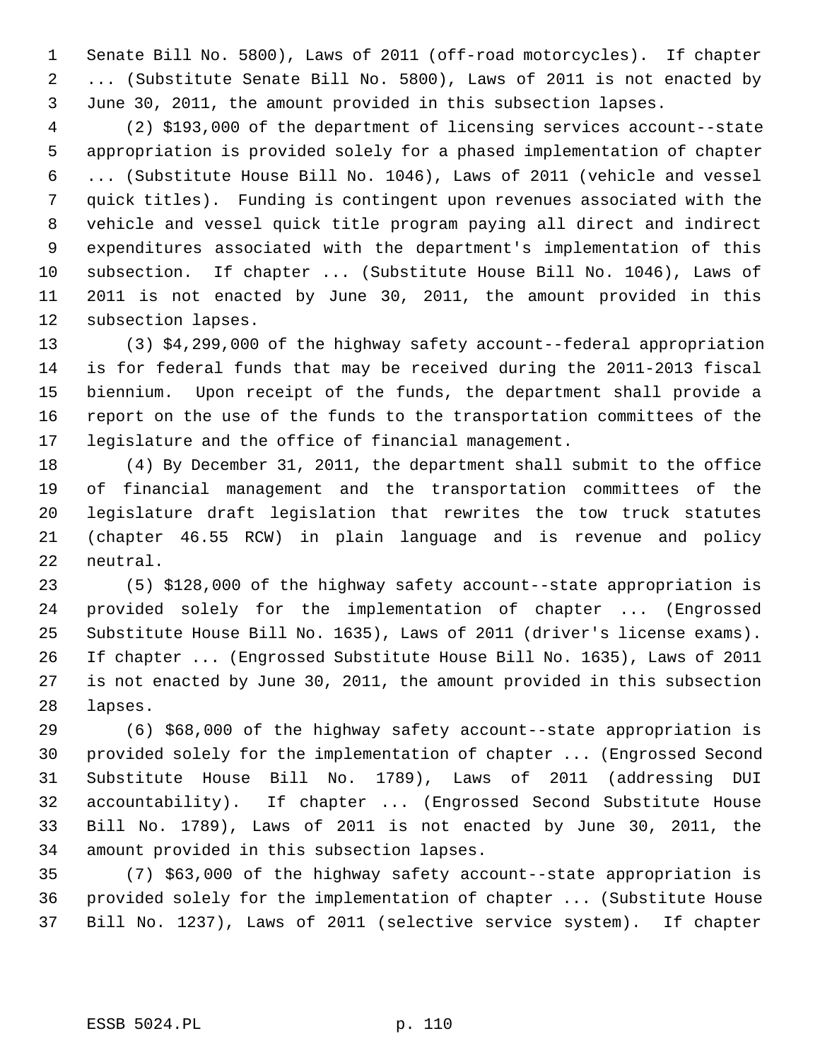1 Senate Bill No. 5800), Laws of 2011 (off-road motorcycles). If chapter 2 ... (Substitute Senate Bill No. 5800), Laws of 2011 is not enacted by 3 June 30, 2011, the amount provided in this subsection lapses.

 4 (2) \$193,000 of the department of licensing services account--state 5 appropriation is provided solely for a phased implementation of chapter 6 ... (Substitute House Bill No. 1046), Laws of 2011 (vehicle and vessel 7 quick titles). Funding is contingent upon revenues associated with the 8 vehicle and vessel quick title program paying all direct and indirect 9 expenditures associated with the department's implementation of this 10 subsection. If chapter ... (Substitute House Bill No. 1046), Laws of 11 2011 is not enacted by June 30, 2011, the amount provided in this 12 subsection lapses.

13 (3) \$4,299,000 of the highway safety account--federal appropriation 14 is for federal funds that may be received during the 2011-2013 fiscal 15 biennium. Upon receipt of the funds, the department shall provide a 16 report on the use of the funds to the transportation committees of the 17 legislature and the office of financial management.

18 (4) By December 31, 2011, the department shall submit to the office 19 of financial management and the transportation committees of the 20 legislature draft legislation that rewrites the tow truck statutes 21 (chapter 46.55 RCW) in plain language and is revenue and policy 22 neutral.

23 (5) \$128,000 of the highway safety account--state appropriation is 24 provided solely for the implementation of chapter ... (Engrossed 25 Substitute House Bill No. 1635), Laws of 2011 (driver's license exams). 26 If chapter ... (Engrossed Substitute House Bill No. 1635), Laws of 2011 27 is not enacted by June 30, 2011, the amount provided in this subsection 28 lapses.

29 (6) \$68,000 of the highway safety account--state appropriation is 30 provided solely for the implementation of chapter ... (Engrossed Second 31 Substitute House Bill No. 1789), Laws of 2011 (addressing DUI 32 accountability). If chapter ... (Engrossed Second Substitute House 33 Bill No. 1789), Laws of 2011 is not enacted by June 30, 2011, the 34 amount provided in this subsection lapses.

35 (7) \$63,000 of the highway safety account--state appropriation is 36 provided solely for the implementation of chapter ... (Substitute House 37 Bill No. 1237), Laws of 2011 (selective service system). If chapter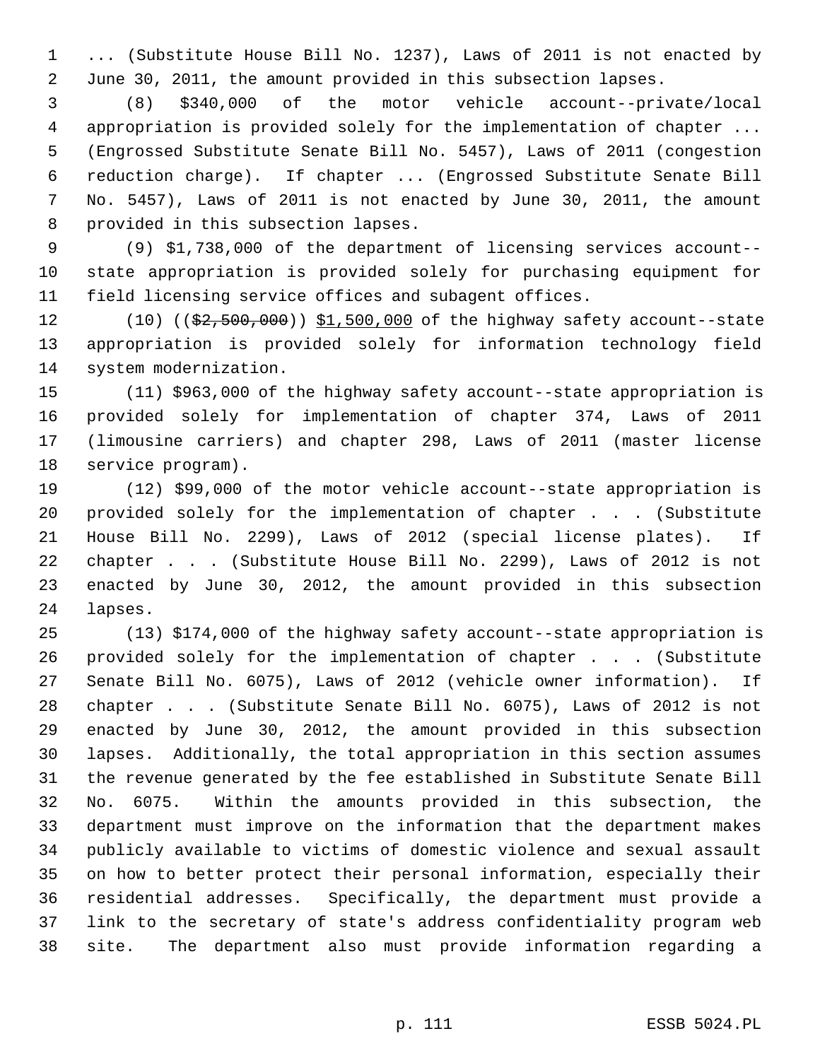1 ... (Substitute House Bill No. 1237), Laws of 2011 is not enacted by 2 June 30, 2011, the amount provided in this subsection lapses.

 3 (8) \$340,000 of the motor vehicle account--private/local 4 appropriation is provided solely for the implementation of chapter ... 5 (Engrossed Substitute Senate Bill No. 5457), Laws of 2011 (congestion 6 reduction charge). If chapter ... (Engrossed Substitute Senate Bill 7 No. 5457), Laws of 2011 is not enacted by June 30, 2011, the amount 8 provided in this subsection lapses.

 9 (9) \$1,738,000 of the department of licensing services account-- 10 state appropriation is provided solely for purchasing equipment for 11 field licensing service offices and subagent offices.

12 (10) ((\$2,500,000)) \$1,500,000 of the highway safety account--state 13 appropriation is provided solely for information technology field 14 system modernization.

15 (11) \$963,000 of the highway safety account--state appropriation is 16 provided solely for implementation of chapter 374, Laws of 2011 17 (limousine carriers) and chapter 298, Laws of 2011 (master license 18 service program).

19 (12) \$99,000 of the motor vehicle account--state appropriation is 20 provided solely for the implementation of chapter . . . (Substitute 21 House Bill No. 2299), Laws of 2012 (special license plates). If 22 chapter . . . (Substitute House Bill No. 2299), Laws of 2012 is not 23 enacted by June 30, 2012, the amount provided in this subsection 24 lapses.

25 (13) \$174,000 of the highway safety account--state appropriation is 26 provided solely for the implementation of chapter . . . (Substitute 27 Senate Bill No. 6075), Laws of 2012 (vehicle owner information). If 28 chapter . . . (Substitute Senate Bill No. 6075), Laws of 2012 is not 29 enacted by June 30, 2012, the amount provided in this subsection 30 lapses. Additionally, the total appropriation in this section assumes 31 the revenue generated by the fee established in Substitute Senate Bill 32 No. 6075. Within the amounts provided in this subsection, the 33 department must improve on the information that the department makes 34 publicly available to victims of domestic violence and sexual assault 35 on how to better protect their personal information, especially their 36 residential addresses. Specifically, the department must provide a 37 link to the secretary of state's address confidentiality program web 38 site. The department also must provide information regarding a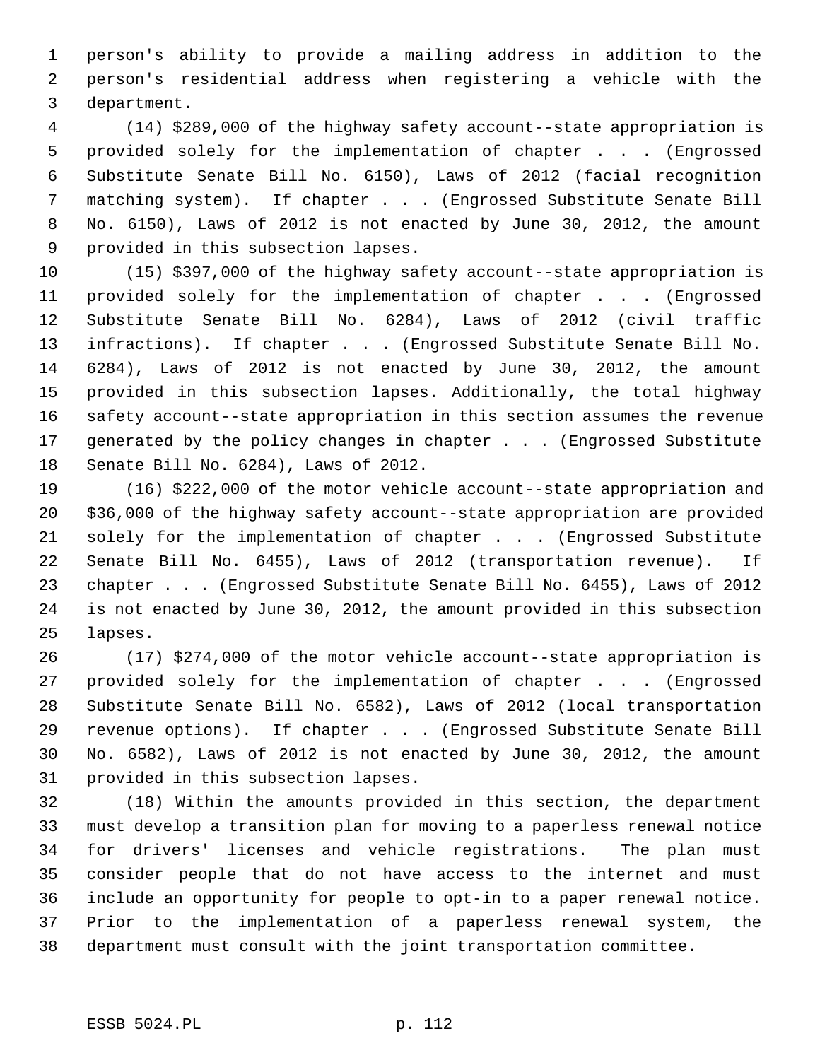1 person's ability to provide a mailing address in addition to the 2 person's residential address when registering a vehicle with the 3 department.

 4 (14) \$289,000 of the highway safety account--state appropriation is 5 provided solely for the implementation of chapter . . . (Engrossed 6 Substitute Senate Bill No. 6150), Laws of 2012 (facial recognition 7 matching system). If chapter . . . (Engrossed Substitute Senate Bill 8 No. 6150), Laws of 2012 is not enacted by June 30, 2012, the amount 9 provided in this subsection lapses.

10 (15) \$397,000 of the highway safety account--state appropriation is 11 provided solely for the implementation of chapter . . . (Engrossed 12 Substitute Senate Bill No. 6284), Laws of 2012 (civil traffic 13 infractions). If chapter . . . (Engrossed Substitute Senate Bill No. 14 6284), Laws of 2012 is not enacted by June 30, 2012, the amount 15 provided in this subsection lapses. Additionally, the total highway 16 safety account--state appropriation in this section assumes the revenue 17 generated by the policy changes in chapter . . . (Engrossed Substitute 18 Senate Bill No. 6284), Laws of 2012.

19 (16) \$222,000 of the motor vehicle account--state appropriation and 20 \$36,000 of the highway safety account--state appropriation are provided 21 solely for the implementation of chapter . . . (Engrossed Substitute 22 Senate Bill No. 6455), Laws of 2012 (transportation revenue). If 23 chapter . . . (Engrossed Substitute Senate Bill No. 6455), Laws of 2012 24 is not enacted by June 30, 2012, the amount provided in this subsection 25 lapses.

26 (17) \$274,000 of the motor vehicle account--state appropriation is 27 provided solely for the implementation of chapter . . . (Engrossed 28 Substitute Senate Bill No. 6582), Laws of 2012 (local transportation 29 revenue options). If chapter . . . (Engrossed Substitute Senate Bill 30 No. 6582), Laws of 2012 is not enacted by June 30, 2012, the amount 31 provided in this subsection lapses.

32 (18) Within the amounts provided in this section, the department 33 must develop a transition plan for moving to a paperless renewal notice 34 for drivers' licenses and vehicle registrations. The plan must 35 consider people that do not have access to the internet and must 36 include an opportunity for people to opt-in to a paper renewal notice. 37 Prior to the implementation of a paperless renewal system, the 38 department must consult with the joint transportation committee.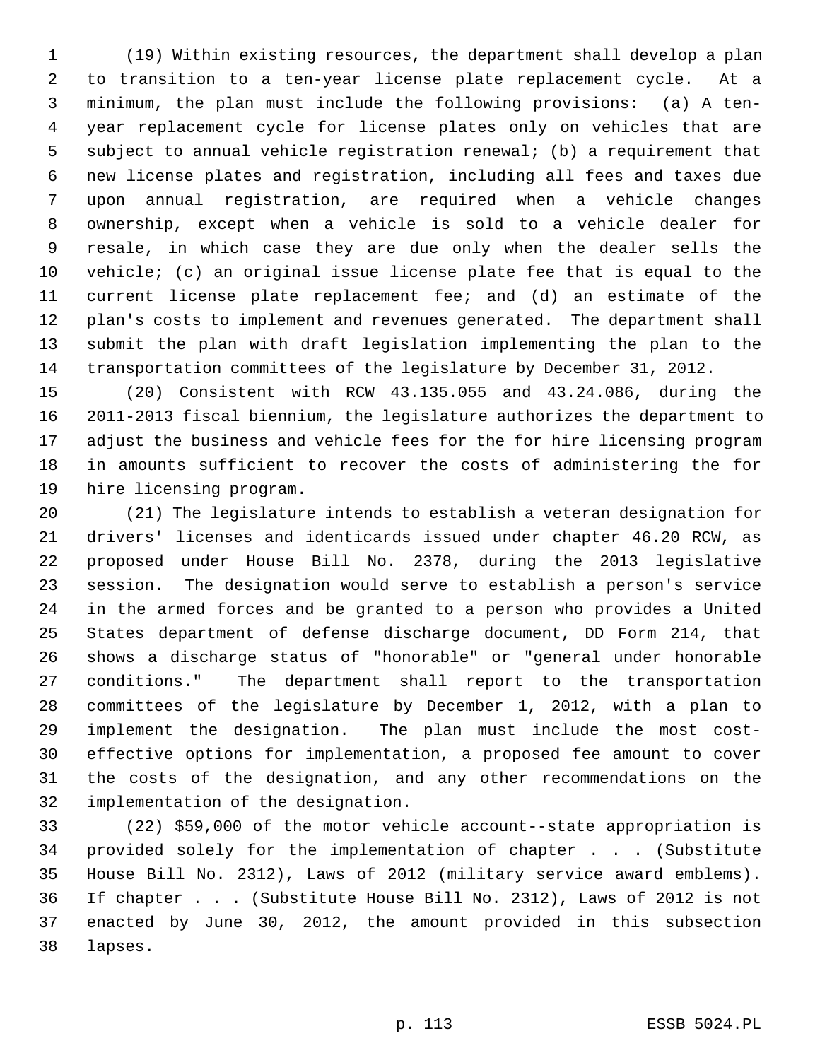1 (19) Within existing resources, the department shall develop a plan 2 to transition to a ten-year license plate replacement cycle. At a 3 minimum, the plan must include the following provisions: (a) A ten- 4 year replacement cycle for license plates only on vehicles that are 5 subject to annual vehicle registration renewal; (b) a requirement that 6 new license plates and registration, including all fees and taxes due 7 upon annual registration, are required when a vehicle changes 8 ownership, except when a vehicle is sold to a vehicle dealer for 9 resale, in which case they are due only when the dealer sells the 10 vehicle; (c) an original issue license plate fee that is equal to the 11 current license plate replacement fee; and (d) an estimate of the 12 plan's costs to implement and revenues generated. The department shall 13 submit the plan with draft legislation implementing the plan to the 14 transportation committees of the legislature by December 31, 2012.

15 (20) Consistent with RCW 43.135.055 and 43.24.086, during the 16 2011-2013 fiscal biennium, the legislature authorizes the department to 17 adjust the business and vehicle fees for the for hire licensing program 18 in amounts sufficient to recover the costs of administering the for 19 hire licensing program.

20 (21) The legislature intends to establish a veteran designation for 21 drivers' licenses and identicards issued under chapter 46.20 RCW, as 22 proposed under House Bill No. 2378, during the 2013 legislative 23 session. The designation would serve to establish a person's service 24 in the armed forces and be granted to a person who provides a United 25 States department of defense discharge document, DD Form 214, that 26 shows a discharge status of "honorable" or "general under honorable 27 conditions." The department shall report to the transportation 28 committees of the legislature by December 1, 2012, with a plan to 29 implement the designation. The plan must include the most cost-30 effective options for implementation, a proposed fee amount to cover 31 the costs of the designation, and any other recommendations on the 32 implementation of the designation.

33 (22) \$59,000 of the motor vehicle account--state appropriation is 34 provided solely for the implementation of chapter . . . (Substitute 35 House Bill No. 2312), Laws of 2012 (military service award emblems). 36 If chapter . . . (Substitute House Bill No. 2312), Laws of 2012 is not 37 enacted by June 30, 2012, the amount provided in this subsection 38 lapses.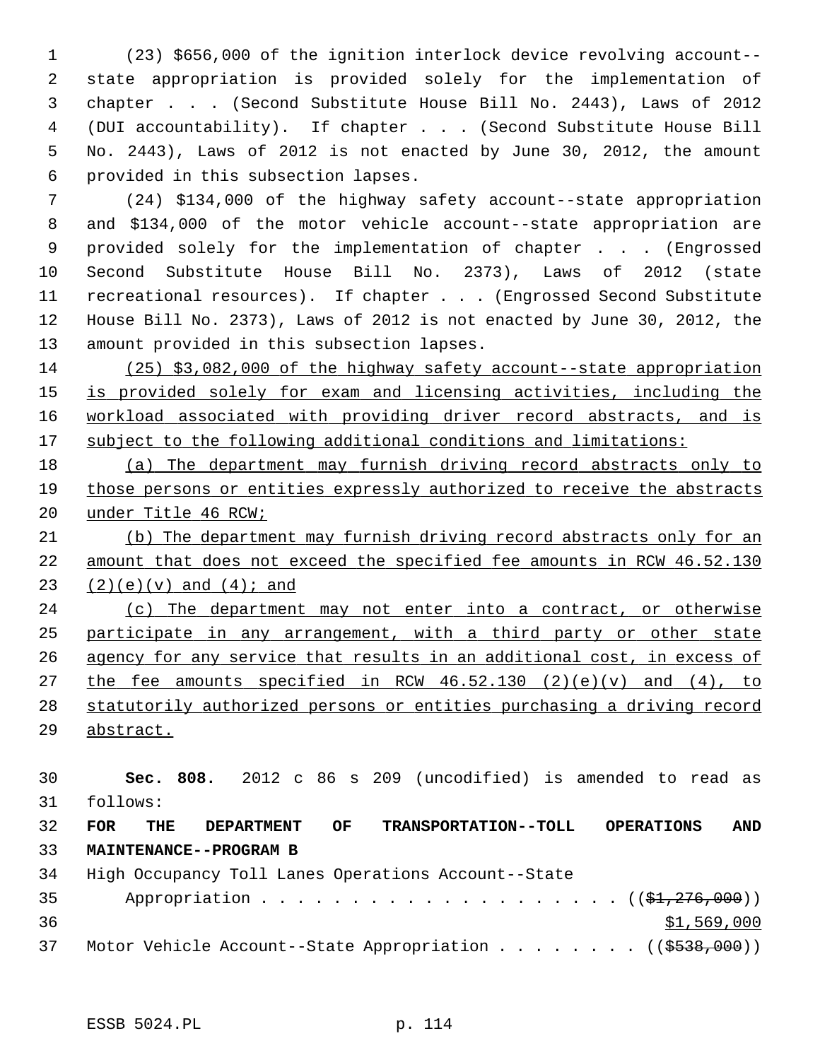1 (23) \$656,000 of the ignition interlock device revolving account-- 2 state appropriation is provided solely for the implementation of 3 chapter . . . (Second Substitute House Bill No. 2443), Laws of 2012 4 (DUI accountability). If chapter . . . (Second Substitute House Bill 5 No. 2443), Laws of 2012 is not enacted by June 30, 2012, the amount 6 provided in this subsection lapses.

 7 (24) \$134,000 of the highway safety account--state appropriation 8 and \$134,000 of the motor vehicle account--state appropriation are 9 provided solely for the implementation of chapter . . . (Engrossed 10 Second Substitute House Bill No. 2373), Laws of 2012 (state 11 recreational resources). If chapter . . . (Engrossed Second Substitute 12 House Bill No. 2373), Laws of 2012 is not enacted by June 30, 2012, the 13 amount provided in this subsection lapses.

 (25) \$3,082,000 of the highway safety account--state appropriation is provided solely for exam and licensing activities, including the workload associated with providing driver record abstracts, and is subject to the following additional conditions and limitations:

18 (a) The department may furnish driving record abstracts only to 19 those persons or entities expressly authorized to receive the abstracts 20 under Title 46 RCW;

21 (b) The department may furnish driving record abstracts only for an 22 amount that does not exceed the specified fee amounts in RCW 46.52.130 23  $(2)(e)(v)$  and  $(4)i$  and

 (c) The department may not enter into a contract, or otherwise participate in any arrangement, with a third party or other state agency for any service that results in an additional cost, in excess of 27 the fee amounts specified in RCW  $46.52.130$  (2)(e)(v) and (4), to statutorily authorized persons or entities purchasing a driving record abstract.

 **Sec. 808.** 2012 c 86 s 209 (uncodified) is amended to read as 31 follows: **FOR THE DEPARTMENT OF TRANSPORTATION--TOLL OPERATIONS AND MAINTENANCE--PROGRAM B**

34 High Occupancy Toll Lanes Operations Account--State 35 Appropriation . . . . . . . . . . . . . . . . . .  $($   $(\frac{1}{21}, \frac{276}{100})$  $36$   $31,569,000$ 37 Motor Vehicle Account--State Appropriation . . . . . . . ((\$538,000))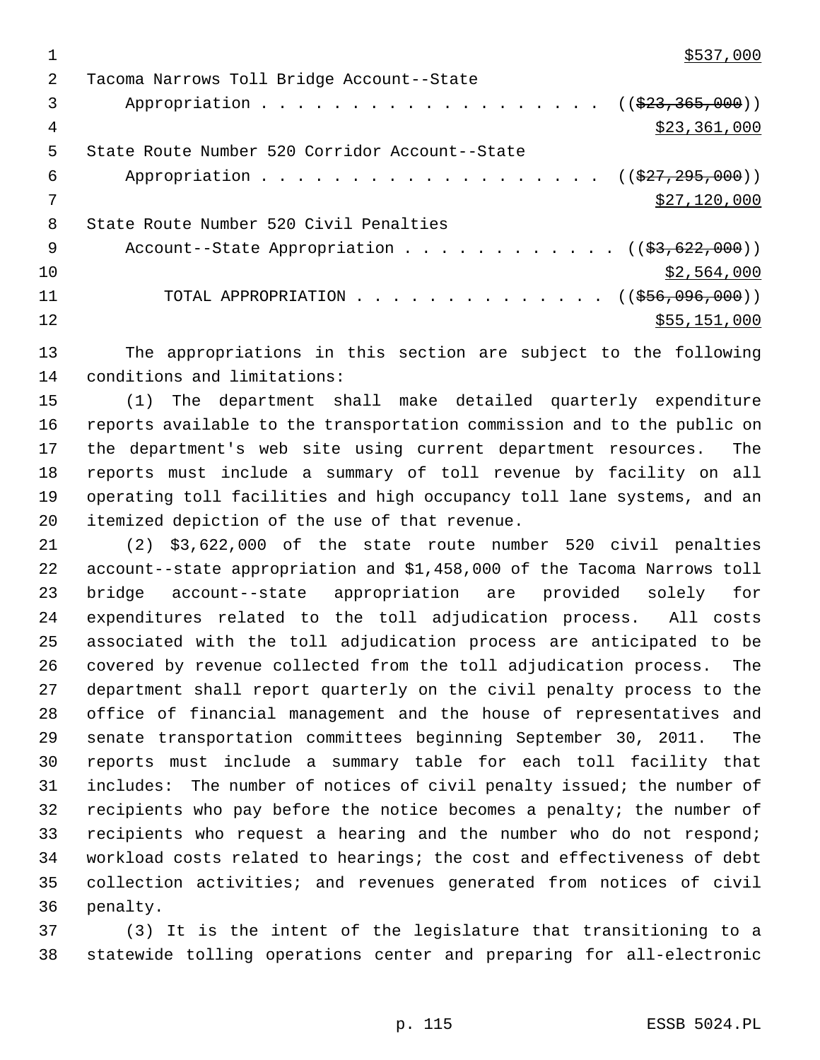$\frac{$537,000}{ }$ 

| 2   | Tacoma Narrows Toll Bridge Account--State                               |
|-----|-------------------------------------------------------------------------|
| 3   | Appropriation ( $(\frac{223}{23}, \frac{365}{200})$ )                   |
| 4   | \$23,361,000                                                            |
| 5   | State Route Number 520 Corridor Account--State                          |
| 6   | Appropriation ( $(\frac{27}{7}, \frac{295}{100})$ )                     |
|     | \$27,120,000                                                            |
| 8   | State Route Number 520 Civil Penalties                                  |
| - 9 | Account--State Appropriation $($ $($ \$3,622,000 $)$ )                  |
| 10  | \$2,564,000                                                             |
| 11  | TOTAL APPROPRIATION $\ldots$ , ( $(\frac{256}{100}, \frac{096}{100})$ ) |
| 12  | \$55,151,000                                                            |
|     |                                                                         |

13 The appropriations in this section are subject to the following 14 conditions and limitations:

15 (1) The department shall make detailed quarterly expenditure 16 reports available to the transportation commission and to the public on 17 the department's web site using current department resources. The 18 reports must include a summary of toll revenue by facility on all 19 operating toll facilities and high occupancy toll lane systems, and an 20 itemized depiction of the use of that revenue.

21 (2) \$3,622,000 of the state route number 520 civil penalties 22 account--state appropriation and \$1,458,000 of the Tacoma Narrows toll 23 bridge account--state appropriation are provided solely for 24 expenditures related to the toll adjudication process. All costs 25 associated with the toll adjudication process are anticipated to be 26 covered by revenue collected from the toll adjudication process. The 27 department shall report quarterly on the civil penalty process to the 28 office of financial management and the house of representatives and 29 senate transportation committees beginning September 30, 2011. The 30 reports must include a summary table for each toll facility that 31 includes: The number of notices of civil penalty issued; the number of 32 recipients who pay before the notice becomes a penalty; the number of 33 recipients who request a hearing and the number who do not respond; 34 workload costs related to hearings; the cost and effectiveness of debt 35 collection activities; and revenues generated from notices of civil 36 penalty.

37 (3) It is the intent of the legislature that transitioning to a 38 statewide tolling operations center and preparing for all-electronic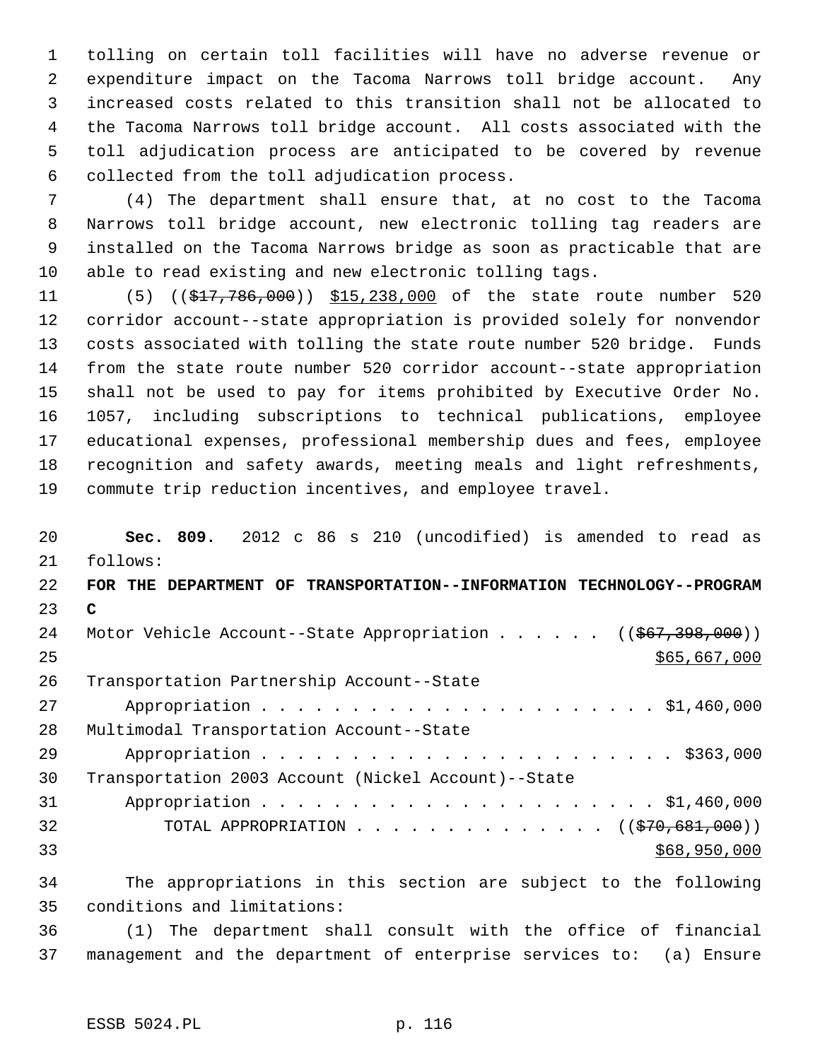1 tolling on certain toll facilities will have no adverse revenue or 2 expenditure impact on the Tacoma Narrows toll bridge account. Any 3 increased costs related to this transition shall not be allocated to 4 the Tacoma Narrows toll bridge account. All costs associated with the 5 toll adjudication process are anticipated to be covered by revenue 6 collected from the toll adjudication process.

 7 (4) The department shall ensure that, at no cost to the Tacoma 8 Narrows toll bridge account, new electronic tolling tag readers are 9 installed on the Tacoma Narrows bridge as soon as practicable that are 10 able to read existing and new electronic tolling tags.

11 (5) ((\$17,786,000)) \$15,238,000 of the state route number 520 12 corridor account--state appropriation is provided solely for nonvendor 13 costs associated with tolling the state route number 520 bridge. Funds 14 from the state route number 520 corridor account--state appropriation 15 shall not be used to pay for items prohibited by Executive Order No. 16 1057, including subscriptions to technical publications, employee 17 educational expenses, professional membership dues and fees, employee 18 recognition and safety awards, meeting meals and light refreshments, 19 commute trip reduction incentives, and employee travel.

20 **Sec. 809.** 2012 c 86 s 210 (uncodified) is amended to read as 21 follows: 22 **FOR THE DEPARTMENT OF TRANSPORTATION--INFORMATION TECHNOLOGY--PROGRAM** 23 **C** 24 Motor Vehicle Account--State Appropriation . . . . . ((\$67,398,000))  $25$  \$65,667,000 26 Transportation Partnership Account--State 27 Appropriation . . . . . . . . . . . . . . . . . . . . . . \$1,460,000 28 Multimodal Transportation Account--State 29 Appropriation . . . . . . . . . . . . . . . . . . . . . . . \$363,000 30 Transportation 2003 Account (Nickel Account)--State 31 Appropriation . . . . . . . . . . . . . . . . . . . . . . \$1,460,000 32 TOTAL APPROPRIATION . . . . . . . . . . . . . . ((\$70,681,000))  $33$  \$68,950,000 34 The appropriations in this section are subject to the following

35 conditions and limitations:

36 (1) The department shall consult with the office of financial 37 management and the department of enterprise services to: (a) Ensure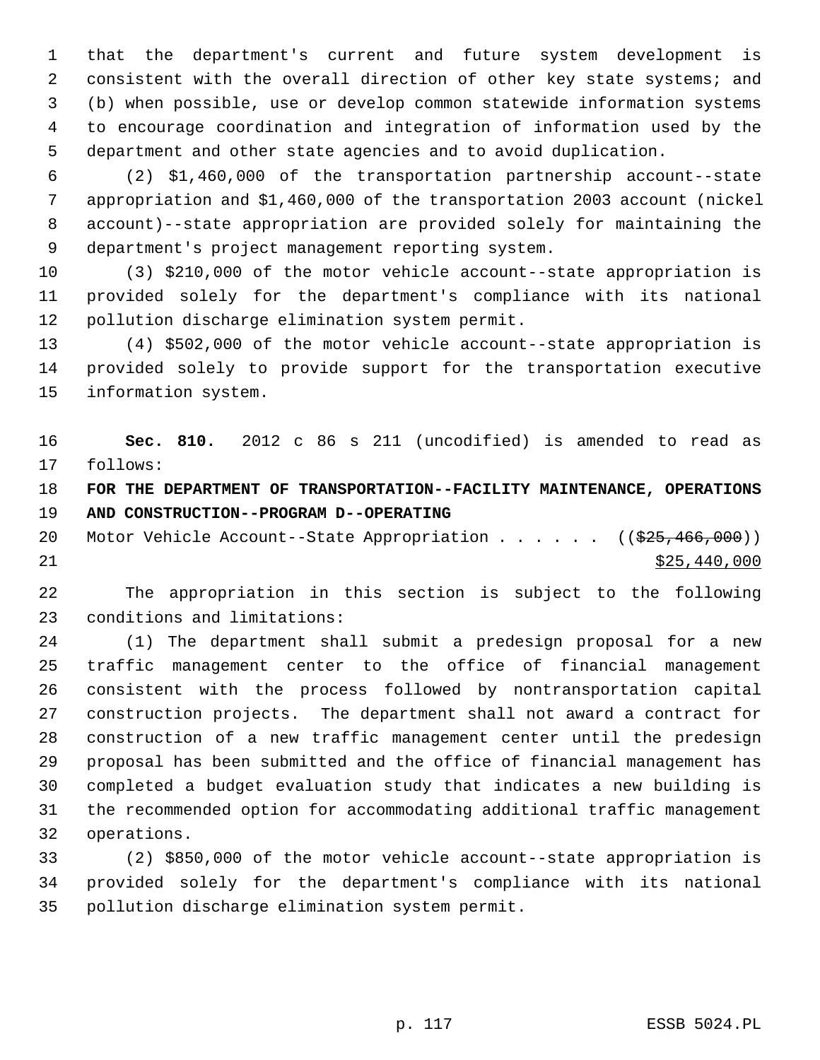1 that the department's current and future system development is 2 consistent with the overall direction of other key state systems; and 3 (b) when possible, use or develop common statewide information systems 4 to encourage coordination and integration of information used by the 5 department and other state agencies and to avoid duplication.

 6 (2) \$1,460,000 of the transportation partnership account--state 7 appropriation and \$1,460,000 of the transportation 2003 account (nickel 8 account)--state appropriation are provided solely for maintaining the 9 department's project management reporting system.

10 (3) \$210,000 of the motor vehicle account--state appropriation is 11 provided solely for the department's compliance with its national 12 pollution discharge elimination system permit.

13 (4) \$502,000 of the motor vehicle account--state appropriation is 14 provided solely to provide support for the transportation executive 15 information system.

16 **Sec. 810.** 2012 c 86 s 211 (uncodified) is amended to read as 17 follows:

18 **FOR THE DEPARTMENT OF TRANSPORTATION--FACILITY MAINTENANCE, OPERATIONS** 19 **AND CONSTRUCTION--PROGRAM D--OPERATING**

20 Motor Vehicle Account--State Appropriation . . . . . ((\$25,466,000))  $21$  \$25,440,000

22 The appropriation in this section is subject to the following 23 conditions and limitations:

24 (1) The department shall submit a predesign proposal for a new 25 traffic management center to the office of financial management 26 consistent with the process followed by nontransportation capital 27 construction projects. The department shall not award a contract for 28 construction of a new traffic management center until the predesign 29 proposal has been submitted and the office of financial management has 30 completed a budget evaluation study that indicates a new building is 31 the recommended option for accommodating additional traffic management 32 operations.

33 (2) \$850,000 of the motor vehicle account--state appropriation is 34 provided solely for the department's compliance with its national 35 pollution discharge elimination system permit.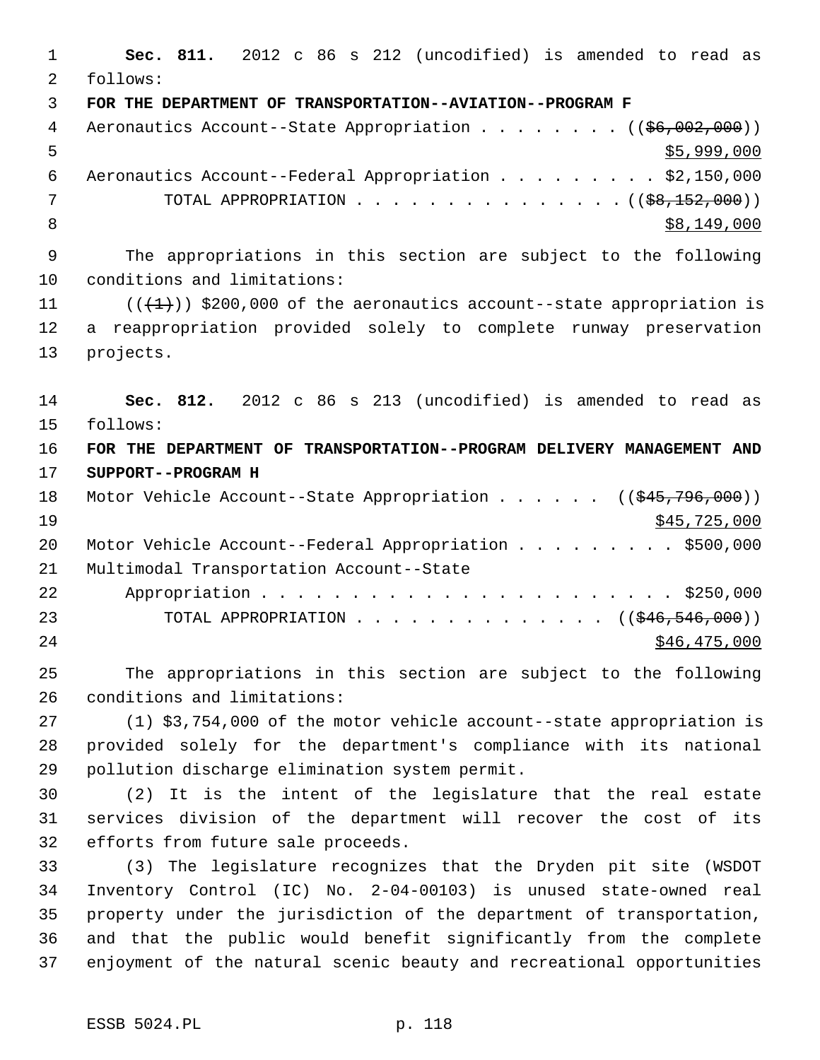1 **Sec. 811.** 2012 c 86 s 212 (uncodified) is amended to read as 2 follows: 3 **FOR THE DEPARTMENT OF TRANSPORTATION--AVIATION--PROGRAM F** 4 Aeronautics Account--State Appropriation . . . . . . . ((\$6,002,000))  $5,999,000$  6 Aeronautics Account--Federal Appropriation . . . . . . . . . \$2,150,000 7 TOTAL APPROPRIATION . . . . . . . . . . . . . . ((<del>\$8,152,000</del>))  $8 \times 149,000$  9 The appropriations in this section are subject to the following 10 conditions and limitations: 11  $((\{1\})$  \$200,000 of the aeronautics account--state appropriation is 12 a reappropriation provided solely to complete runway preservation 13 projects. 14 **Sec. 812.** 2012 c 86 s 213 (uncodified) is amended to read as 15 follows: 16 **FOR THE DEPARTMENT OF TRANSPORTATION--PROGRAM DELIVERY MANAGEMENT AND** 17 **SUPPORT--PROGRAM H** 18 Motor Vehicle Account--State Appropriation . . . . . ((\$45,796,000))  $\frac{19}{245,725,000}$ 20 Motor Vehicle Account--Federal Appropriation . . . . . . . . \$500,000 21 Multimodal Transportation Account--State 22 Appropriation . . . . . . . . . . . . . . . . . . . . . . . \$250,000 23 TOTAL APPROPRIATION . . . . . . . . . . . . . ((<del>\$46,546,000</del>)) 24 \$46,475,000 25 The appropriations in this section are subject to the following 26 conditions and limitations: 27 (1) \$3,754,000 of the motor vehicle account--state appropriation is 28 provided solely for the department's compliance with its national 29 pollution discharge elimination system permit. 30 (2) It is the intent of the legislature that the real estate

31 services division of the department will recover the cost of its 32 efforts from future sale proceeds.

33 (3) The legislature recognizes that the Dryden pit site (WSDOT 34 Inventory Control (IC) No. 2-04-00103) is unused state-owned real 35 property under the jurisdiction of the department of transportation, 36 and that the public would benefit significantly from the complete 37 enjoyment of the natural scenic beauty and recreational opportunities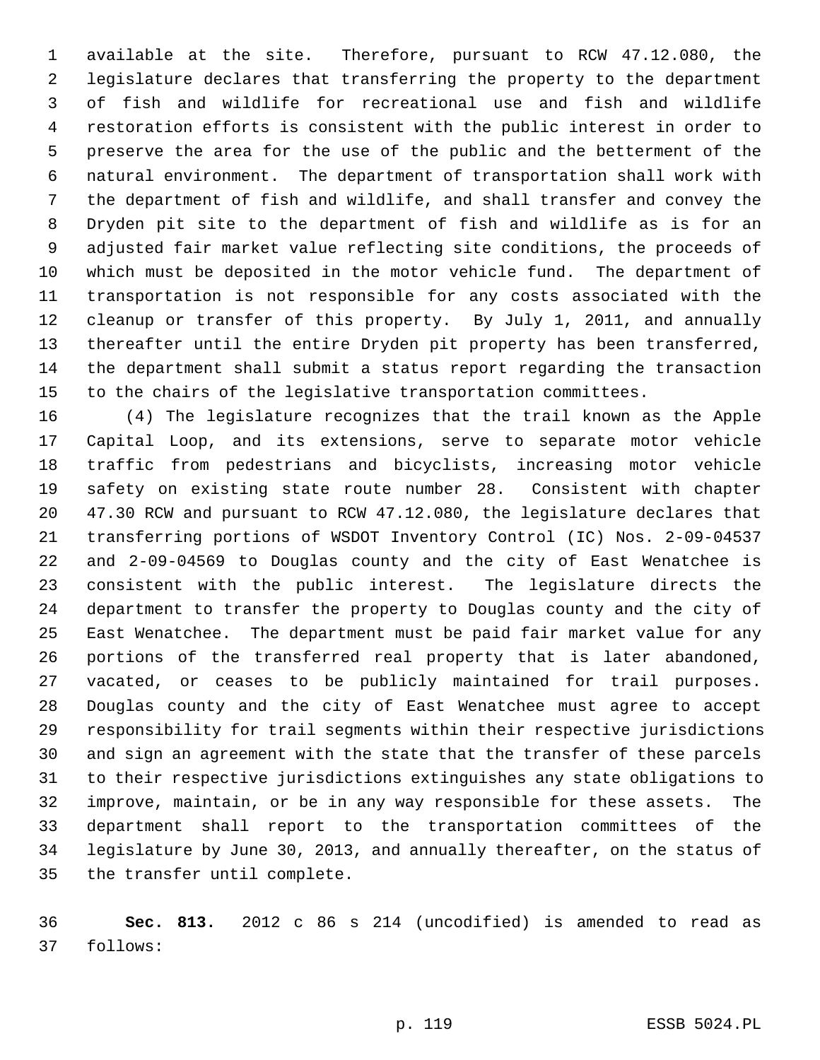1 available at the site. Therefore, pursuant to RCW 47.12.080, the 2 legislature declares that transferring the property to the department 3 of fish and wildlife for recreational use and fish and wildlife 4 restoration efforts is consistent with the public interest in order to 5 preserve the area for the use of the public and the betterment of the 6 natural environment. The department of transportation shall work with 7 the department of fish and wildlife, and shall transfer and convey the 8 Dryden pit site to the department of fish and wildlife as is for an 9 adjusted fair market value reflecting site conditions, the proceeds of 10 which must be deposited in the motor vehicle fund. The department of 11 transportation is not responsible for any costs associated with the 12 cleanup or transfer of this property. By July 1, 2011, and annually 13 thereafter until the entire Dryden pit property has been transferred, 14 the department shall submit a status report regarding the transaction 15 to the chairs of the legislative transportation committees.

16 (4) The legislature recognizes that the trail known as the Apple 17 Capital Loop, and its extensions, serve to separate motor vehicle 18 traffic from pedestrians and bicyclists, increasing motor vehicle 19 safety on existing state route number 28. Consistent with chapter 20 47.30 RCW and pursuant to RCW 47.12.080, the legislature declares that 21 transferring portions of WSDOT Inventory Control (IC) Nos. 2-09-04537 22 and 2-09-04569 to Douglas county and the city of East Wenatchee is 23 consistent with the public interest. The legislature directs the 24 department to transfer the property to Douglas county and the city of 25 East Wenatchee. The department must be paid fair market value for any 26 portions of the transferred real property that is later abandoned, 27 vacated, or ceases to be publicly maintained for trail purposes. 28 Douglas county and the city of East Wenatchee must agree to accept 29 responsibility for trail segments within their respective jurisdictions 30 and sign an agreement with the state that the transfer of these parcels 31 to their respective jurisdictions extinguishes any state obligations to 32 improve, maintain, or be in any way responsible for these assets. The 33 department shall report to the transportation committees of the 34 legislature by June 30, 2013, and annually thereafter, on the status of 35 the transfer until complete.

36 **Sec. 813.** 2012 c 86 s 214 (uncodified) is amended to read as 37 follows: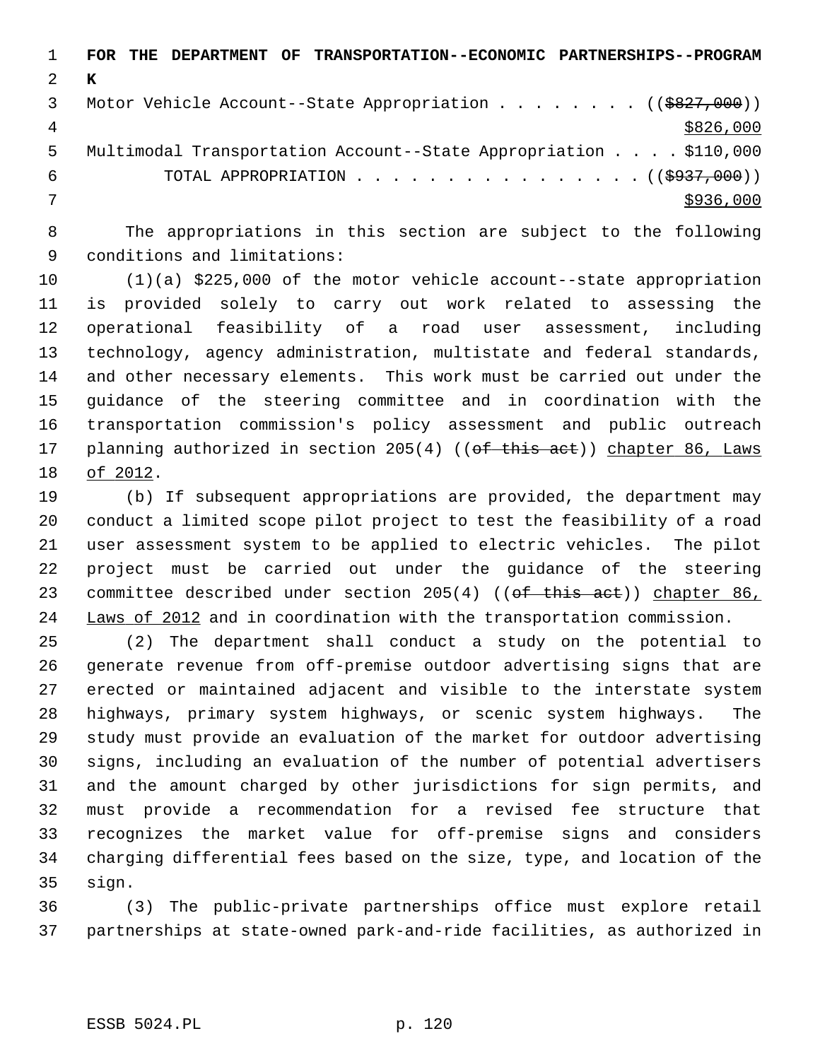|    | THE DEPARTMENT OF TRANSPORTATION--ECONOMIC PARTNERSHIPS--PROGRAM<br>FOR |
|----|-------------------------------------------------------------------------|
|    | к                                                                       |
|    | Motor Vehicle Account--State Appropriation ( $(\frac{2827}{100})$ )     |
| 4  | \$826,000                                                               |
| 5. | Multimodal Transportation Account--State Appropriation \$110,000        |
| 6  | TOTAL APPROPRIATION $\ldots$ , ( $(\frac{2937}{100})$ )                 |
|    | \$936,000                                                               |
|    |                                                                         |

 8 The appropriations in this section are subject to the following 9 conditions and limitations:

10 (1)(a) \$225,000 of the motor vehicle account--state appropriation 11 is provided solely to carry out work related to assessing the 12 operational feasibility of a road user assessment, including 13 technology, agency administration, multistate and federal standards, 14 and other necessary elements. This work must be carried out under the 15 guidance of the steering committee and in coordination with the 16 transportation commission's policy assessment and public outreach 17 planning authorized in section 205(4) ((of this act)) chapter 86, Laws 18 of 2012.

19 (b) If subsequent appropriations are provided, the department may 20 conduct a limited scope pilot project to test the feasibility of a road 21 user assessment system to be applied to electric vehicles. The pilot 22 project must be carried out under the guidance of the steering 23 committee described under section 205(4) ((of this act)) chapter 86, 24 Laws of 2012 and in coordination with the transportation commission.

25 (2) The department shall conduct a study on the potential to 26 generate revenue from off-premise outdoor advertising signs that are 27 erected or maintained adjacent and visible to the interstate system 28 highways, primary system highways, or scenic system highways. The 29 study must provide an evaluation of the market for outdoor advertising 30 signs, including an evaluation of the number of potential advertisers 31 and the amount charged by other jurisdictions for sign permits, and 32 must provide a recommendation for a revised fee structure that 33 recognizes the market value for off-premise signs and considers 34 charging differential fees based on the size, type, and location of the 35 sign.

36 (3) The public-private partnerships office must explore retail 37 partnerships at state-owned park-and-ride facilities, as authorized in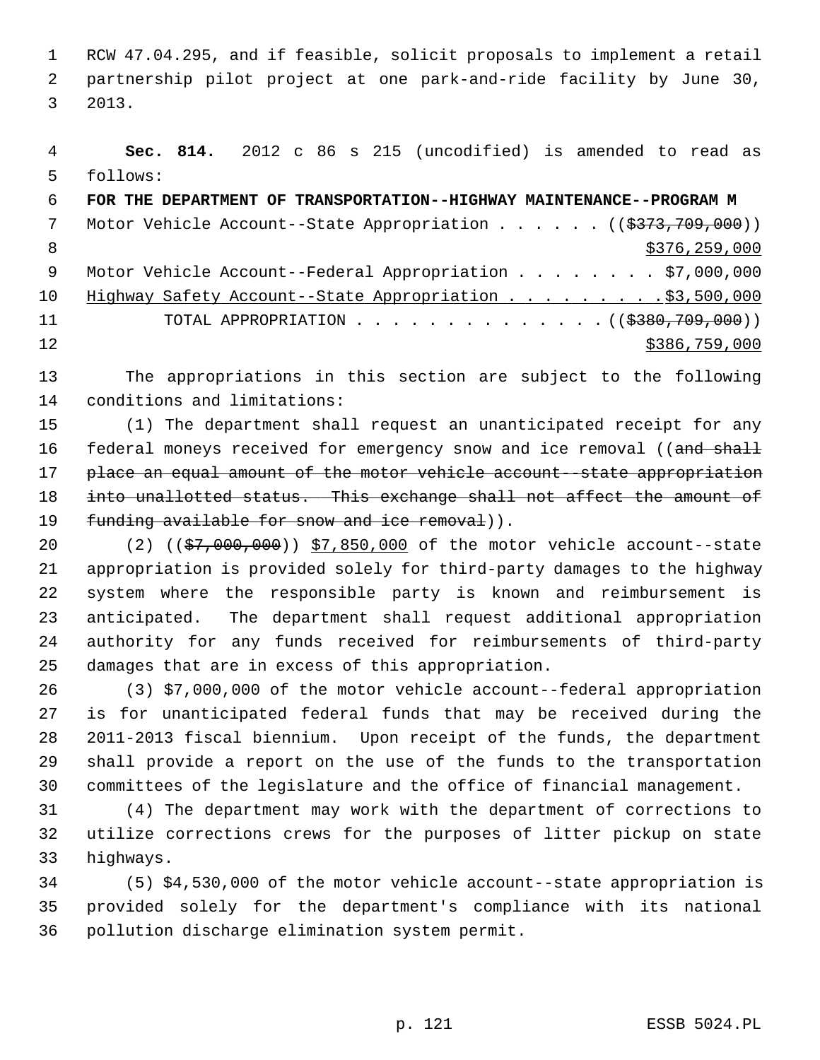1 RCW 47.04.295, and if feasible, solicit proposals to implement a retail 2 partnership pilot project at one park-and-ride facility by June 30, 3 2013.

 4 **Sec. 814.** 2012 c 86 s 215 (uncodified) is amended to read as 5 follows: 6 **FOR THE DEPARTMENT OF TRANSPORTATION--HIGHWAY MAINTENANCE--PROGRAM M** 7 Motor Vehicle Account--State Appropriation . . . . . ((\$373,709,000)) 8 \$376,259,000 \$376,259,000 9 Motor Vehicle Account--Federal Appropriation . . . . . . . \$7,000,000 10 Highway Safety Account--State Appropriation . . . . . . . . \$3,500,000 11 TOTAL APPROPRIATION . . . . . . . . . . . . . ((\$380,709,000))  $12$  \$386,759,000

13 The appropriations in this section are subject to the following 14 conditions and limitations:

15 (1) The department shall request an unanticipated receipt for any 16 federal moneys received for emergency snow and ice removal ((and shall 17 place an equal amount of the motor vehicle account--state appropriation 18 into unallotted status. This exchange shall not affect the amount of 19 funding available for snow and ice removal)).

20 (2) ((\$7,000,000)) \$7,850,000 of the motor vehicle account--state 21 appropriation is provided solely for third-party damages to the highway 22 system where the responsible party is known and reimbursement is 23 anticipated. The department shall request additional appropriation 24 authority for any funds received for reimbursements of third-party 25 damages that are in excess of this appropriation.

26 (3) \$7,000,000 of the motor vehicle account--federal appropriation 27 is for unanticipated federal funds that may be received during the 28 2011-2013 fiscal biennium. Upon receipt of the funds, the department 29 shall provide a report on the use of the funds to the transportation 30 committees of the legislature and the office of financial management.

31 (4) The department may work with the department of corrections to 32 utilize corrections crews for the purposes of litter pickup on state 33 highways.

34 (5) \$4,530,000 of the motor vehicle account--state appropriation is 35 provided solely for the department's compliance with its national 36 pollution discharge elimination system permit.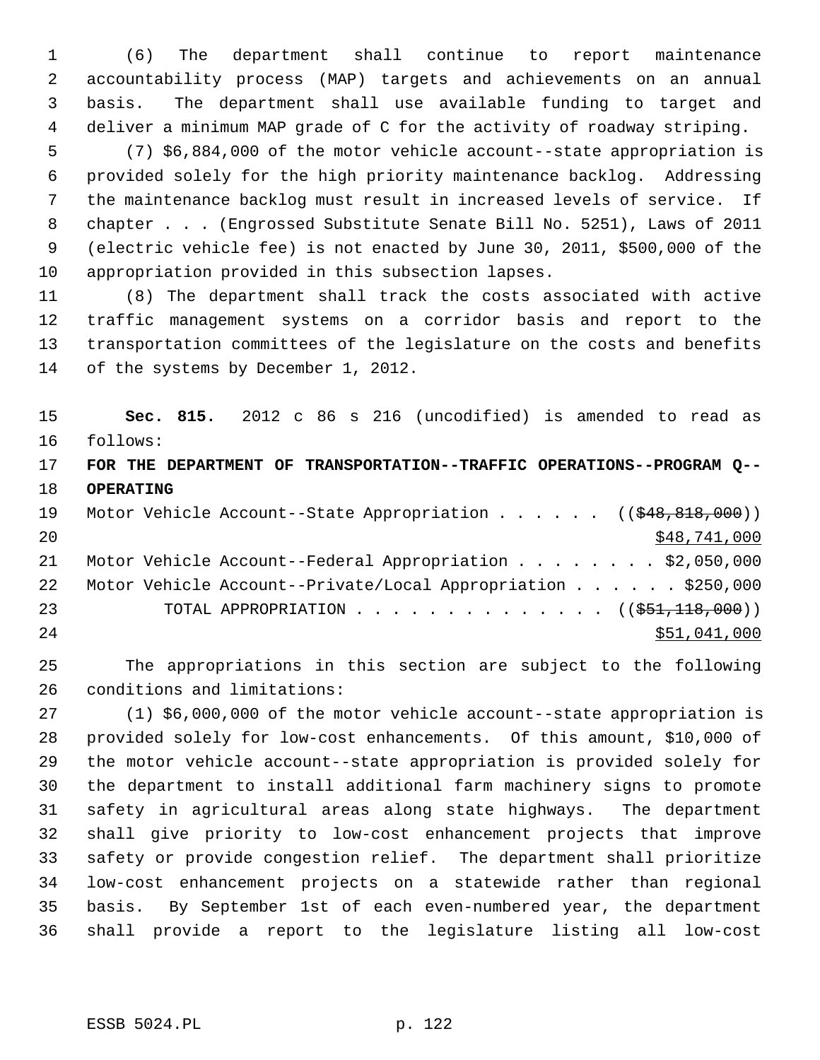1 (6) The department shall continue to report maintenance 2 accountability process (MAP) targets and achievements on an annual 3 basis. The department shall use available funding to target and 4 deliver a minimum MAP grade of C for the activity of roadway striping.

 5 (7) \$6,884,000 of the motor vehicle account--state appropriation is 6 provided solely for the high priority maintenance backlog. Addressing 7 the maintenance backlog must result in increased levels of service. If 8 chapter . . . (Engrossed Substitute Senate Bill No. 5251), Laws of 2011 9 (electric vehicle fee) is not enacted by June 30, 2011, \$500,000 of the 10 appropriation provided in this subsection lapses.

11 (8) The department shall track the costs associated with active 12 traffic management systems on a corridor basis and report to the 13 transportation committees of the legislature on the costs and benefits 14 of the systems by December 1, 2012.

15 **Sec. 815.** 2012 c 86 s 216 (uncodified) is amended to read as 16 follows:

17 **FOR THE DEPARTMENT OF TRANSPORTATION--TRAFFIC OPERATIONS--PROGRAM Q--** 18 **OPERATING**

| 19  |  | Motor Vehicle Account--State Appropriation ((\$48,818,000))  |              |
|-----|--|--------------------------------------------------------------|--------------|
| 20  |  |                                                              | \$48,741,000 |
| 21  |  | Motor Vehicle Account--Federal Appropriation \$2,050,000     |              |
| 22  |  | Motor Vehicle Account--Private/Local Appropriation \$250,000 |              |
| 23  |  | TOTAL APPROPRIATION $\ldots$ , ( $(\frac{251}{118}, 000)$ )  |              |
| 2.4 |  |                                                              | \$51,041,000 |

25 The appropriations in this section are subject to the following 26 conditions and limitations:

27 (1) \$6,000,000 of the motor vehicle account--state appropriation is 28 provided solely for low-cost enhancements. Of this amount, \$10,000 of 29 the motor vehicle account--state appropriation is provided solely for 30 the department to install additional farm machinery signs to promote 31 safety in agricultural areas along state highways. The department 32 shall give priority to low-cost enhancement projects that improve 33 safety or provide congestion relief. The department shall prioritize 34 low-cost enhancement projects on a statewide rather than regional 35 basis. By September 1st of each even-numbered year, the department 36 shall provide a report to the legislature listing all low-cost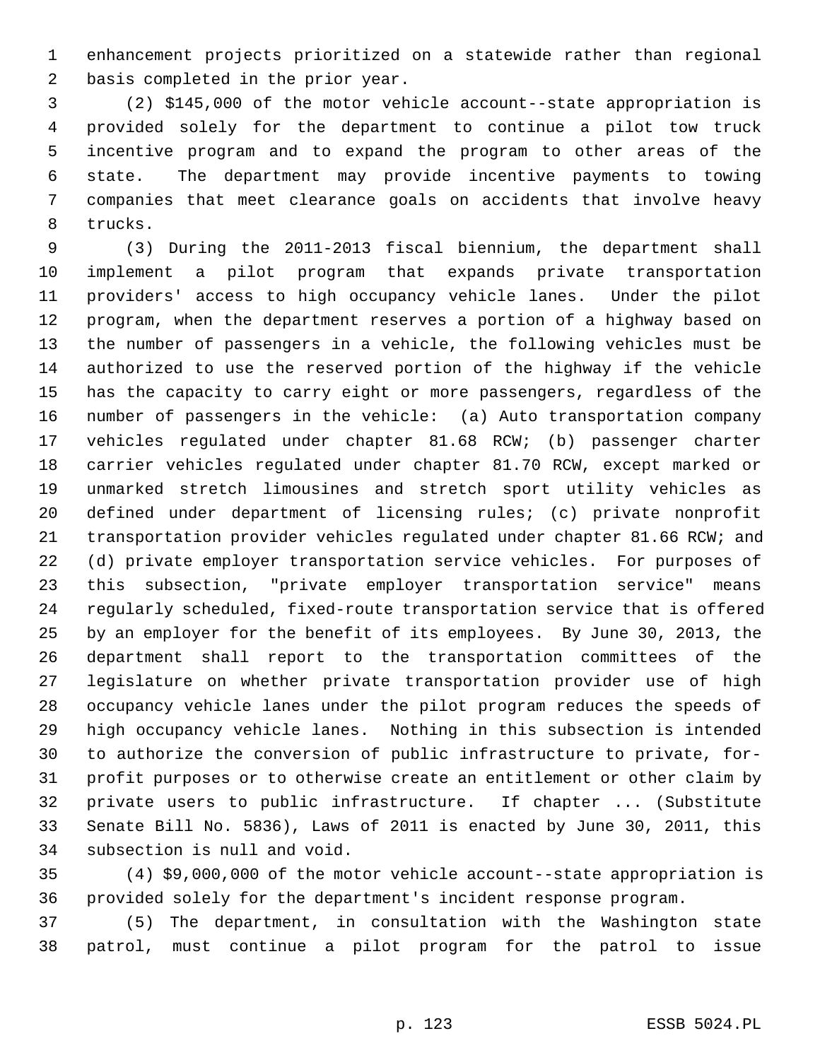1 enhancement projects prioritized on a statewide rather than regional 2 basis completed in the prior year.

 3 (2) \$145,000 of the motor vehicle account--state appropriation is 4 provided solely for the department to continue a pilot tow truck 5 incentive program and to expand the program to other areas of the 6 state. The department may provide incentive payments to towing 7 companies that meet clearance goals on accidents that involve heavy 8 trucks.

 9 (3) During the 2011-2013 fiscal biennium, the department shall 10 implement a pilot program that expands private transportation 11 providers' access to high occupancy vehicle lanes. Under the pilot 12 program, when the department reserves a portion of a highway based on 13 the number of passengers in a vehicle, the following vehicles must be 14 authorized to use the reserved portion of the highway if the vehicle 15 has the capacity to carry eight or more passengers, regardless of the 16 number of passengers in the vehicle: (a) Auto transportation company 17 vehicles regulated under chapter 81.68 RCW; (b) passenger charter 18 carrier vehicles regulated under chapter 81.70 RCW, except marked or 19 unmarked stretch limousines and stretch sport utility vehicles as 20 defined under department of licensing rules; (c) private nonprofit 21 transportation provider vehicles regulated under chapter 81.66 RCW; and 22 (d) private employer transportation service vehicles. For purposes of 23 this subsection, "private employer transportation service" means 24 regularly scheduled, fixed-route transportation service that is offered 25 by an employer for the benefit of its employees. By June 30, 2013, the 26 department shall report to the transportation committees of the 27 legislature on whether private transportation provider use of high 28 occupancy vehicle lanes under the pilot program reduces the speeds of 29 high occupancy vehicle lanes. Nothing in this subsection is intended 30 to authorize the conversion of public infrastructure to private, for-31 profit purposes or to otherwise create an entitlement or other claim by 32 private users to public infrastructure. If chapter ... (Substitute 33 Senate Bill No. 5836), Laws of 2011 is enacted by June 30, 2011, this 34 subsection is null and void.

35 (4) \$9,000,000 of the motor vehicle account--state appropriation is 36 provided solely for the department's incident response program.

37 (5) The department, in consultation with the Washington state 38 patrol, must continue a pilot program for the patrol to issue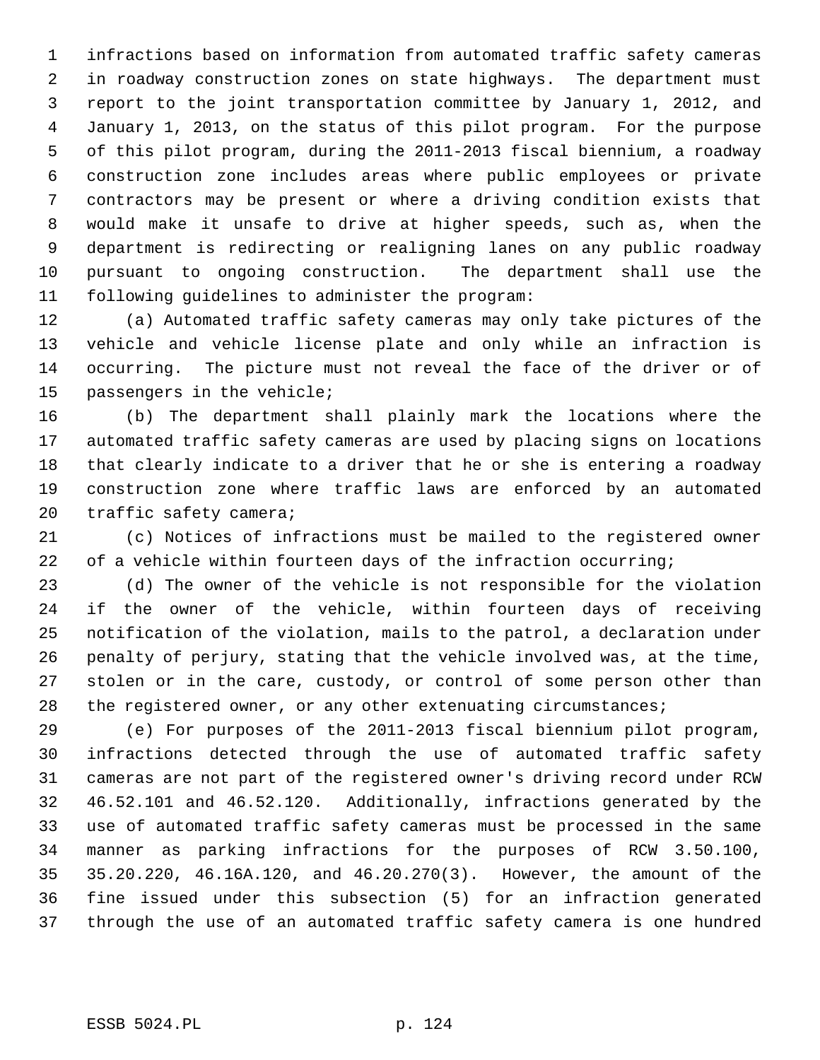1 infractions based on information from automated traffic safety cameras 2 in roadway construction zones on state highways. The department must 3 report to the joint transportation committee by January 1, 2012, and 4 January 1, 2013, on the status of this pilot program. For the purpose 5 of this pilot program, during the 2011-2013 fiscal biennium, a roadway 6 construction zone includes areas where public employees or private 7 contractors may be present or where a driving condition exists that 8 would make it unsafe to drive at higher speeds, such as, when the 9 department is redirecting or realigning lanes on any public roadway 10 pursuant to ongoing construction. The department shall use the 11 following guidelines to administer the program:

12 (a) Automated traffic safety cameras may only take pictures of the 13 vehicle and vehicle license plate and only while an infraction is 14 occurring. The picture must not reveal the face of the driver or of 15 passengers in the vehicle;

16 (b) The department shall plainly mark the locations where the 17 automated traffic safety cameras are used by placing signs on locations 18 that clearly indicate to a driver that he or she is entering a roadway 19 construction zone where traffic laws are enforced by an automated 20 traffic safety camera;

21 (c) Notices of infractions must be mailed to the registered owner 22 of a vehicle within fourteen days of the infraction occurring;

23 (d) The owner of the vehicle is not responsible for the violation 24 if the owner of the vehicle, within fourteen days of receiving 25 notification of the violation, mails to the patrol, a declaration under 26 penalty of perjury, stating that the vehicle involved was, at the time, 27 stolen or in the care, custody, or control of some person other than 28 the registered owner, or any other extenuating circumstances;

29 (e) For purposes of the 2011-2013 fiscal biennium pilot program, 30 infractions detected through the use of automated traffic safety 31 cameras are not part of the registered owner's driving record under RCW 32 46.52.101 and 46.52.120. Additionally, infractions generated by the 33 use of automated traffic safety cameras must be processed in the same 34 manner as parking infractions for the purposes of RCW 3.50.100, 35 35.20.220, 46.16A.120, and 46.20.270(3). However, the amount of the 36 fine issued under this subsection (5) for an infraction generated 37 through the use of an automated traffic safety camera is one hundred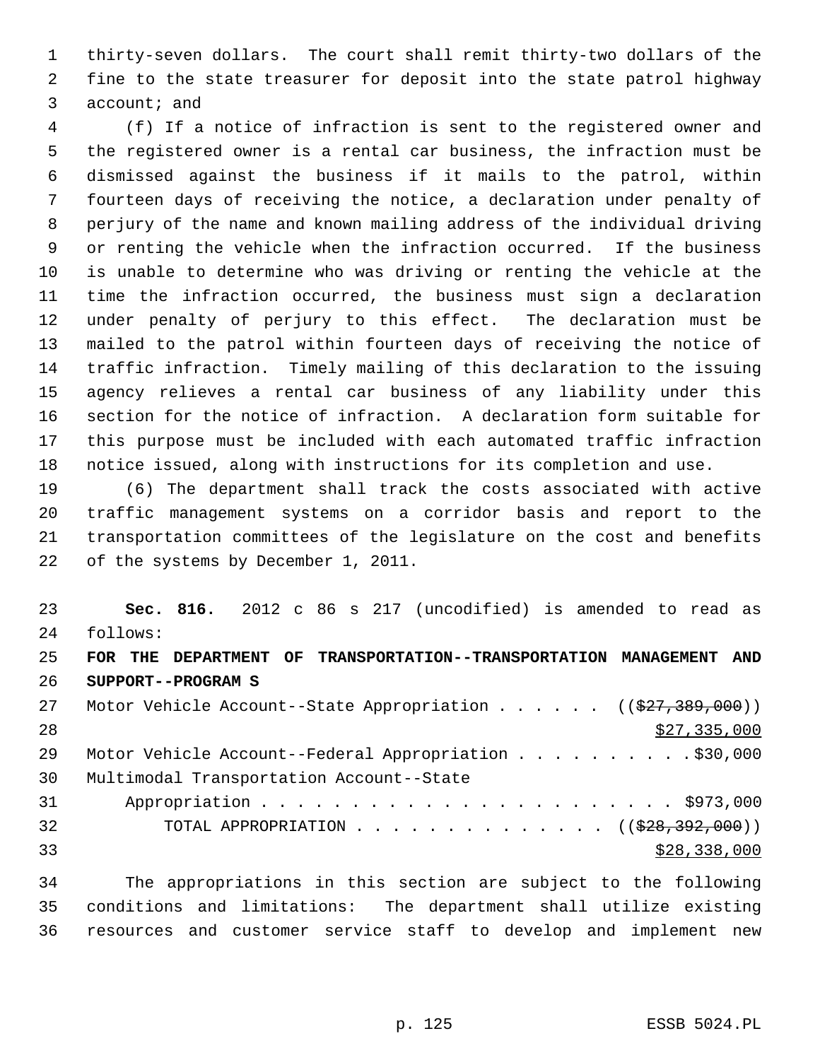1 thirty-seven dollars. The court shall remit thirty-two dollars of the 2 fine to the state treasurer for deposit into the state patrol highway 3 account; and

 4 (f) If a notice of infraction is sent to the registered owner and 5 the registered owner is a rental car business, the infraction must be 6 dismissed against the business if it mails to the patrol, within 7 fourteen days of receiving the notice, a declaration under penalty of 8 perjury of the name and known mailing address of the individual driving 9 or renting the vehicle when the infraction occurred. If the business 10 is unable to determine who was driving or renting the vehicle at the 11 time the infraction occurred, the business must sign a declaration 12 under penalty of perjury to this effect. The declaration must be 13 mailed to the patrol within fourteen days of receiving the notice of 14 traffic infraction. Timely mailing of this declaration to the issuing 15 agency relieves a rental car business of any liability under this 16 section for the notice of infraction. A declaration form suitable for 17 this purpose must be included with each automated traffic infraction 18 notice issued, along with instructions for its completion and use.

19 (6) The department shall track the costs associated with active 20 traffic management systems on a corridor basis and report to the 21 transportation committees of the legislature on the cost and benefits 22 of the systems by December 1, 2011.

23 **Sec. 816.** 2012 c 86 s 217 (uncodified) is amended to read as 24 follows: 25 **FOR THE DEPARTMENT OF TRANSPORTATION--TRANSPORTATION MANAGEMENT AND** 26 **SUPPORT--PROGRAM S** 27 Motor Vehicle Account--State Appropriation . . . . . ((\$27,389,000)) 28 \$27,335,000 29 Motor Vehicle Account--Federal Appropriation . . . . . . . . . . \$30,000 30 Multimodal Transportation Account--State 31 Appropriation . . . . . . . . . . . . . . . . . . . . . . . \$973,000 32 TOTAL APPROPRIATION . . . . . . . . . . . . . ((<del>\$28,392,000</del>))  $\frac{$28,338,000}{ }$ 

34 The appropriations in this section are subject to the following 35 conditions and limitations: The department shall utilize existing 36 resources and customer service staff to develop and implement new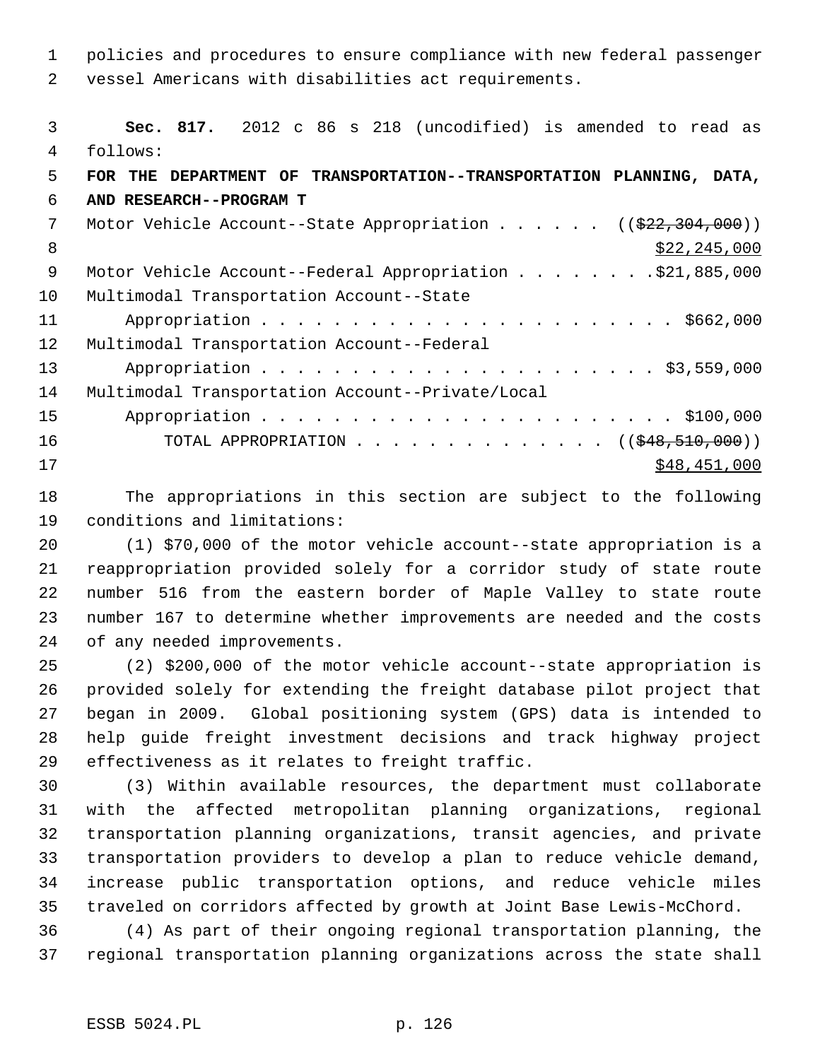1 policies and procedures to ensure compliance with new federal passenger 2 vessel Americans with disabilities act requirements.

 3 **Sec. 817.** 2012 c 86 s 218 (uncodified) is amended to read as 4 follows: 5 **FOR THE DEPARTMENT OF TRANSPORTATION--TRANSPORTATION PLANNING, DATA,** 6 **AND RESEARCH--PROGRAM T** 7 Motor Vehicle Account--State Appropriation . . . . . ((\$22,304,000))  $8 \div 22,245,000$ 9 Motor Vehicle Account--Federal Appropriation . . . . . . . . \$21,885,000 10 Multimodal Transportation Account--State 11 Appropriation . . . . . . . . . . . . . . . . . . . . . . . \$662,000 12 Multimodal Transportation Account--Federal 13 Appropriation . . . . . . . . . . . . . . . . . . . . . . \$3,559,000 14 Multimodal Transportation Account--Private/Local 15 Appropriation . . . . . . . . . . . . . . . . . . . . . . . \$100,000 16 TOTAL APPROPRIATION . . . . . . . . . . . . . ((\$48,510,000))  $17$  \$48,451,000

18 The appropriations in this section are subject to the following 19 conditions and limitations:

20 (1) \$70,000 of the motor vehicle account--state appropriation is a 21 reappropriation provided solely for a corridor study of state route 22 number 516 from the eastern border of Maple Valley to state route 23 number 167 to determine whether improvements are needed and the costs 24 of any needed improvements.

25 (2) \$200,000 of the motor vehicle account--state appropriation is 26 provided solely for extending the freight database pilot project that 27 began in 2009. Global positioning system (GPS) data is intended to 28 help guide freight investment decisions and track highway project 29 effectiveness as it relates to freight traffic.

30 (3) Within available resources, the department must collaborate 31 with the affected metropolitan planning organizations, regional 32 transportation planning organizations, transit agencies, and private 33 transportation providers to develop a plan to reduce vehicle demand, 34 increase public transportation options, and reduce vehicle miles 35 traveled on corridors affected by growth at Joint Base Lewis-McChord.

36 (4) As part of their ongoing regional transportation planning, the 37 regional transportation planning organizations across the state shall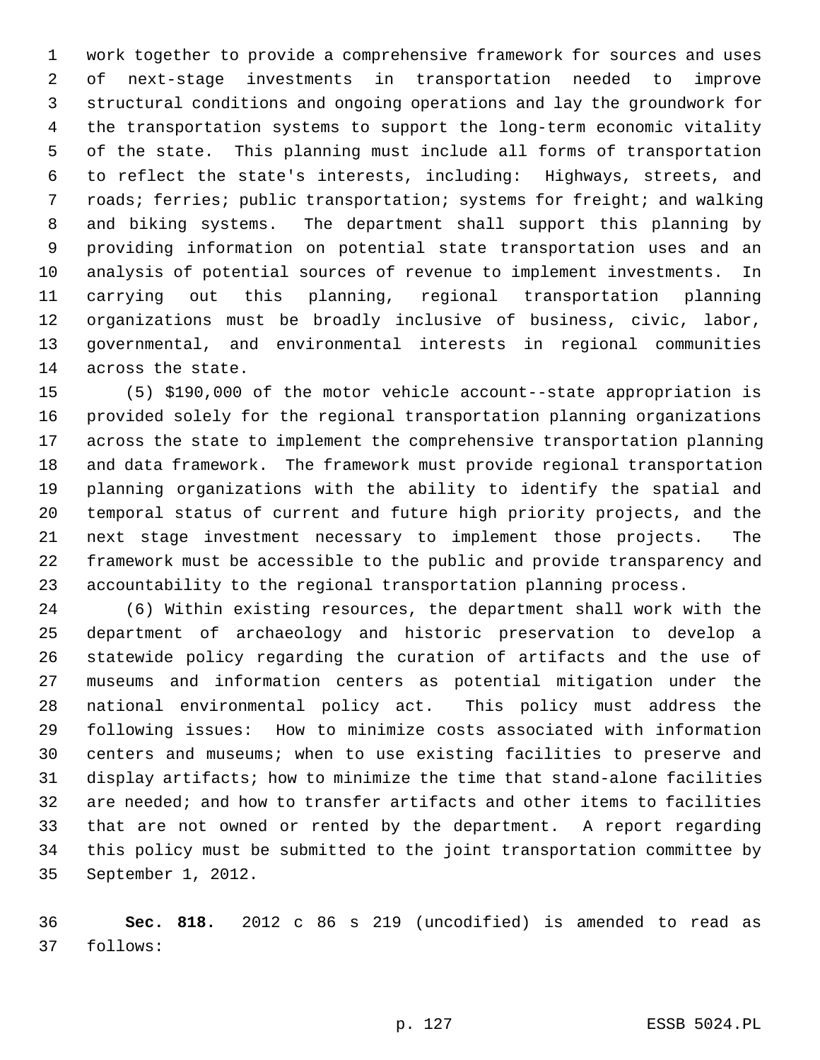1 work together to provide a comprehensive framework for sources and uses 2 of next-stage investments in transportation needed to improve 3 structural conditions and ongoing operations and lay the groundwork for 4 the transportation systems to support the long-term economic vitality 5 of the state. This planning must include all forms of transportation 6 to reflect the state's interests, including: Highways, streets, and 7 roads; ferries; public transportation; systems for freight; and walking 8 and biking systems. The department shall support this planning by 9 providing information on potential state transportation uses and an 10 analysis of potential sources of revenue to implement investments. In 11 carrying out this planning, regional transportation planning 12 organizations must be broadly inclusive of business, civic, labor, 13 governmental, and environmental interests in regional communities 14 across the state.

15 (5) \$190,000 of the motor vehicle account--state appropriation is 16 provided solely for the regional transportation planning organizations 17 across the state to implement the comprehensive transportation planning 18 and data framework. The framework must provide regional transportation 19 planning organizations with the ability to identify the spatial and 20 temporal status of current and future high priority projects, and the 21 next stage investment necessary to implement those projects. The 22 framework must be accessible to the public and provide transparency and 23 accountability to the regional transportation planning process.

24 (6) Within existing resources, the department shall work with the 25 department of archaeology and historic preservation to develop a 26 statewide policy regarding the curation of artifacts and the use of 27 museums and information centers as potential mitigation under the 28 national environmental policy act. This policy must address the 29 following issues: How to minimize costs associated with information 30 centers and museums; when to use existing facilities to preserve and 31 display artifacts; how to minimize the time that stand-alone facilities 32 are needed; and how to transfer artifacts and other items to facilities 33 that are not owned or rented by the department. A report regarding 34 this policy must be submitted to the joint transportation committee by 35 September 1, 2012.

36 **Sec. 818.** 2012 c 86 s 219 (uncodified) is amended to read as 37 follows: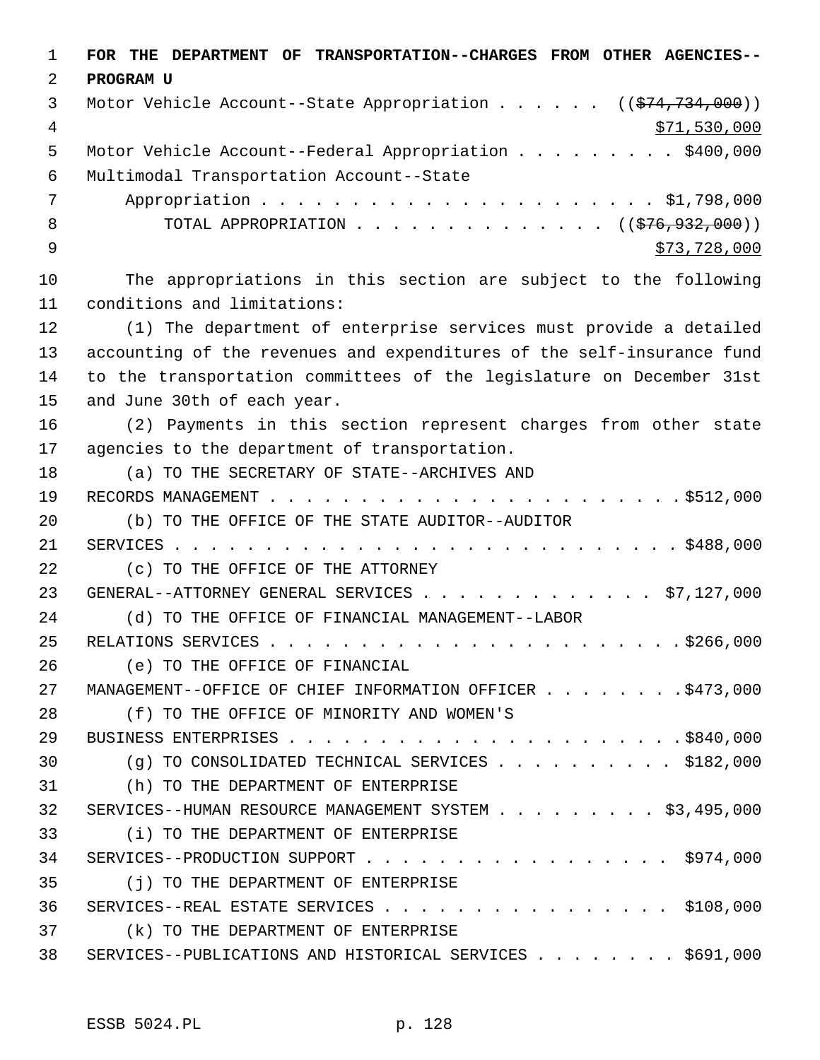1 **FOR THE DEPARTMENT OF TRANSPORTATION--CHARGES FROM OTHER AGENCIES--** 2 **PROGRAM U** 3 Motor Vehicle Account--State Appropriation . . . . . . ((\$74,734,000)) 4 \$71,530,000 5 Motor Vehicle Account--Federal Appropriation . . . . . . . . . \$400,000 6 Multimodal Transportation Account--State 7 Appropriation . . . . . . . . . . . . . . . . . . . . . . \$1,798,000 8 TOTAL APPROPRIATION . . . . . . . . . . . . . ((<del>\$76,932,000</del>))  $\frac{1}{2}$   $\frac{1}{2}$   $\frac{1}{2}$   $\frac{1}{2}$   $\frac{1}{2}$   $\frac{1}{2}$   $\frac{1}{2}$   $\frac{1}{2}$   $\frac{1}{2}$   $\frac{1}{2}$   $\frac{1}{2}$   $\frac{1}{2}$   $\frac{1}{2}$   $\frac{1}{2}$   $\frac{1}{2}$   $\frac{1}{2}$   $\frac{1}{2}$   $\frac{1}{2}$   $\frac{1}{2}$   $\frac{1}{2}$   $\frac{1}{2}$   $\frac{1}{2}$  10 The appropriations in this section are subject to the following 11 conditions and limitations: 12 (1) The department of enterprise services must provide a detailed 13 accounting of the revenues and expenditures of the self-insurance fund 14 to the transportation committees of the legislature on December 31st 15 and June 30th of each year. 16 (2) Payments in this section represent charges from other state 17 agencies to the department of transportation. 18 (a) TO THE SECRETARY OF STATE--ARCHIVES AND 19 RECORDS MANAGEMENT . . . . . . . . . . . . . . . . . . . . . . . \$512,000 20 (b) TO THE OFFICE OF THE STATE AUDITOR--AUDITOR 21 SERVICES . . . . . . . . . . . . . . . . . . . . . . . . . . . . \$488,000 22 (c) TO THE OFFICE OF THE ATTORNEY 23 GENERAL--ATTORNEY GENERAL SERVICES . . . . . . . . . . . . . \$7,127,000 24 (d) TO THE OFFICE OF FINANCIAL MANAGEMENT--LABOR 25 RELATIONS SERVICES . . . . . . . . . . . . . . . . . . . . . . . \$266,000 26 (e) TO THE OFFICE OF FINANCIAL 27 MANAGEMENT--OFFICE OF CHIEF INFORMATION OFFICER . . . . . . . . \$473,000 28 (f) TO THE OFFICE OF MINORITY AND WOMEN'S 29 BUSINESS ENTERPRISES . . . . . . . . . . . . . . . . . . . . . . \$840,000 30 (g) TO CONSOLIDATED TECHNICAL SERVICES . . . . . . . . . . \$182,000 31 (h) TO THE DEPARTMENT OF ENTERPRISE 32 SERVICES--HUMAN RESOURCE MANAGEMENT SYSTEM . . . . . . . . . \$3,495,000 33 (i) TO THE DEPARTMENT OF ENTERPRISE 34 SERVICES--PRODUCTION SUPPORT . . . . . . . . . . . . . . . . . \$974,000 35 (j) TO THE DEPARTMENT OF ENTERPRISE 36 SERVICES--REAL ESTATE SERVICES . . . . . . . . . . . . . . . . \$108,000 37 (k) TO THE DEPARTMENT OF ENTERPRISE 38 SERVICES--PUBLICATIONS AND HISTORICAL SERVICES . . . . . . . \$691,000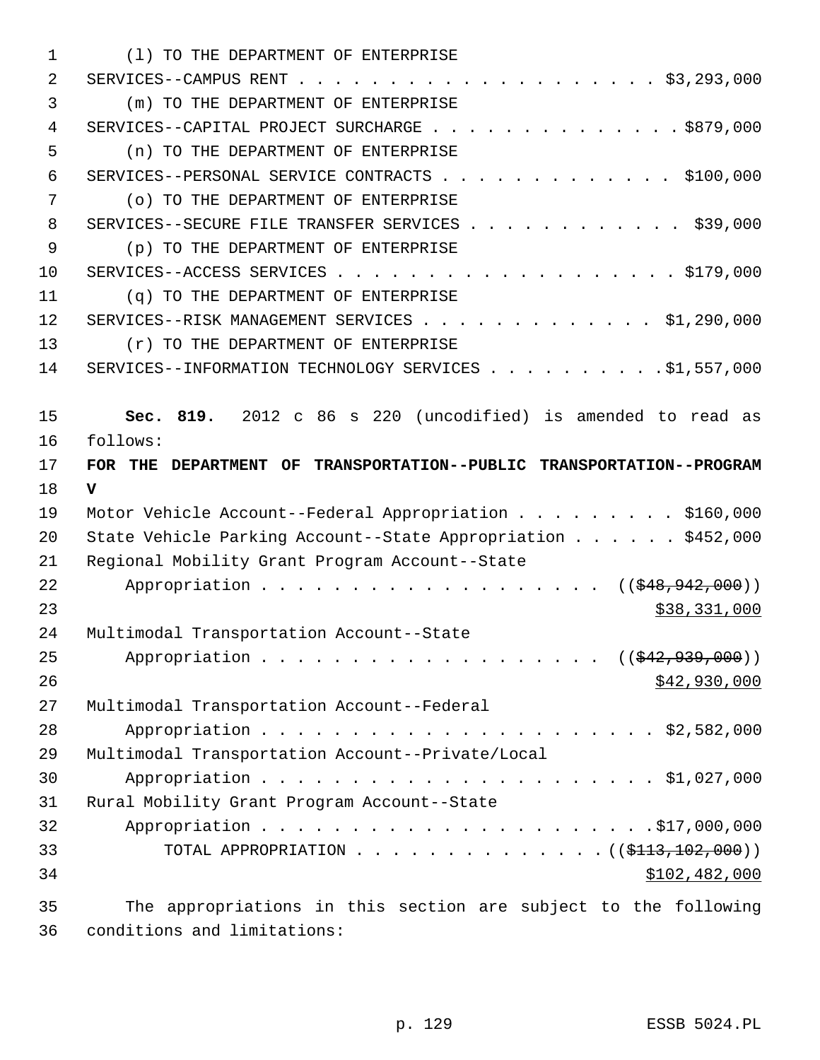| 1  | (1) TO THE DEPARTMENT OF ENTERPRISE                                  |
|----|----------------------------------------------------------------------|
| 2  |                                                                      |
| 3  | (m) TO THE DEPARTMENT OF ENTERPRISE                                  |
| 4  | SERVICES--CAPITAL PROJECT SURCHARGE \$879,000                        |
| 5  | (n) TO THE DEPARTMENT OF ENTERPRISE                                  |
| 6  | SERVICES--PERSONAL SERVICE CONTRACTS \$100,000                       |
| 7  | (o) TO THE DEPARTMENT OF ENTERPRISE                                  |
| 8  | SERVICES--SECURE FILE TRANSFER SERVICES \$39,000                     |
| 9  | (p) TO THE DEPARTMENT OF ENTERPRISE                                  |
| 10 |                                                                      |
| 11 | (q) TO THE DEPARTMENT OF ENTERPRISE                                  |
| 12 | SERVICES--RISK MANAGEMENT SERVICES \$1,290,000                       |
| 13 | (r) TO THE DEPARTMENT OF ENTERPRISE                                  |
| 14 | SERVICES--INFORMATION TECHNOLOGY SERVICES \$1,557,000                |
|    |                                                                      |
| 15 | Sec. 819. 2012 c 86 s 220 (uncodified) is amended to read as         |
| 16 | follows:                                                             |
| 17 | FOR THE DEPARTMENT OF TRANSPORTATION--PUBLIC TRANSPORTATION--PROGRAM |
| 18 | v                                                                    |
| 19 | Motor Vehicle Account--Federal Appropriation \$160,000               |
| 20 | State Vehicle Parking Account--State Appropriation \$452,000         |
| 21 | Regional Mobility Grant Program Account--State                       |
| 22 | Appropriation ( $(\frac{648}{942}, 942, 000)$ )                      |
| 23 | \$38,331,000                                                         |
| 24 | Multimodal Transportation Account--State                             |
| 25 | Appropriation ((\$42,939,000))                                       |
| 26 | \$42,930,000                                                         |
| 27 | Multimodal Transportation Account--Federal                           |
| 28 |                                                                      |
| 29 | Multimodal Transportation Account--Private/Local                     |
| 30 |                                                                      |
| 31 | Rural Mobility Grant Program Account--State                          |
| 32 |                                                                      |
|    |                                                                      |
| 33 | TOTAL APPROPRIATION ( $(\frac{113}{102}, 000)$ )                     |
| 34 | \$102,482,000                                                        |

36 conditions and limitations: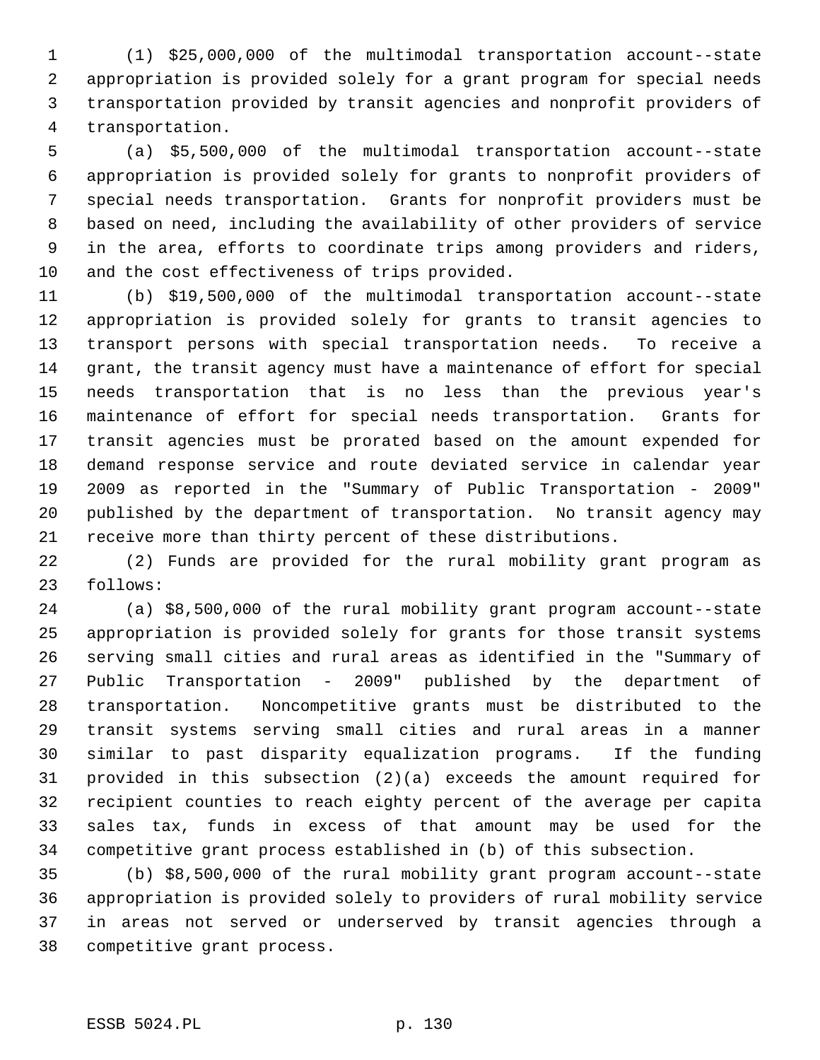1 (1) \$25,000,000 of the multimodal transportation account--state 2 appropriation is provided solely for a grant program for special needs 3 transportation provided by transit agencies and nonprofit providers of 4 transportation.

 5 (a) \$5,500,000 of the multimodal transportation account--state 6 appropriation is provided solely for grants to nonprofit providers of 7 special needs transportation. Grants for nonprofit providers must be 8 based on need, including the availability of other providers of service 9 in the area, efforts to coordinate trips among providers and riders, 10 and the cost effectiveness of trips provided.

11 (b) \$19,500,000 of the multimodal transportation account--state 12 appropriation is provided solely for grants to transit agencies to 13 transport persons with special transportation needs. To receive a 14 grant, the transit agency must have a maintenance of effort for special 15 needs transportation that is no less than the previous year's 16 maintenance of effort for special needs transportation. Grants for 17 transit agencies must be prorated based on the amount expended for 18 demand response service and route deviated service in calendar year 19 2009 as reported in the "Summary of Public Transportation - 2009" 20 published by the department of transportation. No transit agency may 21 receive more than thirty percent of these distributions.

22 (2) Funds are provided for the rural mobility grant program as 23 follows:

24 (a) \$8,500,000 of the rural mobility grant program account--state 25 appropriation is provided solely for grants for those transit systems 26 serving small cities and rural areas as identified in the "Summary of 27 Public Transportation - 2009" published by the department of 28 transportation. Noncompetitive grants must be distributed to the 29 transit systems serving small cities and rural areas in a manner 30 similar to past disparity equalization programs. If the funding 31 provided in this subsection (2)(a) exceeds the amount required for 32 recipient counties to reach eighty percent of the average per capita 33 sales tax, funds in excess of that amount may be used for the 34 competitive grant process established in (b) of this subsection.

35 (b) \$8,500,000 of the rural mobility grant program account--state 36 appropriation is provided solely to providers of rural mobility service 37 in areas not served or underserved by transit agencies through a 38 competitive grant process.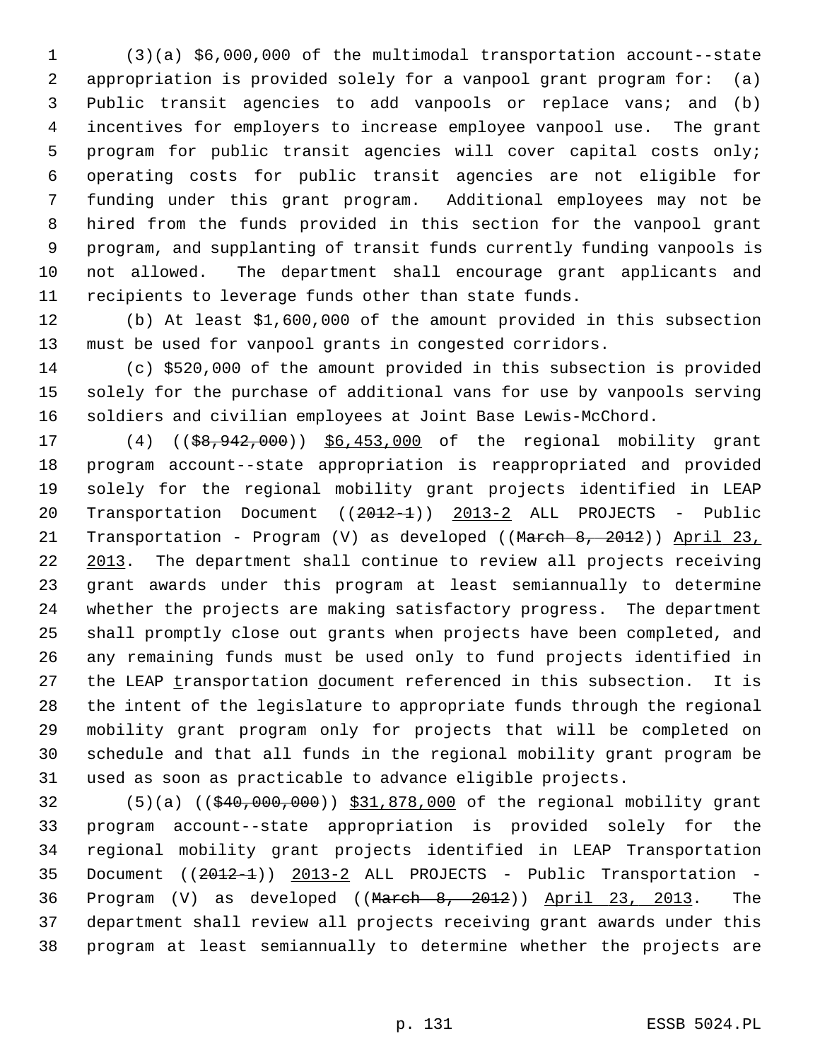1 (3)(a) \$6,000,000 of the multimodal transportation account--state 2 appropriation is provided solely for a vanpool grant program for: (a) 3 Public transit agencies to add vanpools or replace vans; and (b) 4 incentives for employers to increase employee vanpool use. The grant 5 program for public transit agencies will cover capital costs only; 6 operating costs for public transit agencies are not eligible for 7 funding under this grant program. Additional employees may not be 8 hired from the funds provided in this section for the vanpool grant 9 program, and supplanting of transit funds currently funding vanpools is 10 not allowed. The department shall encourage grant applicants and 11 recipients to leverage funds other than state funds.

12 (b) At least \$1,600,000 of the amount provided in this subsection 13 must be used for vanpool grants in congested corridors.

14 (c) \$520,000 of the amount provided in this subsection is provided 15 solely for the purchase of additional vans for use by vanpools serving 16 soldiers and civilian employees at Joint Base Lewis-McChord.

17 (4) ((\$8,942,000)) \$6,453,000 of the regional mobility grant 18 program account--state appropriation is reappropriated and provided 19 solely for the regional mobility grant projects identified in LEAP 20 Transportation Document ((2012-1)) 2013-2 ALL PROJECTS - Public 21 Transportation - Program (V) as developed ((March 8, 2012)) April 23, 22 2013. The department shall continue to review all projects receiving 23 grant awards under this program at least semiannually to determine 24 whether the projects are making satisfactory progress. The department 25 shall promptly close out grants when projects have been completed, and 26 any remaining funds must be used only to fund projects identified in 27 the LEAP transportation document referenced in this subsection. It is 28 the intent of the legislature to appropriate funds through the regional 29 mobility grant program only for projects that will be completed on 30 schedule and that all funds in the regional mobility grant program be 31 used as soon as practicable to advance eligible projects.

32 (5)(a) ((\$40,000,000)) \$31,878,000 of the regional mobility grant 33 program account--state appropriation is provided solely for the 34 regional mobility grant projects identified in LEAP Transportation 35 Document ((2012-1)) 2013-2 ALL PROJECTS - Public Transportation - 36 Program (V) as developed ((March 8, 2012)) April 23, 2013. The 37 department shall review all projects receiving grant awards under this 38 program at least semiannually to determine whether the projects are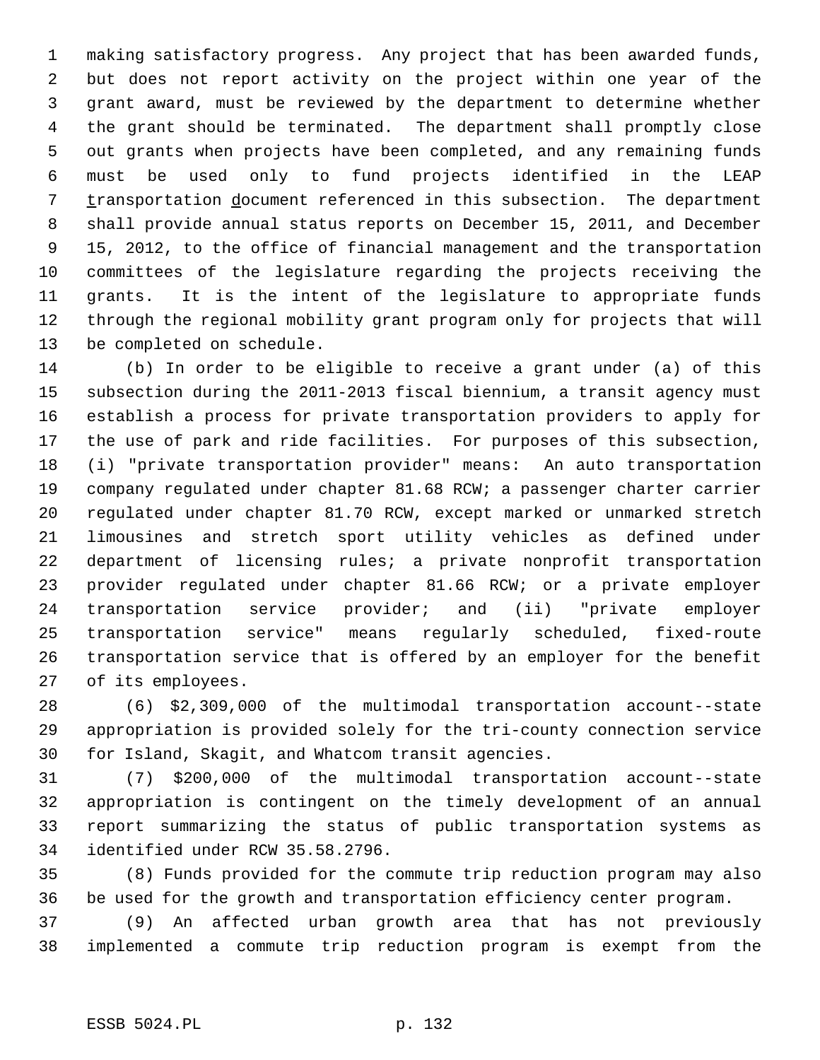1 making satisfactory progress. Any project that has been awarded funds, 2 but does not report activity on the project within one year of the 3 grant award, must be reviewed by the department to determine whether 4 the grant should be terminated. The department shall promptly close 5 out grants when projects have been completed, and any remaining funds 6 must be used only to fund projects identified in the LEAP 7 transportation document referenced in this subsection. The department 8 shall provide annual status reports on December 15, 2011, and December 9 15, 2012, to the office of financial management and the transportation 10 committees of the legislature regarding the projects receiving the 11 grants. It is the intent of the legislature to appropriate funds 12 through the regional mobility grant program only for projects that will 13 be completed on schedule.

14 (b) In order to be eligible to receive a grant under (a) of this 15 subsection during the 2011-2013 fiscal biennium, a transit agency must 16 establish a process for private transportation providers to apply for 17 the use of park and ride facilities. For purposes of this subsection, 18 (i) "private transportation provider" means: An auto transportation 19 company regulated under chapter 81.68 RCW; a passenger charter carrier 20 regulated under chapter 81.70 RCW, except marked or unmarked stretch 21 limousines and stretch sport utility vehicles as defined under 22 department of licensing rules; a private nonprofit transportation 23 provider regulated under chapter 81.66 RCW; or a private employer 24 transportation service provider; and (ii) "private employer 25 transportation service" means regularly scheduled, fixed-route 26 transportation service that is offered by an employer for the benefit 27 of its employees.

28 (6) \$2,309,000 of the multimodal transportation account--state 29 appropriation is provided solely for the tri-county connection service 30 for Island, Skagit, and Whatcom transit agencies.

31 (7) \$200,000 of the multimodal transportation account--state 32 appropriation is contingent on the timely development of an annual 33 report summarizing the status of public transportation systems as 34 identified under RCW 35.58.2796.

35 (8) Funds provided for the commute trip reduction program may also 36 be used for the growth and transportation efficiency center program.

37 (9) An affected urban growth area that has not previously 38 implemented a commute trip reduction program is exempt from the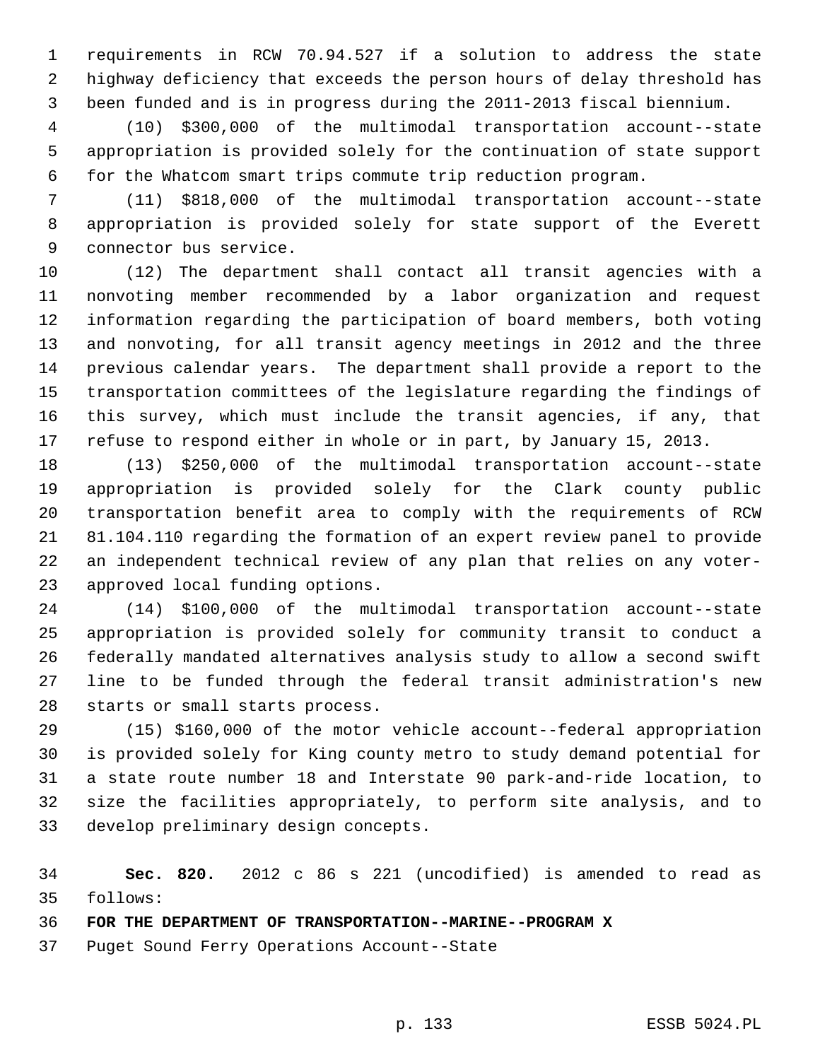1 requirements in RCW 70.94.527 if a solution to address the state 2 highway deficiency that exceeds the person hours of delay threshold has 3 been funded and is in progress during the 2011-2013 fiscal biennium.

 4 (10) \$300,000 of the multimodal transportation account--state 5 appropriation is provided solely for the continuation of state support 6 for the Whatcom smart trips commute trip reduction program.

 7 (11) \$818,000 of the multimodal transportation account--state 8 appropriation is provided solely for state support of the Everett 9 connector bus service.

10 (12) The department shall contact all transit agencies with a 11 nonvoting member recommended by a labor organization and request 12 information regarding the participation of board members, both voting 13 and nonvoting, for all transit agency meetings in 2012 and the three 14 previous calendar years. The department shall provide a report to the 15 transportation committees of the legislature regarding the findings of 16 this survey, which must include the transit agencies, if any, that 17 refuse to respond either in whole or in part, by January 15, 2013.

18 (13) \$250,000 of the multimodal transportation account--state 19 appropriation is provided solely for the Clark county public 20 transportation benefit area to comply with the requirements of RCW 21 81.104.110 regarding the formation of an expert review panel to provide 22 an independent technical review of any plan that relies on any voter-23 approved local funding options.

24 (14) \$100,000 of the multimodal transportation account--state 25 appropriation is provided solely for community transit to conduct a 26 federally mandated alternatives analysis study to allow a second swift 27 line to be funded through the federal transit administration's new 28 starts or small starts process.

29 (15) \$160,000 of the motor vehicle account--federal appropriation 30 is provided solely for King county metro to study demand potential for 31 a state route number 18 and Interstate 90 park-and-ride location, to 32 size the facilities appropriately, to perform site analysis, and to 33 develop preliminary design concepts.

34 **Sec. 820.** 2012 c 86 s 221 (uncodified) is amended to read as 35 follows:

36 **FOR THE DEPARTMENT OF TRANSPORTATION--MARINE--PROGRAM X**

37 Puget Sound Ferry Operations Account--State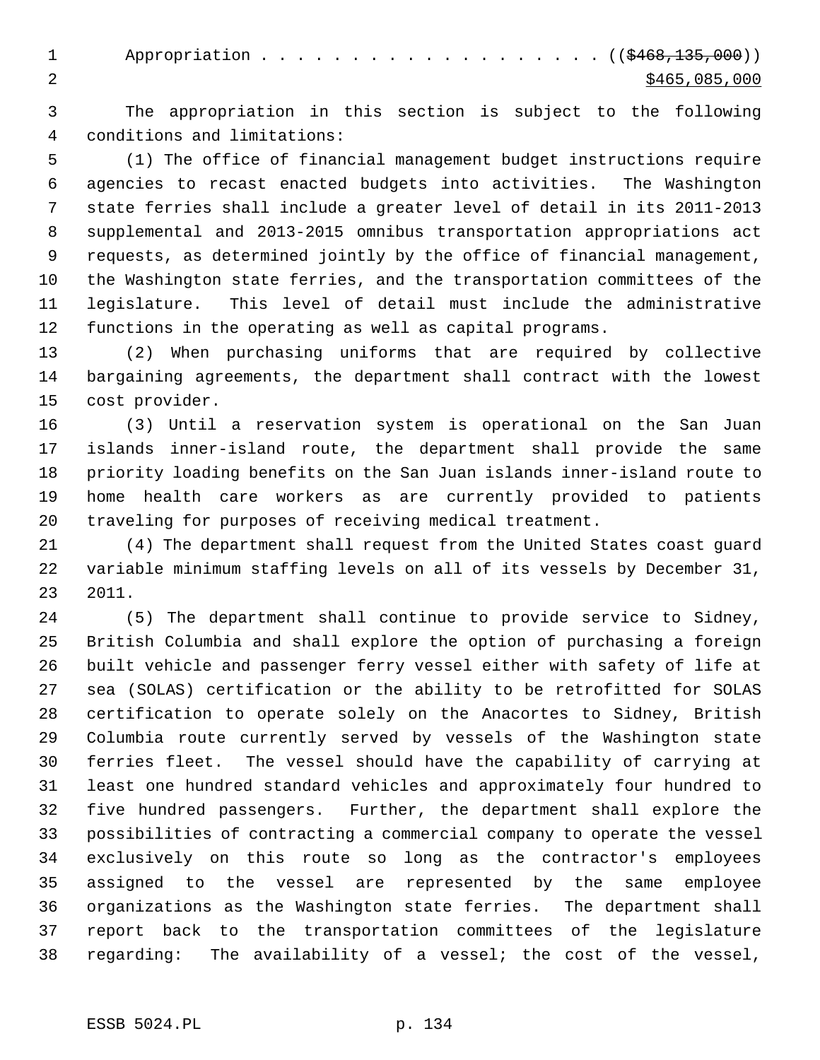1 Appropriation . . . . . . . . . . . . . . . . . (  $(\frac{6468,135,000}{n})$  $2 \times 5465,085,000$ 

 3 The appropriation in this section is subject to the following 4 conditions and limitations:

 5 (1) The office of financial management budget instructions require 6 agencies to recast enacted budgets into activities. The Washington 7 state ferries shall include a greater level of detail in its 2011-2013 8 supplemental and 2013-2015 omnibus transportation appropriations act 9 requests, as determined jointly by the office of financial management, 10 the Washington state ferries, and the transportation committees of the 11 legislature. This level of detail must include the administrative 12 functions in the operating as well as capital programs.

13 (2) When purchasing uniforms that are required by collective 14 bargaining agreements, the department shall contract with the lowest 15 cost provider.

16 (3) Until a reservation system is operational on the San Juan 17 islands inner-island route, the department shall provide the same 18 priority loading benefits on the San Juan islands inner-island route to 19 home health care workers as are currently provided to patients 20 traveling for purposes of receiving medical treatment.

21 (4) The department shall request from the United States coast guard 22 variable minimum staffing levels on all of its vessels by December 31, 23 2011.

24 (5) The department shall continue to provide service to Sidney, 25 British Columbia and shall explore the option of purchasing a foreign 26 built vehicle and passenger ferry vessel either with safety of life at 27 sea (SOLAS) certification or the ability to be retrofitted for SOLAS 28 certification to operate solely on the Anacortes to Sidney, British 29 Columbia route currently served by vessels of the Washington state 30 ferries fleet. The vessel should have the capability of carrying at 31 least one hundred standard vehicles and approximately four hundred to 32 five hundred passengers. Further, the department shall explore the 33 possibilities of contracting a commercial company to operate the vessel 34 exclusively on this route so long as the contractor's employees 35 assigned to the vessel are represented by the same employee 36 organizations as the Washington state ferries. The department shall 37 report back to the transportation committees of the legislature 38 regarding: The availability of a vessel; the cost of the vessel,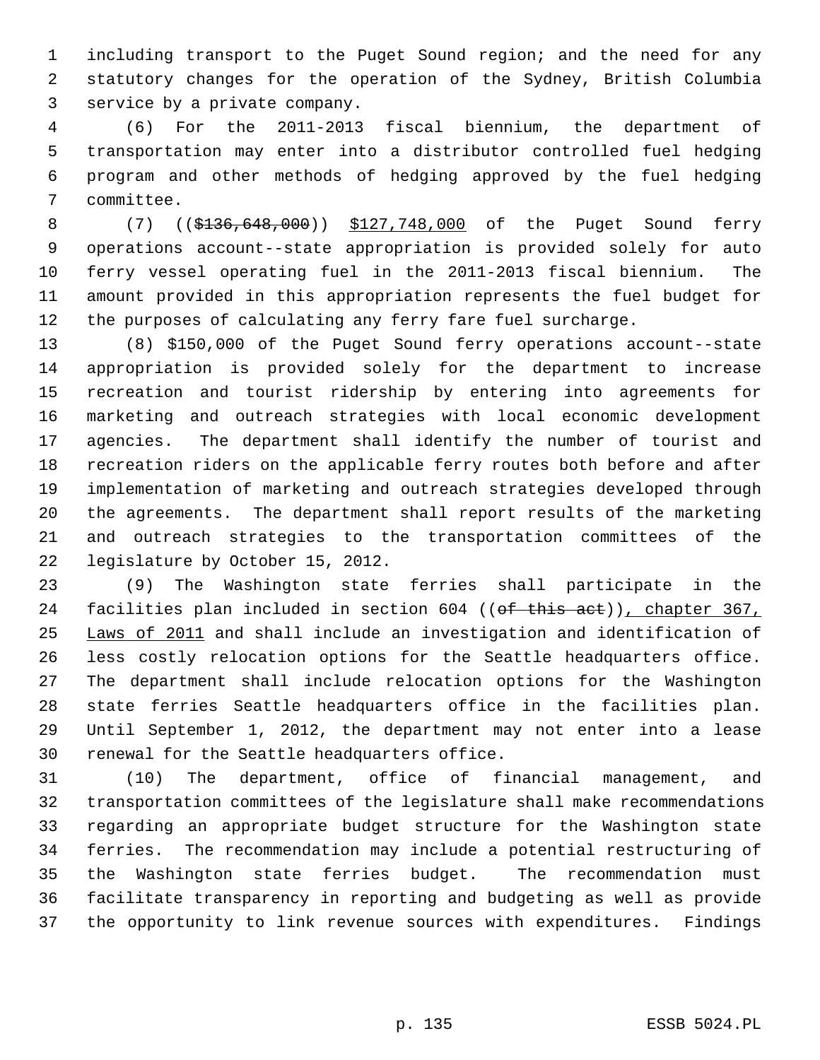1 including transport to the Puget Sound region; and the need for any 2 statutory changes for the operation of the Sydney, British Columbia 3 service by a private company.

 4 (6) For the 2011-2013 fiscal biennium, the department of 5 transportation may enter into a distributor controlled fuel hedging 6 program and other methods of hedging approved by the fuel hedging 7 committee.

 8 (7) ((\$136,648,000)) \$127,748,000 of the Puget Sound ferry 9 operations account--state appropriation is provided solely for auto 10 ferry vessel operating fuel in the 2011-2013 fiscal biennium. The 11 amount provided in this appropriation represents the fuel budget for 12 the purposes of calculating any ferry fare fuel surcharge.

13 (8) \$150,000 of the Puget Sound ferry operations account--state 14 appropriation is provided solely for the department to increase 15 recreation and tourist ridership by entering into agreements for 16 marketing and outreach strategies with local economic development 17 agencies. The department shall identify the number of tourist and 18 recreation riders on the applicable ferry routes both before and after 19 implementation of marketing and outreach strategies developed through 20 the agreements. The department shall report results of the marketing 21 and outreach strategies to the transportation committees of the 22 legislature by October 15, 2012.

23 (9) The Washington state ferries shall participate in the 24 facilities plan included in section 604 ((of this act)), chapter 367, 25 Laws of 2011 and shall include an investigation and identification of 26 less costly relocation options for the Seattle headquarters office. 27 The department shall include relocation options for the Washington 28 state ferries Seattle headquarters office in the facilities plan. 29 Until September 1, 2012, the department may not enter into a lease 30 renewal for the Seattle headquarters office.

31 (10) The department, office of financial management, and 32 transportation committees of the legislature shall make recommendations 33 regarding an appropriate budget structure for the Washington state 34 ferries. The recommendation may include a potential restructuring of 35 the Washington state ferries budget. The recommendation must 36 facilitate transparency in reporting and budgeting as well as provide 37 the opportunity to link revenue sources with expenditures. Findings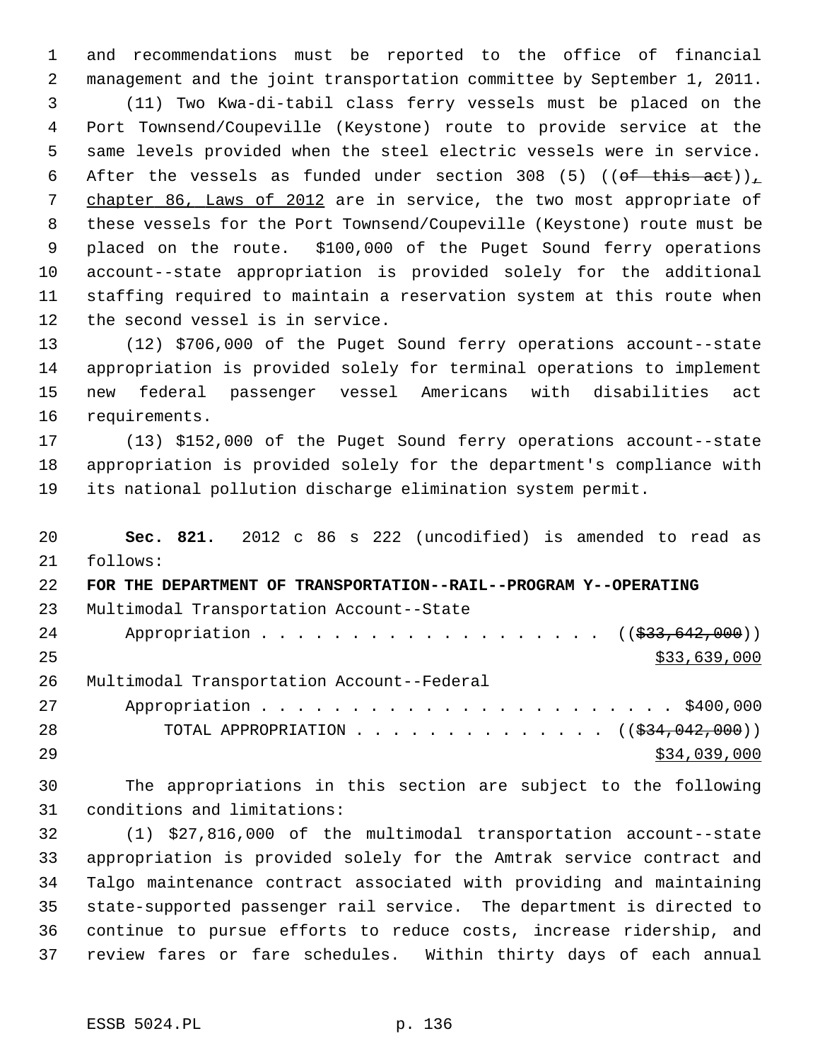1 and recommendations must be reported to the office of financial 2 management and the joint transportation committee by September 1, 2011. 3 (11) Two Kwa-di-tabil class ferry vessels must be placed on the 4 Port Townsend/Coupeville (Keystone) route to provide service at the 5 same levels provided when the steel electric vessels were in service. 6 After the vessels as funded under section 308 (5) ((of this act)), 7 chapter 86, Laws of 2012 are in service, the two most appropriate of 8 these vessels for the Port Townsend/Coupeville (Keystone) route must be 9 placed on the route. \$100,000 of the Puget Sound ferry operations 10 account--state appropriation is provided solely for the additional 11 staffing required to maintain a reservation system at this route when 12 the second vessel is in service.

13 (12) \$706,000 of the Puget Sound ferry operations account--state 14 appropriation is provided solely for terminal operations to implement 15 new federal passenger vessel Americans with disabilities act 16 requirements.

17 (13) \$152,000 of the Puget Sound ferry operations account--state 18 appropriation is provided solely for the department's compliance with 19 its national pollution discharge elimination system permit.

20 **Sec. 821.** 2012 c 86 s 222 (uncodified) is amended to read as 21 follows: 22 **FOR THE DEPARTMENT OF TRANSPORTATION--RAIL--PROGRAM Y--OPERATING** 23 Multimodal Transportation Account--State 24 Appropriation . . . . . . . . . . . . . . . . . (  $(\frac{233,642,000}{2})$  $25$  \$33,639,000 26 Multimodal Transportation Account--Federal 27 Appropriation . . . . . . . . . . . . . . . . . . . . . . . \$400,000 28 TOTAL APPROPRIATION . . . . . . . . . . . . . ((<del>\$34,042,000</del>))  $29$  \$34,039,000

30 The appropriations in this section are subject to the following 31 conditions and limitations:

32 (1) \$27,816,000 of the multimodal transportation account--state 33 appropriation is provided solely for the Amtrak service contract and 34 Talgo maintenance contract associated with providing and maintaining 35 state-supported passenger rail service. The department is directed to 36 continue to pursue efforts to reduce costs, increase ridership, and 37 review fares or fare schedules. Within thirty days of each annual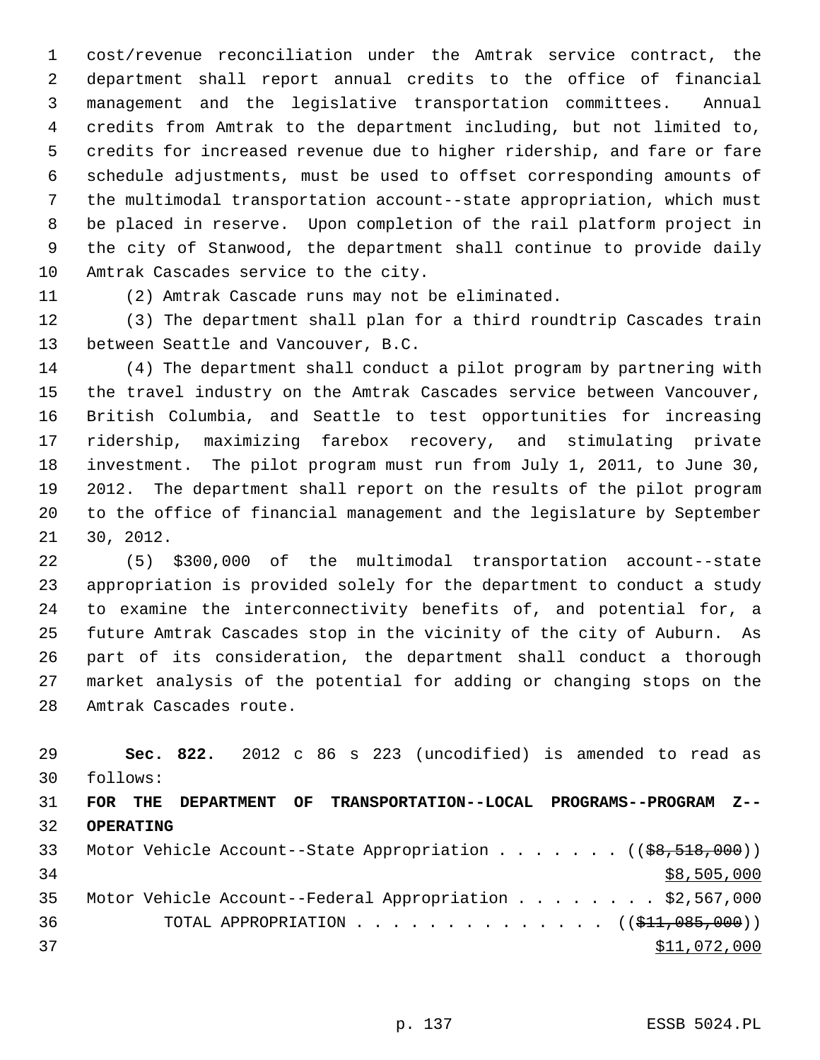1 cost/revenue reconciliation under the Amtrak service contract, the 2 department shall report annual credits to the office of financial 3 management and the legislative transportation committees. Annual 4 credits from Amtrak to the department including, but not limited to, 5 credits for increased revenue due to higher ridership, and fare or fare 6 schedule adjustments, must be used to offset corresponding amounts of 7 the multimodal transportation account--state appropriation, which must 8 be placed in reserve. Upon completion of the rail platform project in 9 the city of Stanwood, the department shall continue to provide daily 10 Amtrak Cascades service to the city.

11 (2) Amtrak Cascade runs may not be eliminated.

12 (3) The department shall plan for a third roundtrip Cascades train 13 between Seattle and Vancouver, B.C.

14 (4) The department shall conduct a pilot program by partnering with 15 the travel industry on the Amtrak Cascades service between Vancouver, 16 British Columbia, and Seattle to test opportunities for increasing 17 ridership, maximizing farebox recovery, and stimulating private 18 investment. The pilot program must run from July 1, 2011, to June 30, 19 2012. The department shall report on the results of the pilot program 20 to the office of financial management and the legislature by September 21 30, 2012.

22 (5) \$300,000 of the multimodal transportation account--state 23 appropriation is provided solely for the department to conduct a study 24 to examine the interconnectivity benefits of, and potential for, a 25 future Amtrak Cascades stop in the vicinity of the city of Auburn. As 26 part of its consideration, the department shall conduct a thorough 27 market analysis of the potential for adding or changing stops on the 28 Amtrak Cascades route.

| 29              |                  |  |  | Sec. 822. 2012 c 86 s 223 (uncodified) is amended to read as                         |  |              |
|-----------------|------------------|--|--|--------------------------------------------------------------------------------------|--|--------------|
| 30              | follows:         |  |  |                                                                                      |  |              |
| 31              | FOR THE          |  |  | DEPARTMENT OF TRANSPORTATION--LOCAL PROGRAMS--PROGRAM Z--                            |  |              |
| 32 <sup>2</sup> | <b>OPERATING</b> |  |  |                                                                                      |  |              |
| 33              |                  |  |  | Motor Vehicle Account--State Appropriation $($ $($ $\frac{69}{518}, \frac{600}{10})$ |  |              |
| 34              |                  |  |  |                                                                                      |  | \$8,505,000  |
| 35              |                  |  |  | Motor Vehicle Account--Federal Appropriation \$2,567,000                             |  |              |
| 36              |                  |  |  | TOTAL APPROPRIATION ( $(\frac{11}{210000})$ )                                        |  |              |
| 37              |                  |  |  |                                                                                      |  | \$11,072,000 |
|                 |                  |  |  |                                                                                      |  |              |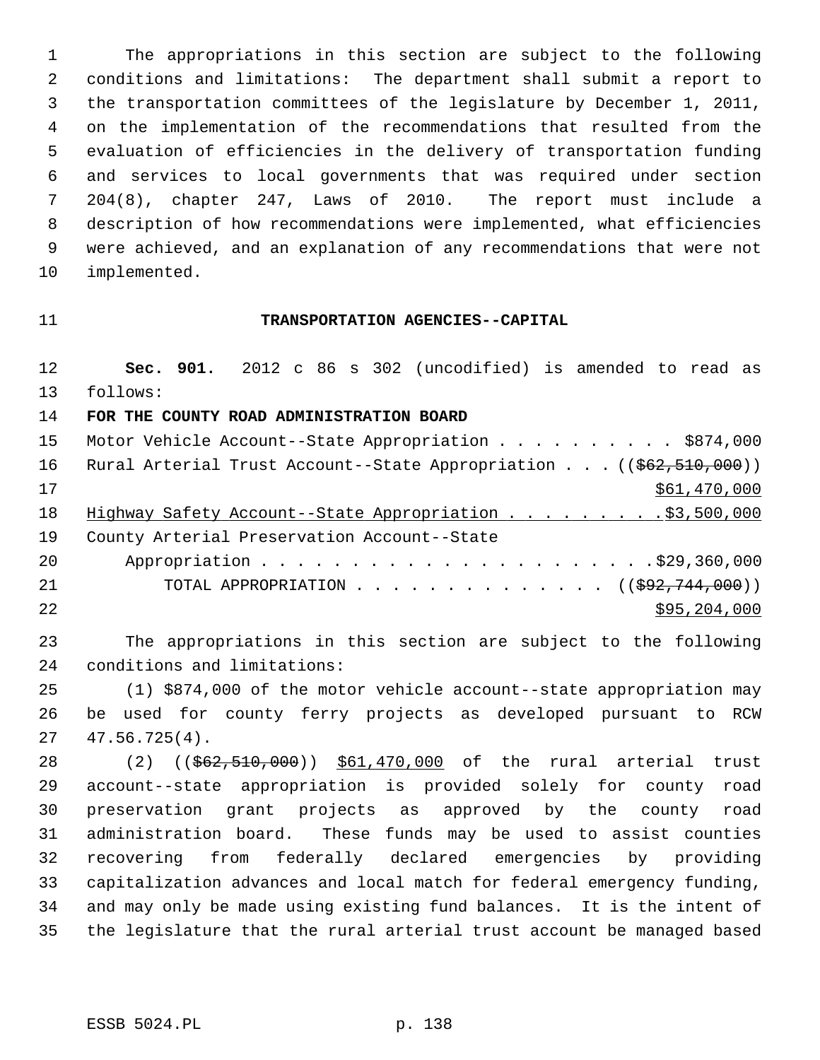1 The appropriations in this section are subject to the following 2 conditions and limitations: The department shall submit a report to 3 the transportation committees of the legislature by December 1, 2011, 4 on the implementation of the recommendations that resulted from the 5 evaluation of efficiencies in the delivery of transportation funding 6 and services to local governments that was required under section 7 204(8), chapter 247, Laws of 2010. The report must include a 8 description of how recommendations were implemented, what efficiencies 9 were achieved, and an explanation of any recommendations that were not 10 implemented.

## 11 **TRANSPORTATION AGENCIES--CAPITAL**

12 **Sec. 901.** 2012 c 86 s 302 (uncodified) is amended to read as 13 follows: 14 **FOR THE COUNTY ROAD ADMINISTRATION BOARD** 15 Motor Vehicle Account--State Appropriation . . . . . . . . . . \$874,000 16 Rural Arterial Trust Account--State Appropriation . . . ((\$62,510,000))  $17$  \$61,470,000 18 Highway Safety Account--State Appropriation . . . . . . . . . \$3,500,000 19 County Arterial Preservation Account--State 20 Appropriation . . . . . . . . . . . . . . . . . . . . . .\$29,360,000 21 TOTAL APPROPRIATION . . . . . . . . . . . . . . ((\$92,744,000))  $22$  \$95,204,000

23 The appropriations in this section are subject to the following 24 conditions and limitations:

25 (1) \$874,000 of the motor vehicle account--state appropriation may 26 be used for county ferry projects as developed pursuant to RCW 27 47.56.725(4).

28 (2) ((\$62,510,000)) \$61,470,000 of the rural arterial trust 29 account--state appropriation is provided solely for county road 30 preservation grant projects as approved by the county road 31 administration board. These funds may be used to assist counties 32 recovering from federally declared emergencies by providing 33 capitalization advances and local match for federal emergency funding, 34 and may only be made using existing fund balances. It is the intent of 35 the legislature that the rural arterial trust account be managed based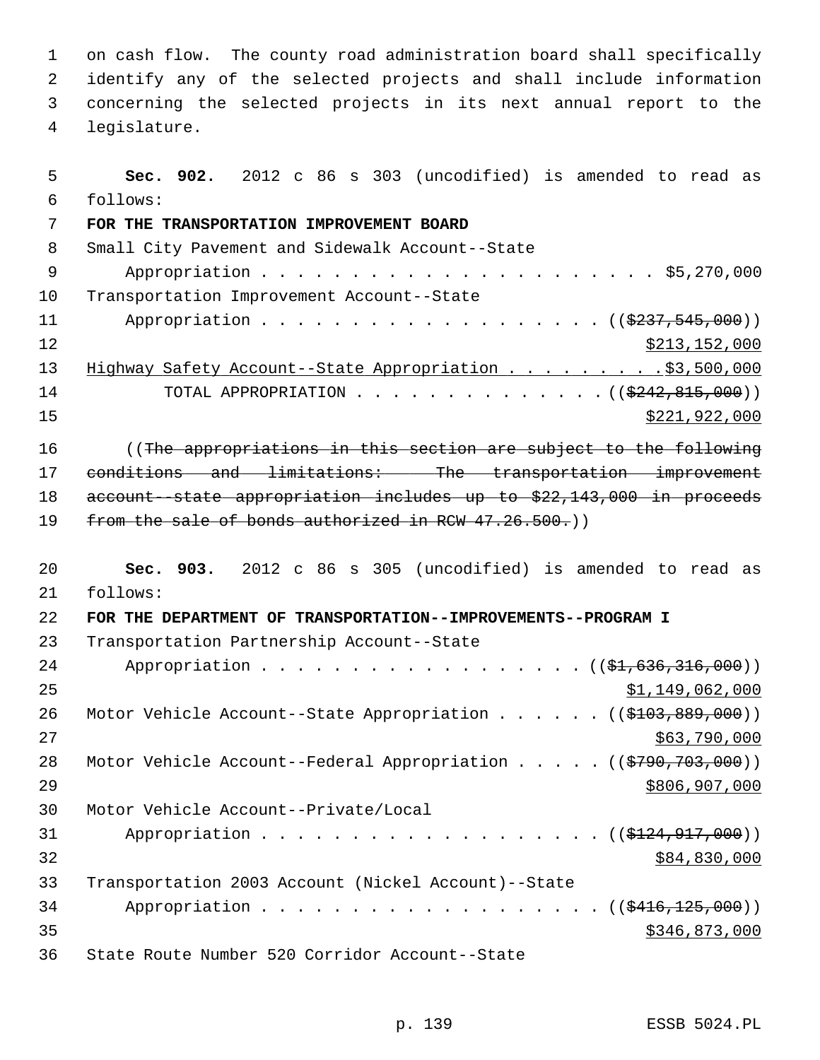1 on cash flow. The county road administration board shall specifically 2 identify any of the selected projects and shall include information 3 concerning the selected projects in its next annual report to the 4 legislature.

 5 **Sec. 902.** 2012 c 86 s 303 (uncodified) is amended to read as 6 follows: 7 **FOR THE TRANSPORTATION IMPROVEMENT BOARD** 8 Small City Pavement and Sidewalk Account--State 9 Appropriation . . . . . . . . . . . . . . . . . . . . . . \$5,270,000 10 Transportation Improvement Account--State 11 Appropriation . . . . . . . . . . . . . . . . . (  $(\frac{2337,545,000}{237,545,000})$ 12 \$213,152,000 13 Highway Safety Account--State Appropriation . . . . . . . . . \$3,500,000 14 TOTAL APPROPRIATION . . . . . . . . . . . . . ((<del>\$242,815,000</del>))  $\frac{15}{221,922,000}$ 16 ((The appropriations in this section are subject to the following 17 conditions and limitations: The transportation improvement 18 account--state appropriation includes up to \$22,143,000 in proceeds 19 from the sale of bonds authorized in RCW 47.26.500.) 20 **Sec. 903.** 2012 c 86 s 305 (uncodified) is amended to read as 21 follows: 22 **FOR THE DEPARTMENT OF TRANSPORTATION--IMPROVEMENTS--PROGRAM I** 23 Transportation Partnership Account--State 24 Appropriation . . . . . . . . . . . . . . . . (  $(\frac{1}{2}, 636, 316, 000)$  )  $25$   $\frac{$1,149,062,000}{25}$ 26 Motor Vehicle Account--State Appropriation . . . . . ((\$103,889,000))  $27$  \$63,790,000 28 Motor Vehicle Account--Federal Appropriation . . . . . ((\$790,703,000)) 29 \$806,907,000 30 Motor Vehicle Account--Private/Local 31 Appropriation . . . . . . . . . . . . . . . . . (  $(\frac{124}{124}, 917, 000)$  )  $32$  \$84,830,000 33 Transportation 2003 Account (Nickel Account)--State 34 Appropriation . . . . . . . . . . . . . . . . . ((\$416,125,000))  $35 - 35$   $3346,873,000$ 36 State Route Number 520 Corridor Account--State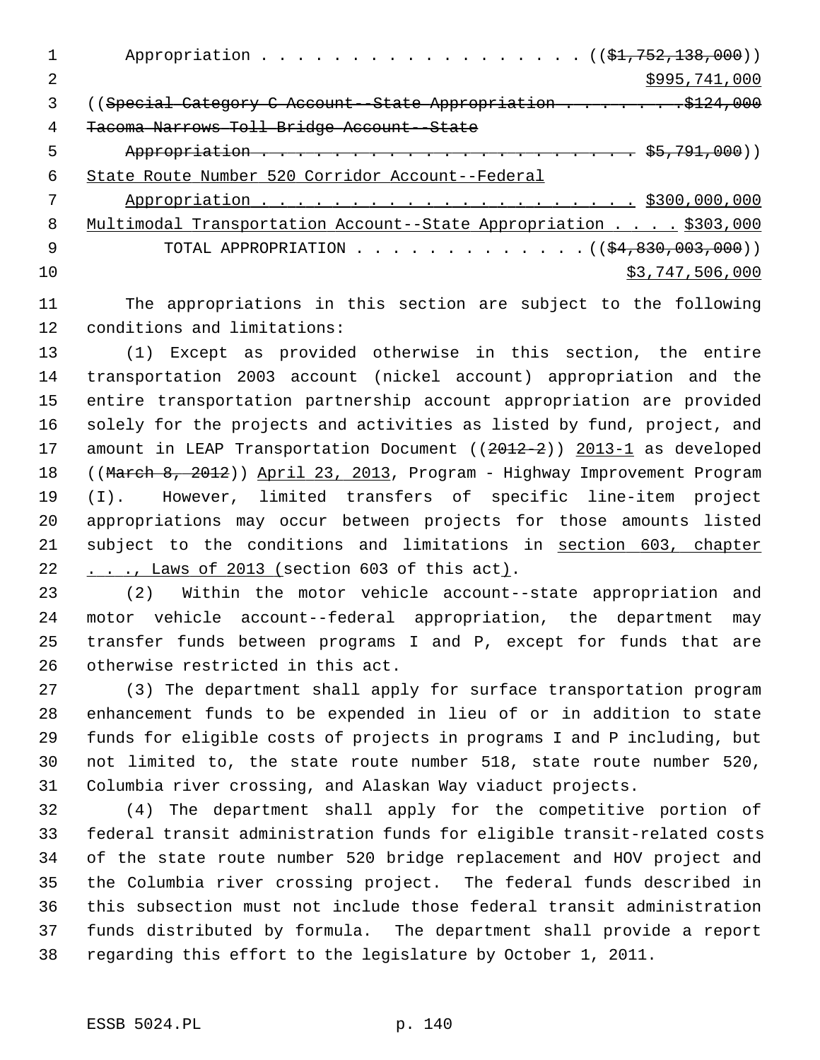|     | Appropriation ( $(\frac{1}{21}, 752, 138, 000)$ )                |
|-----|------------------------------------------------------------------|
| 2   | \$995,741,000                                                    |
|     |                                                                  |
| 4   | Tacoma Narrows Toll Bridge Account--State                        |
| 5   |                                                                  |
| 6   | State Route Number 520 Corridor Account--Federal                 |
|     |                                                                  |
| 8   | Multimodal Transportation Account--State Appropriation \$303,000 |
| - 9 | TOTAL APPROPRIATION $($ $($ $\frac{24}{94}, 830, 003, 000) )$    |
| 1 O | \$3,747,506,000                                                  |

11 The appropriations in this section are subject to the following 12 conditions and limitations:

13 (1) Except as provided otherwise in this section, the entire 14 transportation 2003 account (nickel account) appropriation and the 15 entire transportation partnership account appropriation are provided 16 solely for the projects and activities as listed by fund, project, and 17 amount in LEAP Transportation Document ((2012-2)) 2013-1 as developed 18 ((March 8, 2012)) April 23, 2013, Program - Highway Improvement Program 19 (I). However, limited transfers of specific line-item project 20 appropriations may occur between projects for those amounts listed 21 subject to the conditions and limitations in section 603, chapter 22 . . ., Laws of 2013 (section 603 of this act).

23 (2) Within the motor vehicle account--state appropriation and 24 motor vehicle account--federal appropriation, the department may 25 transfer funds between programs I and P, except for funds that are 26 otherwise restricted in this act.

27 (3) The department shall apply for surface transportation program 28 enhancement funds to be expended in lieu of or in addition to state 29 funds for eligible costs of projects in programs I and P including, but 30 not limited to, the state route number 518, state route number 520, 31 Columbia river crossing, and Alaskan Way viaduct projects.

32 (4) The department shall apply for the competitive portion of 33 federal transit administration funds for eligible transit-related costs 34 of the state route number 520 bridge replacement and HOV project and 35 the Columbia river crossing project. The federal funds described in 36 this subsection must not include those federal transit administration 37 funds distributed by formula. The department shall provide a report 38 regarding this effort to the legislature by October 1, 2011.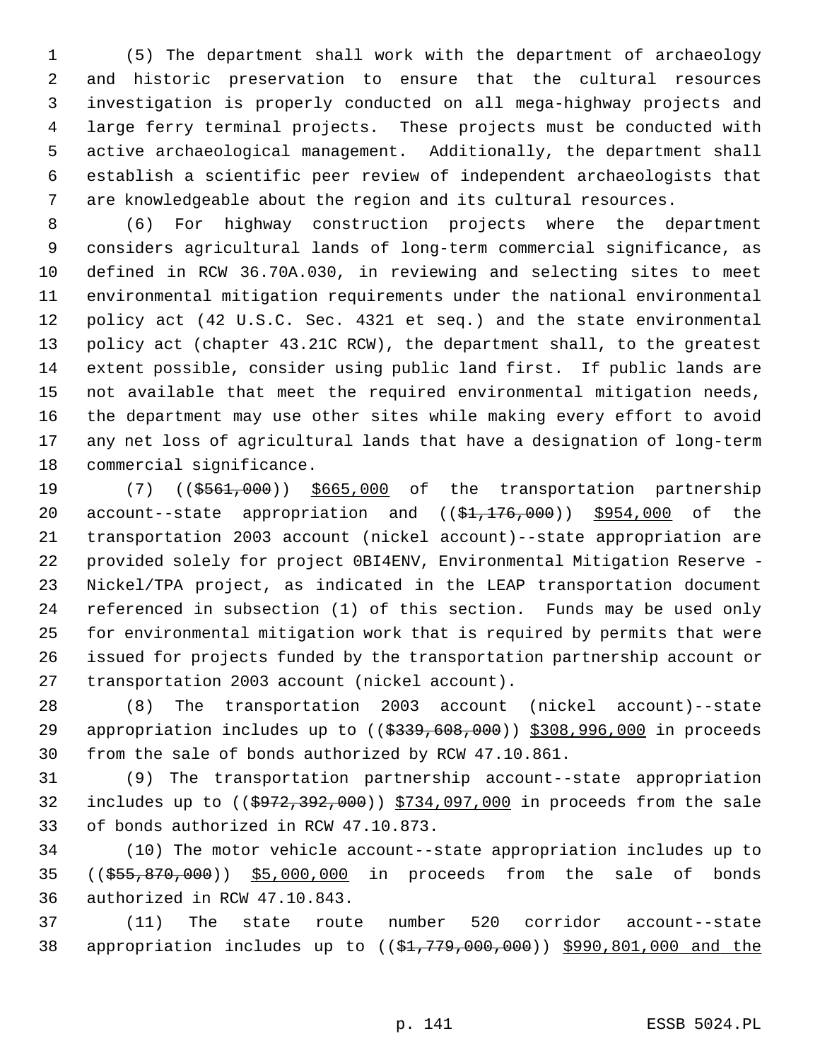1 (5) The department shall work with the department of archaeology 2 and historic preservation to ensure that the cultural resources 3 investigation is properly conducted on all mega-highway projects and 4 large ferry terminal projects. These projects must be conducted with 5 active archaeological management. Additionally, the department shall 6 establish a scientific peer review of independent archaeologists that 7 are knowledgeable about the region and its cultural resources.

 8 (6) For highway construction projects where the department 9 considers agricultural lands of long-term commercial significance, as 10 defined in RCW 36.70A.030, in reviewing and selecting sites to meet 11 environmental mitigation requirements under the national environmental 12 policy act (42 U.S.C. Sec. 4321 et seq.) and the state environmental 13 policy act (chapter 43.21C RCW), the department shall, to the greatest 14 extent possible, consider using public land first. If public lands are 15 not available that meet the required environmental mitigation needs, 16 the department may use other sites while making every effort to avoid 17 any net loss of agricultural lands that have a designation of long-term 18 commercial significance.

19 (7) ((\$561,000)) \$665,000 of the transportation partnership 20 account--state appropriation and  $($  $($  $, 1, 176, 000)$ )  $, 954, 000$  of the 21 transportation 2003 account (nickel account)--state appropriation are 22 provided solely for project 0BI4ENV, Environmental Mitigation Reserve - 23 Nickel/TPA project, as indicated in the LEAP transportation document 24 referenced in subsection (1) of this section. Funds may be used only 25 for environmental mitigation work that is required by permits that were 26 issued for projects funded by the transportation partnership account or 27 transportation 2003 account (nickel account).

28 (8) The transportation 2003 account (nickel account)--state 29 appropriation includes up to  $((\$339,608,000))$  \$308,996,000 in proceeds 30 from the sale of bonds authorized by RCW 47.10.861.

31 (9) The transportation partnership account--state appropriation 32 includes up to ((\$972,392,000)) \$734,097,000 in proceeds from the sale 33 of bonds authorized in RCW 47.10.873.

34 (10) The motor vehicle account--state appropriation includes up to 35 ((\$55,870,000)) \$5,000,000 in proceeds from the sale of bonds 36 authorized in RCW 47.10.843.

37 (11) The state route number 520 corridor account--state 38 appropriation includes up to ((\$1,779,000,000)) \$990,801,000 and the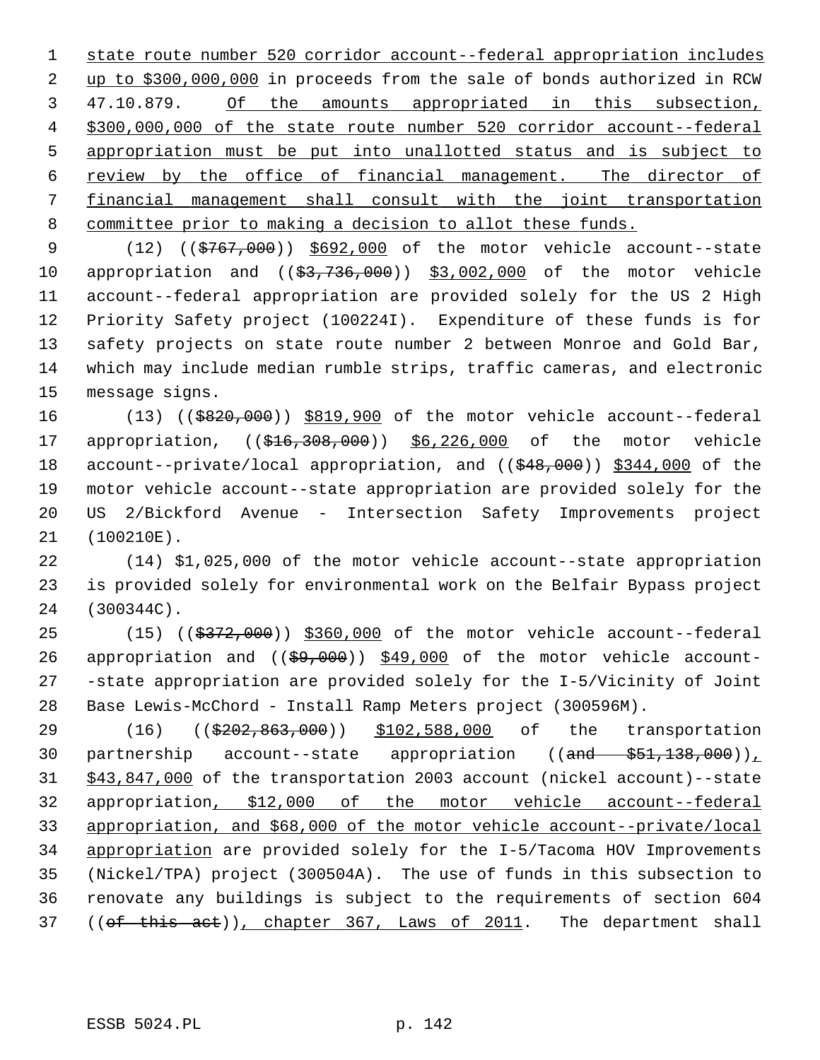state route number 520 corridor account--federal appropriation includes up to \$300,000,000 in proceeds from the sale of bonds authorized in RCW 3 47.10.879. Of the amounts appropriated in this subsection, \$300,000,000 of the state route number 520 corridor account--federal appropriation must be put into unallotted status and is subject to review by the office of financial management. The director of financial management shall consult with the joint transportation committee prior to making a decision to allot these funds.

9 (12) ((\$767,000)) \$692,000 of the motor vehicle account--state 10 appropriation and ((\$3,736,000)) \$3,002,000 of the motor vehicle 11 account--federal appropriation are provided solely for the US 2 High 12 Priority Safety project (100224I). Expenditure of these funds is for 13 safety projects on state route number 2 between Monroe and Gold Bar, 14 which may include median rumble strips, traffic cameras, and electronic 15 message signs.

16 (13) ((\$820,000)) \$819,900 of the motor vehicle account--federal 17 appropriation, ((\$16,308,000)) \$6,226,000 of the motor vehicle 18 account--private/local appropriation, and ((\$48,000)) \$344,000 of the 19 motor vehicle account--state appropriation are provided solely for the 20 US 2/Bickford Avenue - Intersection Safety Improvements project 21 (100210E).

22 (14) \$1,025,000 of the motor vehicle account--state appropriation 23 is provided solely for environmental work on the Belfair Bypass project 24 (300344C).

25 (15) ((\$372,000)) \$360,000 of the motor vehicle account--federal 26 appropriation and  $((\frac{69,000}{9})$  \$49,000 of the motor vehicle account-27 -state appropriation are provided solely for the I-5/Vicinity of Joint 28 Base Lewis-McChord - Install Ramp Meters project (300596M).

29 (16) (( $\frac{29}{202}$ ,  $\frac{863}{000}$ ) \$102, 588,000 of the transportation 30 partnership account--state appropriation ((and \$51,138,000)) 31 \$43,847,000 of the transportation 2003 account (nickel account)--state 32 appropriation, \$12,000 of the motor vehicle account--federal 33 appropriation, and \$68,000 of the motor vehicle account--private/local 34 appropriation are provided solely for the I-5/Tacoma HOV Improvements 35 (Nickel/TPA) project (300504A). The use of funds in this subsection to 36 renovate any buildings is subject to the requirements of section 604 37 ((of this act)), chapter 367, Laws of 2011. The department shall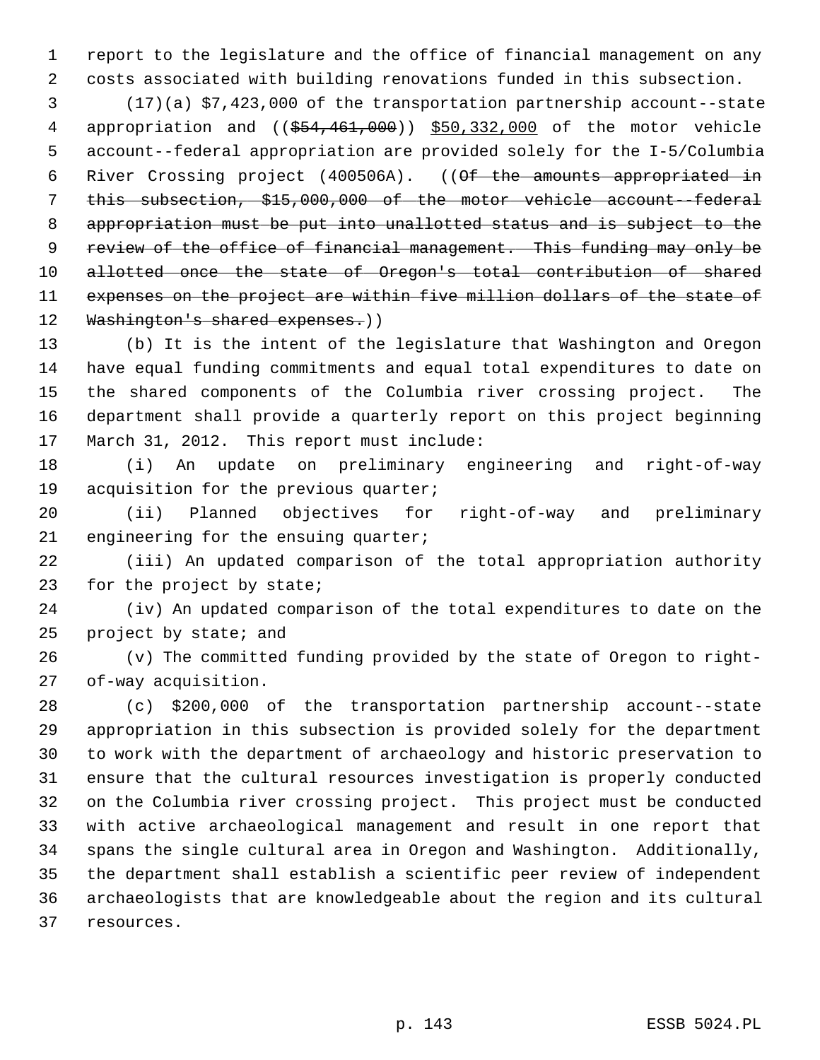1 report to the legislature and the office of financial management on any 2 costs associated with building renovations funded in this subsection.

 3 (17)(a) \$7,423,000 of the transportation partnership account--state 4 appropriation and ((\$54,461,000)) \$50,332,000 of the motor vehicle 5 account--federal appropriation are provided solely for the I-5/Columbia 6 River Crossing project (400506A). ((Of the amounts appropriated in 7 this subsection, \$15,000,000 of the motor vehicle account--federal 8 appropriation must be put into unallotted status and is subject to the 9 review of the office of financial management. This funding may only be 10 allotted once the state of Oregon's total contribution of shared 11 expenses on the project are within five million dollars of the state of 12 Washington's shared expenses.)

13 (b) It is the intent of the legislature that Washington and Oregon 14 have equal funding commitments and equal total expenditures to date on 15 the shared components of the Columbia river crossing project. The 16 department shall provide a quarterly report on this project beginning 17 March 31, 2012. This report must include:

18 (i) An update on preliminary engineering and right-of-way 19 acquisition for the previous quarter;

20 (ii) Planned objectives for right-of-way and preliminary 21 engineering for the ensuing quarter;

22 (iii) An updated comparison of the total appropriation authority 23 for the project by state;

24 (iv) An updated comparison of the total expenditures to date on the 25 project by state; and

26 (v) The committed funding provided by the state of Oregon to right-27 of-way acquisition.

28 (c) \$200,000 of the transportation partnership account--state 29 appropriation in this subsection is provided solely for the department 30 to work with the department of archaeology and historic preservation to 31 ensure that the cultural resources investigation is properly conducted 32 on the Columbia river crossing project. This project must be conducted 33 with active archaeological management and result in one report that 34 spans the single cultural area in Oregon and Washington. Additionally, 35 the department shall establish a scientific peer review of independent 36 archaeologists that are knowledgeable about the region and its cultural 37 resources.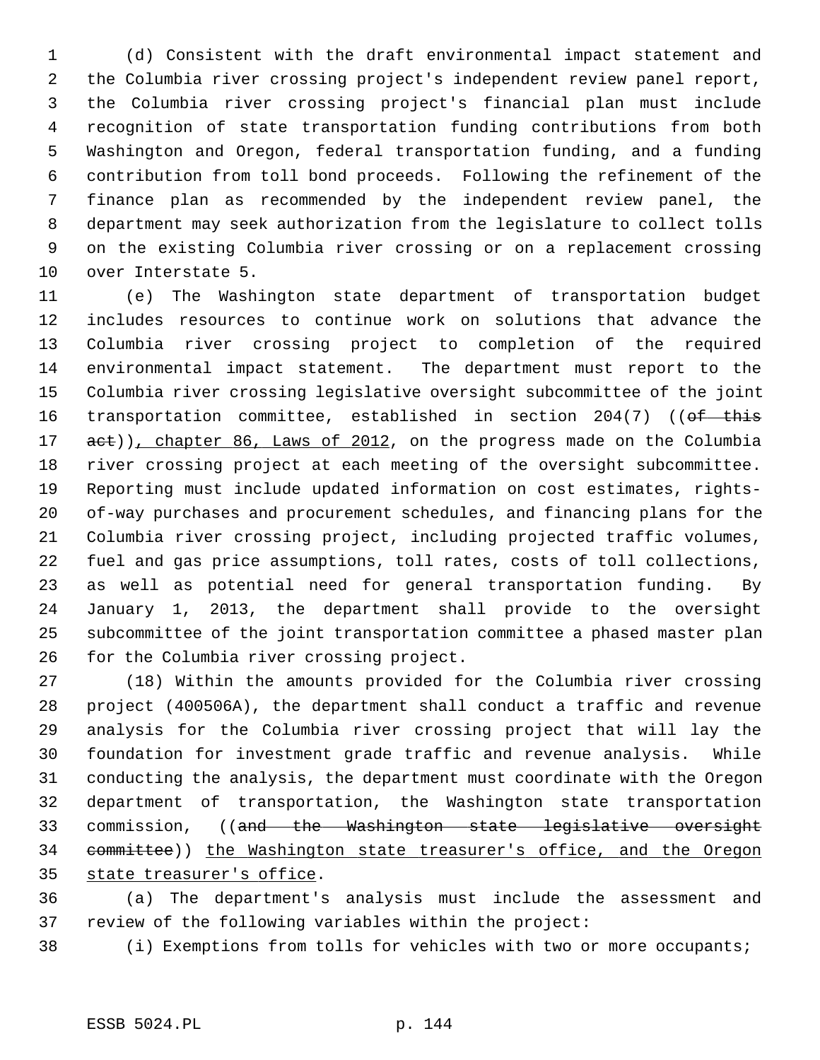1 (d) Consistent with the draft environmental impact statement and 2 the Columbia river crossing project's independent review panel report, 3 the Columbia river crossing project's financial plan must include 4 recognition of state transportation funding contributions from both 5 Washington and Oregon, federal transportation funding, and a funding 6 contribution from toll bond proceeds. Following the refinement of the 7 finance plan as recommended by the independent review panel, the 8 department may seek authorization from the legislature to collect tolls 9 on the existing Columbia river crossing or on a replacement crossing 10 over Interstate 5.

11 (e) The Washington state department of transportation budget 12 includes resources to continue work on solutions that advance the 13 Columbia river crossing project to completion of the required 14 environmental impact statement. The department must report to the 15 Columbia river crossing legislative oversight subcommittee of the joint 16 transportation committee, established in section 204(7) ((of this 17 act)), chapter 86, Laws of 2012, on the progress made on the Columbia 18 river crossing project at each meeting of the oversight subcommittee. 19 Reporting must include updated information on cost estimates, rights-20 of-way purchases and procurement schedules, and financing plans for the 21 Columbia river crossing project, including projected traffic volumes, 22 fuel and gas price assumptions, toll rates, costs of toll collections, 23 as well as potential need for general transportation funding. By 24 January 1, 2013, the department shall provide to the oversight 25 subcommittee of the joint transportation committee a phased master plan 26 for the Columbia river crossing project.

27 (18) Within the amounts provided for the Columbia river crossing 28 project (400506A), the department shall conduct a traffic and revenue 29 analysis for the Columbia river crossing project that will lay the 30 foundation for investment grade traffic and revenue analysis. While 31 conducting the analysis, the department must coordinate with the Oregon 32 department of transportation, the Washington state transportation 33 commission, ((and the Washington state legislative oversight 34 committee)) the Washington state treasurer's office, and the Oregon 35 state treasurer's office.

36 (a) The department's analysis must include the assessment and 37 review of the following variables within the project:

38 (i) Exemptions from tolls for vehicles with two or more occupants;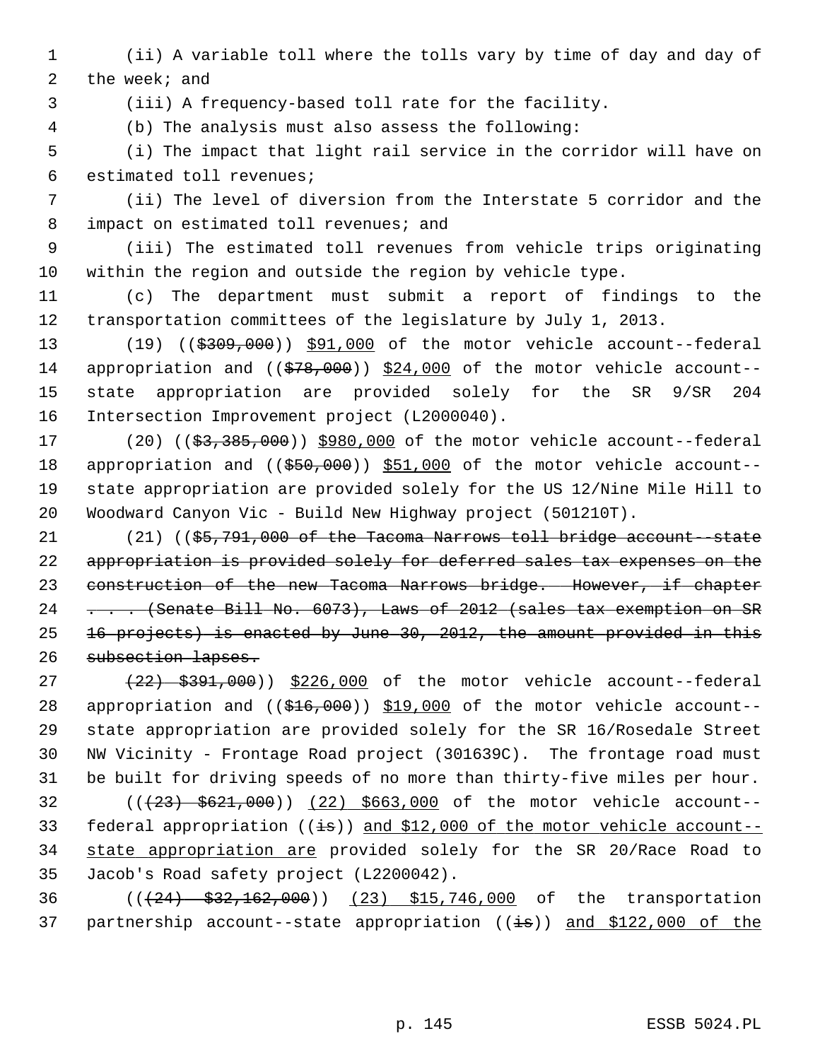- 1 (ii) A variable toll where the tolls vary by time of day and day of 2 the week; and
- 

3 (iii) A frequency-based toll rate for the facility.

4 (b) The analysis must also assess the following:

 5 (i) The impact that light rail service in the corridor will have on 6 estimated toll revenues;

 7 (ii) The level of diversion from the Interstate 5 corridor and the 8 impact on estimated toll revenues; and

 9 (iii) The estimated toll revenues from vehicle trips originating 10 within the region and outside the region by vehicle type.

11 (c) The department must submit a report of findings to the 12 transportation committees of the legislature by July 1, 2013.

13 (19) ((\$309,000)) \$91,000 of the motor vehicle account--federal 14 appropriation and (( $$78,000$ )) \$24,000 of the motor vehicle account--15 state appropriation are provided solely for the SR 9/SR 204 16 Intersection Improvement project (L2000040).

17 (20) ((\$3,385,000)) \$980,000 of the motor vehicle account--federal 18 appropriation and ((\$50,000)) \$51,000 of the motor vehicle account--19 state appropriation are provided solely for the US 12/Nine Mile Hill to 20 Woodward Canyon Vic - Build New Highway project (501210T).

21 (21) ((\$5,791,000 of the Tacoma Narrows toll bridge account--state 22 appropriation is provided solely for deferred sales tax expenses on the 23 construction of the new Tacoma Narrows bridge. However, if chapter 24 . . . (Senate Bill No. 6073), Laws of 2012 (sales tax exemption on SR 25 16 projects) is enacted by June 30, 2012, the amount provided in this 26 subsection lapses.

 $(27 + 22)$   $(22)$ ,  $(000)$ )  $(226,000)$  of the motor vehicle account--federal 28 appropriation and  $((\$16,000))$  \$19,000 of the motor vehicle account--29 state appropriation are provided solely for the SR 16/Rosedale Street 30 NW Vicinity - Frontage Road project (301639C). The frontage road must 31 be built for driving speeds of no more than thirty-five miles per hour. 32 (((23) \$621,000)) (22) \$663,000 of the motor vehicle account-- 33 federal appropriation  $((i\overline{s}))$  and \$12,000 of the motor vehicle account--34 state appropriation are provided solely for the SR 20/Race Road to 35 Jacob's Road safety project (L2200042).

36 (((24) \$32,162,000)) (23) \$15,746,000 of the transportation 37 partnership account--state appropriation  $((\frac{1}{18}))$  and \$122,000 of the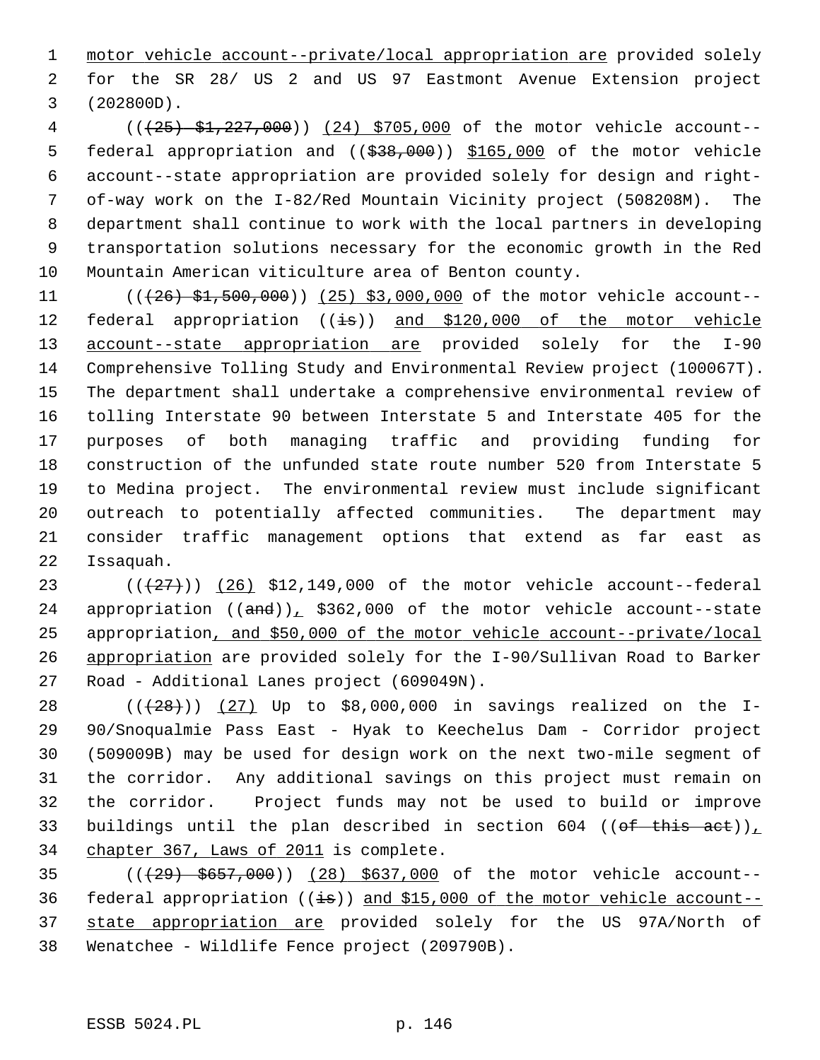1 motor vehicle account--private/local appropriation are provided solely 2 for the SR 28/ US 2 and US 97 Eastmont Avenue Extension project 3 (202800D).

 4 (((25) \$1,227,000)) (24) \$705,000 of the motor vehicle account-- 5 federal appropriation and ((\$38,000)) \$165,000 of the motor vehicle 6 account--state appropriation are provided solely for design and right- 7 of-way work on the I-82/Red Mountain Vicinity project (508208M). The 8 department shall continue to work with the local partners in developing 9 transportation solutions necessary for the economic growth in the Red 10 Mountain American viticulture area of Benton county.

11 (( $(26)$  \$1,500,000)) (25) \$3,000,000 of the motor vehicle account--12 federal appropriation  $((\frac{1}{15}))$  and \$120,000 of the motor vehicle 13 account--state appropriation are provided solely for the I-90 14 Comprehensive Tolling Study and Environmental Review project (100067T). 15 The department shall undertake a comprehensive environmental review of 16 tolling Interstate 90 between Interstate 5 and Interstate 405 for the 17 purposes of both managing traffic and providing funding for 18 construction of the unfunded state route number 520 from Interstate 5 19 to Medina project. The environmental review must include significant 20 outreach to potentially affected communities. The department may 21 consider traffic management options that extend as far east as 22 Issaquah.

23  $((+27))$   $(26)$  \$12,149,000 of the motor vehicle account--federal 24 appropriation  $((\text{and}))$ , \$362,000 of the motor vehicle account--state 25 appropriation, and \$50,000 of the motor vehicle account--private/local 26 appropriation are provided solely for the I-90/Sullivan Road to Barker 27 Road - Additional Lanes project (609049N).

28 ( $(28)$ )) (27) Up to \$8,000,000 in savings realized on the I-29 90/Snoqualmie Pass East - Hyak to Keechelus Dam - Corridor project 30 (509009B) may be used for design work on the next two-mile segment of 31 the corridor. Any additional savings on this project must remain on 32 the corridor. Project funds may not be used to build or improve 33 buildings until the plan described in section 604 (( $\theta$ f this act)), 34 chapter 367, Laws of 2011 is complete.

35 (((29) \$657,000)) (28) \$637,000 of the motor vehicle account-- 36 federal appropriation  $((\frac{1}{15}))$  and \$15,000 of the motor vehicle account--37 state appropriation are provided solely for the US 97A/North of 38 Wenatchee - Wildlife Fence project (209790B).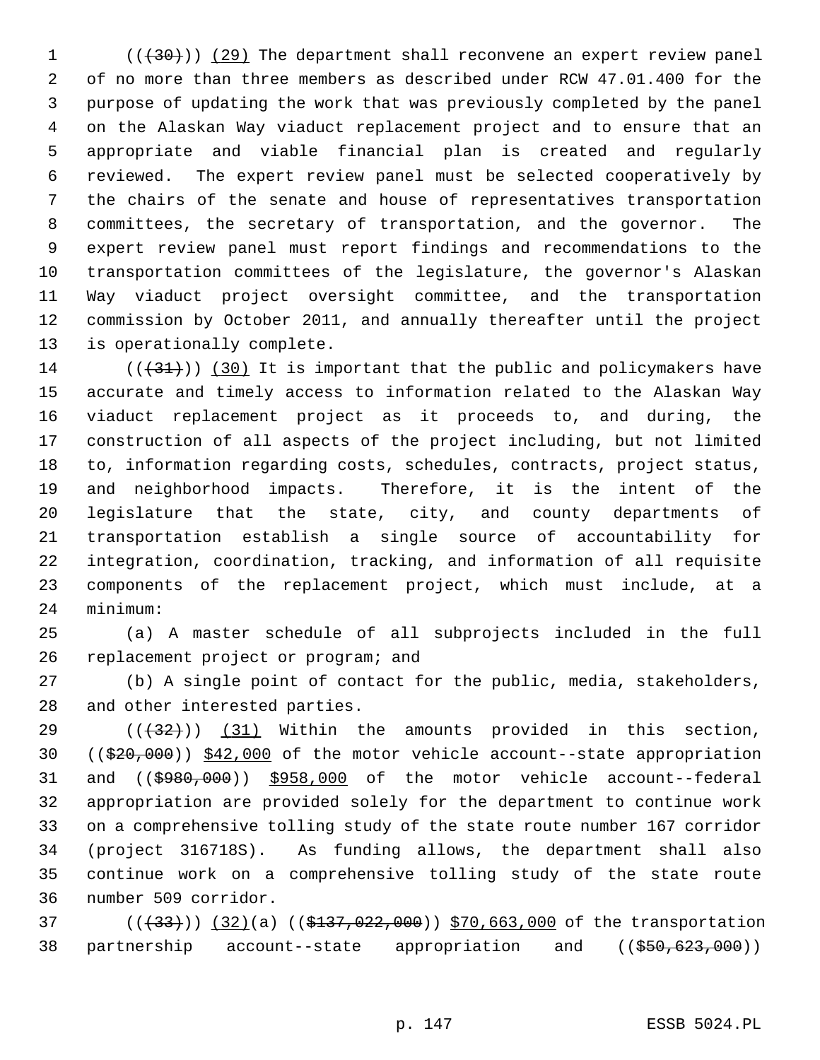$1$  (( $(30)$ )) (29) The department shall reconvene an expert review panel 2 of no more than three members as described under RCW 47.01.400 for the 3 purpose of updating the work that was previously completed by the panel 4 on the Alaskan Way viaduct replacement project and to ensure that an 5 appropriate and viable financial plan is created and regularly 6 reviewed. The expert review panel must be selected cooperatively by 7 the chairs of the senate and house of representatives transportation 8 committees, the secretary of transportation, and the governor. The 9 expert review panel must report findings and recommendations to the 10 transportation committees of the legislature, the governor's Alaskan 11 Way viaduct project oversight committee, and the transportation 12 commission by October 2011, and annually thereafter until the project 13 is operationally complete.

14  $((+31))$  (30) It is important that the public and policymakers have 15 accurate and timely access to information related to the Alaskan Way 16 viaduct replacement project as it proceeds to, and during, the 17 construction of all aspects of the project including, but not limited 18 to, information regarding costs, schedules, contracts, project status, 19 and neighborhood impacts. Therefore, it is the intent of the 20 legislature that the state, city, and county departments of 21 transportation establish a single source of accountability for 22 integration, coordination, tracking, and information of all requisite 23 components of the replacement project, which must include, at a 24 minimum:

25 (a) A master schedule of all subprojects included in the full 26 replacement project or program; and

27 (b) A single point of contact for the public, media, stakeholders, 28 and other interested parties.

29  $((+32))$  (31) Within the amounts provided in this section, 30 ((\$20,000)) \$42,000 of the motor vehicle account--state appropriation 31 and ((\$980,000)) \$958,000 of the motor vehicle account--federal 32 appropriation are provided solely for the department to continue work 33 on a comprehensive tolling study of the state route number 167 corridor 34 (project 316718S). As funding allows, the department shall also 35 continue work on a comprehensive tolling study of the state route 36 number 509 corridor.

37 (((433))) (32)(a) ((\$137,022,000)) \$70,663,000 of the transportation 38 partnership account--state appropriation and ((\$50,623,000))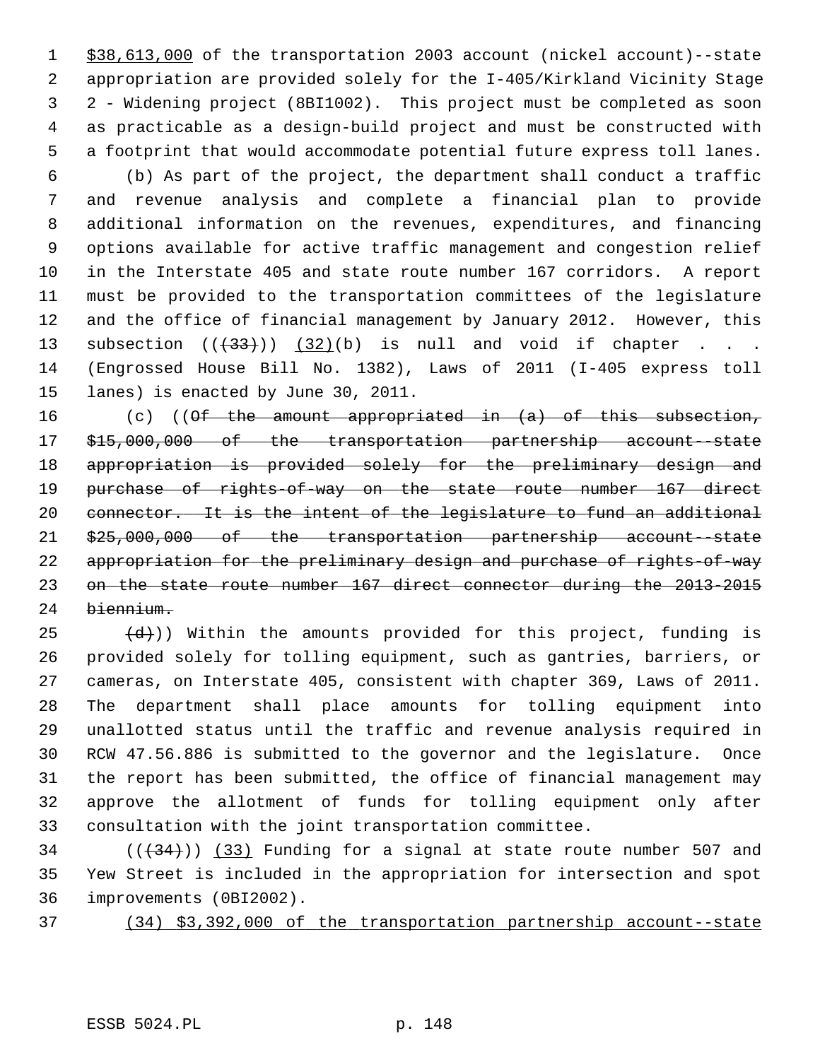1 \$38,613,000 of the transportation 2003 account (nickel account)--state 2 appropriation are provided solely for the I-405/Kirkland Vicinity Stage 3 2 - Widening project (8BI1002). This project must be completed as soon 4 as practicable as a design-build project and must be constructed with 5 a footprint that would accommodate potential future express toll lanes.

 6 (b) As part of the project, the department shall conduct a traffic 7 and revenue analysis and complete a financial plan to provide 8 additional information on the revenues, expenditures, and financing 9 options available for active traffic management and congestion relief 10 in the Interstate 405 and state route number 167 corridors. A report 11 must be provided to the transportation committees of the legislature 12 and the office of financial management by January 2012. However, this 13 subsection  $((+33))$   $(32)(b)$  is null and void if chapter . . . 14 (Engrossed House Bill No. 1382), Laws of 2011 (I-405 express toll 15 lanes) is enacted by June 30, 2011.

16 (c) (( $\Theta$ f the amount appropriated in (a) of this subsection, 17 \$15,000,000 of the transportation partnership account--state 18 appropriation is provided solely for the preliminary design and 19 purchase of rights-of-way on the state route number 167 direct 20 connector. It is the intent of the legislature to fund an additional 21 \$25,000,000 of the transportation partnership account--state 22 appropriation for the preliminary design and purchase of rights-of-way 23 on the state route number 167 direct connector during the 2013-2015 24 biennium.

 $(25$   $(d))$  Within the amounts provided for this project, funding is 26 provided solely for tolling equipment, such as gantries, barriers, or 27 cameras, on Interstate 405, consistent with chapter 369, Laws of 2011. 28 The department shall place amounts for tolling equipment into 29 unallotted status until the traffic and revenue analysis required in 30 RCW 47.56.886 is submitted to the governor and the legislature. Once 31 the report has been submitted, the office of financial management may 32 approve the allotment of funds for tolling equipment only after 33 consultation with the joint transportation committee.

 $(1,34)$  ( $(33)$  Funding for a signal at state route number 507 and 35 Yew Street is included in the appropriation for intersection and spot 36 improvements (0BI2002).

37 (34) \$3,392,000 of the transportation partnership account--state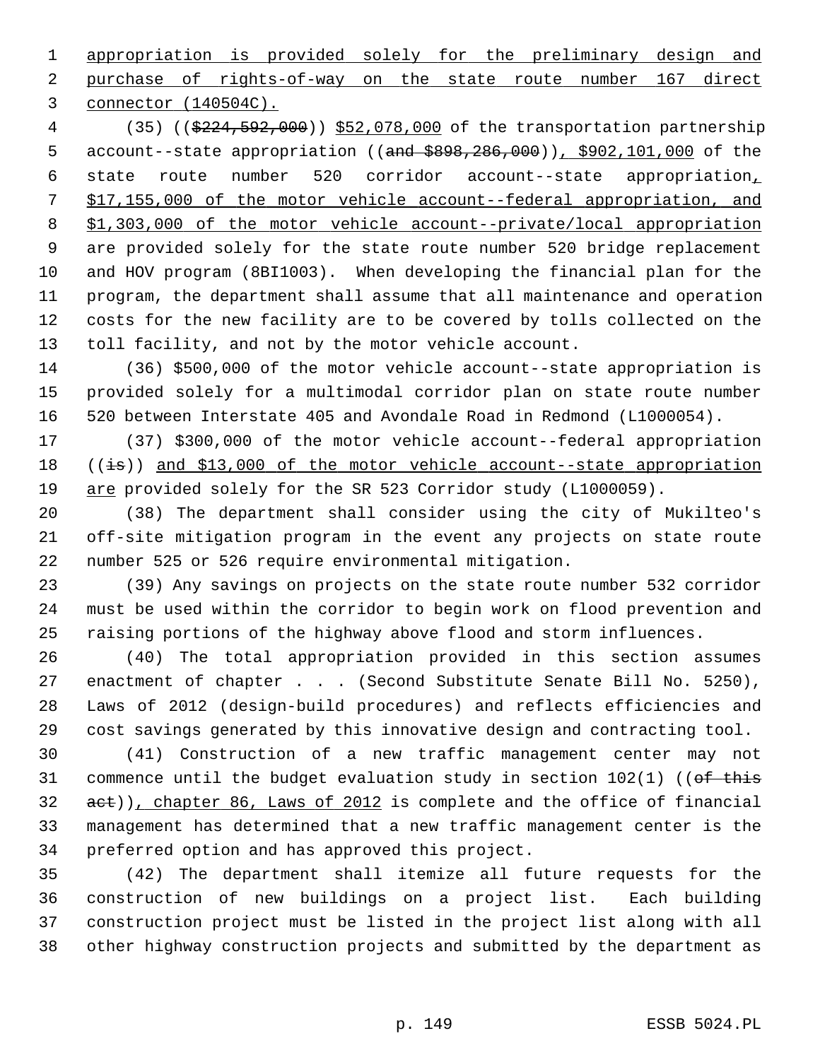1 appropriation is provided solely for the preliminary design and 2 purchase of rights-of-way on the state route number 167 direct 3 connector (140504C).

 4 (35) ((\$224,592,000)) \$52,078,000 of the transportation partnership 5 account--state appropriation ((and \$898,286,000)), \$902,101,000 of the 6 state route number 520 corridor account--state appropriation, 7 \$17,155,000 of the motor vehicle account--federal appropriation, and 8 \$1,303,000 of the motor vehicle account--private/local appropriation 9 are provided solely for the state route number 520 bridge replacement 10 and HOV program (8BI1003). When developing the financial plan for the 11 program, the department shall assume that all maintenance and operation 12 costs for the new facility are to be covered by tolls collected on the 13 toll facility, and not by the motor vehicle account.

14 (36) \$500,000 of the motor vehicle account--state appropriation is 15 provided solely for a multimodal corridor plan on state route number 16 520 between Interstate 405 and Avondale Road in Redmond (L1000054).

17 (37) \$300,000 of the motor vehicle account--federal appropriation 18  $((\frac{1}{15}))$  and \$13,000 of the motor vehicle account--state appropriation 19 are provided solely for the SR 523 Corridor study (L1000059).

20 (38) The department shall consider using the city of Mukilteo's 21 off-site mitigation program in the event any projects on state route 22 number 525 or 526 require environmental mitigation.

23 (39) Any savings on projects on the state route number 532 corridor 24 must be used within the corridor to begin work on flood prevention and 25 raising portions of the highway above flood and storm influences.

26 (40) The total appropriation provided in this section assumes 27 enactment of chapter . . . (Second Substitute Senate Bill No. 5250), 28 Laws of 2012 (design-build procedures) and reflects efficiencies and 29 cost savings generated by this innovative design and contracting tool.

30 (41) Construction of a new traffic management center may not 31 commence until the budget evaluation study in section  $102(1)$  ((of this 32 act)), chapter 86, Laws of 2012 is complete and the office of financial 33 management has determined that a new traffic management center is the 34 preferred option and has approved this project.

35 (42) The department shall itemize all future requests for the 36 construction of new buildings on a project list. Each building 37 construction project must be listed in the project list along with all 38 other highway construction projects and submitted by the department as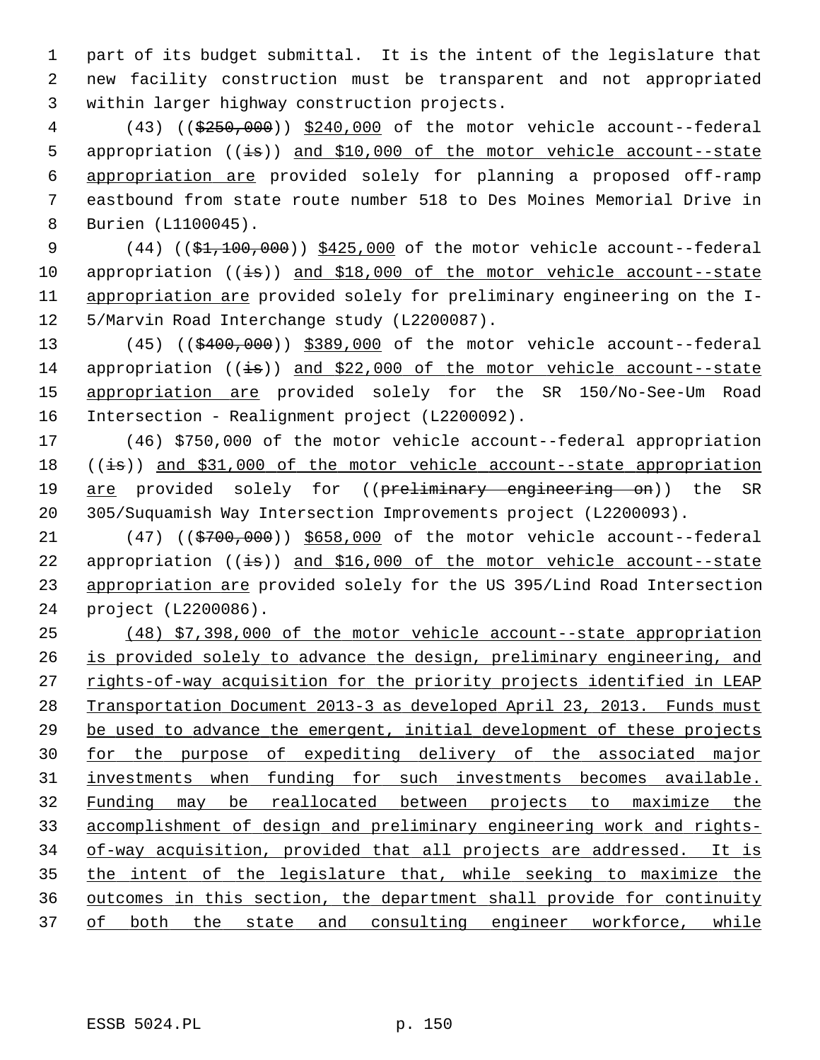1 part of its budget submittal. It is the intent of the legislature that 2 new facility construction must be transparent and not appropriated 3 within larger highway construction projects.

 4 (43) ((\$250,000)) \$240,000 of the motor vehicle account--federal 5 appropriation  $((\frac{1}{18}))$  and \$10,000 of the motor vehicle account--state 6 appropriation are provided solely for planning a proposed off-ramp 7 eastbound from state route number 518 to Des Moines Memorial Drive in 8 Burien (L1100045).

9 (44) ((\$1,100,000)) \$425,000 of the motor vehicle account--federal 10 appropriation  $((\frac{1}{15}))$  and \$18,000 of the motor vehicle account--state 11 appropriation are provided solely for preliminary engineering on the I-12 5/Marvin Road Interchange study (L2200087).

13 (45) ((\$400,000)) \$389,000 of the motor vehicle account--federal 14 appropriation  $((\frac{1}{15}))$  and \$22,000 of the motor vehicle account--state 15 appropriation are provided solely for the SR 150/No-See-Um Road 16 Intersection - Realignment project (L2200092).

17 (46) \$750,000 of the motor vehicle account--federal appropriation 18  $((\frac{1}{15}))$  and \$31,000 of the motor vehicle account--state appropriation 19 are provided solely for ((preliminary engineering on)) the SR 20 305/Suquamish Way Intersection Improvements project (L2200093).

21 (47) ((\$700,000)) \$658,000 of the motor vehicle account--federal 22 appropriation  $((\frac{1}{15}))$  and \$16,000 of the motor vehicle account--state 23 appropriation are provided solely for the US 395/Lind Road Intersection 24 project (L2200086).

 (48) \$7,398,000 of the motor vehicle account--state appropriation is provided solely to advance the design, preliminary engineering, and rights-of-way acquisition for the priority projects identified in LEAP Transportation Document 2013-3 as developed April 23, 2013. Funds must be used to advance the emergent, initial development of these projects for the purpose of expediting delivery of the associated major investments when funding for such investments becomes available. Funding may be reallocated between projects to maximize the accomplishment of design and preliminary engineering work and rights- of-way acquisition, provided that all projects are addressed. It is the intent of the legislature that, while seeking to maximize the outcomes in this section, the department shall provide for continuity of both the state and consulting engineer workforce, while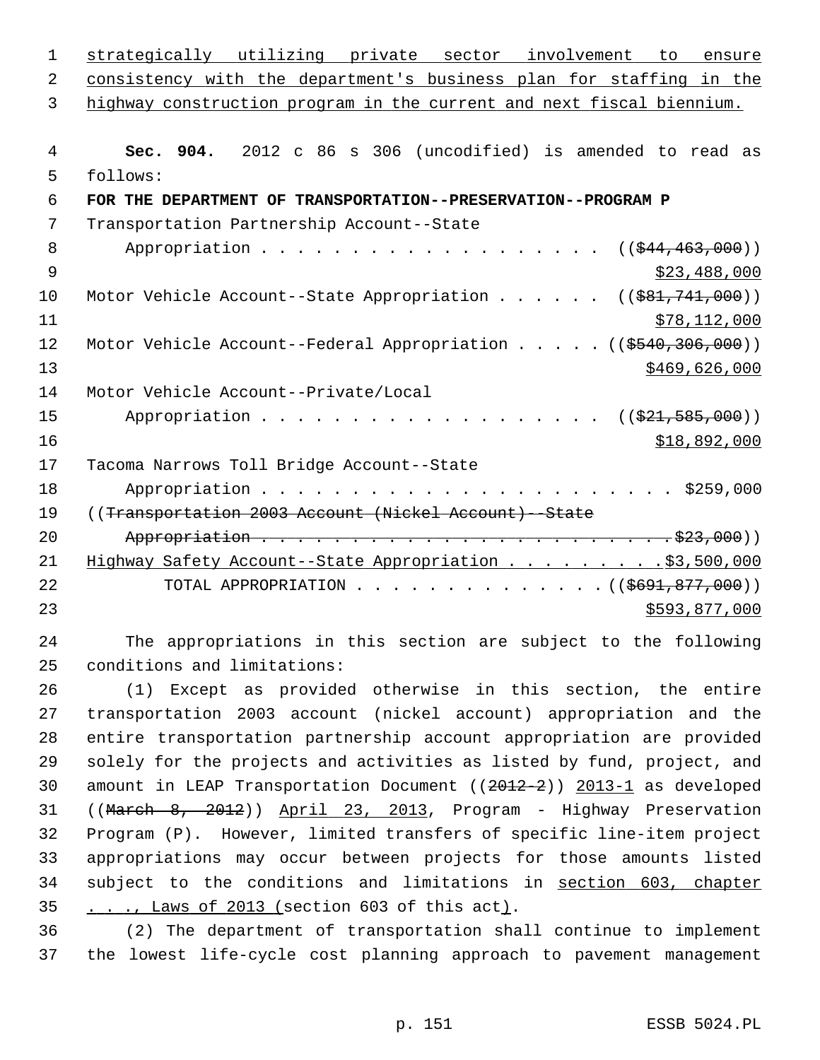| 1              | strategically utilizing private sector involvement to ensure            |
|----------------|-------------------------------------------------------------------------|
| 2              | consistency with the department's business plan for staffing in the     |
| 3              | highway construction program in the current and next fiscal biennium.   |
|                |                                                                         |
| $\overline{4}$ | Sec. 904. 2012 c 86 s 306 (uncodified) is amended to read as            |
| 5              | follows:                                                                |
| 6              | FOR THE DEPARTMENT OF TRANSPORTATION--PRESERVATION--PROGRAM P           |
| 7              | Transportation Partnership Account--State                               |
| 8              | $((\frac{1544}{1463}, 000))$                                            |
| $\mathsf 9$    | \$23,488,000                                                            |
| 10             | Motor Vehicle Account--State Appropriation ( $(\frac{281}{741}, 000)$ ) |
| 11             | \$78,112,000                                                            |
| 12             | Motor Vehicle Account--Federal Appropriation ((\$540,306,000))          |
| 13             | \$469,626,000                                                           |
| 14             | Motor Vehicle Account--Private/Local                                    |
| 15             | $((\$21,585,000))$                                                      |
| 16             | \$18,892,000                                                            |
| 17             | Tacoma Narrows Toll Bridge Account--State                               |
| 18             |                                                                         |
| 19             | ((Transportation 2003 Account (Nickel Account) -- State                 |
| 20             |                                                                         |
| 21             | Highway Safety Account--State Appropriation \$3,500,000                 |
| 22             | TOTAL APPROPRIATION ( $($691,877,000)$ )                                |
| 23             | \$593,877,000                                                           |
| 24             | The appropriations in this section are subject to the following         |
| 25             | conditions and limitations:                                             |
| 26             | Except as provided otherwise in this section, the entire<br>(1)         |
| 27             | transportation 2003 account (nickel account) appropriation and the      |
|                |                                                                         |

28 entire transportation partnership account appropriation are provided 29 solely for the projects and activities as listed by fund, project, and 30 amount in LEAP Transportation Document ((2012-2)) 2013-1 as developed 31 ((March 8, 2012)) April 23, 2013, Program - Highway Preservation 32 Program (P). However, limited transfers of specific line-item project 33 appropriations may occur between projects for those amounts listed 34 subject to the conditions and limitations in section 603, chapter 35 . . ., Laws of 2013 (section 603 of this act).

36 (2) The department of transportation shall continue to implement 37 the lowest life-cycle cost planning approach to pavement management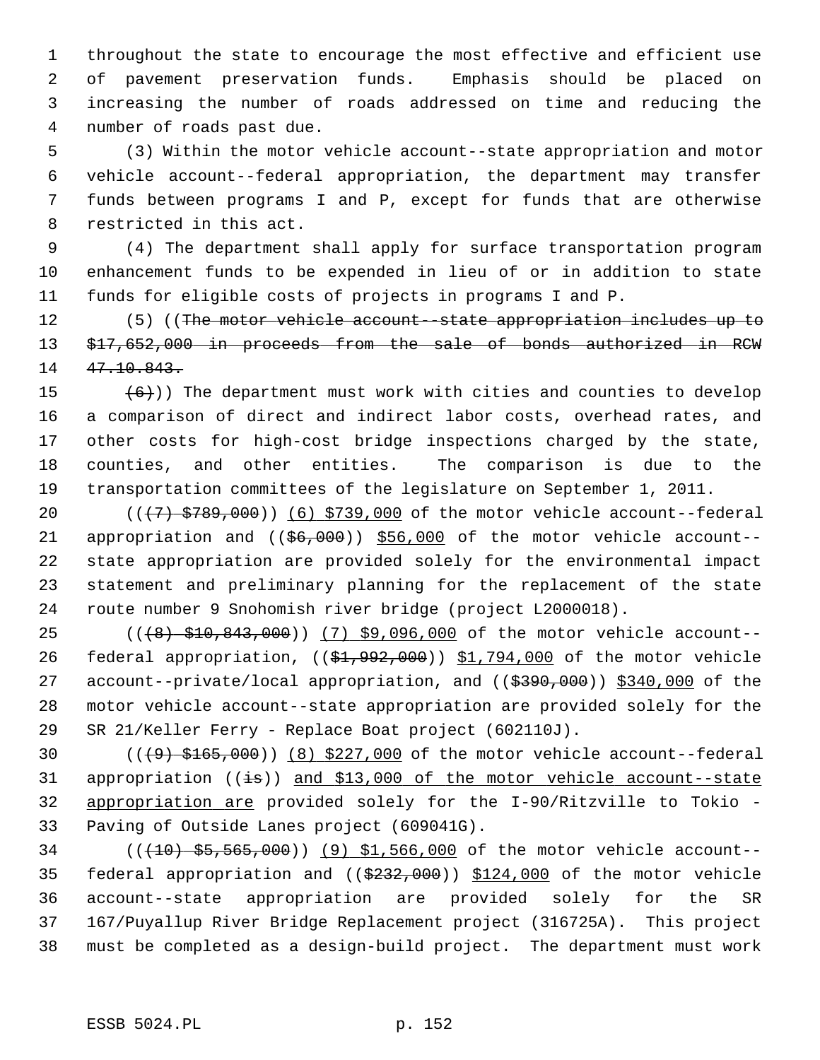1 throughout the state to encourage the most effective and efficient use 2 of pavement preservation funds. Emphasis should be placed on 3 increasing the number of roads addressed on time and reducing the 4 number of roads past due.

 5 (3) Within the motor vehicle account--state appropriation and motor 6 vehicle account--federal appropriation, the department may transfer 7 funds between programs I and P, except for funds that are otherwise 8 restricted in this act.

 9 (4) The department shall apply for surface transportation program 10 enhancement funds to be expended in lieu of or in addition to state 11 funds for eligible costs of projects in programs I and P.

12 (5) ((The motor vehicle account-state appropriation includes up to 13 \$17,652,000 in proceeds from the sale of bonds authorized in RCW 14 47.10.843.

15  $(6)$ )) The department must work with cities and counties to develop 16 a comparison of direct and indirect labor costs, overhead rates, and 17 other costs for high-cost bridge inspections charged by the state, 18 counties, and other entities. The comparison is due to the 19 transportation committees of the legislature on September 1, 2011.

20  $((+7)$   $$789,000)$   $(6)$   $$739,000$  of the motor vehicle account--federal 21 appropriation and  $($   $(\frac{66,000}{9})$   $\frac{556,000}{9}$  of the motor vehicle account--22 state appropriation are provided solely for the environmental impact 23 statement and preliminary planning for the replacement of the state 24 route number 9 Snohomish river bridge (project L2000018).

25 (((8) \$10,843,000)) (7) \$9,096,000 of the motor vehicle account--26 federal appropriation, ((\$1,992,000)) \$1,794,000 of the motor vehicle 27 account--private/local appropriation, and ((\$390,000)) \$340,000 of the 28 motor vehicle account--state appropriation are provided solely for the 29 SR 21/Keller Ferry - Replace Boat project (602110J).

30  $((49) + 165,000)$   $(8)$  \$227,000 of the motor vehicle account--federal 31 appropriation  $((\frac{1}{15}))$  and \$13,000 of the motor vehicle account--state 32 appropriation are provided solely for the I-90/Ritzville to Tokio - 33 Paving of Outside Lanes project (609041G).

34 (((10) \$5,565,000)) (9) \$1,566,000 of the motor vehicle account-- 35 federal appropriation and ((\$232,000)) \$124,000 of the motor vehicle 36 account--state appropriation are provided solely for the SR 37 167/Puyallup River Bridge Replacement project (316725A). This project 38 must be completed as a design-build project. The department must work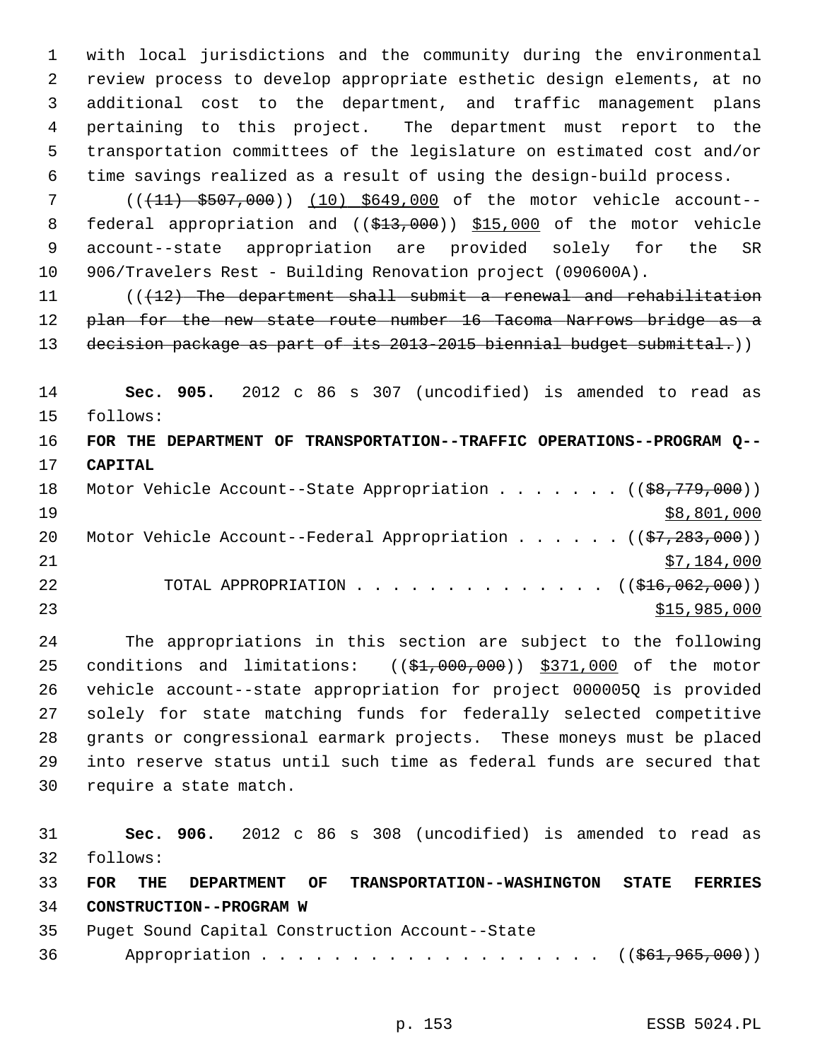1 with local jurisdictions and the community during the environmental 2 review process to develop appropriate esthetic design elements, at no 3 additional cost to the department, and traffic management plans 4 pertaining to this project. The department must report to the 5 transportation committees of the legislature on estimated cost and/or 6 time savings realized as a result of using the design-build process.

7 (( $(11)$  \$507,000)) (10) \$649,000 of the motor vehicle account--8 federal appropriation and ((\$13,000)) \$15,000 of the motor vehicle 9 account--state appropriation are provided solely for the SR 10 906/Travelers Rest - Building Renovation project (090600A).

11 (((12) The department shall submit a renewal and rehabilitation 12 plan for the new state route number 16 Tacoma Narrows bridge as a 13 decision package as part of its 2013-2015 biennial budget submittal.))

14 **Sec. 905.** 2012 c 86 s 307 (uncodified) is amended to read as 15 follows:

16 **FOR THE DEPARTMENT OF TRANSPORTATION--TRAFFIC OPERATIONS--PROGRAM Q--** 17 **CAPITAL** 18 Motor Vehicle Account--State Appropriation . . . . . . . ((\$8,779,000))

| T R |  | Motor Venicle Account--State Appropriation (( <del>\$8,779,000</del> ))              |  |  |  |              |
|-----|--|--------------------------------------------------------------------------------------|--|--|--|--------------|
| 19  |  |                                                                                      |  |  |  | \$8,801,000  |
| 20  |  | Motor Vehicle Account--Federal Appropriation $($ $(\frac{27}{283}, \frac{283}{100})$ |  |  |  |              |
| 21  |  |                                                                                      |  |  |  | \$7,184,000  |
| 22  |  | TOTAL APPROPRIATION $\ldots$ , ( $(\frac{1}{216}, 062, 000)$ )                       |  |  |  |              |
| 23  |  |                                                                                      |  |  |  | \$15,985,000 |

24 The appropriations in this section are subject to the following 25 conditions and limitations: ((\$1,000,000)) \$371,000 of the motor 26 vehicle account--state appropriation for project 000005Q is provided 27 solely for state matching funds for federally selected competitive 28 grants or congressional earmark projects. These moneys must be placed 29 into reserve status until such time as federal funds are secured that 30 require a state match.

31 **Sec. 906.** 2012 c 86 s 308 (uncodified) is amended to read as 32 follows: 33 **FOR THE DEPARTMENT OF TRANSPORTATION--WASHINGTON STATE FERRIES** 34 **CONSTRUCTION--PROGRAM W** 35 Puget Sound Capital Construction Account--State 36 Appropriation . . . . . . . . . . . . . . . . . ((\$61,965,000))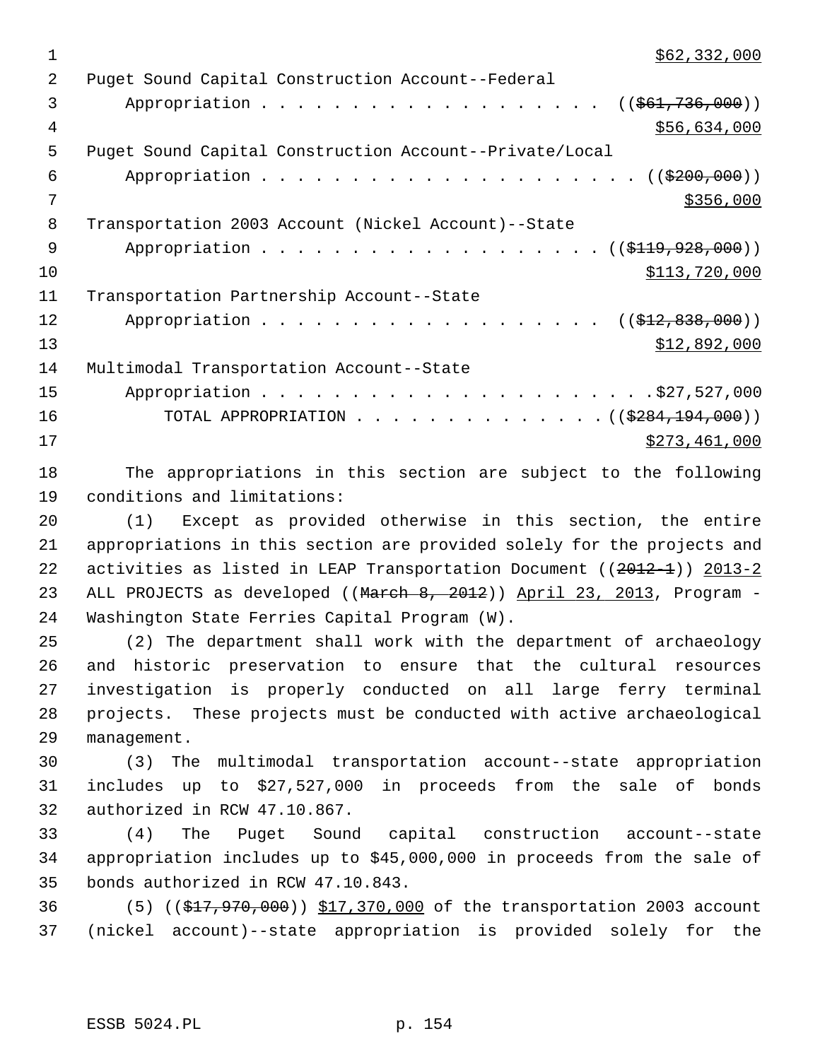1  $\frac{$62,332,000}{ }$  2 Puget Sound Capital Construction Account--Federal 3 Appropriation . . . . . . . . . . . . . . . . . ((\$61,736,000)) 4 \$56,634,000 5 Puget Sound Capital Construction Account--Private/Local 6 Appropriation . . . . . . . . . . . . . . . . . .  $($   $(\frac{2200}{100})$  $7$  \$356,000 8 Transportation 2003 Account (Nickel Account)--State 9 Appropriation . . . . . . . . . . . . . . . . . (  $(\frac{119,928,000}{$  ) )  $\text{10}$  \$113,720,000 11 Transportation Partnership Account--State 12 Appropriation . . . . . . . . . . . . . . . . . ((<del>\$12,838,000</del>))  $\frac{13}{212,892,000}$ 14 Multimodal Transportation Account--State 15 Appropriation . . . . . . . . . . . . . . . . . . . . . .\$27,527,000 16 TOTAL APPROPRIATION . . . . . . . . . . . . . . ((\$284,194,000))  $\frac{$273,461,000}{ }$ 

18 The appropriations in this section are subject to the following 19 conditions and limitations:

20 (1) Except as provided otherwise in this section, the entire 21 appropriations in this section are provided solely for the projects and 22 activities as listed in LEAP Transportation Document ((2012-1)) 2013-2 23 ALL PROJECTS as developed ((March 8, 2012)) April 23, 2013, Program -24 Washington State Ferries Capital Program (W).

25 (2) The department shall work with the department of archaeology 26 and historic preservation to ensure that the cultural resources 27 investigation is properly conducted on all large ferry terminal 28 projects. These projects must be conducted with active archaeological 29 management.

30 (3) The multimodal transportation account--state appropriation 31 includes up to \$27,527,000 in proceeds from the sale of bonds 32 authorized in RCW 47.10.867.

33 (4) The Puget Sound capital construction account--state 34 appropriation includes up to \$45,000,000 in proceeds from the sale of 35 bonds authorized in RCW 47.10.843.

36 (5) ((\$17,970,000)) \$17,370,000 of the transportation 2003 account 37 (nickel account)--state appropriation is provided solely for the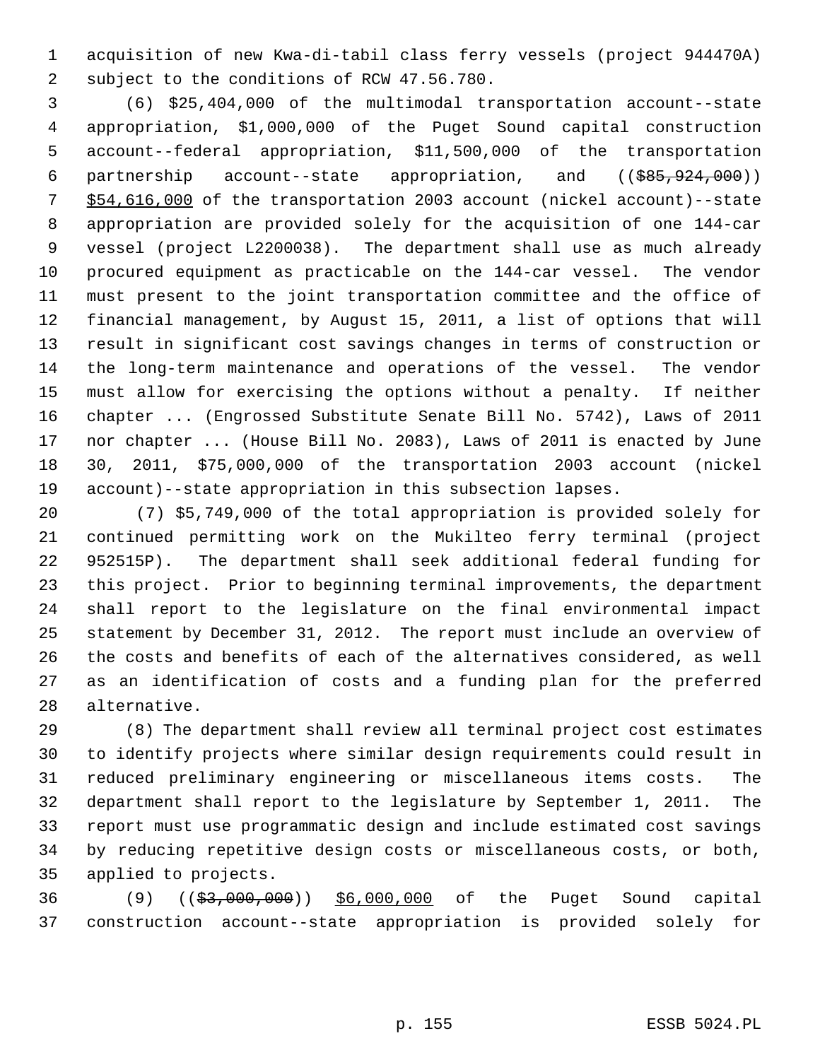1 acquisition of new Kwa-di-tabil class ferry vessels (project 944470A) 2 subject to the conditions of RCW 47.56.780.

 3 (6) \$25,404,000 of the multimodal transportation account--state 4 appropriation, \$1,000,000 of the Puget Sound capital construction 5 account--federal appropriation, \$11,500,000 of the transportation 6 partnership account--state appropriation, and ((\$85,924,000)) 7 \$54,616,000 of the transportation 2003 account (nickel account)--state 8 appropriation are provided solely for the acquisition of one 144-car 9 vessel (project L2200038). The department shall use as much already 10 procured equipment as practicable on the 144-car vessel. The vendor 11 must present to the joint transportation committee and the office of 12 financial management, by August 15, 2011, a list of options that will 13 result in significant cost savings changes in terms of construction or 14 the long-term maintenance and operations of the vessel. The vendor 15 must allow for exercising the options without a penalty. If neither 16 chapter ... (Engrossed Substitute Senate Bill No. 5742), Laws of 2011 17 nor chapter ... (House Bill No. 2083), Laws of 2011 is enacted by June 18 30, 2011, \$75,000,000 of the transportation 2003 account (nickel 19 account)--state appropriation in this subsection lapses.

20 (7) \$5,749,000 of the total appropriation is provided solely for 21 continued permitting work on the Mukilteo ferry terminal (project 22 952515P). The department shall seek additional federal funding for 23 this project. Prior to beginning terminal improvements, the department 24 shall report to the legislature on the final environmental impact 25 statement by December 31, 2012. The report must include an overview of 26 the costs and benefits of each of the alternatives considered, as well 27 as an identification of costs and a funding plan for the preferred 28 alternative.

29 (8) The department shall review all terminal project cost estimates 30 to identify projects where similar design requirements could result in 31 reduced preliminary engineering or miscellaneous items costs. The 32 department shall report to the legislature by September 1, 2011. The 33 report must use programmatic design and include estimated cost savings 34 by reducing repetitive design costs or miscellaneous costs, or both, 35 applied to projects.

36 (9) ((\$3,000,000)) \$6,000,000 of the Puget Sound capital 37 construction account--state appropriation is provided solely for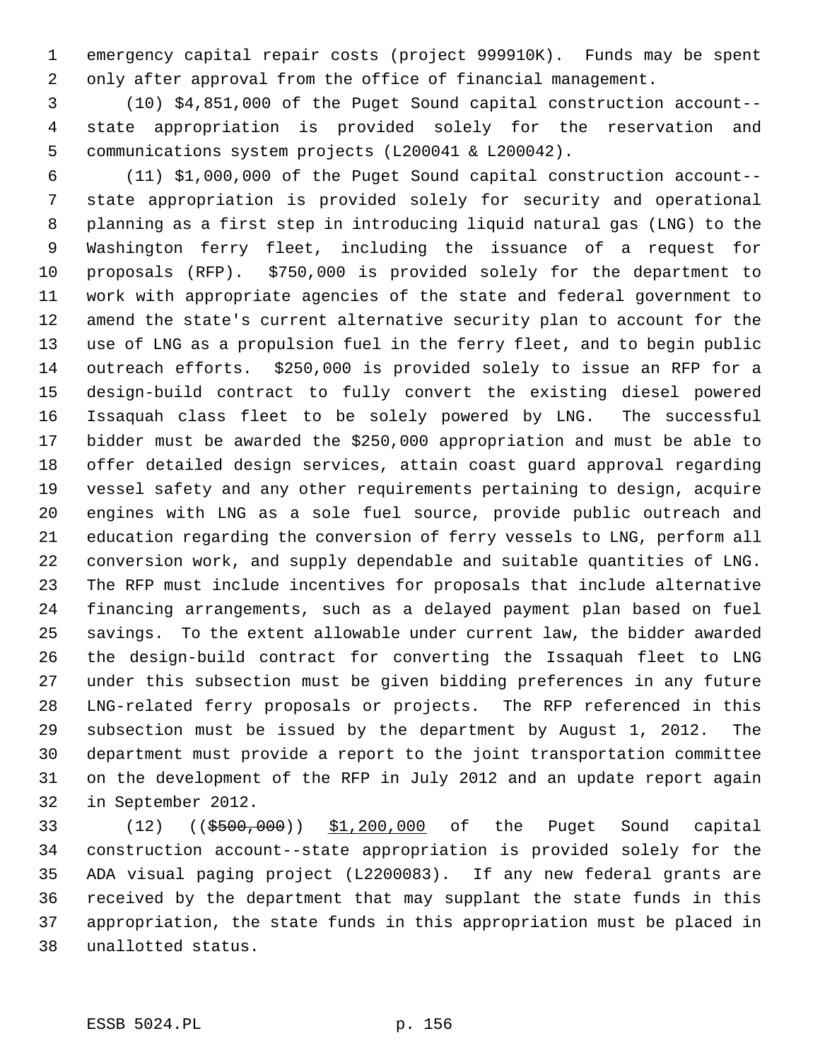1 emergency capital repair costs (project 999910K). Funds may be spent 2 only after approval from the office of financial management.

 3 (10) \$4,851,000 of the Puget Sound capital construction account-- 4 state appropriation is provided solely for the reservation and 5 communications system projects (L200041 & L200042).

 6 (11) \$1,000,000 of the Puget Sound capital construction account-- 7 state appropriation is provided solely for security and operational 8 planning as a first step in introducing liquid natural gas (LNG) to the 9 Washington ferry fleet, including the issuance of a request for 10 proposals (RFP). \$750,000 is provided solely for the department to 11 work with appropriate agencies of the state and federal government to 12 amend the state's current alternative security plan to account for the 13 use of LNG as a propulsion fuel in the ferry fleet, and to begin public 14 outreach efforts. \$250,000 is provided solely to issue an RFP for a 15 design-build contract to fully convert the existing diesel powered 16 Issaquah class fleet to be solely powered by LNG. The successful 17 bidder must be awarded the \$250,000 appropriation and must be able to 18 offer detailed design services, attain coast guard approval regarding 19 vessel safety and any other requirements pertaining to design, acquire 20 engines with LNG as a sole fuel source, provide public outreach and 21 education regarding the conversion of ferry vessels to LNG, perform all 22 conversion work, and supply dependable and suitable quantities of LNG. 23 The RFP must include incentives for proposals that include alternative 24 financing arrangements, such as a delayed payment plan based on fuel 25 savings. To the extent allowable under current law, the bidder awarded 26 the design-build contract for converting the Issaquah fleet to LNG 27 under this subsection must be given bidding preferences in any future 28 LNG-related ferry proposals or projects. The RFP referenced in this 29 subsection must be issued by the department by August 1, 2012. The 30 department must provide a report to the joint transportation committee 31 on the development of the RFP in July 2012 and an update report again 32 in September 2012.

33 (12) ((\$500,000)) \$1,200,000 of the Puget Sound capital 34 construction account--state appropriation is provided solely for the 35 ADA visual paging project (L2200083). If any new federal grants are 36 received by the department that may supplant the state funds in this 37 appropriation, the state funds in this appropriation must be placed in 38 unallotted status.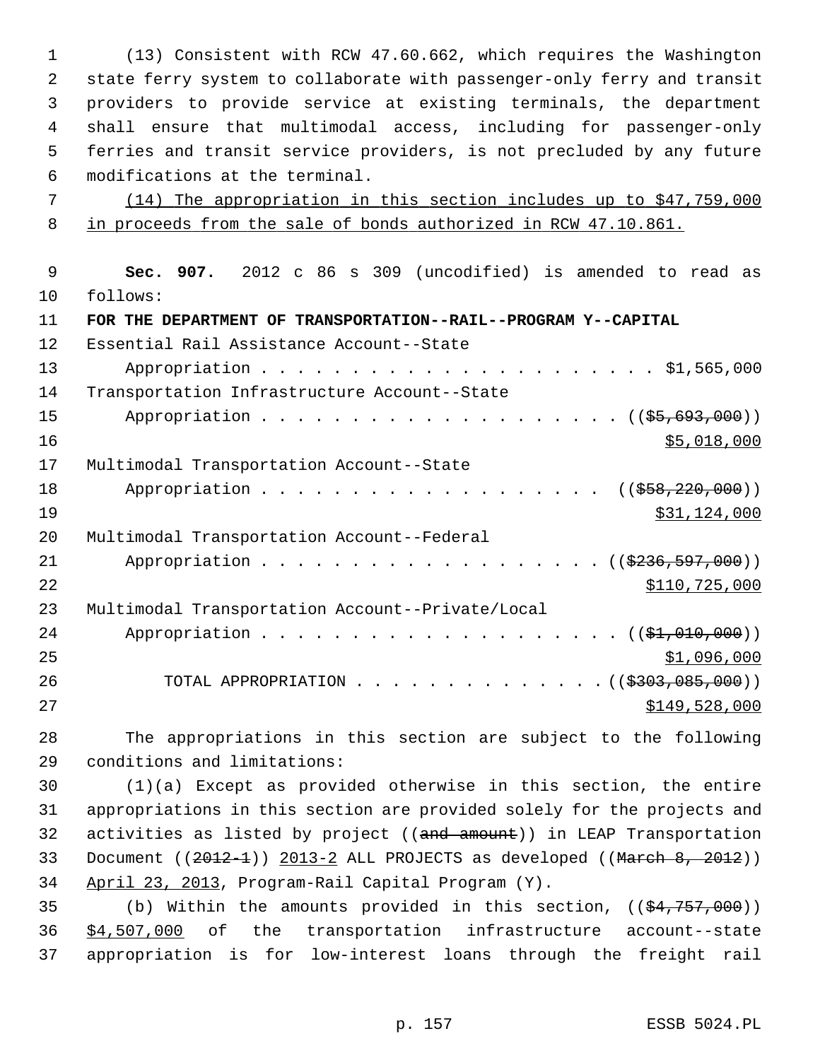1 (13) Consistent with RCW 47.60.662, which requires the Washington 2 state ferry system to collaborate with passenger-only ferry and transit 3 providers to provide service at existing terminals, the department 4 shall ensure that multimodal access, including for passenger-only 5 ferries and transit service providers, is not precluded by any future 6 modifications at the terminal.

 7 (14) The appropriation in this section includes up to \$47,759,000 8 in proceeds from the sale of bonds authorized in RCW 47.10.861.

 9 **Sec. 907.** 2012 c 86 s 309 (uncodified) is amended to read as 10 follows: 11 **FOR THE DEPARTMENT OF TRANSPORTATION--RAIL--PROGRAM Y--CAPITAL** 12 Essential Rail Assistance Account--State 13 Appropriation . . . . . . . . . . . . . . . . . . . . . . \$1,565,000 14 Transportation Infrastructure Account--State 15 Appropriation . . . . . . . . . . . . . . . . . . ((\$5,693,000)) 16 \$5,018,000 17 Multimodal Transportation Account--State 18 Appropriation . . . . . . . . . . . . . . . . . ((<del>\$58,220,000</del>))  $\frac{19}{31,124,000}$ 20 Multimodal Transportation Account--Federal 21 Appropriation . . . . . . . . . . . . . . . . . (  $(\frac{2236,597,000}{2})$ 22 \$110,725,000 23 Multimodal Transportation Account--Private/Local 24 Appropriation . . . . . . . . . . . . . . . . . . (  $(\frac{21}{101000})$  )  $25$   $$1,096,000$ 26 TOTAL APPROPRIATION . . . . . . . . . . . . . ((<del>\$303,085,000</del>)) 27 \$149,528,000

28 The appropriations in this section are subject to the following 29 conditions and limitations:

30 (1)(a) Except as provided otherwise in this section, the entire 31 appropriations in this section are provided solely for the projects and 32 activities as listed by project ((and amount)) in LEAP Transportation 33 Document  $((2012-1))$  2013-2 ALL PROJECTS as developed  $((\text{March } 8, 2012))$ 34 April 23, 2013, Program-Rail Capital Program (Y).

35 (b) Within the amounts provided in this section,  $((\frac{24}{757},000))$ 36 \$4,507,000 of the transportation infrastructure account--state 37 appropriation is for low-interest loans through the freight rail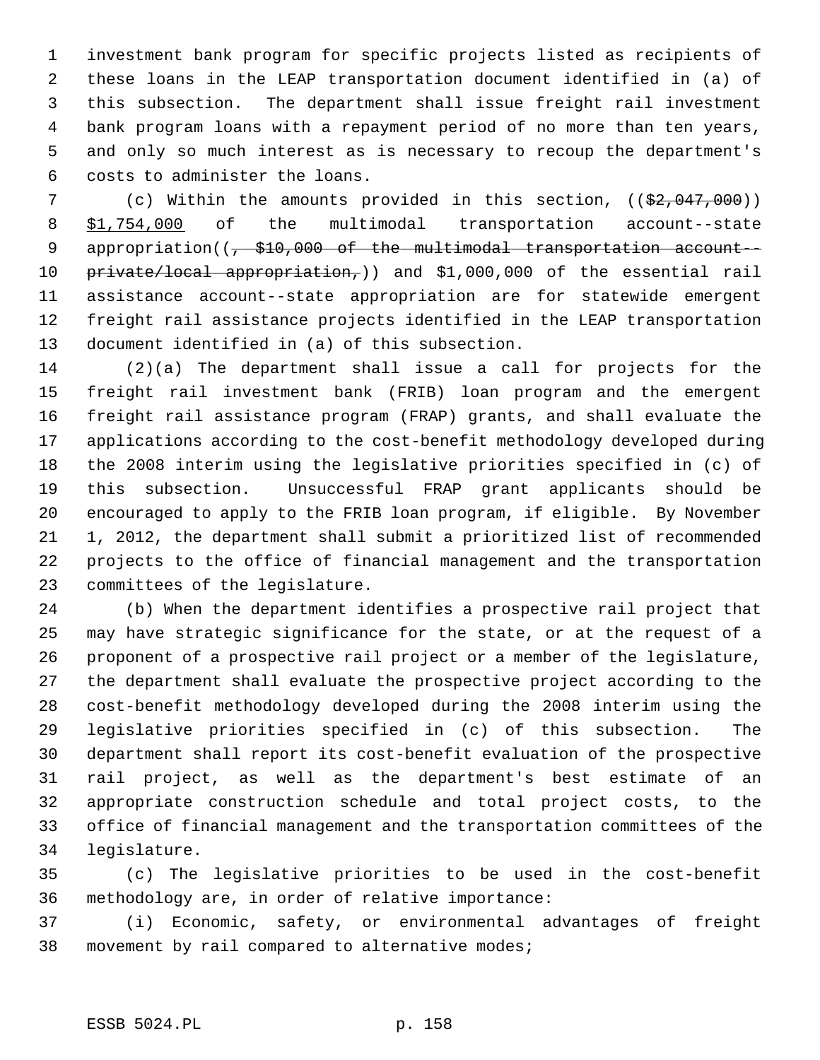1 investment bank program for specific projects listed as recipients of 2 these loans in the LEAP transportation document identified in (a) of 3 this subsection. The department shall issue freight rail investment 4 bank program loans with a repayment period of no more than ten years, 5 and only so much interest as is necessary to recoup the department's 6 costs to administer the loans.

7 (c) Within the amounts provided in this section, ((\$2,047,000)) 8 \$1,754,000 of the multimodal transportation account--state 9 appropriation((<del>, \$10,000 of the multimodal transportation account--</del> 10 private/local appropriation,)) and \$1,000,000 of the essential rail 11 assistance account--state appropriation are for statewide emergent 12 freight rail assistance projects identified in the LEAP transportation 13 document identified in (a) of this subsection.

14 (2)(a) The department shall issue a call for projects for the 15 freight rail investment bank (FRIB) loan program and the emergent 16 freight rail assistance program (FRAP) grants, and shall evaluate the 17 applications according to the cost-benefit methodology developed during 18 the 2008 interim using the legislative priorities specified in (c) of 19 this subsection. Unsuccessful FRAP grant applicants should be 20 encouraged to apply to the FRIB loan program, if eligible. By November 21 1, 2012, the department shall submit a prioritized list of recommended 22 projects to the office of financial management and the transportation 23 committees of the legislature.

24 (b) When the department identifies a prospective rail project that 25 may have strategic significance for the state, or at the request of a 26 proponent of a prospective rail project or a member of the legislature, 27 the department shall evaluate the prospective project according to the 28 cost-benefit methodology developed during the 2008 interim using the 29 legislative priorities specified in (c) of this subsection. The 30 department shall report its cost-benefit evaluation of the prospective 31 rail project, as well as the department's best estimate of an 32 appropriate construction schedule and total project costs, to the 33 office of financial management and the transportation committees of the 34 legislature.

35 (c) The legislative priorities to be used in the cost-benefit 36 methodology are, in order of relative importance:

37 (i) Economic, safety, or environmental advantages of freight 38 movement by rail compared to alternative modes;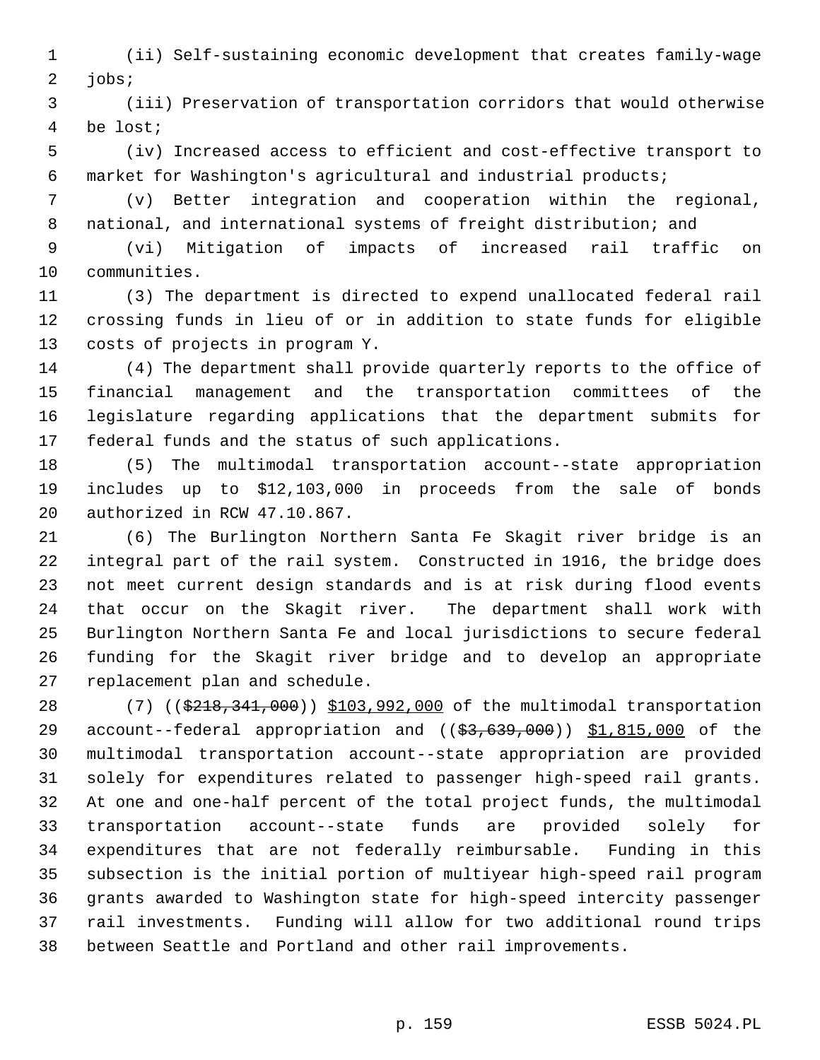1 (ii) Self-sustaining economic development that creates family-wage 2 jobs;

 3 (iii) Preservation of transportation corridors that would otherwise 4 be lost;

 5 (iv) Increased access to efficient and cost-effective transport to 6 market for Washington's agricultural and industrial products;

 7 (v) Better integration and cooperation within the regional, 8 national, and international systems of freight distribution; and

 9 (vi) Mitigation of impacts of increased rail traffic on 10 communities.

11 (3) The department is directed to expend unallocated federal rail 12 crossing funds in lieu of or in addition to state funds for eligible 13 costs of projects in program Y.

14 (4) The department shall provide quarterly reports to the office of 15 financial management and the transportation committees of the 16 legislature regarding applications that the department submits for 17 federal funds and the status of such applications.

18 (5) The multimodal transportation account--state appropriation 19 includes up to \$12,103,000 in proceeds from the sale of bonds 20 authorized in RCW 47.10.867.

21 (6) The Burlington Northern Santa Fe Skagit river bridge is an 22 integral part of the rail system. Constructed in 1916, the bridge does 23 not meet current design standards and is at risk during flood events 24 that occur on the Skagit river. The department shall work with 25 Burlington Northern Santa Fe and local jurisdictions to secure federal 26 funding for the Skagit river bridge and to develop an appropriate 27 replacement plan and schedule.

28 (7) ((\$218,341,000)) \$103,992,000 of the multimodal transportation 29 account--federal appropriation and ((\$3,639,000)) \$1,815,000 of the 30 multimodal transportation account--state appropriation are provided 31 solely for expenditures related to passenger high-speed rail grants. 32 At one and one-half percent of the total project funds, the multimodal 33 transportation account--state funds are provided solely for 34 expenditures that are not federally reimbursable. Funding in this 35 subsection is the initial portion of multiyear high-speed rail program 36 grants awarded to Washington state for high-speed intercity passenger 37 rail investments. Funding will allow for two additional round trips 38 between Seattle and Portland and other rail improvements.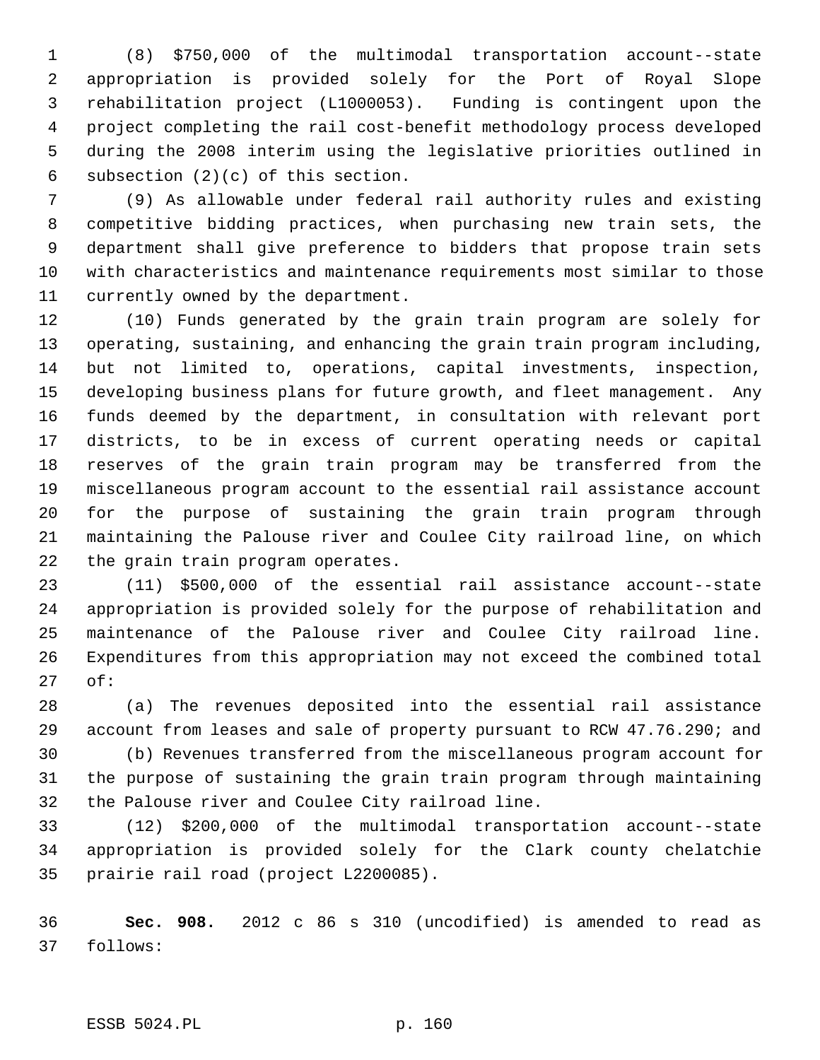1 (8) \$750,000 of the multimodal transportation account--state 2 appropriation is provided solely for the Port of Royal Slope 3 rehabilitation project (L1000053). Funding is contingent upon the 4 project completing the rail cost-benefit methodology process developed 5 during the 2008 interim using the legislative priorities outlined in 6 subsection (2)(c) of this section.

 7 (9) As allowable under federal rail authority rules and existing 8 competitive bidding practices, when purchasing new train sets, the 9 department shall give preference to bidders that propose train sets 10 with characteristics and maintenance requirements most similar to those 11 currently owned by the department.

12 (10) Funds generated by the grain train program are solely for 13 operating, sustaining, and enhancing the grain train program including, 14 but not limited to, operations, capital investments, inspection, 15 developing business plans for future growth, and fleet management. Any 16 funds deemed by the department, in consultation with relevant port 17 districts, to be in excess of current operating needs or capital 18 reserves of the grain train program may be transferred from the 19 miscellaneous program account to the essential rail assistance account 20 for the purpose of sustaining the grain train program through 21 maintaining the Palouse river and Coulee City railroad line, on which 22 the grain train program operates.

23 (11) \$500,000 of the essential rail assistance account--state 24 appropriation is provided solely for the purpose of rehabilitation and 25 maintenance of the Palouse river and Coulee City railroad line. 26 Expenditures from this appropriation may not exceed the combined total 27 of:

28 (a) The revenues deposited into the essential rail assistance 29 account from leases and sale of property pursuant to RCW 47.76.290; and

30 (b) Revenues transferred from the miscellaneous program account for 31 the purpose of sustaining the grain train program through maintaining 32 the Palouse river and Coulee City railroad line.

33 (12) \$200,000 of the multimodal transportation account--state 34 appropriation is provided solely for the Clark county chelatchie 35 prairie rail road (project L2200085).

36 **Sec. 908.** 2012 c 86 s 310 (uncodified) is amended to read as 37 follows: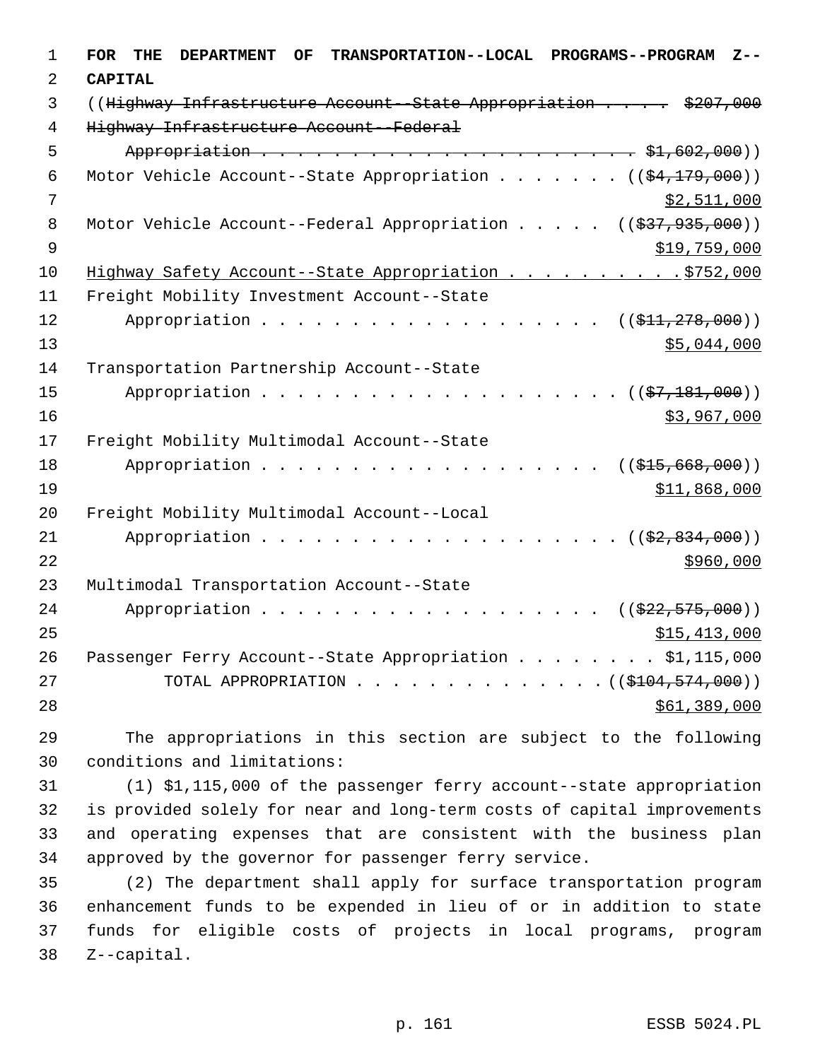| 1              | <b>FOR</b><br><b>DEPARTMENT</b><br><b>TRANSPORTATION--LOCAL</b><br><b>PROGRAMS--PROGRAM</b><br>THE<br><b>OF</b><br>$Z - -$ |
|----------------|----------------------------------------------------------------------------------------------------------------------------|
| 2              | <b>CAPITAL</b>                                                                                                             |
| 3              | ((Highway Infrastructure Account--State Appropriation \$207,000                                                            |
| $\overline{4}$ | Highway Infrastructure Account--Federal                                                                                    |
| 5              |                                                                                                                            |
| 6              | Motor Vehicle Account--State Appropriation ( $(\frac{24,179,000}{2})$ )                                                    |
| 7              | \$2,511,000                                                                                                                |
| 8              | Motor Vehicle Account--Federal Appropriation $($ $($ \$37,935,000))                                                        |
| 9              | \$19,759,000                                                                                                               |
| 10             | Highway Safety Account--State Appropriation \$752,000                                                                      |
| 11             | Freight Mobility Investment Account--State                                                                                 |
| 12             | $((\frac{11}{71}, \frac{278}{100})$                                                                                        |
| 13             | \$5,044,000                                                                                                                |
| 14             | Transportation Partnership Account--State                                                                                  |
| 15             | Appropriation<br>$((\frac{27}{7}, \frac{181}{900}))$                                                                       |
| 16             | \$3,967,000                                                                                                                |
| 17             | Freight Mobility Multimodal Account--State                                                                                 |
| 18             | Appropriation<br>$((\$15,668,000))$                                                                                        |
| 19             | \$11,868,000                                                                                                               |
| 20             | Freight Mobility Multimodal Account--Local                                                                                 |
| 21             | Appropriation<br>$((\frac{2}{72}, 834, 000))$                                                                              |
| 22             | \$960,000                                                                                                                  |
| 23             | Multimodal Transportation Account--State                                                                                   |
| 24             | Appropriation<br>$((\frac{222}{7575},000))$<br>$\sim$ $\sim$ $\sim$ $\sim$ $\sim$                                          |
| 25             | \$15,413,000                                                                                                               |
| 26             | Passenger Ferry Account--State Appropriation \$1,115,000                                                                   |
| 27             | TOTAL APPROPRIATION<br>$\ldots$ , $((\frac{1000}{2104}, \frac{574}{200}))$                                                 |
| 28             | \$61,389,000                                                                                                               |

29 The appropriations in this section are subject to the following 30 conditions and limitations:

31 (1) \$1,115,000 of the passenger ferry account--state appropriation 32 is provided solely for near and long-term costs of capital improvements 33 and operating expenses that are consistent with the business plan 34 approved by the governor for passenger ferry service.

35 (2) The department shall apply for surface transportation program 36 enhancement funds to be expended in lieu of or in addition to state 37 funds for eligible costs of projects in local programs, program 38 Z--capital.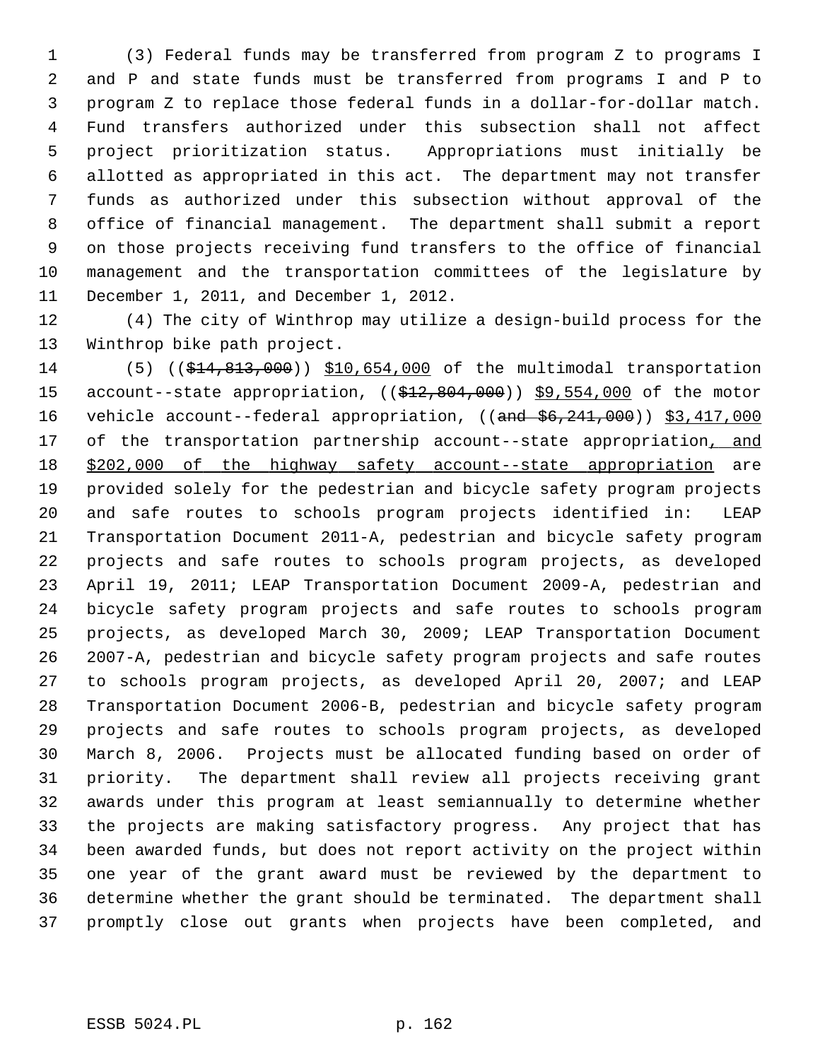1 (3) Federal funds may be transferred from program Z to programs I 2 and P and state funds must be transferred from programs I and P to 3 program Z to replace those federal funds in a dollar-for-dollar match. 4 Fund transfers authorized under this subsection shall not affect 5 project prioritization status. Appropriations must initially be 6 allotted as appropriated in this act. The department may not transfer 7 funds as authorized under this subsection without approval of the 8 office of financial management. The department shall submit a report 9 on those projects receiving fund transfers to the office of financial 10 management and the transportation committees of the legislature by 11 December 1, 2011, and December 1, 2012.

12 (4) The city of Winthrop may utilize a design-build process for the 13 Winthrop bike path project.

14 (5) ((\$14,813,000)) \$10,654,000 of the multimodal transportation 15 account--state appropriation, ((\$12,804,000)) \$9,554,000 of the motor 16 vehicle account--federal appropriation, ((and  $$6,241,000$ ) \$3,417,000 17 of the transportation partnership account--state appropriation, and 18 \$202,000 of the highway safety account--state appropriation are 19 provided solely for the pedestrian and bicycle safety program projects 20 and safe routes to schools program projects identified in: LEAP 21 Transportation Document 2011-A, pedestrian and bicycle safety program 22 projects and safe routes to schools program projects, as developed 23 April 19, 2011; LEAP Transportation Document 2009-A, pedestrian and 24 bicycle safety program projects and safe routes to schools program 25 projects, as developed March 30, 2009; LEAP Transportation Document 26 2007-A, pedestrian and bicycle safety program projects and safe routes 27 to schools program projects, as developed April 20, 2007; and LEAP 28 Transportation Document 2006-B, pedestrian and bicycle safety program 29 projects and safe routes to schools program projects, as developed 30 March 8, 2006. Projects must be allocated funding based on order of 31 priority. The department shall review all projects receiving grant 32 awards under this program at least semiannually to determine whether 33 the projects are making satisfactory progress. Any project that has 34 been awarded funds, but does not report activity on the project within 35 one year of the grant award must be reviewed by the department to 36 determine whether the grant should be terminated. The department shall 37 promptly close out grants when projects have been completed, and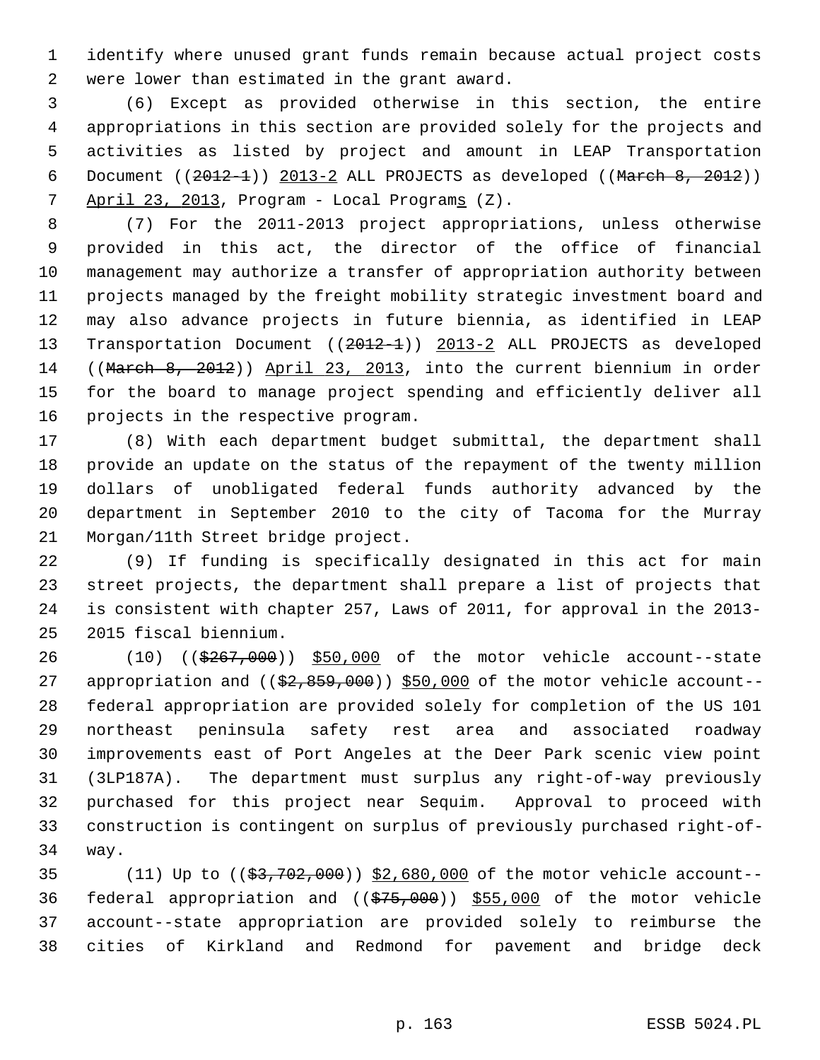1 identify where unused grant funds remain because actual project costs 2 were lower than estimated in the grant award.

 3 (6) Except as provided otherwise in this section, the entire 4 appropriations in this section are provided solely for the projects and 5 activities as listed by project and amount in LEAP Transportation 6 Document  $((2012-1))$  2013-2 ALL PROJECTS as developed  $((March 8, 2012))$ 7 April 23, 2013, Program - Local Programs (Z).

 8 (7) For the 2011-2013 project appropriations, unless otherwise 9 provided in this act, the director of the office of financial 10 management may authorize a transfer of appropriation authority between 11 projects managed by the freight mobility strategic investment board and 12 may also advance projects in future biennia, as identified in LEAP 13 Transportation Document ((2012-1)) 2013-2 ALL PROJECTS as developed 14 ((March 8, 2012)) April 23, 2013, into the current biennium in order 15 for the board to manage project spending and efficiently deliver all 16 projects in the respective program.

17 (8) With each department budget submittal, the department shall 18 provide an update on the status of the repayment of the twenty million 19 dollars of unobligated federal funds authority advanced by the 20 department in September 2010 to the city of Tacoma for the Murray 21 Morgan/11th Street bridge project.

22 (9) If funding is specifically designated in this act for main 23 street projects, the department shall prepare a list of projects that 24 is consistent with chapter 257, Laws of 2011, for approval in the 2013- 25 2015 fiscal biennium.

26 (10) ((\$267,000)) \$50,000 of the motor vehicle account--state 27 appropriation and  $($   $(*2, 859, 000)$   $$50,000$  of the motor vehicle account--28 federal appropriation are provided solely for completion of the US 101 29 northeast peninsula safety rest area and associated roadway 30 improvements east of Port Angeles at the Deer Park scenic view point 31 (3LP187A). The department must surplus any right-of-way previously 32 purchased for this project near Sequim. Approval to proceed with 33 construction is contingent on surplus of previously purchased right-of-34 way.

35 (11) Up to ((\$3,702,000)) \$2,680,000 of the motor vehicle account-- 36 federal appropriation and  $((\frac{275}{000}))$  \$55,000 of the motor vehicle 37 account--state appropriation are provided solely to reimburse the 38 cities of Kirkland and Redmond for pavement and bridge deck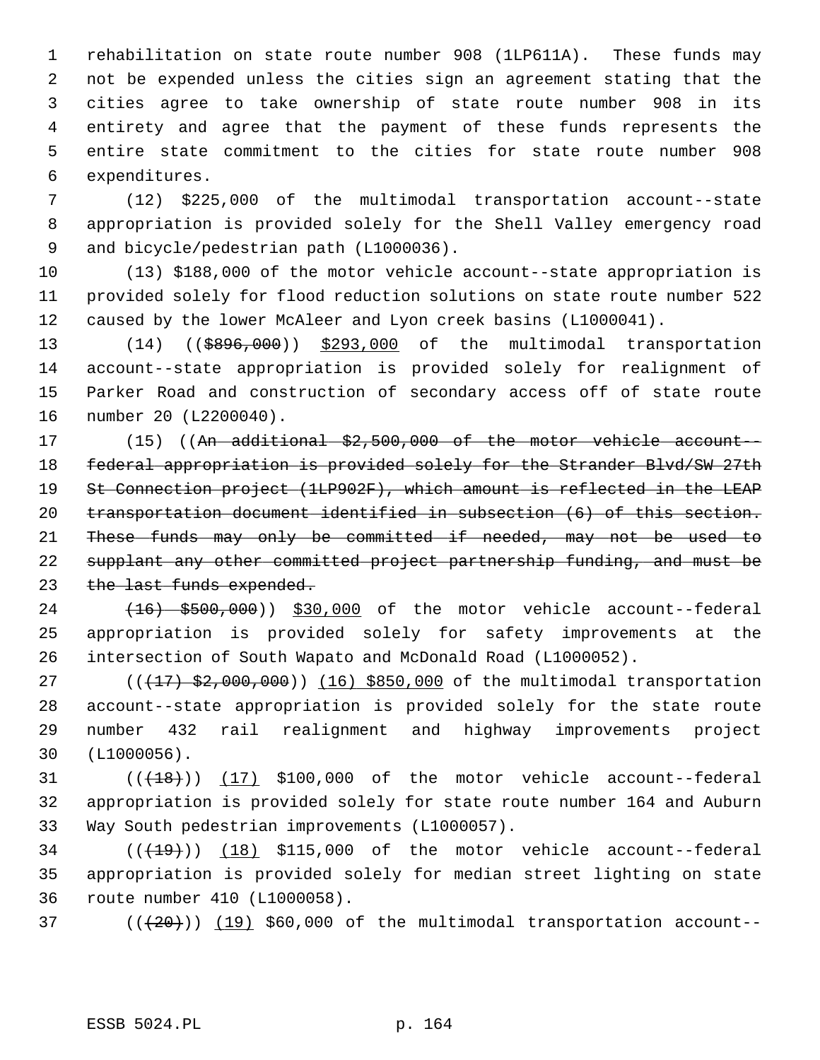1 rehabilitation on state route number 908 (1LP611A). These funds may 2 not be expended unless the cities sign an agreement stating that the 3 cities agree to take ownership of state route number 908 in its 4 entirety and agree that the payment of these funds represents the 5 entire state commitment to the cities for state route number 908 6 expenditures.

 7 (12) \$225,000 of the multimodal transportation account--state 8 appropriation is provided solely for the Shell Valley emergency road 9 and bicycle/pedestrian path (L1000036).

10 (13) \$188,000 of the motor vehicle account--state appropriation is 11 provided solely for flood reduction solutions on state route number 522 12 caused by the lower McAleer and Lyon creek basins (L1000041).

13 (14) ((\$896,000)) \$293,000 of the multimodal transportation 14 account--state appropriation is provided solely for realignment of 15 Parker Road and construction of secondary access off of state route 16 number 20 (L2200040).

17 (15) ((An additional \$2,500,000 of the motor vehicle account--18 federal appropriation is provided solely for the Strander Blvd/SW 27th 19 St Connection project (1LP902F), which amount is reflected in the LEAP 20 transportation document identified in subsection (6) of this section. 21 These funds may only be committed if needed, may not be used to 22 supplant any other committed project partnership funding, and must be 23 the last funds expended.

24 (16) \$500,000) \$30,000 of the motor vehicle account--federal 25 appropriation is provided solely for safety improvements at the 26 intersection of South Wapato and McDonald Road (L1000052).

27  $((17)$   $$2,000,000)$   $(16)$  \$850,000 of the multimodal transportation 28 account--state appropriation is provided solely for the state route 29 number 432 rail realignment and highway improvements project 30 (L1000056).

31  $((+18))$   $(17)$  \$100,000 of the motor vehicle account--federal 32 appropriation is provided solely for state route number 164 and Auburn 33 Way South pedestrian improvements (L1000057).

 $34$  ( $(\overline{+19})$ ) (18) \$115,000 of the motor vehicle account--federal 35 appropriation is provided solely for median street lighting on state 36 route number 410 (L1000058).

 $(1, 20)$  ( $(19)$  \$60,000 of the multimodal transportation account--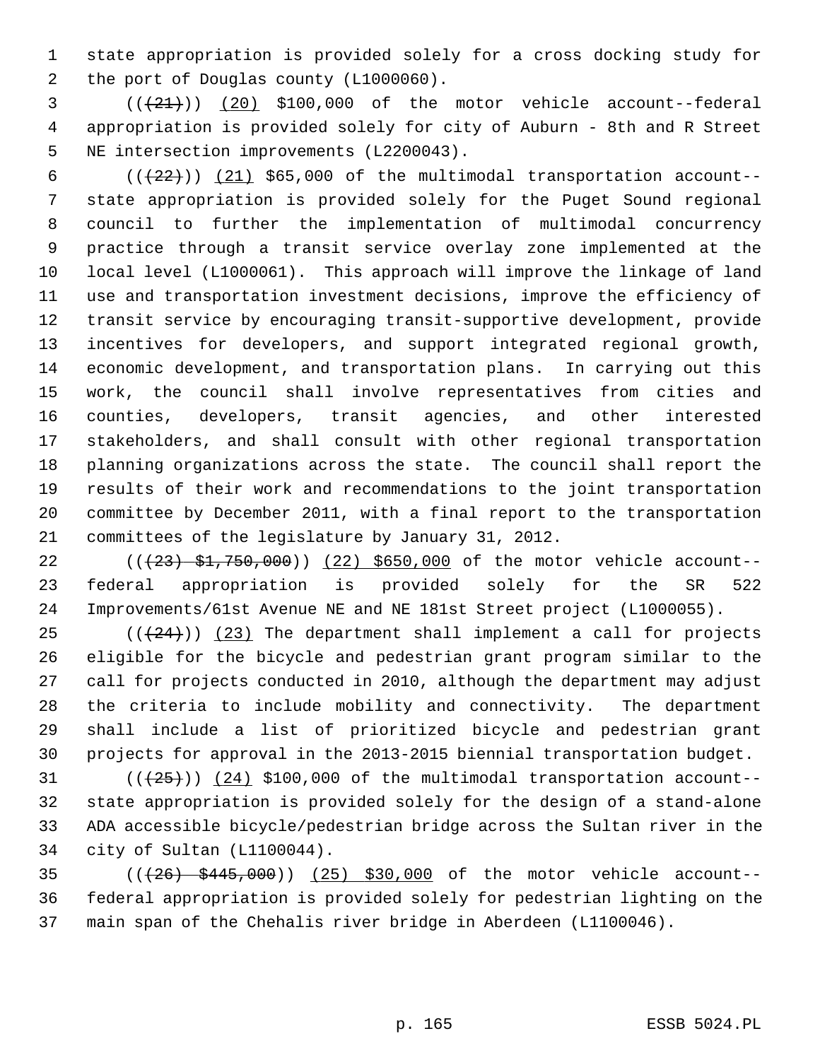1 state appropriation is provided solely for a cross docking study for 2 the port of Douglas county (L1000060).

 $(3$   $((+21))$   $(20)$  \$100,000 of the motor vehicle account--federal 4 appropriation is provided solely for city of Auburn - 8th and R Street 5 NE intersection improvements (L2200043).

 $6$  ( $(\frac{22}{2})$ ) (21) \$65,000 of the multimodal transportation account-- 7 state appropriation is provided solely for the Puget Sound regional 8 council to further the implementation of multimodal concurrency 9 practice through a transit service overlay zone implemented at the 10 local level (L1000061). This approach will improve the linkage of land 11 use and transportation investment decisions, improve the efficiency of 12 transit service by encouraging transit-supportive development, provide 13 incentives for developers, and support integrated regional growth, 14 economic development, and transportation plans. In carrying out this 15 work, the council shall involve representatives from cities and 16 counties, developers, transit agencies, and other interested 17 stakeholders, and shall consult with other regional transportation 18 planning organizations across the state. The council shall report the 19 results of their work and recommendations to the joint transportation 20 committee by December 2011, with a final report to the transportation 21 committees of the legislature by January 31, 2012.

22 (( $(23)$  \$1,750,000)) (22) \$650,000 of the motor vehicle account--23 federal appropriation is provided solely for the SR 522 24 Improvements/61st Avenue NE and NE 181st Street project (L1000055).

25  $((+24))$   $(23)$  The department shall implement a call for projects 26 eligible for the bicycle and pedestrian grant program similar to the 27 call for projects conducted in 2010, although the department may adjust 28 the criteria to include mobility and connectivity. The department 29 shall include a list of prioritized bicycle and pedestrian grant 30 projects for approval in the 2013-2015 biennial transportation budget.

31  $((+25))$   $(24)$  \$100,000 of the multimodal transportation account--32 state appropriation is provided solely for the design of a stand-alone 33 ADA accessible bicycle/pedestrian bridge across the Sultan river in the 34 city of Sultan (L1100044).

35 (((26) \$445,000)) (25) \$30,000 of the motor vehicle account-- 36 federal appropriation is provided solely for pedestrian lighting on the 37 main span of the Chehalis river bridge in Aberdeen (L1100046).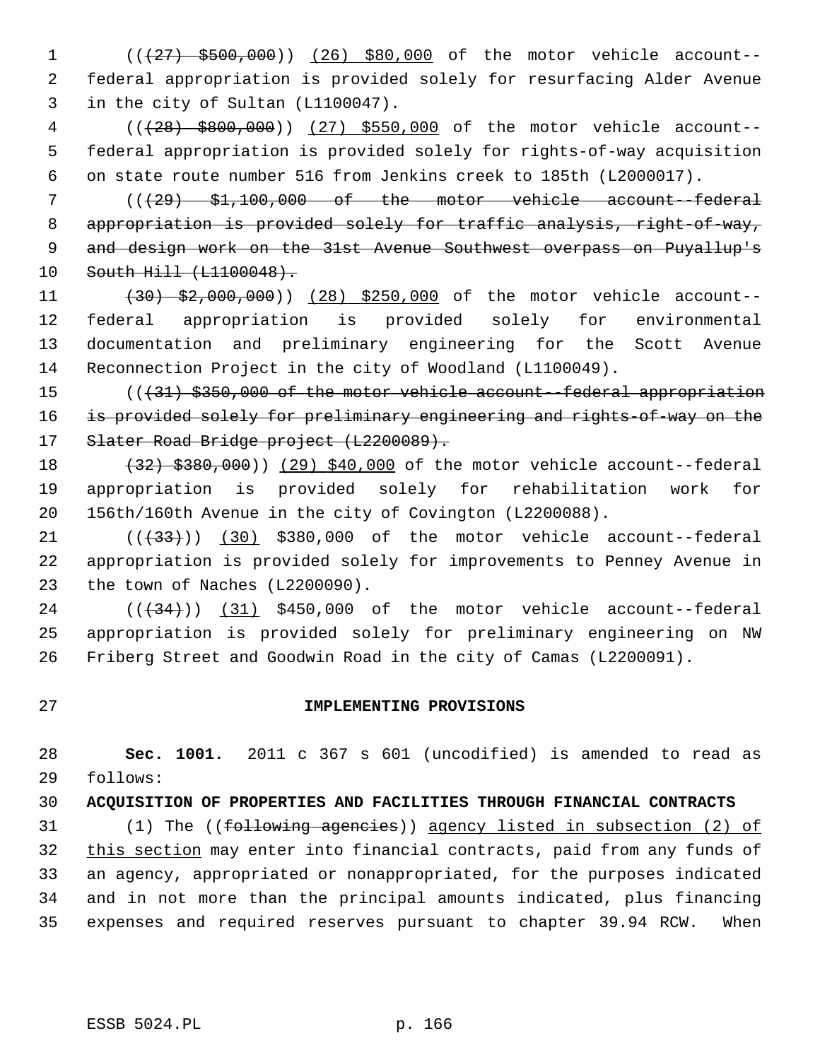1 (( $\left(27\right)$  \$500,000)) (26) \$80,000 of the motor vehicle account-- 2 federal appropriation is provided solely for resurfacing Alder Avenue 3 in the city of Sultan (L1100047).

 4 (((28) \$800,000)) (27) \$550,000 of the motor vehicle account-- 5 federal appropriation is provided solely for rights-of-way acquisition 6 on state route number 516 from Jenkins creek to 185th (L2000017).

 7 (((29) \$1,100,000 of the motor vehicle account--federal 8 appropriation is provided solely for traffic analysis, right-of-way, 9 and design work on the 31st Avenue Southwest overpass on Puyallup's 10 South Hill (L1100048).

11 (30) \$2,000,000)) (28) \$250,000 of the motor vehicle account-- 12 federal appropriation is provided solely for environmental 13 documentation and preliminary engineering for the Scott Avenue 14 Reconnection Project in the city of Woodland (L1100049).

15 (((31) \$350,000 of the motor vehicle account--federal appropriation 16 is provided solely for preliminary engineering and rights-of-way on the 17 Slater Road Bridge project (L2200089).

18 (32) \$380,000)) (29) \$40,000 of the motor vehicle account--federal 19 appropriation is provided solely for rehabilitation work for 20 156th/160th Avenue in the city of Covington (L2200088).

 $(1)$  (( $(33)$ ) (30) \$380,000 of the motor vehicle account--federal 22 appropriation is provided solely for improvements to Penney Avenue in 23 the town of Naches (L2200090).

 $24$  ( $(\overline{34})$ ) (31) \$450,000 of the motor vehicle account--federal 25 appropriation is provided solely for preliminary engineering on NW 26 Friberg Street and Goodwin Road in the city of Camas (L2200091).

## 27 **IMPLEMENTING PROVISIONS**

28 **Sec. 1001.** 2011 c 367 s 601 (uncodified) is amended to read as 29 follows:

30 **ACQUISITION OF PROPERTIES AND FACILITIES THROUGH FINANCIAL CONTRACTS**

31 (1) The ((following agencies)) agency listed in subsection (2) of 32 this section may enter into financial contracts, paid from any funds of 33 an agency, appropriated or nonappropriated, for the purposes indicated 34 and in not more than the principal amounts indicated, plus financing 35 expenses and required reserves pursuant to chapter 39.94 RCW. When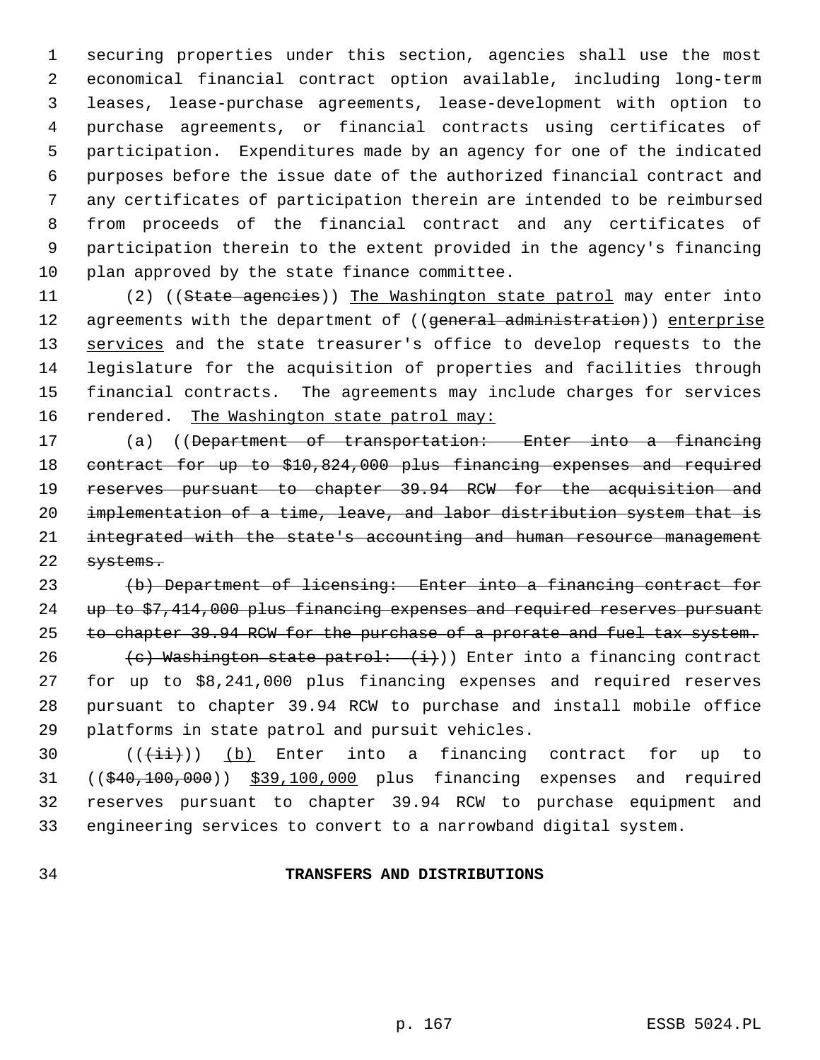1 securing properties under this section, agencies shall use the most 2 economical financial contract option available, including long-term 3 leases, lease-purchase agreements, lease-development with option to 4 purchase agreements, or financial contracts using certificates of 5 participation. Expenditures made by an agency for one of the indicated 6 purposes before the issue date of the authorized financial contract and 7 any certificates of participation therein are intended to be reimbursed 8 from proceeds of the financial contract and any certificates of 9 participation therein to the extent provided in the agency's financing 10 plan approved by the state finance committee.

11 (2) ((State agencies)) The Washington state patrol may enter into 12 agreements with the department of ((general administration)) enterprise 13 services and the state treasurer's office to develop requests to the 14 legislature for the acquisition of properties and facilities through 15 financial contracts. The agreements may include charges for services 16 rendered. The Washington state patrol may:

17 (a) ((Department of transportation: Enter into a financing 18 contract for up to \$10,824,000 plus financing expenses and required 19 reserves pursuant to chapter 39.94 RCW for the acquisition and 20 implementation of a time, leave, and labor distribution system that is 21 integrated with the state's accounting and human resource management 22 systems.

23 (b) Department of licensing: Enter into a financing contract for 24 up to \$7,414,000 plus financing expenses and required reserves pursuant 25 to chapter 39.94 RCW for the purchase of a prorate and fuel tax system. 26 (c) Washington state patrol:  $(i)$ ) Enter into a financing contract 27 for up to \$8,241,000 plus financing expenses and required reserves 28 pursuant to chapter 39.94 RCW to purchase and install mobile office 29 platforms in state patrol and pursuit vehicles.

30  $((\overrightarrow{\pm}i))$  (b) Enter into a financing contract for up to 31 ((\$40,100,000)) \$39,100,000 plus financing expenses and required 32 reserves pursuant to chapter 39.94 RCW to purchase equipment and 33 engineering services to convert to a narrowband digital system.

### 34 **TRANSFERS AND DISTRIBUTIONS**

p. 167 ESSB 5024.PL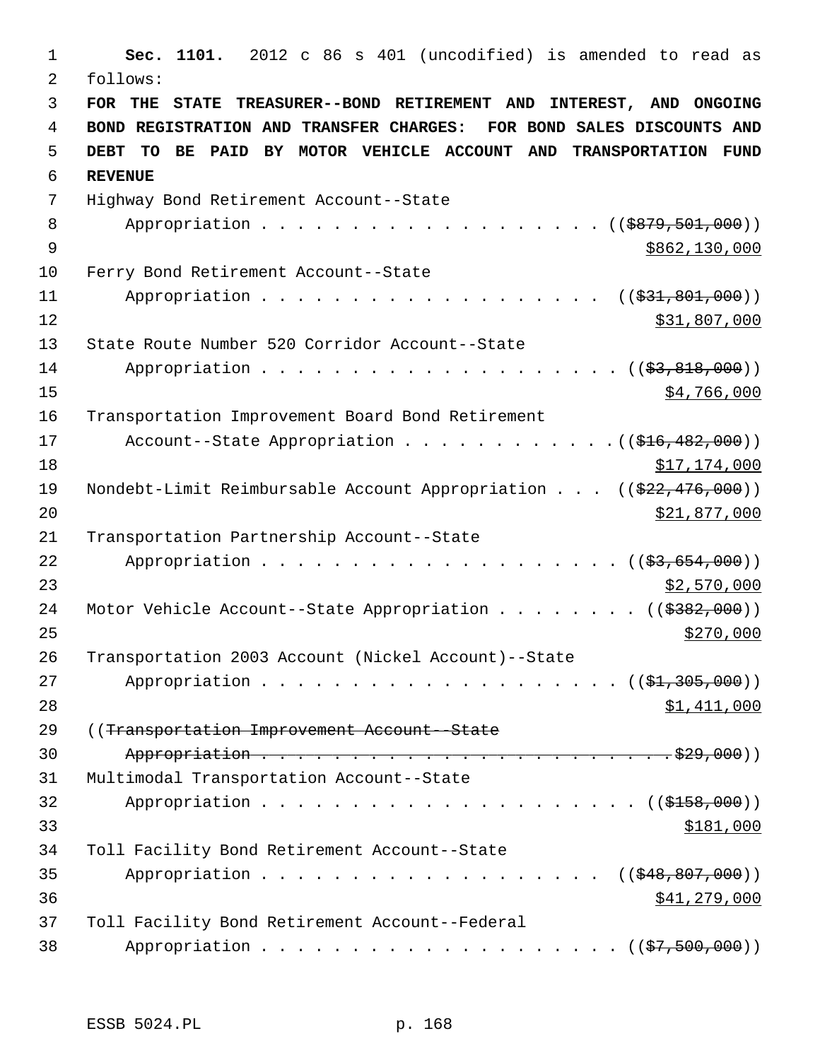1 **Sec. 1101.** 2012 c 86 s 401 (uncodified) is amended to read as 2 follows: 3 **FOR THE STATE TREASURER--BOND RETIREMENT AND INTEREST, AND ONGOING** 4 **BOND REGISTRATION AND TRANSFER CHARGES: FOR BOND SALES DISCOUNTS AND** 5 **DEBT TO BE PAID BY MOTOR VEHICLE ACCOUNT AND TRANSPORTATION FUND** 6 **REVENUE** 7 Highway Bond Retirement Account--State 8 Appropriation . . . . . . . . . . . . . . . . . (  $(\frac{2879,501,000}{1,000})$ 9 \$862,130,000 \$9862,130,000 \$9862,130,000 \$9862,130,000 \$9862,130,000 \$9862,130,000 \$9862,130,000 \$9862,130,000 \$9862,130,000 \$9862,130,000 \$9862,130,000 \$9862,130,000 \$9862,130,000 \$9862,130,000 \$9862,130,000 \$9862,130,0 10 Ferry Bond Retirement Account--State 11 Appropriation . . . . . . . . . . . . . . . . . ((\$31,801,000)) 12 \$31,807,000 13 State Route Number 520 Corridor Account--State 14 Appropriation . . . . . . . . . . . . . . . . . . (  $(\frac{23}{83}, \frac{818}{100})$  )  $15$  \$4,766,000 16 Transportation Improvement Board Bond Retirement 17 Account--State Appropriation . . . . . . . . . . . . ((\$16,482,000)) 18 \$17,174,000 19 Nondebt-Limit Reimbursable Account Appropriation . . . ((\$22,476,000)) 20 \$21,877,000 21 Transportation Partnership Account--State 22 Appropriation . . . . . . . . . . . . . . . . .  $(33,654,000)$ 23 \$2,570,000 24 Motor Vehicle Account--State Appropriation . . . . . . . ((\$382,000))  $25$ 26 Transportation 2003 Account (Nickel Account)--State 27 Appropriation . . . . . . . . . . . . . . . . . . (  $(\frac{21}{21}, \frac{305}{100})$  ) 28 \$1,411,000 29 ((Transportation Improvement Account--State 30 Appropriation . . . . . . . . . . . . . . . . . . . . . . . \$29,000)) 31 Multimodal Transportation Account--State 32 Appropriation . . . . . . . . . . . . . . . . . . . . . ((\$158,000))  $33$   $$181,000$ 34 Toll Facility Bond Retirement Account--State 35 Appropriation . . . . . . . . . . . . . . . . . ((\$48,807,000)) 36 \$41,279,000 37 Toll Facility Bond Retirement Account--Federal 38 Appropriation . . . . . . . . . . . . . . . . . . (  $(\frac{27}{500},000)$  )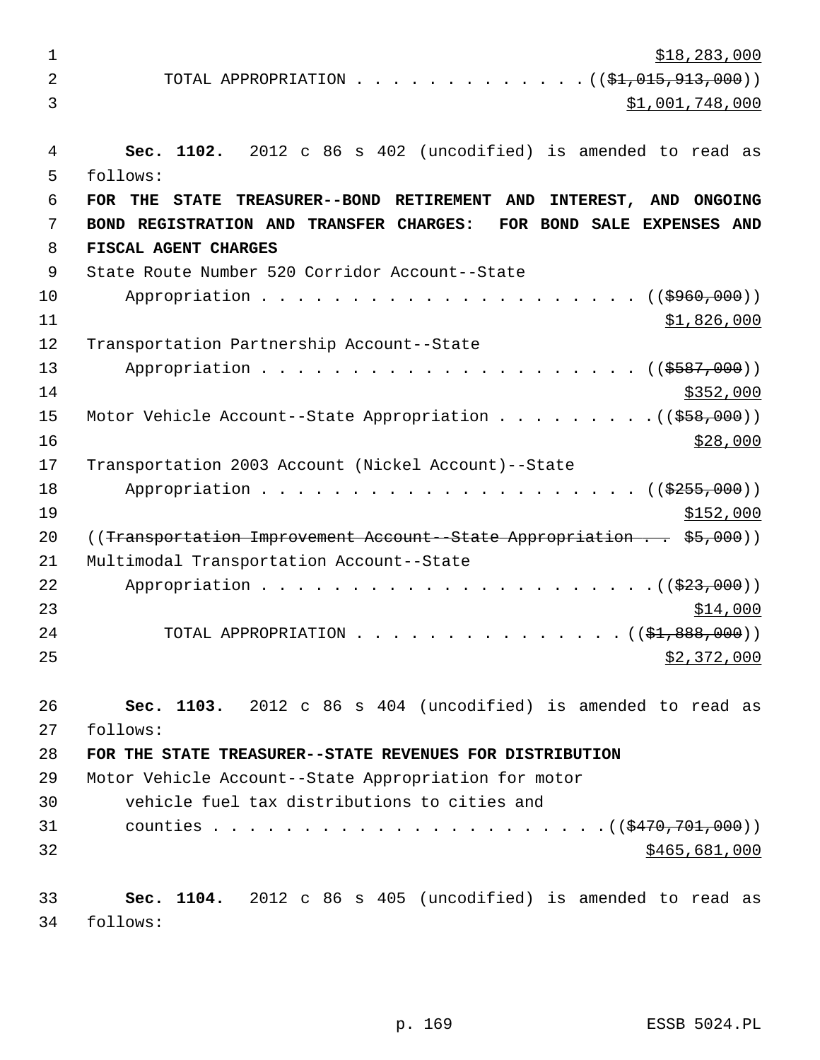$\frac{$18,283,000}{ }$ 2 TOTAL APPROPRIATION . . . . . . . . . . . . ((<del>\$1,015,913,000</del>)) 3 \$1,001,748,000 4 **Sec. 1102.** 2012 c 86 s 402 (uncodified) is amended to read as 5 follows: 6 **FOR THE STATE TREASURER--BOND RETIREMENT AND INTEREST, AND ONGOING** 7 **BOND REGISTRATION AND TRANSFER CHARGES: FOR BOND SALE EXPENSES AND** 8 **FISCAL AGENT CHARGES**  9 State Route Number 520 Corridor Account--State 10 Appropriation . . . . . . . . . . . . . . . . . . ((\$960,000))  $11$  \$1,826,000 12 Transportation Partnership Account--State 13 Appropriation . . . . . . . . . . . . . . . . . . . . . ((\$587,000))  $14$  \$352,000 15 Motor Vehicle Account--State Appropriation . . . . . . . . . ((\$58,000))  $16$  \$28,000 17 Transportation 2003 Account (Nickel Account)--State 18 Appropriation . . . . . . . . . . . . . . . . . . ((\$255,000))  $19$  \$152,000 20 ((Transportation Improvement Account--State Appropriation . . \$5,000)) 21 Multimodal Transportation Account--State 22 Appropriation . . . . . . . . . . . . . . . . . . . . . .((\$23,000))  $23$   $\frac{$14,000}{}$ 24 TOTAL APPROPRIATION . . . . . . . . . . . . . . ((<del>\$1,888,000</del>))  $25$   $$2,372,000$ 26 **Sec. 1103.** 2012 c 86 s 404 (uncodified) is amended to read as 27 follows: 28 **FOR THE STATE TREASURER--STATE REVENUES FOR DISTRIBUTION** 29 Motor Vehicle Account--State Appropriation for motor 30 vehicle fuel tax distributions to cities and 31 counties . . . . . . . . . . . . . . . . . . . . . .((\$470,701,000))  $32$  \$465,681,000 33 **Sec. 1104.** 2012 c 86 s 405 (uncodified) is amended to read as 34 follows: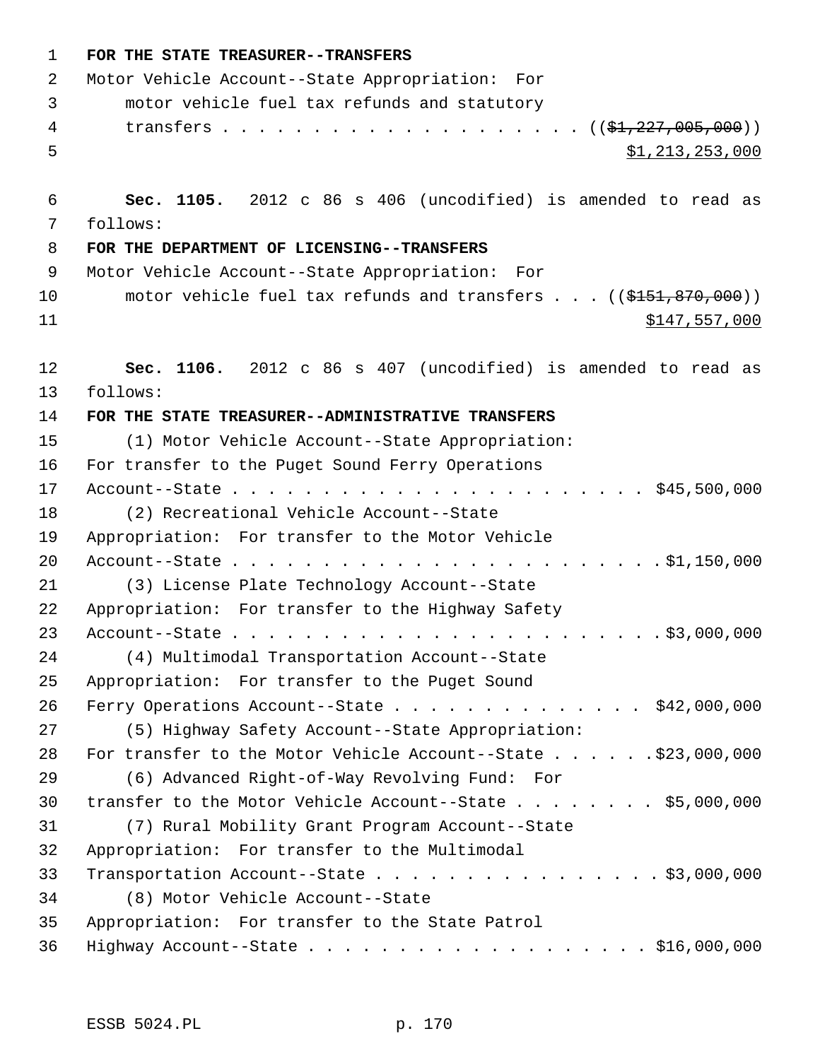| 1  | FOR THE STATE TREASURER--TRANSFERS                                      |
|----|-------------------------------------------------------------------------|
| 2  | Motor Vehicle Account--State Appropriation: For                         |
| 3  | motor vehicle fuel tax refunds and statutory                            |
| 4  |                                                                         |
| 5  | \$1,213,253,000                                                         |
| 6  | Sec. 1105. 2012 c 86 s 406 (uncodified) is amended to read as           |
| 7  | follows:                                                                |
| 8  | FOR THE DEPARTMENT OF LICENSING--TRANSFERS                              |
| 9  | Motor Vehicle Account--State Appropriation: For                         |
| 10 | motor vehicle fuel tax refunds and transfers $\ldots$ ((\$151,870,000)) |
| 11 | \$147,557,000                                                           |
| 12 | Sec. 1106. 2012 c 86 s 407 (uncodified) is amended to read as           |
| 13 | follows:                                                                |
| 14 | FOR THE STATE TREASURER--ADMINISTRATIVE TRANSFERS                       |
| 15 | (1) Motor Vehicle Account--State Appropriation:                         |
| 16 | For transfer to the Puget Sound Ferry Operations                        |
| 17 |                                                                         |
| 18 | (2) Recreational Vehicle Account--State                                 |
| 19 | Appropriation: For transfer to the Motor Vehicle                        |
| 20 |                                                                         |
| 21 | (3) License Plate Technology Account--State                             |
| 22 | Appropriation: For transfer to the Highway Safety                       |
| 23 |                                                                         |
| 24 | (4) Multimodal Transportation Account--State                            |
| 25 | Appropriation: For transfer to the Puget Sound                          |
| 26 | Ferry Operations Account--State \$42,000,000                            |
| 27 | (5) Highway Safety Account--State Appropriation:                        |
| 28 |                                                                         |
| 29 | (6) Advanced Right-of-Way Revolving Fund: For                           |
| 30 | transfer to the Motor Vehicle Account--State \$5,000,000                |
| 31 | (7) Rural Mobility Grant Program Account--State                         |
| 32 | Appropriation: For transfer to the Multimodal                           |
| 33 | Transportation Account--State \$3,000,000                               |
| 34 | (8) Motor Vehicle Account--State                                        |
| 35 | Appropriation: For transfer to the State Patrol                         |
| 36 | Highway Account--State \$16,000,000                                     |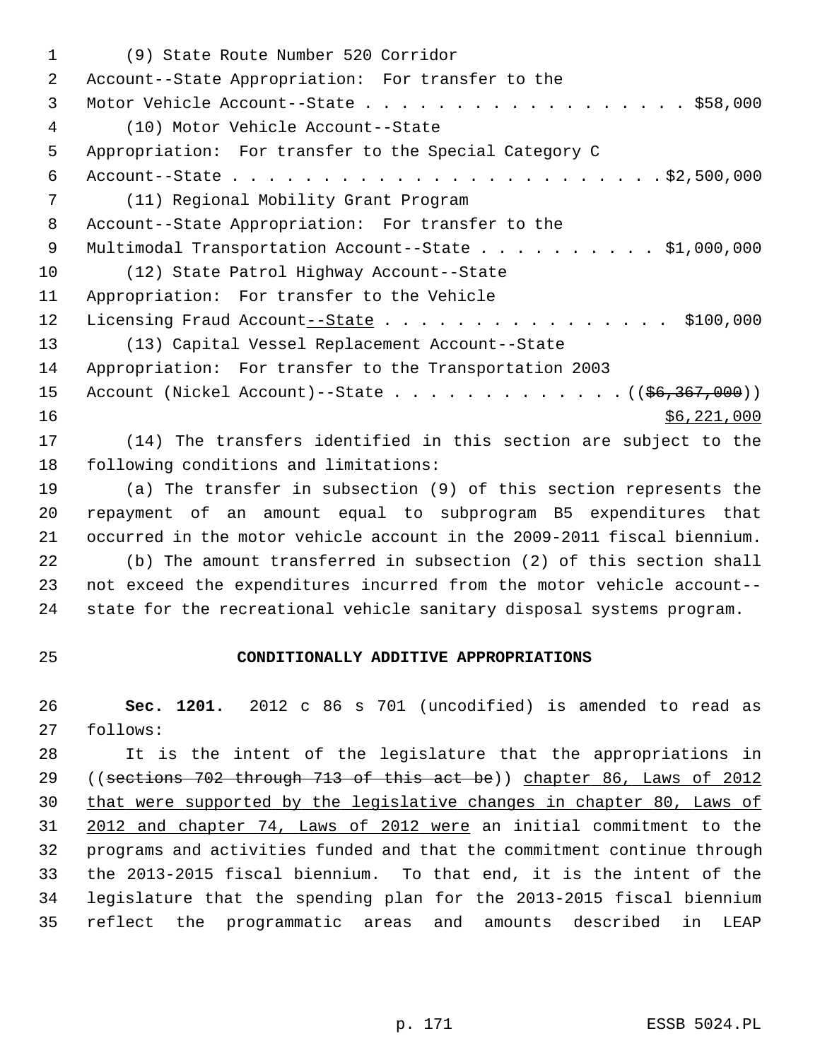1 (9) State Route Number 520 Corridor 2 Account--State Appropriation: For transfer to the 3 Motor Vehicle Account--State . . . . . . . . . . . . . . . . . . \$58,000 4 (10) Motor Vehicle Account--State 5 Appropriation: For transfer to the Special Category C 6 Account--State . . . . . . . . . . . . . . . . . . . . . . . . \$2,500,000 7 (11) Regional Mobility Grant Program 8 Account--State Appropriation: For transfer to the 9 Multimodal Transportation Account--State . . . . . . . . . . \$1,000,000 10 (12) State Patrol Highway Account--State 11 Appropriation: For transfer to the Vehicle 12 Licensing Fraud Account--State . . . . . . . . . . . . . . . \$100,000 13 (13) Capital Vessel Replacement Account--State 14 Appropriation: For transfer to the Transportation 2003 15 Account (Nickel Account)--State . . . . . . . . . . . . . ( (\$6,367,000))  $16$  \$6,221,000 17 (14) The transfers identified in this section are subject to the 18 following conditions and limitations: 19 (a) The transfer in subsection (9) of this section represents the 20 repayment of an amount equal to subprogram B5 expenditures that 21 occurred in the motor vehicle account in the 2009-2011 fiscal biennium. 22 (b) The amount transferred in subsection (2) of this section shall 23 not exceed the expenditures incurred from the motor vehicle account--

24 state for the recreational vehicle sanitary disposal systems program.

### 25 **CONDITIONALLY ADDITIVE APPROPRIATIONS**

26 **Sec. 1201.** 2012 c 86 s 701 (uncodified) is amended to read as 27 follows:

28 It is the intent of the legislature that the appropriations in 29 ((sections 702 through 713 of this act be)) chapter 86, Laws of 2012 30 that were supported by the legislative changes in chapter 80, Laws of 31 2012 and chapter 74, Laws of 2012 were an initial commitment to the 32 programs and activities funded and that the commitment continue through 33 the 2013-2015 fiscal biennium. To that end, it is the intent of the 34 legislature that the spending plan for the 2013-2015 fiscal biennium 35 reflect the programmatic areas and amounts described in LEAP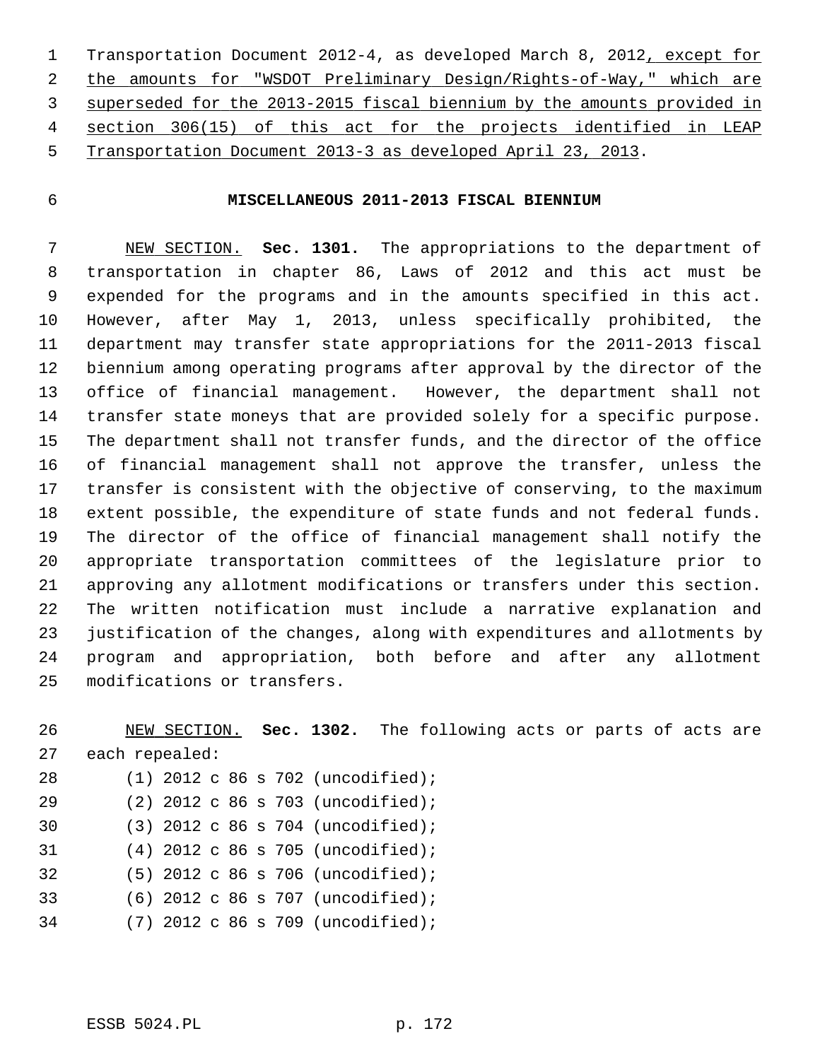1 Transportation Document 2012-4, as developed March 8, 2012, except for the amounts for "WSDOT Preliminary Design/Rights-of-Way," which are superseded for the 2013-2015 fiscal biennium by the amounts provided in section 306(15) of this act for the projects identified in LEAP Transportation Document 2013-3 as developed April 23, 2013.

# 6 **MISCELLANEOUS 2011-2013 FISCAL BIENNIUM**

 7 NEW SECTION. **Sec. 1301.** The appropriations to the department of 8 transportation in chapter 86, Laws of 2012 and this act must be 9 expended for the programs and in the amounts specified in this act. 10 However, after May 1, 2013, unless specifically prohibited, the 11 department may transfer state appropriations for the 2011-2013 fiscal 12 biennium among operating programs after approval by the director of the 13 office of financial management. However, the department shall not 14 transfer state moneys that are provided solely for a specific purpose. 15 The department shall not transfer funds, and the director of the office 16 of financial management shall not approve the transfer, unless the 17 transfer is consistent with the objective of conserving, to the maximum 18 extent possible, the expenditure of state funds and not federal funds. 19 The director of the office of financial management shall notify the 20 appropriate transportation committees of the legislature prior to 21 approving any allotment modifications or transfers under this section. 22 The written notification must include a narrative explanation and 23 justification of the changes, along with expenditures and allotments by 24 program and appropriation, both before and after any allotment 25 modifications or transfers.

26 NEW SECTION. **Sec. 1302.** The following acts or parts of acts are 27 each repealed:

| 28 |  |  |  | $(1)$ 2012 c 86 s 702 (uncodified); |
|----|--|--|--|-------------------------------------|
| 29 |  |  |  | $(2)$ 2012 c 86 s 703 (uncodified); |
| 30 |  |  |  | $(3)$ 2012 c 86 s 704 (uncodified); |
| 31 |  |  |  | $(4)$ 2012 c 86 s 705 (uncodified); |
| 32 |  |  |  | $(5)$ 2012 c 86 s 706 (uncodified); |
| 33 |  |  |  | $(6)$ 2012 c 86 s 707 (uncodified); |
| 34 |  |  |  | (7) 2012 c 86 s 709 (uncodified);   |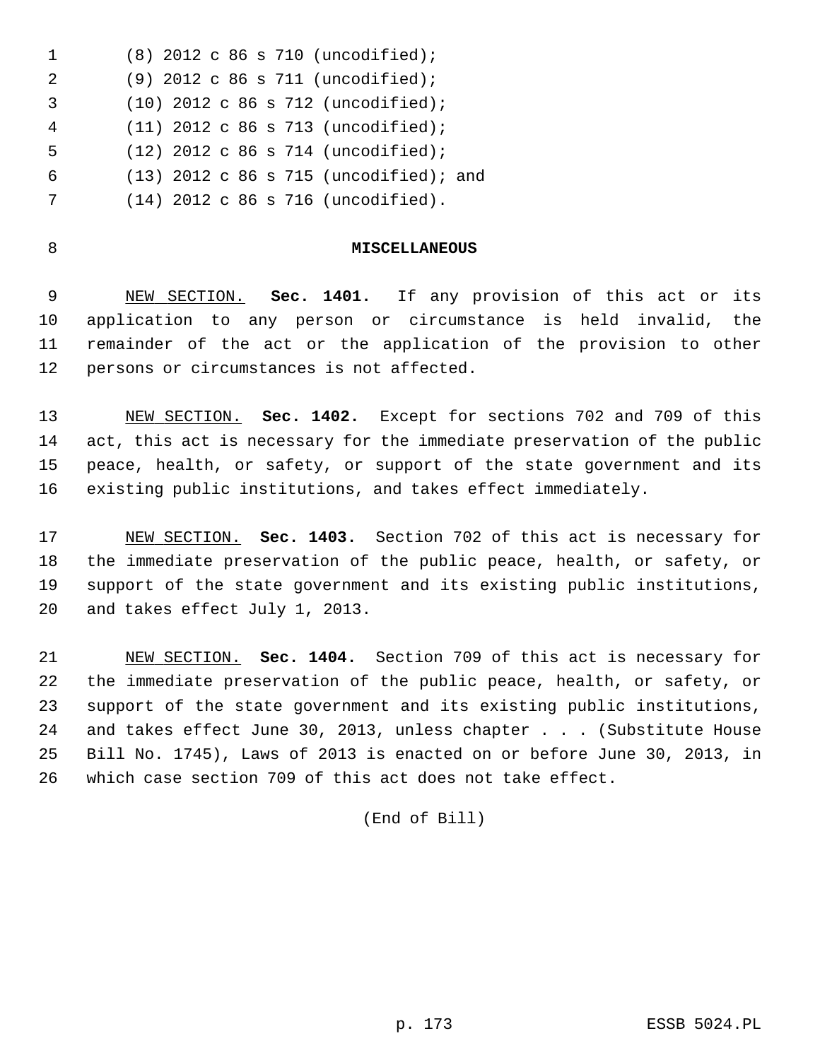1 (8) 2012 c 86 s 710 (uncodified); 2 (9) 2012 c 86 s 711 (uncodified); 3 (10) 2012 c 86 s 712 (uncodified); 4 (11) 2012 c 86 s 713 (uncodified); 5 (12) 2012 c 86 s 714 (uncodified); 6 (13) 2012 c 86 s 715 (uncodified); and 7 (14) 2012 c 86 s 716 (uncodified).

#### 8 **MISCELLANEOUS**

 9 NEW SECTION. **Sec. 1401.** If any provision of this act or its 10 application to any person or circumstance is held invalid, the 11 remainder of the act or the application of the provision to other 12 persons or circumstances is not affected.

13 NEW SECTION. **Sec. 1402.** Except for sections 702 and 709 of this 14 act, this act is necessary for the immediate preservation of the public 15 peace, health, or safety, or support of the state government and its 16 existing public institutions, and takes effect immediately.

17 NEW SECTION. **Sec. 1403.** Section 702 of this act is necessary for 18 the immediate preservation of the public peace, health, or safety, or 19 support of the state government and its existing public institutions, 20 and takes effect July 1, 2013.

21 NEW SECTION. **Sec. 1404.** Section 709 of this act is necessary for 22 the immediate preservation of the public peace, health, or safety, or 23 support of the state government and its existing public institutions, 24 and takes effect June 30, 2013, unless chapter . . . (Substitute House 25 Bill No. 1745), Laws of 2013 is enacted on or before June 30, 2013, in 26 which case section 709 of this act does not take effect.

(End of Bill)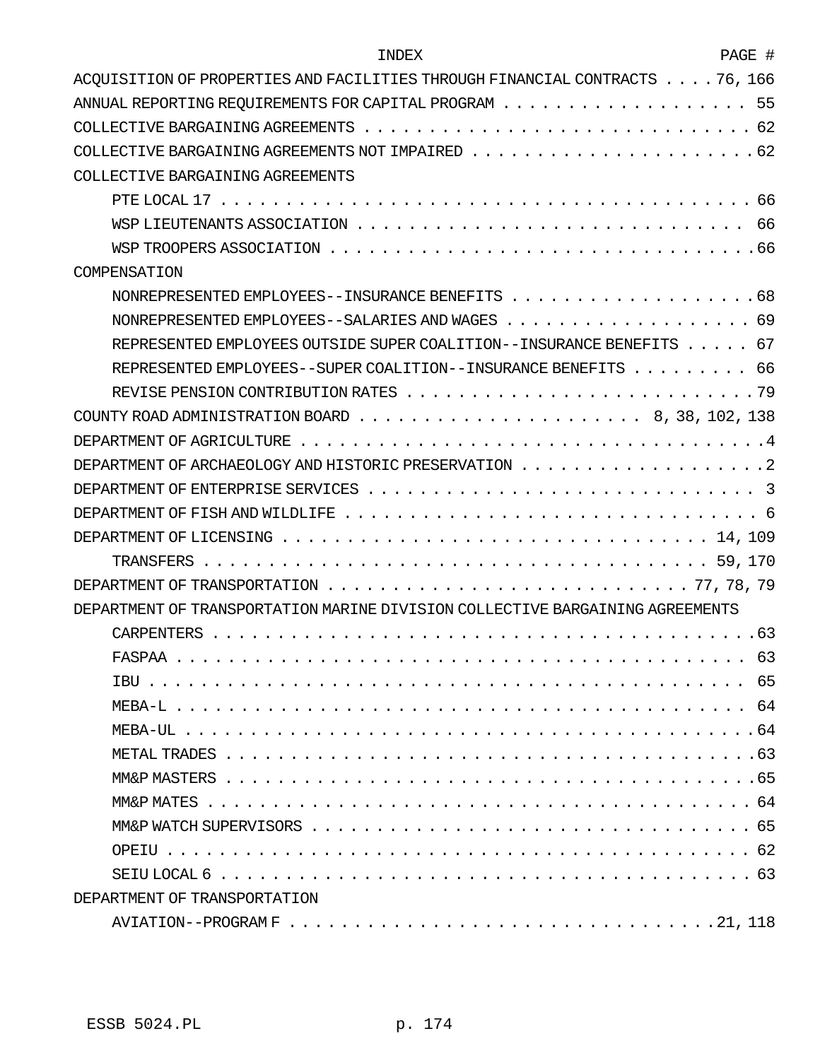| INDEX                                                                                                      | PAGE # |
|------------------------------------------------------------------------------------------------------------|--------|
| ACQUISITION OF PROPERTIES AND FACILITIES THROUGH FINANCIAL CONTRACTS 76, 166                               |        |
| ANNUAL REPORTING REQUIREMENTS FOR CAPITAL PROGRAM $\ldots \ldots \ldots \ldots \ldots$                     | -55    |
|                                                                                                            |        |
|                                                                                                            |        |
| COLLECTIVE BARGAINING AGREEMENTS                                                                           |        |
|                                                                                                            |        |
|                                                                                                            |        |
|                                                                                                            |        |
| COMPENSATION                                                                                               |        |
|                                                                                                            |        |
|                                                                                                            |        |
| REPRESENTED EMPLOYEES OUTSIDE SUPER COALITION--INSURANCE BENEFITS 67                                       |        |
| REPRESENTED EMPLOYEES--SUPER COALITION--INSURANCE BENEFITS 66                                              |        |
|                                                                                                            |        |
| COUNTY ROAD ADMINISTRATION BOARD $\ldots \ldots \ldots \ldots \ldots \ldots \ldots \ldots 8, 38, 102, 138$ |        |
|                                                                                                            |        |
|                                                                                                            |        |
|                                                                                                            |        |
|                                                                                                            |        |
|                                                                                                            |        |
|                                                                                                            |        |
|                                                                                                            |        |
| DEPARTMENT OF TRANSPORTATION MARINE DIVISION COLLECTIVE BARGAINING AGREEMENTS                              |        |
|                                                                                                            |        |
|                                                                                                            |        |
|                                                                                                            |        |
|                                                                                                            |        |
|                                                                                                            |        |
|                                                                                                            |        |
|                                                                                                            |        |
|                                                                                                            |        |
|                                                                                                            |        |
|                                                                                                            |        |
|                                                                                                            |        |
| DEPARTMENT OF TRANSPORTATION                                                                               |        |
|                                                                                                            |        |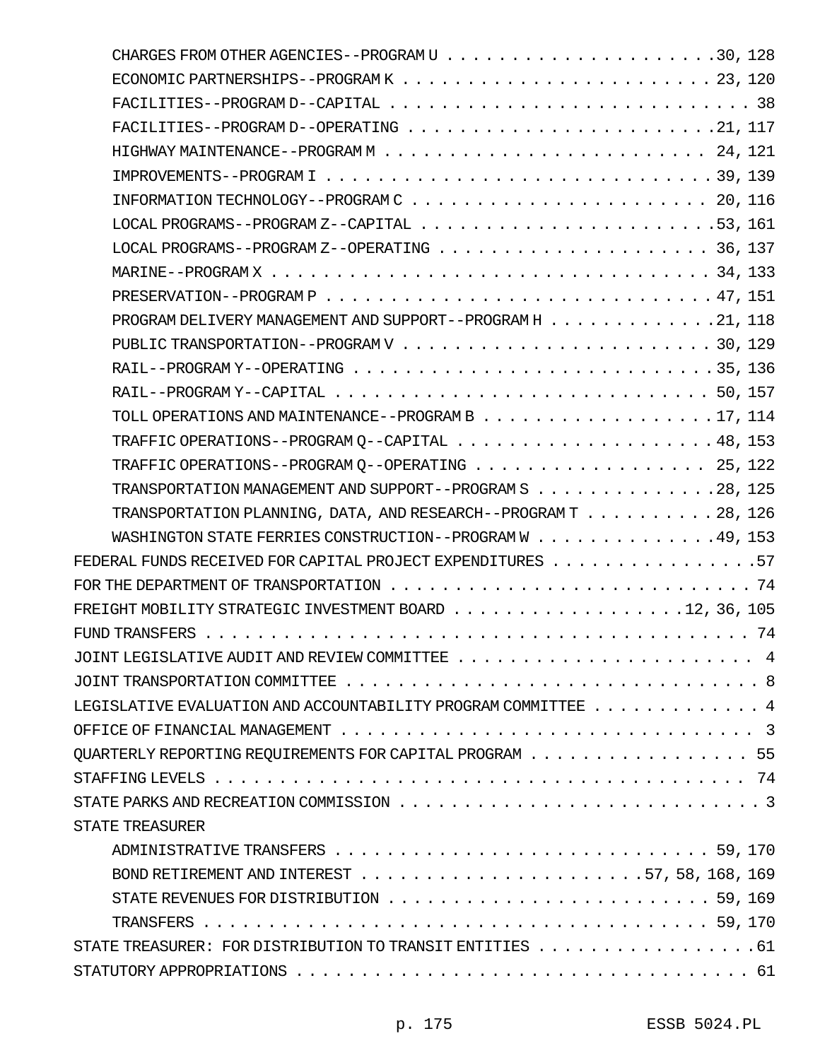| PROGRAM DELIVERY MANAGEMENT AND SUPPORT--PROGRAM H 21, 118                                                             |  |
|------------------------------------------------------------------------------------------------------------------------|--|
|                                                                                                                        |  |
|                                                                                                                        |  |
| RAIL--PROGRAM Y--CAPITAL $\ldots \ldots \ldots \ldots \ldots \ldots \ldots \ldots \ldots \ldots \ldots \ldots 50, 157$ |  |
| TOLL OPERATIONS AND MAINTENANCE--PROGRAM B 17, 114                                                                     |  |
|                                                                                                                        |  |
| TRAFFIC OPERATIONS--PROGRAM Q--OPERATING 25, 122                                                                       |  |
| TRANSPORTATION MANAGEMENT AND SUPPORT--PROGRAM S 28, 125                                                               |  |
| TRANSPORTATION PLANNING, DATA, AND RESEARCH--PROGRAM $T$ 28, 126                                                       |  |
| WASHINGTON STATE FERRIES CONSTRUCTION--PROGRAM W 49, 153                                                               |  |
| FEDERAL FUNDS RECEIVED FOR CAPITAL PROJECT EXPENDITURES $\ldots \ldots \ldots \ldots \ldots$                           |  |
| FOR THE DEPARTMENT OF TRANSPORTATION $\ldots \ldots \ldots \ldots \ldots \ldots \ldots \ldots \ldots \ldots \ldots$    |  |
| FREIGHT MOBILITY STRATEGIC INVESTMENT BOARD $\ldots \ldots \ldots \ldots \ldots \ldots \ldots 12$ , 36, 105            |  |
|                                                                                                                        |  |
|                                                                                                                        |  |
|                                                                                                                        |  |
| LEGISLATIVE EVALUATION AND ACCOUNTABILITY PROGRAM COMMITTEE $\ldots \ldots \ldots \ldots$                              |  |
| OFFICE OF FINANCIAL MANAGEMENT $\ldots \ldots \ldots \ldots \ldots$                                                    |  |
| QUARTERLY REPORTING REQUIREMENTS FOR CAPITAL PROGRAM $\ldots \ldots \ldots \ldots \ldots$                              |  |
|                                                                                                                        |  |
|                                                                                                                        |  |
| STATE TREASURER                                                                                                        |  |
|                                                                                                                        |  |
| BOND RETIREMENT AND INTEREST $\ldots$ , 57, 58, 168, 169                                                               |  |
| STATE REVENUES FOR DISTRIBUTION $\ldots \ldots \ldots \ldots \ldots \ldots \ldots \ldots \ldots \ldots 59$ , 169       |  |
|                                                                                                                        |  |
| STATE TREASURER: FOR DISTRIBUTION TO TRANSIT ENTITIES $\ldots \ldots \ldots \ldots \ldots$                             |  |
|                                                                                                                        |  |